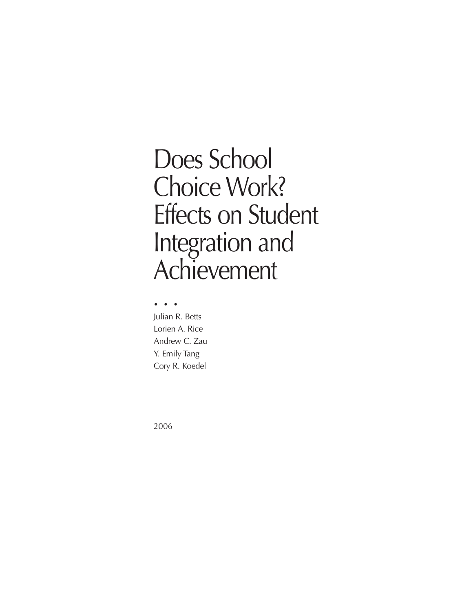# Does School Choice Work? Effects on Student Integration and Achievement

•••

Julian R. Betts Lorien A. Rice Andrew C. Zau Y. Emily Tang Cory R. Koedel

2006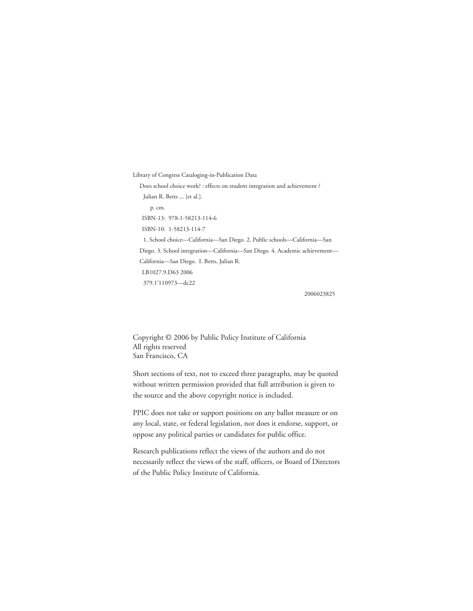Library of Congress Cataloging-in-Publication Data Does school choice work? : effects on student integration and achievement / Julian R. Betts ... [et al.]. p. cm. ISBN-13: 978-1-58213-114-6 ISBN-10: 1-58213-114-7 1. School choice—California—San Diego. 2. Public schools—California—San Diego. 3. School integration—California—San Diego. 4. Academic achievement— California—San Diego. I. Betts, Julian R. LB1027.9.D63 2006 379.1'110973—dc22

2006023825

Copyright © 2006 by Public Policy Institute of California All rights reserved San Francisco, CA

Short sections of text, not to exceed three paragraphs, may be quoted without written permission provided that full attribution is given to the source and the above copyright notice is included.

PPIC does not take or support positions on any ballot measure or on any local, state, or federal legislation, nor does it endorse, support, or oppose any political parties or candidates for public office.

Research publications reflect the views of the authors and do not necessarily reflect the views of the staff, officers, or Board of Directors of the Public Policy Institute of California.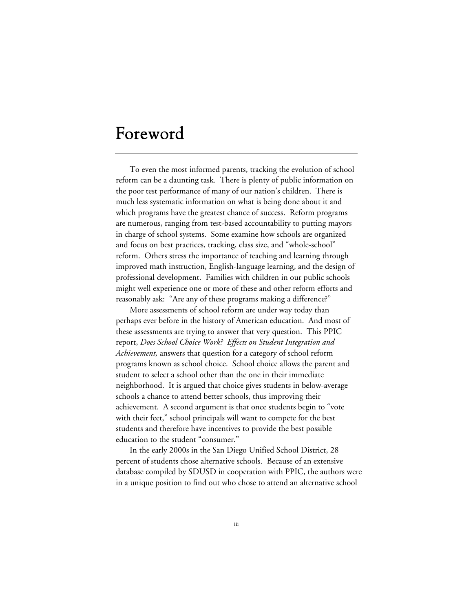### Foreword

To even the most informed parents, tracking the evolution of school reform can be a daunting task. There is plenty of public information on the poor test performance of many of our nation's children. There is much less systematic information on what is being done about it and which programs have the greatest chance of success. Reform programs are numerous, ranging from test-based accountability to putting mayors in charge of school systems. Some examine how schools are organized and focus on best practices, tracking, class size, and "whole-school" reform. Others stress the importance of teaching and learning through improved math instruction, English-language learning, and the design of professional development. Families with children in our public schools might well experience one or more of these and other reform efforts and reasonably ask: "Are any of these programs making a difference?"

More assessments of school reform are under way today than perhaps ever before in the history of American education. And most of these assessments are trying to answer that very question. This PPIC report, *Does School Choice Work? Effects on Student Integration and Achievement,* answers that question for a category of school reform programs known as school choice. School choice allows the parent and student to select a school other than the one in their immediate neighborhood. It is argued that choice gives students in below-average schools a chance to attend better schools, thus improving their achievement. A second argument is that once students begin to "vote with their feet," school principals will want to compete for the best students and therefore have incentives to provide the best possible education to the student "consumer."

In the early 2000s in the San Diego Unified School District, 28 percent of students chose alternative schools. Because of an extensive database compiled by SDUSD in cooperation with PPIC, the authors were in a unique position to find out who chose to attend an alternative school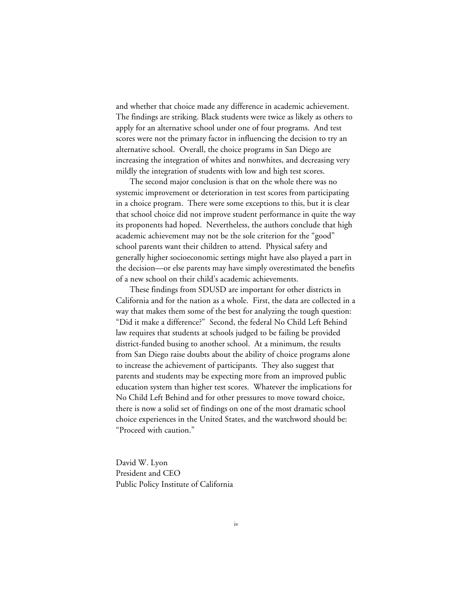and whether that choice made any difference in academic achievement. The findings are striking. Black students were twice as likely as others to apply for an alternative school under one of four programs. And test scores were not the primary factor in influencing the decision to try an alternative school. Overall, the choice programs in San Diego are increasing the integration of whites and nonwhites, and decreasing very mildly the integration of students with low and high test scores.

The second major conclusion is that on the whole there was no systemic improvement or deterioration in test scores from participating in a choice program. There were some exceptions to this, but it is clear that school choice did not improve student performance in quite the way its proponents had hoped. Nevertheless, the authors conclude that high academic achievement may not be the sole criterion for the "good" school parents want their children to attend. Physical safety and generally higher socioeconomic settings might have also played a part in the decision—or else parents may have simply overestimated the benefits of a new school on their child's academic achievements.

These findings from SDUSD are important for other districts in California and for the nation as a whole. First, the data are collected in a way that makes them some of the best for analyzing the tough question: "Did it make a difference?" Second, the federal No Child Left Behind law requires that students at schools judged to be failing be provided district-funded busing to another school. At a minimum, the results from San Diego raise doubts about the ability of choice programs alone to increase the achievement of participants. They also suggest that parents and students may be expecting more from an improved public education system than higher test scores. Whatever the implications for No Child Left Behind and for other pressures to move toward choice, there is now a solid set of findings on one of the most dramatic school choice experiences in the United States, and the watchword should be: "Proceed with caution."

David W. Lyon President and CEO Public Policy Institute of California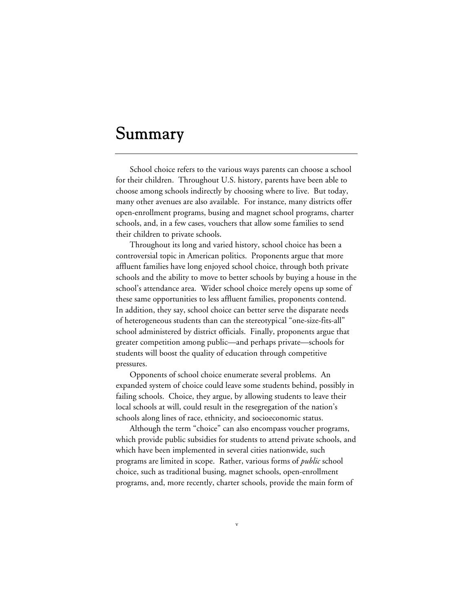### Summary

School choice refers to the various ways parents can choose a school for their children. Throughout U.S. history, parents have been able to choose among schools indirectly by choosing where to live. But today, many other avenues are also available. For instance, many districts offer open-enrollment programs, busing and magnet school programs, charter schools, and, in a few cases, vouchers that allow some families to send their children to private schools.

Throughout its long and varied history, school choice has been a controversial topic in American politics. Proponents argue that more affluent families have long enjoyed school choice, through both private schools and the ability to move to better schools by buying a house in the school's attendance area. Wider school choice merely opens up some of these same opportunities to less affluent families, proponents contend. In addition, they say, school choice can better serve the disparate needs of heterogeneous students than can the stereotypical "one-size-fits-all" school administered by district officials. Finally, proponents argue that greater competition among public—and perhaps private—schools for students will boost the quality of education through competitive pressures.

Opponents of school choice enumerate several problems. An expanded system of choice could leave some students behind, possibly in failing schools. Choice, they argue, by allowing students to leave their local schools at will, could result in the resegregation of the nation's schools along lines of race, ethnicity, and socioeconomic status.

Although the term "choice" can also encompass voucher programs, which provide public subsidies for students to attend private schools, and which have been implemented in several cities nationwide, such programs are limited in scope. Rather, various forms of *public* school choice, such as traditional busing, magnet schools, open-enrollment programs, and, more recently, charter schools, provide the main form of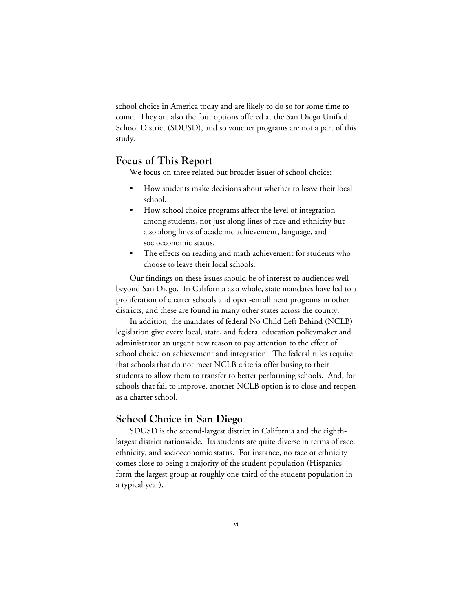school choice in America today and are likely to do so for some time to come. They are also the four options offered at the San Diego Unified School District (SDUSD), and so voucher programs are not a part of this study.

#### **Focus of This Report**

We focus on three related but broader issues of school choice:

- How students make decisions about whether to leave their local school.
- How school choice programs affect the level of integration among students, not just along lines of race and ethnicity but also along lines of academic achievement, language, and socioeconomic status.
- The effects on reading and math achievement for students who choose to leave their local schools.

Our findings on these issues should be of interest to audiences well beyond San Diego. In California as a whole, state mandates have led to a proliferation of charter schools and open-enrollment programs in other districts, and these are found in many other states across the county.

In addition, the mandates of federal No Child Left Behind (NCLB) legislation give every local, state, and federal education policymaker and administrator an urgent new reason to pay attention to the effect of school choice on achievement and integration. The federal rules require that schools that do not meet NCLB criteria offer busing to their students to allow them to transfer to better performing schools. And, for schools that fail to improve, another NCLB option is to close and reopen as a charter school.

#### **School Choice in San Diego**

SDUSD is the second-largest district in California and the eighthlargest district nationwide. Its students are quite diverse in terms of race, ethnicity, and socioeconomic status. For instance, no race or ethnicity comes close to being a majority of the student population (Hispanics form the largest group at roughly one-third of the student population in a typical year).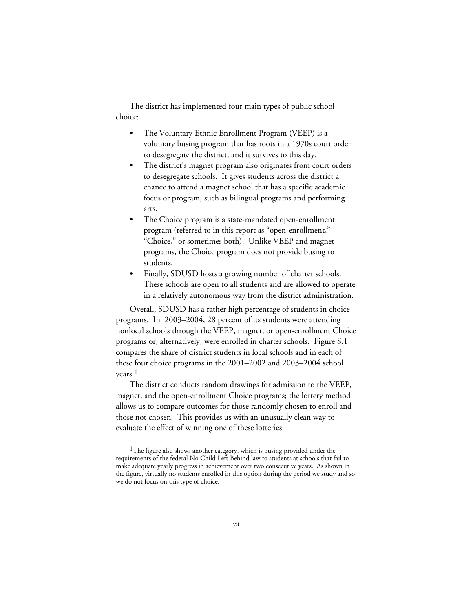The district has implemented four main types of public school choice:

- The Voluntary Ethnic Enrollment Program (VEEP) is a voluntary busing program that has roots in a 1970s court order to desegregate the district, and it survives to this day.
- The district's magnet program also originates from court orders to desegregate schools. It gives students across the district a chance to attend a magnet school that has a specific academic focus or program, such as bilingual programs and performing arts.
- The Choice program is a state-mandated open-enrollment program (referred to in this report as "open-enrollment," "Choice," or sometimes both). Unlike VEEP and magnet programs, the Choice program does not provide busing to students.
- Finally, SDUSD hosts a growing number of charter schools. These schools are open to all students and are allowed to operate in a relatively autonomous way from the district administration.

Overall, SDUSD has a rather high percentage of students in choice programs. In 2003–2004, 28 percent of its students were attending nonlocal schools through the VEEP, magnet, or open-enrollment Choice programs or, alternatively, were enrolled in charter schools. Figure S.1 compares the share of district students in local schools and in each of these four choice programs in the 2001–2002 and 2003–2004 school years.<sup>1</sup>

The district conducts random drawings for admission to the VEEP, magnet, and the open-enrollment Choice programs; the lottery method allows us to compare outcomes for those randomly chosen to enroll and those not chosen. This provides us with an unusually clean way to evaluate the effect of winning one of these lotteries.

 $\overline{\phantom{a}}$ 

<sup>&</sup>lt;sup>1</sup>The figure also shows another category, which is busing provided under the requirements of the federal No Child Left Behind law to students at schools that fail to make adequate yearly progress in achievement over two consecutive years. As shown in the figure, virtually no students enrolled in this option during the period we study and so we do not focus on this type of choice.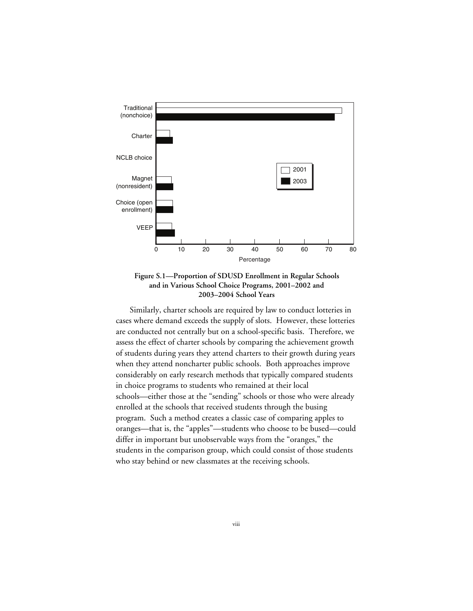

**Figure S.1—Proportion of SDUSD Enrollment in Regular Schools and in Various School Choice Programs, 2001–2002 and 2003–2004 School Years**

Similarly, charter schools are required by law to conduct lotteries in cases where demand exceeds the supply of slots. However, these lotteries are conducted not centrally but on a school-specific basis. Therefore, we assess the effect of charter schools by comparing the achievement growth of students during years they attend charters to their growth during years when they attend noncharter public schools. Both approaches improve considerably on early research methods that typically compared students in choice programs to students who remained at their local schools—either those at the "sending" schools or those who were already enrolled at the schools that received students through the busing program. Such a method creates a classic case of comparing apples to oranges—that is, the "apples"—students who choose to be bused—could differ in important but unobservable ways from the "oranges," the students in the comparison group, which could consist of those students who stay behind or new classmates at the receiving schools.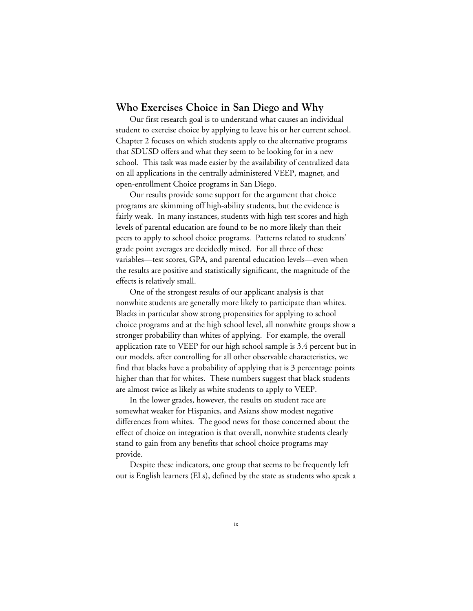#### **Who Exercises Choice in San Diego and Why**

Our first research goal is to understand what causes an individual student to exercise choice by applying to leave his or her current school. Chapter 2 focuses on which students apply to the alternative programs that SDUSD offers and what they seem to be looking for in a new school. This task was made easier by the availability of centralized data on all applications in the centrally administered VEEP, magnet, and open-enrollment Choice programs in San Diego.

Our results provide some support for the argument that choice programs are skimming off high-ability students, but the evidence is fairly weak. In many instances, students with high test scores and high levels of parental education are found to be no more likely than their peers to apply to school choice programs. Patterns related to students' grade point averages are decidedly mixed. For all three of these variables—test scores, GPA, and parental education levels—even when the results are positive and statistically significant, the magnitude of the effects is relatively small.

One of the strongest results of our applicant analysis is that nonwhite students are generally more likely to participate than whites. Blacks in particular show strong propensities for applying to school choice programs and at the high school level, all nonwhite groups show a stronger probability than whites of applying. For example, the overall application rate to VEEP for our high school sample is 3.4 percent but in our models, after controlling for all other observable characteristics, we find that blacks have a probability of applying that is 3 percentage points higher than that for whites. These numbers suggest that black students are almost twice as likely as white students to apply to VEEP.

In the lower grades, however, the results on student race are somewhat weaker for Hispanics, and Asians show modest negative differences from whites. The good news for those concerned about the effect of choice on integration is that overall, nonwhite students clearly stand to gain from any benefits that school choice programs may provide.

Despite these indicators, one group that seems to be frequently left out is English learners (ELs), defined by the state as students who speak a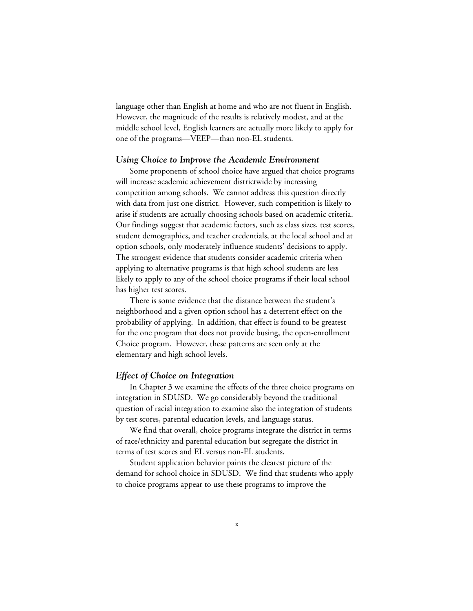language other than English at home and who are not fluent in English. However, the magnitude of the results is relatively modest, and at the middle school level, English learners are actually more likely to apply for one of the programs—VEEP—than non-EL students.

#### *Using Choice to Improve the Academic Environment*

Some proponents of school choice have argued that choice programs will increase academic achievement districtwide by increasing competition among schools. We cannot address this question directly with data from just one district. However, such competition is likely to arise if students are actually choosing schools based on academic criteria. Our findings suggest that academic factors, such as class sizes, test scores, student demographics, and teacher credentials, at the local school and at option schools, only moderately influence students' decisions to apply. The strongest evidence that students consider academic criteria when applying to alternative programs is that high school students are less likely to apply to any of the school choice programs if their local school has higher test scores.

There is some evidence that the distance between the student's neighborhood and a given option school has a deterrent effect on the probability of applying. In addition, that effect is found to be greatest for the one program that does not provide busing, the open-enrollment Choice program. However, these patterns are seen only at the elementary and high school levels.

#### *Effect of Choice on Integration*

In Chapter 3 we examine the effects of the three choice programs on integration in SDUSD. We go considerably beyond the traditional question of racial integration to examine also the integration of students by test scores, parental education levels, and language status.

We find that overall, choice programs integrate the district in terms of race/ethnicity and parental education but segregate the district in terms of test scores and EL versus non-EL students.

Student application behavior paints the clearest picture of the demand for school choice in SDUSD. We find that students who apply to choice programs appear to use these programs to improve the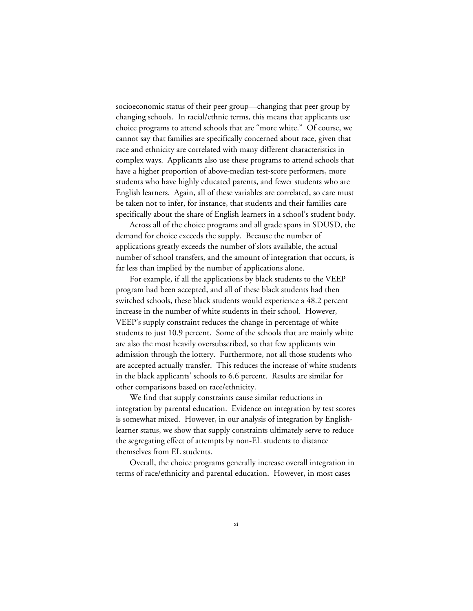socioeconomic status of their peer group—changing that peer group by changing schools. In racial/ethnic terms, this means that applicants use choice programs to attend schools that are "more white." Of course, we cannot say that families are specifically concerned about race, given that race and ethnicity are correlated with many different characteristics in complex ways. Applicants also use these programs to attend schools that have a higher proportion of above-median test-score performers, more students who have highly educated parents, and fewer students who are English learners. Again, all of these variables are correlated, so care must be taken not to infer, for instance, that students and their families care specifically about the share of English learners in a school's student body.

Across all of the choice programs and all grade spans in SDUSD, the demand for choice exceeds the supply. Because the number of applications greatly exceeds the number of slots available, the actual number of school transfers, and the amount of integration that occurs, is far less than implied by the number of applications alone.

For example, if all the applications by black students to the VEEP program had been accepted, and all of these black students had then switched schools, these black students would experience a 48.2 percent increase in the number of white students in their school. However, VEEP's supply constraint reduces the change in percentage of white students to just 10.9 percent. Some of the schools that are mainly white are also the most heavily oversubscribed, so that few applicants win admission through the lottery. Furthermore, not all those students who are accepted actually transfer. This reduces the increase of white students in the black applicants' schools to 6.6 percent. Results are similar for other comparisons based on race/ethnicity.

We find that supply constraints cause similar reductions in integration by parental education. Evidence on integration by test scores is somewhat mixed. However, in our analysis of integration by Englishlearner status, we show that supply constraints ultimately serve to reduce the segregating effect of attempts by non-EL students to distance themselves from EL students.

Overall, the choice programs generally increase overall integration in terms of race/ethnicity and parental education. However, in most cases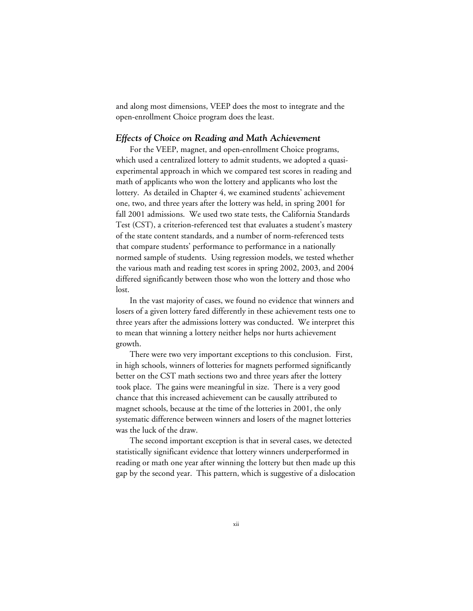and along most dimensions, VEEP does the most to integrate and the open-enrollment Choice program does the least.

#### *Effects of Choice on Reading and Math Achievement*

For the VEEP, magnet, and open-enrollment Choice programs, which used a centralized lottery to admit students, we adopted a quasiexperimental approach in which we compared test scores in reading and math of applicants who won the lottery and applicants who lost the lottery. As detailed in Chapter 4, we examined students' achievement one, two, and three years after the lottery was held, in spring 2001 for fall 2001 admissions. We used two state tests, the California Standards Test (CST), a criterion-referenced test that evaluates a student's mastery of the state content standards, and a number of norm-referenced tests that compare students' performance to performance in a nationally normed sample of students. Using regression models, we tested whether the various math and reading test scores in spring 2002, 2003, and 2004 differed significantly between those who won the lottery and those who lost.

In the vast majority of cases, we found no evidence that winners and losers of a given lottery fared differently in these achievement tests one to three years after the admissions lottery was conducted. We interpret this to mean that winning a lottery neither helps nor hurts achievement growth.

There were two very important exceptions to this conclusion. First, in high schools, winners of lotteries for magnets performed significantly better on the CST math sections two and three years after the lottery took place. The gains were meaningful in size. There is a very good chance that this increased achievement can be causally attributed to magnet schools, because at the time of the lotteries in 2001, the only systematic difference between winners and losers of the magnet lotteries was the luck of the draw.

The second important exception is that in several cases, we detected statistically significant evidence that lottery winners underperformed in reading or math one year after winning the lottery but then made up this gap by the second year. This pattern, which is suggestive of a dislocation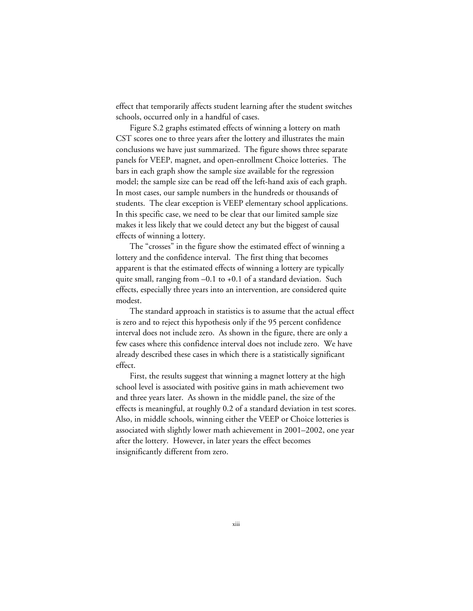effect that temporarily affects student learning after the student switches schools, occurred only in a handful of cases.

Figure S.2 graphs estimated effects of winning a lottery on math CST scores one to three years after the lottery and illustrates the main conclusions we have just summarized. The figure shows three separate panels for VEEP, magnet, and open-enrollment Choice lotteries. The bars in each graph show the sample size available for the regression model; the sample size can be read off the left-hand axis of each graph. In most cases, our sample numbers in the hundreds or thousands of students. The clear exception is VEEP elementary school applications. In this specific case, we need to be clear that our limited sample size makes it less likely that we could detect any but the biggest of causal effects of winning a lottery.

The "crosses" in the figure show the estimated effect of winning a lottery and the confidence interval. The first thing that becomes apparent is that the estimated effects of winning a lottery are typically quite small, ranging from –0.1 to +0.1 of a standard deviation. Such effects, especially three years into an intervention, are considered quite modest.

The standard approach in statistics is to assume that the actual effect is zero and to reject this hypothesis only if the 95 percent confidence interval does not include zero. As shown in the figure, there are only a few cases where this confidence interval does not include zero. We have already described these cases in which there is a statistically significant effect.

First, the results suggest that winning a magnet lottery at the high school level is associated with positive gains in math achievement two and three years later. As shown in the middle panel, the size of the effects is meaningful, at roughly 0.2 of a standard deviation in test scores. Also, in middle schools, winning either the VEEP or Choice lotteries is associated with slightly lower math achievement in 2001–2002, one year after the lottery. However, in later years the effect becomes insignificantly different from zero.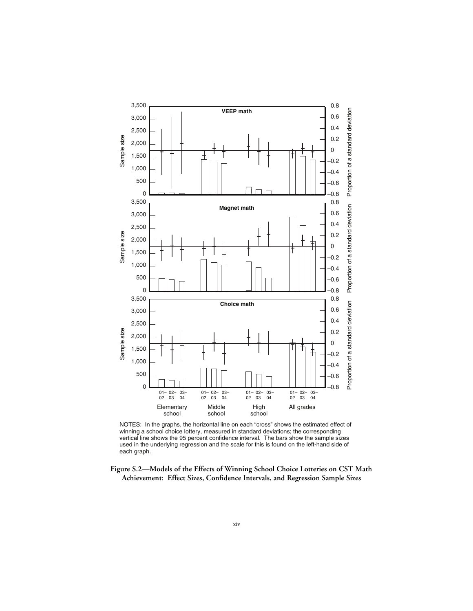

NOTES: In the graphs, the horizontal line on each "cross" shows the estimated effect of winning a school choice lottery, measured in standard deviations; the corresponding vertical line shows the 95 percent confidence interval. The bars show the sample sizes used in the underlying regression and the scale for this is found on the left-hand side of each graph.

**Figure S.2—Models of the Effects of Winning School Choice Lotteries on CST Math Achievement: Effect Sizes, Confidence Intervals, and Regression Sample Sizes**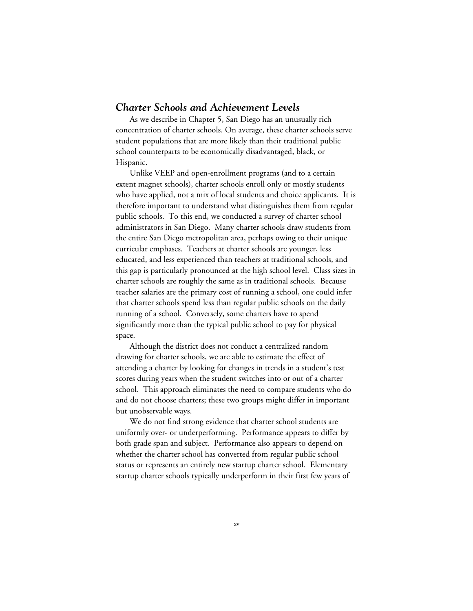#### *Charter Schools and Achievement Levels*

As we describe in Chapter 5, San Diego has an unusually rich concentration of charter schools. On average, these charter schools serve student populations that are more likely than their traditional public school counterparts to be economically disadvantaged, black, or Hispanic.

Unlike VEEP and open-enrollment programs (and to a certain extent magnet schools), charter schools enroll only or mostly students who have applied, not a mix of local students and choice applicants. It is therefore important to understand what distinguishes them from regular public schools. To this end, we conducted a survey of charter school administrators in San Diego. Many charter schools draw students from the entire San Diego metropolitan area, perhaps owing to their unique curricular emphases. Teachers at charter schools are younger, less educated, and less experienced than teachers at traditional schools, and this gap is particularly pronounced at the high school level. Class sizes in charter schools are roughly the same as in traditional schools. Because teacher salaries are the primary cost of running a school, one could infer that charter schools spend less than regular public schools on the daily running of a school. Conversely, some charters have to spend significantly more than the typical public school to pay for physical space.

Although the district does not conduct a centralized random drawing for charter schools, we are able to estimate the effect of attending a charter by looking for changes in trends in a student's test scores during years when the student switches into or out of a charter school. This approach eliminates the need to compare students who do and do not choose charters; these two groups might differ in important but unobservable ways.

We do not find strong evidence that charter school students are uniformly over- or underperforming. Performance appears to differ by both grade span and subject. Performance also appears to depend on whether the charter school has converted from regular public school status or represents an entirely new startup charter school. Elementary startup charter schools typically underperform in their first few years of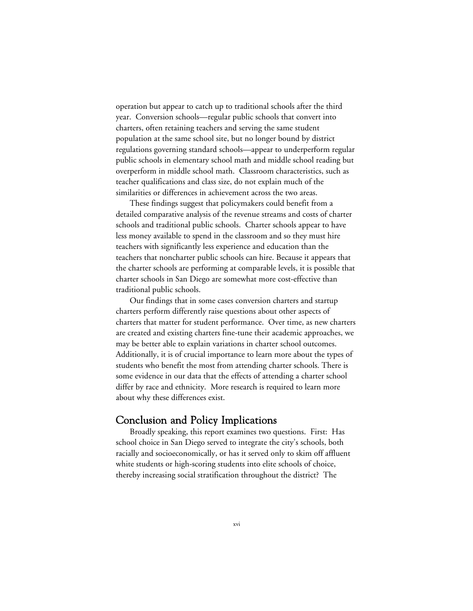operation but appear to catch up to traditional schools after the third year. Conversion schools—regular public schools that convert into charters, often retaining teachers and serving the same student population at the same school site, but no longer bound by district regulations governing standard schools—appear to underperform regular public schools in elementary school math and middle school reading but overperform in middle school math. Classroom characteristics, such as teacher qualifications and class size, do not explain much of the similarities or differences in achievement across the two areas.

These findings suggest that policymakers could benefit from a detailed comparative analysis of the revenue streams and costs of charter schools and traditional public schools. Charter schools appear to have less money available to spend in the classroom and so they must hire teachers with significantly less experience and education than the teachers that noncharter public schools can hire. Because it appears that the charter schools are performing at comparable levels, it is possible that charter schools in San Diego are somewhat more cost-effective than traditional public schools.

Our findings that in some cases conversion charters and startup charters perform differently raise questions about other aspects of charters that matter for student performance. Over time, as new charters are created and existing charters fine-tune their academic approaches, we may be better able to explain variations in charter school outcomes. Additionally, it is of crucial importance to learn more about the types of students who benefit the most from attending charter schools. There is some evidence in our data that the effects of attending a charter school differ by race and ethnicity. More research is required to learn more about why these differences exist.

#### Conclusion and Policy Implications

Broadly speaking, this report examines two questions. First: Has school choice in San Diego served to integrate the city's schools, both racially and socioeconomically, or has it served only to skim off affluent white students or high-scoring students into elite schools of choice, thereby increasing social stratification throughout the district? The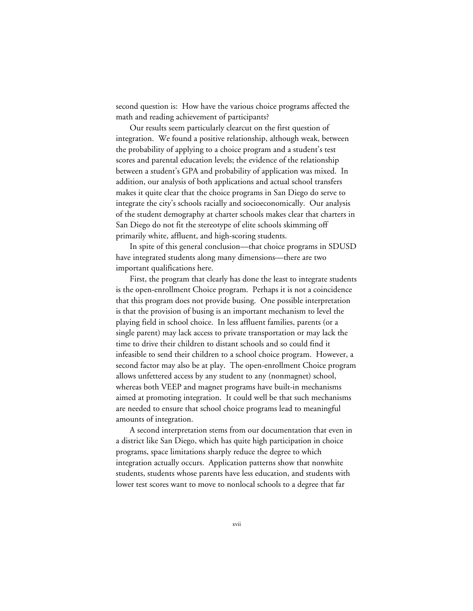second question is: How have the various choice programs affected the math and reading achievement of participants?

Our results seem particularly clearcut on the first question of integration. We found a positive relationship, although weak, between the probability of applying to a choice program and a student's test scores and parental education levels; the evidence of the relationship between a student's GPA and probability of application was mixed. In addition, our analysis of both applications and actual school transfers makes it quite clear that the choice programs in San Diego do serve to integrate the city's schools racially and socioeconomically. Our analysis of the student demography at charter schools makes clear that charters in San Diego do not fit the stereotype of elite schools skimming off primarily white, affluent, and high-scoring students.

In spite of this general conclusion—that choice programs in SDUSD have integrated students along many dimensions—there are two important qualifications here.

First, the program that clearly has done the least to integrate students is the open-enrollment Choice program. Perhaps it is not a coincidence that this program does not provide busing. One possible interpretation is that the provision of busing is an important mechanism to level the playing field in school choice. In less affluent families, parents (or a single parent) may lack access to private transportation or may lack the time to drive their children to distant schools and so could find it infeasible to send their children to a school choice program. However, a second factor may also be at play. The open-enrollment Choice program allows unfettered access by any student to any (nonmagnet) school, whereas both VEEP and magnet programs have built-in mechanisms aimed at promoting integration. It could well be that such mechanisms are needed to ensure that school choice programs lead to meaningful amounts of integration.

A second interpretation stems from our documentation that even in a district like San Diego, which has quite high participation in choice programs, space limitations sharply reduce the degree to which integration actually occurs. Application patterns show that nonwhite students, students whose parents have less education, and students with lower test scores want to move to nonlocal schools to a degree that far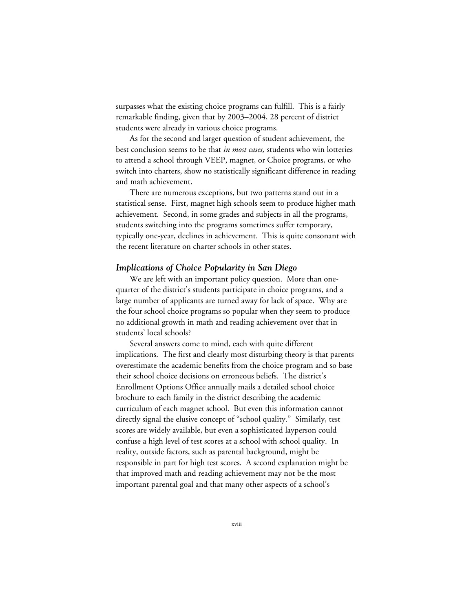surpasses what the existing choice programs can fulfill. This is a fairly remarkable finding, given that by 2003–2004, 28 percent of district students were already in various choice programs.

As for the second and larger question of student achievement, the best conclusion seems to be that *in most cases,* students who win lotteries to attend a school through VEEP, magnet, or Choice programs, or who switch into charters, show no statistically significant difference in reading and math achievement.

There are numerous exceptions, but two patterns stand out in a statistical sense. First, magnet high schools seem to produce higher math achievement. Second, in some grades and subjects in all the programs, students switching into the programs sometimes suffer temporary, typically one-year, declines in achievement. This is quite consonant with the recent literature on charter schools in other states.

#### *Implications of Choice Popularity in San Diego*

We are left with an important policy question. More than onequarter of the district's students participate in choice programs, and a large number of applicants are turned away for lack of space. Why are the four school choice programs so popular when they seem to produce no additional growth in math and reading achievement over that in students' local schools?

Several answers come to mind, each with quite different implications. The first and clearly most disturbing theory is that parents overestimate the academic benefits from the choice program and so base their school choice decisions on erroneous beliefs. The district's Enrollment Options Office annually mails a detailed school choice brochure to each family in the district describing the academic curriculum of each magnet school. But even this information cannot directly signal the elusive concept of "school quality." Similarly, test scores are widely available, but even a sophisticated layperson could confuse a high level of test scores at a school with school quality. In reality, outside factors, such as parental background, might be responsible in part for high test scores. A second explanation might be that improved math and reading achievement may not be the most important parental goal and that many other aspects of a school's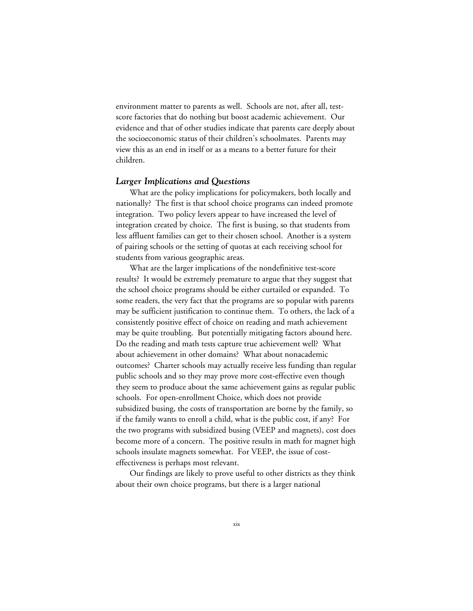environment matter to parents as well. Schools are not, after all, testscore factories that do nothing but boost academic achievement. Our evidence and that of other studies indicate that parents care deeply about the socioeconomic status of their children's schoolmates. Parents may view this as an end in itself or as a means to a better future for their children.

#### *Larger Implications and Questions*

What are the policy implications for policymakers, both locally and nationally? The first is that school choice programs can indeed promote integration. Two policy levers appear to have increased the level of integration created by choice. The first is busing, so that students from less affluent families can get to their chosen school. Another is a system of pairing schools or the setting of quotas at each receiving school for students from various geographic areas.

What are the larger implications of the nondefinitive test-score results? It would be extremely premature to argue that they suggest that the school choice programs should be either curtailed or expanded. To some readers, the very fact that the programs are so popular with parents may be sufficient justification to continue them. To others, the lack of a consistently positive effect of choice on reading and math achievement may be quite troubling. But potentially mitigating factors abound here. Do the reading and math tests capture true achievement well? What about achievement in other domains? What about nonacademic outcomes? Charter schools may actually receive less funding than regular public schools and so they may prove more cost-effective even though they seem to produce about the same achievement gains as regular public schools. For open-enrollment Choice, which does not provide subsidized busing, the costs of transportation are borne by the family, so if the family wants to enroll a child, what is the public cost, if any? For the two programs with subsidized busing (VEEP and magnets), cost does become more of a concern. The positive results in math for magnet high schools insulate magnets somewhat. For VEEP, the issue of costeffectiveness is perhaps most relevant.

Our findings are likely to prove useful to other districts as they think about their own choice programs, but there is a larger national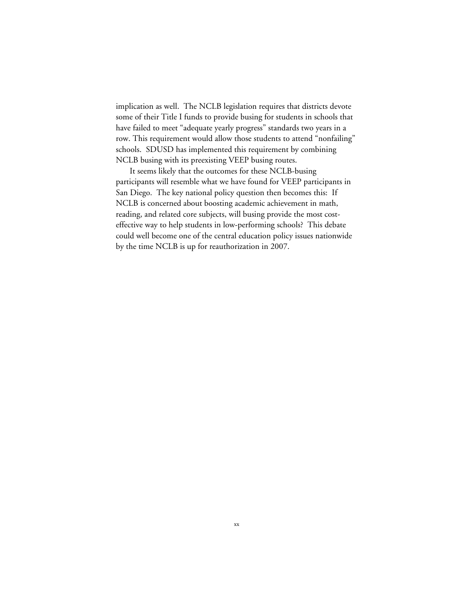implication as well. The NCLB legislation requires that districts devote some of their Title I funds to provide busing for students in schools that have failed to meet "adequate yearly progress" standards two years in a row. This requirement would allow those students to attend "nonfailing" schools. SDUSD has implemented this requirement by combining NCLB busing with its preexisting VEEP busing routes.

It seems likely that the outcomes for these NCLB-busing participants will resemble what we have found for VEEP participants in San Diego. The key national policy question then becomes this: If NCLB is concerned about boosting academic achievement in math, reading, and related core subjects, will busing provide the most costeffective way to help students in low-performing schools? This debate could well become one of the central education policy issues nationwide by the time NCLB is up for reauthorization in 2007.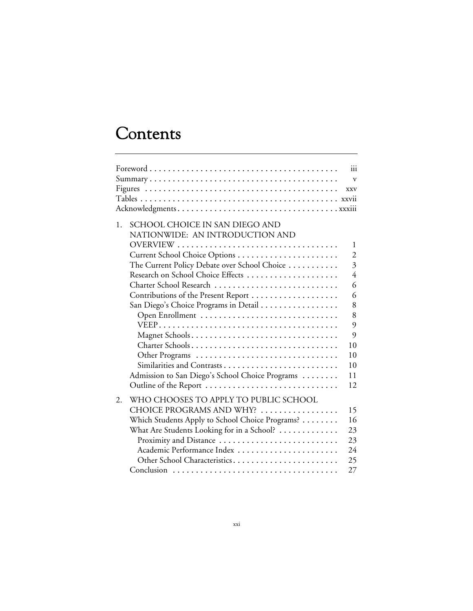### **Contents**

|    |                                                                   | iii<br>$\mathbf{V}$<br><b>XXV</b> |
|----|-------------------------------------------------------------------|-----------------------------------|
| 1. | SCHOOL CHOICE IN SAN DIEGO AND<br>NATIONWIDE: AN INTRODUCTION AND |                                   |
|    |                                                                   | 1                                 |
|    | Current School Choice Options                                     | $\overline{2}$                    |
|    | The Current Policy Debate over School Choice                      | $\overline{3}$                    |
|    | Research on School Choice Effects                                 | $\overline{4}$                    |
|    | Charter School Research                                           | 6                                 |
|    | Contributions of the Present Report                               | 6                                 |
|    | San Diego's Choice Programs in Detail                             | 8                                 |
|    | Open Enrollment                                                   | 8                                 |
|    |                                                                   | 9                                 |
|    | Magnet Schools                                                    | 9                                 |
|    | Charter Schools                                                   | 10                                |
|    | Other Programs                                                    | 10                                |
|    |                                                                   | 10                                |
|    | Admission to San Diego's School Choice Programs                   | 11                                |
|    | Outline of the Report                                             | 12                                |
| 2. | WHO CHOOSES TO APPLY TO PUBLIC SCHOOL                             |                                   |
|    | CHOICE PROGRAMS AND WHY?                                          | 15                                |
|    | Which Students Apply to School Choice Programs?                   | 16                                |
|    | What Are Students Looking for in a School?                        | 23                                |
|    | Proximity and Distance                                            | 23                                |
|    | Academic Performance Index                                        | 24                                |
|    | Other School Characteristics                                      | 25                                |
|    |                                                                   |                                   |
|    |                                                                   | 27                                |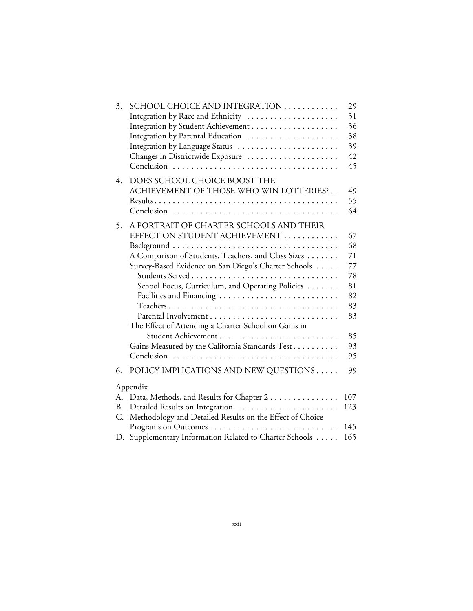| 3.               | SCHOOL CHOICE AND INTEGRATION<br>Integration by Race and Ethnicity<br>Integration by Parental Education<br>Integration by Language Status<br>Changes in Districtwide Exposure                                                                                                                                                                                                      | 29<br>31<br>36<br>38<br>39<br>42                                     |
|------------------|------------------------------------------------------------------------------------------------------------------------------------------------------------------------------------------------------------------------------------------------------------------------------------------------------------------------------------------------------------------------------------|----------------------------------------------------------------------|
|                  |                                                                                                                                                                                                                                                                                                                                                                                    | 45                                                                   |
| $\overline{4}$ . | DOES SCHOOL CHOICE BOOST THE<br>ACHIEVEMENT OF THOSE WHO WIN LOTTERIES?                                                                                                                                                                                                                                                                                                            | 49<br>55<br>64                                                       |
| 5.               | A PORTRAIT OF CHARTER SCHOOLS AND THEIR<br>EFFECT ON STUDENT ACHIEVEMENT<br>A Comparison of Students, Teachers, and Class Sizes<br>Survey-Based Evidence on San Diego's Charter Schools<br>School Focus, Curriculum, and Operating Policies<br>Facilities and Financing<br>The Effect of Attending a Charter School on Gains in<br>Gains Measured by the California Standards Test | 67<br>68<br>71<br>77<br>78<br>81<br>82<br>83<br>83<br>85<br>93<br>95 |
|                  |                                                                                                                                                                                                                                                                                                                                                                                    |                                                                      |
| 6.               | POLICY IMPLICATIONS AND NEW QUESTIONS                                                                                                                                                                                                                                                                                                                                              | 99                                                                   |
|                  | Appendix                                                                                                                                                                                                                                                                                                                                                                           |                                                                      |
| А.<br>Β.         | Data, Methods, and Results for Chapter 2<br>Detailed Results on Integration                                                                                                                                                                                                                                                                                                        | 107<br>123                                                           |
| C.               | Methodology and Detailed Results on the Effect of Choice                                                                                                                                                                                                                                                                                                                           | 145                                                                  |
|                  | D. Supplementary Information Related to Charter Schools                                                                                                                                                                                                                                                                                                                            | 165                                                                  |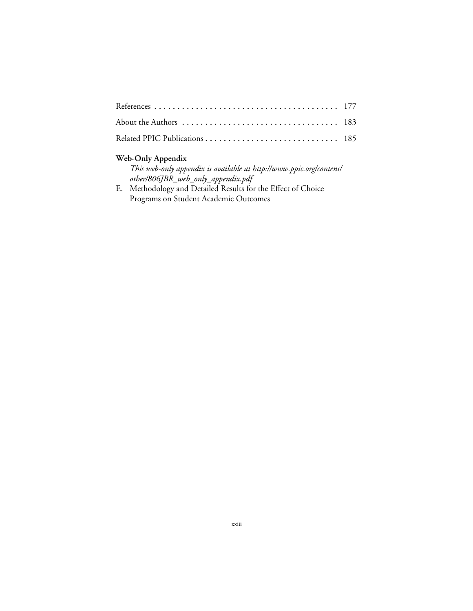### **Web-Only Appendix**

| This web-only appendix is available at http://www.ppic.org/content/ |
|---------------------------------------------------------------------|
| other/806JBR_web_only_appendix.pdf                                  |

E. Methodology and Detailed Results for the Effect of Choice Programs on Student Academic Outcomes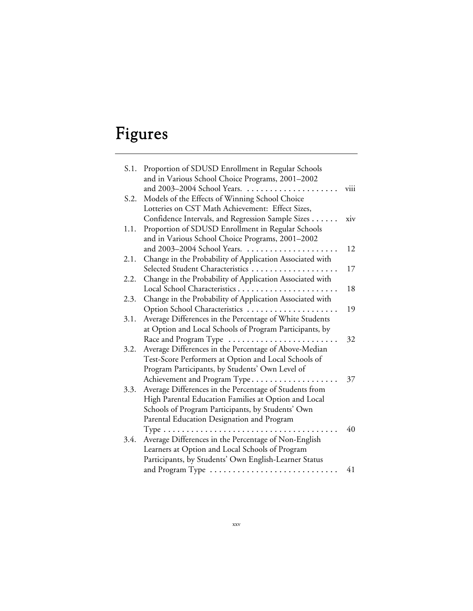## Figures

| S.1. | Proportion of SDUSD Enrollment in Regular Schools        |      |
|------|----------------------------------------------------------|------|
|      | and in Various School Choice Programs, 2001-2002         |      |
|      |                                                          | viii |
| S.2. | Models of the Effects of Winning School Choice           |      |
|      | Lotteries on CST Math Achievement: Effect Sizes,         |      |
|      | Confidence Intervals, and Regression Sample Sizes        | xiv  |
| 1.1. | Proportion of SDUSD Enrollment in Regular Schools        |      |
|      | and in Various School Choice Programs, 2001-2002         |      |
|      | and 2003-2004 School Years.                              | 12   |
| 2.1. | Change in the Probability of Application Associated with |      |
|      | Selected Student Characteristics                         | 17   |
| 2.2. | Change in the Probability of Application Associated with |      |
|      |                                                          | 18   |
| 2.3. | Change in the Probability of Application Associated with |      |
|      | Option School Characteristics                            | 19   |
| 3.1. | Average Differences in the Percentage of White Students  |      |
|      | at Option and Local Schools of Program Participants, by  |      |
|      | Race and Program Type                                    | 32   |
| 3.2. | Average Differences in the Percentage of Above-Median    |      |
|      | Test-Score Performers at Option and Local Schools of     |      |
|      | Program Participants, by Students' Own Level of          |      |
|      | Achievement and Program Type                             | 37   |
| 3.3. | Average Differences in the Percentage of Students from   |      |
|      | High Parental Education Families at Option and Local     |      |
|      | Schools of Program Participants, by Students' Own        |      |
|      | Parental Education Designation and Program               |      |
|      |                                                          | 40   |
| 3.4. | Average Differences in the Percentage of Non-English     |      |
|      | Learners at Option and Local Schools of Program          |      |
|      | Participants, by Students' Own English-Learner Status    |      |
|      | and Program Type                                         | 41   |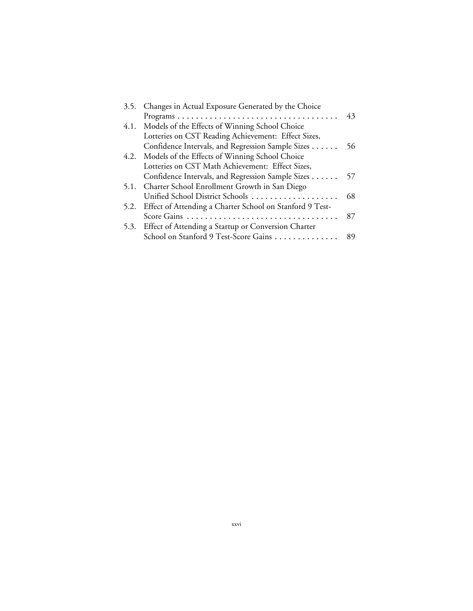| 3.5. Changes in Actual Exposure Generated by the Choice       |    |
|---------------------------------------------------------------|----|
|                                                               | 43 |
| 4.1. Models of the Effects of Winning School Choice           |    |
| Lotteries on CST Reading Achievement: Effect Sizes,           |    |
| Confidence Intervals, and Regression Sample Sizes             | 56 |
| 4.2. Models of the Effects of Winning School Choice           |    |
| Lotteries on CST Math Achievement: Effect Sizes,              |    |
| Confidence Intervals, and Regression Sample Sizes             | 57 |
| 5.1. Charter School Enrollment Growth in San Diego            |    |
| Unified School District Schools                               | 68 |
| 5.2. Effect of Attending a Charter School on Stanford 9 Test- |    |
|                                                               | 87 |
| 5.3. Effect of Attending a Startup or Conversion Charter      |    |
| School on Stanford 9 Test-Score Gains                         | 89 |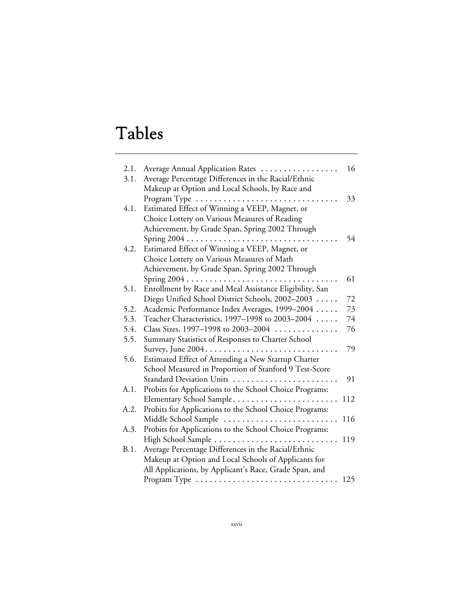### Tables

| 2.1. | Average Annual Application Rates                                  | 16  |
|------|-------------------------------------------------------------------|-----|
| 3.1. | Average Percentage Differences in the Racial/Ethnic               |     |
|      | Makeup at Option and Local Schools, by Race and                   |     |
|      |                                                                   | 33  |
| 4.1. | Estimated Effect of Winning a VEEP, Magnet, or                    |     |
|      | Choice Lottery on Various Measures of Reading                     |     |
|      | Achievement, by Grade Span, Spring 2002 Through                   |     |
|      | Spring $2004$                                                     | 54  |
| 4.2. | Estimated Effect of Winning a VEEP, Magnet, or                    |     |
|      | Choice Lottery on Various Measures of Math                        |     |
|      | Achievement, by Grade Span, Spring 2002 Through                   |     |
|      | Spring $2004$                                                     | 61  |
| 5.1. | Enrollment by Race and Meal Assistance Eligibility, San           |     |
|      | Diego Unified School District Schools, 2002-2003                  | 72  |
| 5.2. | Academic Performance Index Averages, 1999-2004                    | 73  |
| 5.3. | Teacher Characteristics, 1997-1998 to 2003-2004                   | 74  |
| 5.4. | Class Sizes, 1997–1998 to 2003–2004 $\ldots \ldots \ldots \ldots$ | 76  |
| 5.5. | Summary Statistics of Responses to Charter School                 |     |
|      | Survey, June $2004$                                               | 79  |
| 5.6. | Estimated Effect of Attending a New Startup Charter               |     |
|      | School Measured in Proportion of Stanford 9 Test-Score            |     |
|      | Standard Deviation Units                                          | 91  |
| A.1. | Probits for Applications to the School Choice Programs:           |     |
|      | Elementary School Sample                                          | 112 |
| A.2. | Probits for Applications to the School Choice Programs:           |     |
|      | Middle School Sample                                              | 116 |
| A.3. | Probits for Applications to the School Choice Programs:           |     |
|      | High School Sample                                                | 119 |
| B.1. | Average Percentage Differences in the Racial/Ethnic               |     |
|      | Makeup at Option and Local Schools of Applicants for              |     |
|      | All Applications, by Applicant's Race, Grade Span, and            |     |
|      | Program Type                                                      | 125 |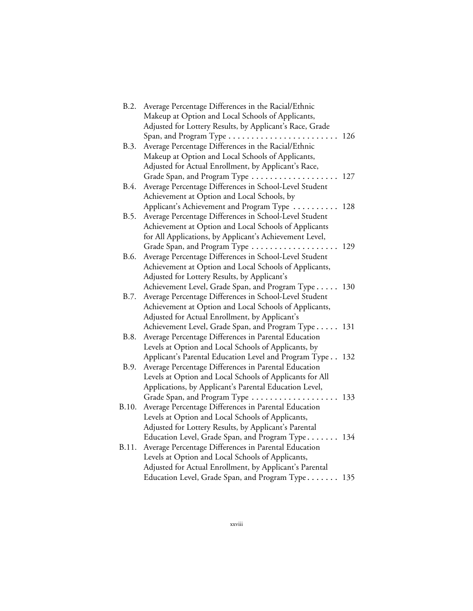| B.2. Average Percentage Differences in the Racial/Ethnic |                                                                                                                                                                                                                                                                                                                                                                                                                                                                                                                                                                                                                                                                                                                                                                                                                                                                                                                                                                                                                                                                                                                                                                                                                                                                                                                              |
|----------------------------------------------------------|------------------------------------------------------------------------------------------------------------------------------------------------------------------------------------------------------------------------------------------------------------------------------------------------------------------------------------------------------------------------------------------------------------------------------------------------------------------------------------------------------------------------------------------------------------------------------------------------------------------------------------------------------------------------------------------------------------------------------------------------------------------------------------------------------------------------------------------------------------------------------------------------------------------------------------------------------------------------------------------------------------------------------------------------------------------------------------------------------------------------------------------------------------------------------------------------------------------------------------------------------------------------------------------------------------------------------|
|                                                          |                                                                                                                                                                                                                                                                                                                                                                                                                                                                                                                                                                                                                                                                                                                                                                                                                                                                                                                                                                                                                                                                                                                                                                                                                                                                                                                              |
|                                                          |                                                                                                                                                                                                                                                                                                                                                                                                                                                                                                                                                                                                                                                                                                                                                                                                                                                                                                                                                                                                                                                                                                                                                                                                                                                                                                                              |
|                                                          | 126                                                                                                                                                                                                                                                                                                                                                                                                                                                                                                                                                                                                                                                                                                                                                                                                                                                                                                                                                                                                                                                                                                                                                                                                                                                                                                                          |
| B.3.                                                     |                                                                                                                                                                                                                                                                                                                                                                                                                                                                                                                                                                                                                                                                                                                                                                                                                                                                                                                                                                                                                                                                                                                                                                                                                                                                                                                              |
|                                                          |                                                                                                                                                                                                                                                                                                                                                                                                                                                                                                                                                                                                                                                                                                                                                                                                                                                                                                                                                                                                                                                                                                                                                                                                                                                                                                                              |
|                                                          |                                                                                                                                                                                                                                                                                                                                                                                                                                                                                                                                                                                                                                                                                                                                                                                                                                                                                                                                                                                                                                                                                                                                                                                                                                                                                                                              |
|                                                          | 127                                                                                                                                                                                                                                                                                                                                                                                                                                                                                                                                                                                                                                                                                                                                                                                                                                                                                                                                                                                                                                                                                                                                                                                                                                                                                                                          |
| B.4.                                                     |                                                                                                                                                                                                                                                                                                                                                                                                                                                                                                                                                                                                                                                                                                                                                                                                                                                                                                                                                                                                                                                                                                                                                                                                                                                                                                                              |
|                                                          |                                                                                                                                                                                                                                                                                                                                                                                                                                                                                                                                                                                                                                                                                                                                                                                                                                                                                                                                                                                                                                                                                                                                                                                                                                                                                                                              |
|                                                          | 128                                                                                                                                                                                                                                                                                                                                                                                                                                                                                                                                                                                                                                                                                                                                                                                                                                                                                                                                                                                                                                                                                                                                                                                                                                                                                                                          |
| B.5.                                                     |                                                                                                                                                                                                                                                                                                                                                                                                                                                                                                                                                                                                                                                                                                                                                                                                                                                                                                                                                                                                                                                                                                                                                                                                                                                                                                                              |
|                                                          |                                                                                                                                                                                                                                                                                                                                                                                                                                                                                                                                                                                                                                                                                                                                                                                                                                                                                                                                                                                                                                                                                                                                                                                                                                                                                                                              |
|                                                          |                                                                                                                                                                                                                                                                                                                                                                                                                                                                                                                                                                                                                                                                                                                                                                                                                                                                                                                                                                                                                                                                                                                                                                                                                                                                                                                              |
|                                                          | 129                                                                                                                                                                                                                                                                                                                                                                                                                                                                                                                                                                                                                                                                                                                                                                                                                                                                                                                                                                                                                                                                                                                                                                                                                                                                                                                          |
| Average Percentage Differences in School-Level Student   |                                                                                                                                                                                                                                                                                                                                                                                                                                                                                                                                                                                                                                                                                                                                                                                                                                                                                                                                                                                                                                                                                                                                                                                                                                                                                                                              |
| Achievement at Option and Local Schools of Applicants,   |                                                                                                                                                                                                                                                                                                                                                                                                                                                                                                                                                                                                                                                                                                                                                                                                                                                                                                                                                                                                                                                                                                                                                                                                                                                                                                                              |
| Adjusted for Lottery Results, by Applicant's             |                                                                                                                                                                                                                                                                                                                                                                                                                                                                                                                                                                                                                                                                                                                                                                                                                                                                                                                                                                                                                                                                                                                                                                                                                                                                                                                              |
| Achievement Level, Grade Span, and Program Type          | 130                                                                                                                                                                                                                                                                                                                                                                                                                                                                                                                                                                                                                                                                                                                                                                                                                                                                                                                                                                                                                                                                                                                                                                                                                                                                                                                          |
| Average Percentage Differences in School-Level Student   |                                                                                                                                                                                                                                                                                                                                                                                                                                                                                                                                                                                                                                                                                                                                                                                                                                                                                                                                                                                                                                                                                                                                                                                                                                                                                                                              |
| Achievement at Option and Local Schools of Applicants,   |                                                                                                                                                                                                                                                                                                                                                                                                                                                                                                                                                                                                                                                                                                                                                                                                                                                                                                                                                                                                                                                                                                                                                                                                                                                                                                                              |
| Adjusted for Actual Enrollment, by Applicant's           |                                                                                                                                                                                                                                                                                                                                                                                                                                                                                                                                                                                                                                                                                                                                                                                                                                                                                                                                                                                                                                                                                                                                                                                                                                                                                                                              |
|                                                          |                                                                                                                                                                                                                                                                                                                                                                                                                                                                                                                                                                                                                                                                                                                                                                                                                                                                                                                                                                                                                                                                                                                                                                                                                                                                                                                              |
| Average Percentage Differences in Parental Education     |                                                                                                                                                                                                                                                                                                                                                                                                                                                                                                                                                                                                                                                                                                                                                                                                                                                                                                                                                                                                                                                                                                                                                                                                                                                                                                                              |
|                                                          |                                                                                                                                                                                                                                                                                                                                                                                                                                                                                                                                                                                                                                                                                                                                                                                                                                                                                                                                                                                                                                                                                                                                                                                                                                                                                                                              |
|                                                          | 132                                                                                                                                                                                                                                                                                                                                                                                                                                                                                                                                                                                                                                                                                                                                                                                                                                                                                                                                                                                                                                                                                                                                                                                                                                                                                                                          |
|                                                          |                                                                                                                                                                                                                                                                                                                                                                                                                                                                                                                                                                                                                                                                                                                                                                                                                                                                                                                                                                                                                                                                                                                                                                                                                                                                                                                              |
|                                                          |                                                                                                                                                                                                                                                                                                                                                                                                                                                                                                                                                                                                                                                                                                                                                                                                                                                                                                                                                                                                                                                                                                                                                                                                                                                                                                                              |
|                                                          |                                                                                                                                                                                                                                                                                                                                                                                                                                                                                                                                                                                                                                                                                                                                                                                                                                                                                                                                                                                                                                                                                                                                                                                                                                                                                                                              |
|                                                          | 133                                                                                                                                                                                                                                                                                                                                                                                                                                                                                                                                                                                                                                                                                                                                                                                                                                                                                                                                                                                                                                                                                                                                                                                                                                                                                                                          |
| Average Percentage Differences in Parental Education     |                                                                                                                                                                                                                                                                                                                                                                                                                                                                                                                                                                                                                                                                                                                                                                                                                                                                                                                                                                                                                                                                                                                                                                                                                                                                                                                              |
|                                                          |                                                                                                                                                                                                                                                                                                                                                                                                                                                                                                                                                                                                                                                                                                                                                                                                                                                                                                                                                                                                                                                                                                                                                                                                                                                                                                                              |
|                                                          |                                                                                                                                                                                                                                                                                                                                                                                                                                                                                                                                                                                                                                                                                                                                                                                                                                                                                                                                                                                                                                                                                                                                                                                                                                                                                                                              |
|                                                          |                                                                                                                                                                                                                                                                                                                                                                                                                                                                                                                                                                                                                                                                                                                                                                                                                                                                                                                                                                                                                                                                                                                                                                                                                                                                                                                              |
| Average Percentage Differences in Parental Education     |                                                                                                                                                                                                                                                                                                                                                                                                                                                                                                                                                                                                                                                                                                                                                                                                                                                                                                                                                                                                                                                                                                                                                                                                                                                                                                                              |
| Levels at Option and Local Schools of Applicants,        |                                                                                                                                                                                                                                                                                                                                                                                                                                                                                                                                                                                                                                                                                                                                                                                                                                                                                                                                                                                                                                                                                                                                                                                                                                                                                                                              |
| Adjusted for Actual Enrollment, by Applicant's Parental  |                                                                                                                                                                                                                                                                                                                                                                                                                                                                                                                                                                                                                                                                                                                                                                                                                                                                                                                                                                                                                                                                                                                                                                                                                                                                                                                              |
|                                                          |                                                                                                                                                                                                                                                                                                                                                                                                                                                                                                                                                                                                                                                                                                                                                                                                                                                                                                                                                                                                                                                                                                                                                                                                                                                                                                                              |
|                                                          | Makeup at Option and Local Schools of Applicants,<br>Adjusted for Lottery Results, by Applicant's Race, Grade<br>Span, and Program Type<br>Average Percentage Differences in the Racial/Ethnic<br>Makeup at Option and Local Schools of Applicants,<br>Adjusted for Actual Enrollment, by Applicant's Race,<br>Grade Span, and Program Type<br>Average Percentage Differences in School-Level Student<br>Achievement at Option and Local Schools, by<br>Applicant's Achievement and Program Type<br>Average Percentage Differences in School-Level Student<br>Achievement at Option and Local Schools of Applicants<br>for All Applications, by Applicant's Achievement Level,<br>Grade Span, and Program Type<br>Achievement Level, Grade Span, and Program Type 131<br>Levels at Option and Local Schools of Applicants, by<br>Applicant's Parental Education Level and Program Type<br>Average Percentage Differences in Parental Education<br>Levels at Option and Local Schools of Applicants for All<br>Applications, by Applicant's Parental Education Level,<br>Grade Span, and Program Type<br>Levels at Option and Local Schools of Applicants,<br>Adjusted for Lottery Results, by Applicant's Parental<br>Education Level, Grade Span, and Program Type 134<br>Education Level, Grade Span, and Program Type 135 |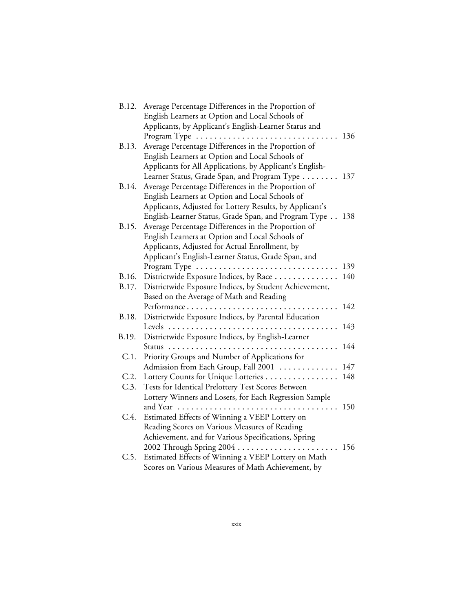|       | B.12. Average Percentage Differences in the Proportion of |     |
|-------|-----------------------------------------------------------|-----|
|       | English Learners at Option and Local Schools of           |     |
|       | Applicants, by Applicant's English-Learner Status and     |     |
|       | Program Type $\dots \dots \dots \dots \dots$              | 136 |
| B.13. | Average Percentage Differences in the Proportion of       |     |
|       | English Learners at Option and Local Schools of           |     |
|       | Applicants for All Applications, by Applicant's English-  |     |
|       | Learner Status, Grade Span, and Program Type              | 137 |
| B.14. | Average Percentage Differences in the Proportion of       |     |
|       | English Learners at Option and Local Schools of           |     |
|       | Applicants, Adjusted for Lottery Results, by Applicant's  |     |
|       | English-Learner Status, Grade Span, and Program Type 138  |     |
| B.15. | Average Percentage Differences in the Proportion of       |     |
|       | English Learners at Option and Local Schools of           |     |
|       | Applicants, Adjusted for Actual Enrollment, by            |     |
|       | Applicant's English-Learner Status, Grade Span, and       |     |
|       | Program Type                                              | 139 |
| B.16. | Districtwide Exposure Indices, by Race                    | 140 |
| B.17. | Districtwide Exposure Indices, by Student Achievement,    |     |
|       | Based on the Average of Math and Reading                  |     |
|       | Performance                                               | 142 |
| B.18. | Districtwide Exposure Indices, by Parental Education      |     |
|       |                                                           | 143 |
| B.19. | Districtwide Exposure Indices, by English-Learner         |     |
|       | Status $\ldots$<br>.<br>.                                 | 144 |
| C.1.  | Priority Groups and Number of Applications for            |     |
|       | Admission from Each Group, Fall 2001                      | 147 |
| C.2.  | Lottery Counts for Unique Lotteries                       | 148 |
| C.3.  | Tests for Identical Prelottery Test Scores Between        |     |
|       | Lottery Winners and Losers, for Each Regression Sample    |     |
|       |                                                           | 150 |
| C.4.  | Estimated Effects of Winning a VEEP Lottery on            |     |
|       | Reading Scores on Various Measures of Reading             |     |
|       | Achievement, and for Various Specifications, Spring       |     |
|       | 2002 Through Spring 2004                                  | 156 |
| C.5.  | Estimated Effects of Winning a VEEP Lottery on Math       |     |
|       | Scores on Various Measures of Math Achievement, by        |     |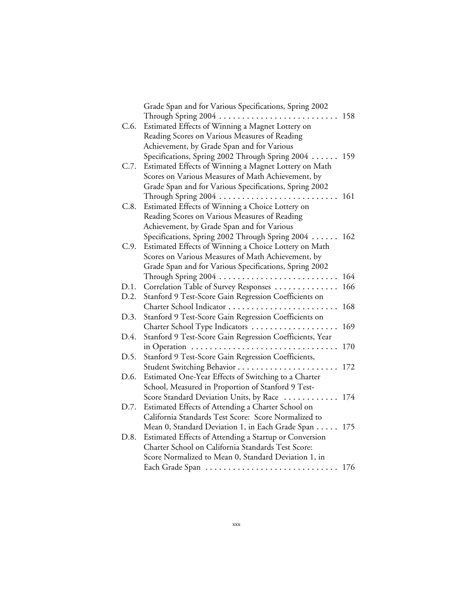|      | Grade Span and for Various Specifications, Spring 2002   |     |
|------|----------------------------------------------------------|-----|
|      | Through Spring 2004                                      | 158 |
| C.6. | Estimated Effects of Winning a Magnet Lottery on         |     |
|      | Reading Scores on Various Measures of Reading            |     |
|      | Achievement, by Grade Span and for Various               |     |
|      | Specifications, Spring 2002 Through Spring 2004          | 159 |
| C.7. | Estimated Effects of Winning a Magnet Lottery on Math    |     |
|      | Scores on Various Measures of Math Achievement, by       |     |
|      | Grade Span and for Various Specifications, Spring 2002   |     |
|      | Through Spring $2004$                                    | 161 |
| C.8. | Estimated Effects of Winning a Choice Lottery on         |     |
|      | Reading Scores on Various Measures of Reading            |     |
|      | Achievement, by Grade Span and for Various               |     |
|      | Specifications, Spring 2002 Through Spring 2004          | 162 |
| C.9. | Estimated Effects of Winning a Choice Lottery on Math    |     |
|      | Scores on Various Measures of Math Achievement, by       |     |
|      | Grade Span and for Various Specifications, Spring 2002   |     |
|      | Through Spring $2004$                                    | 164 |
| D.1. | Correlation Table of Survey Responses                    | 166 |
| D.2. | Stanford 9 Test-Score Gain Regression Coefficients on    |     |
|      | Charter School Indicator                                 | 168 |
| D.3. | Stanford 9 Test-Score Gain Regression Coefficients on    |     |
|      | Charter School Type Indicators                           | 169 |
| D.4. | Stanford 9 Test-Score Gain Regression Coefficients, Year |     |
|      | in Operation                                             | 170 |
| D.5. | Stanford 9 Test-Score Gain Regression Coefficients,      |     |
|      | Student Switching Behavior                               | 172 |
| D.6. | Estimated One-Year Effects of Switching to a Charter     |     |
|      | School, Measured in Proportion of Stanford 9 Test-       |     |
|      | Score Standard Deviation Units, by Race                  | 174 |
| D.7. | Estimated Effects of Attending a Charter School on       |     |
|      | California Standards Test Score: Score Normalized to     |     |
|      | Mean 0, Standard Deviation 1, in Each Grade Span 175     |     |
| D.8. | Estimated Effects of Attending a Startup or Conversion   |     |
|      | Charter School on California Standards Test Score:       |     |
|      | Score Normalized to Mean 0, Standard Deviation 1, in     |     |
|      |                                                          | 176 |
|      |                                                          |     |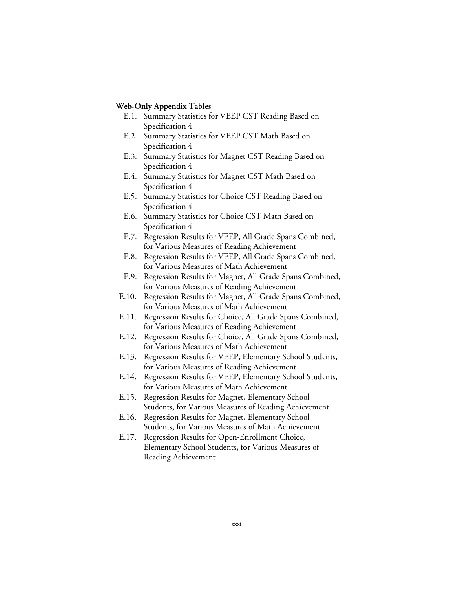#### **Web-Only Appendix Tables**

- E.1. Summary Statistics for VEEP CST Reading Based on Specification 4
- E.2. Summary Statistics for VEEP CST Math Based on Specification 4
- E.3. Summary Statistics for Magnet CST Reading Based on Specification 4
- E.4. Summary Statistics for Magnet CST Math Based on Specification 4
- E.5. Summary Statistics for Choice CST Reading Based on Specification 4
- E.6. Summary Statistics for Choice CST Math Based on Specification 4
- E.7. Regression Results for VEEP, All Grade Spans Combined, for Various Measures of Reading Achievement
- E.8. Regression Results for VEEP, All Grade Spans Combined, for Various Measures of Math Achievement
- E.9. Regression Results for Magnet, All Grade Spans Combined, for Various Measures of Reading Achievement
- E.10. Regression Results for Magnet, All Grade Spans Combined, for Various Measures of Math Achievement
- E.11. Regression Results for Choice, All Grade Spans Combined, for Various Measures of Reading Achievement
- E.12. Regression Results for Choice, All Grade Spans Combined, for Various Measures of Math Achievement
- E.13. Regression Results for VEEP, Elementary School Students, for Various Measures of Reading Achievement
- E.14. Regression Results for VEEP, Elementary School Students, for Various Measures of Math Achievement
- E.15. Regression Results for Magnet, Elementary School Students, for Various Measures of Reading Achievement
- E.16. Regression Results for Magnet, Elementary School Students, for Various Measures of Math Achievement
- E.17. Regression Results for Open-Enrollment Choice, Elementary School Students, for Various Measures of Reading Achievement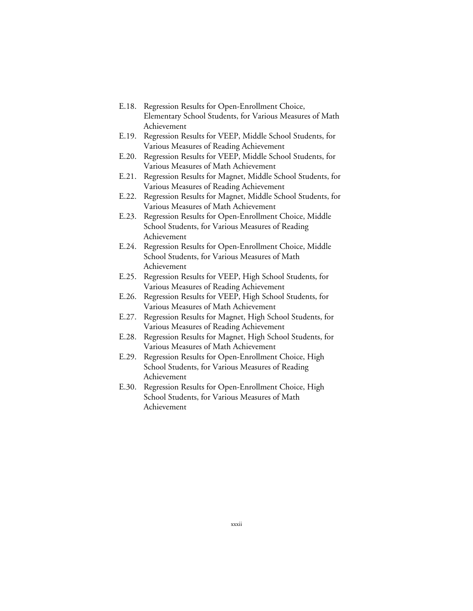- E.18. Regression Results for Open-Enrollment Choice, Elementary School Students, for Various Measures of Math Achievement
- E.19. Regression Results for VEEP, Middle School Students, for Various Measures of Reading Achievement
- E.20. Regression Results for VEEP, Middle School Students, for Various Measures of Math Achievement
- E.21. Regression Results for Magnet, Middle School Students, for Various Measures of Reading Achievement
- E.22. Regression Results for Magnet, Middle School Students, for Various Measures of Math Achievement
- E.23. Regression Results for Open-Enrollment Choice, Middle School Students, for Various Measures of Reading Achievement
- E.24. Regression Results for Open-Enrollment Choice, Middle School Students, for Various Measures of Math Achievement
- E.25. Regression Results for VEEP, High School Students, for Various Measures of Reading Achievement
- E.26. Regression Results for VEEP, High School Students, for Various Measures of Math Achievement
- E.27. Regression Results for Magnet, High School Students, for Various Measures of Reading Achievement
- E.28. Regression Results for Magnet, High School Students, for Various Measures of Math Achievement
- E.29. Regression Results for Open-Enrollment Choice, High School Students, for Various Measures of Reading Achievement
- E.30. Regression Results for Open-Enrollment Choice, High School Students, for Various Measures of Math Achievement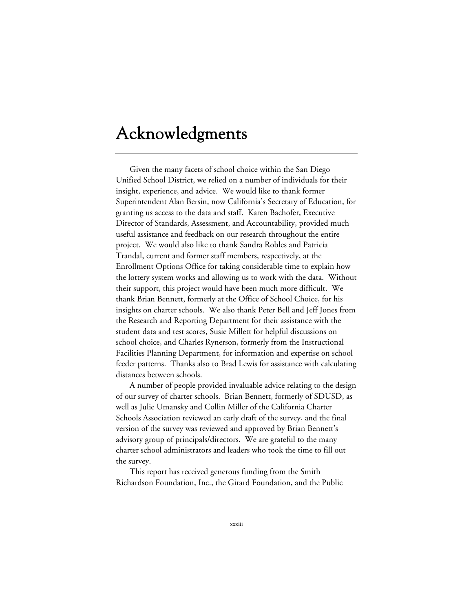### Acknowledgments

Given the many facets of school choice within the San Diego Unified School District, we relied on a number of individuals for their insight, experience, and advice. We would like to thank former Superintendent Alan Bersin, now California's Secretary of Education, for granting us access to the data and staff. Karen Bachofer, Executive Director of Standards, Assessment, and Accountability, provided much useful assistance and feedback on our research throughout the entire project. We would also like to thank Sandra Robles and Patricia Trandal, current and former staff members, respectively, at the Enrollment Options Office for taking considerable time to explain how the lottery system works and allowing us to work with the data. Without their support, this project would have been much more difficult. We thank Brian Bennett, formerly at the Office of School Choice, for his insights on charter schools. We also thank Peter Bell and Jeff Jones from the Research and Reporting Department for their assistance with the student data and test scores, Susie Millett for helpful discussions on school choice, and Charles Rynerson, formerly from the Instructional Facilities Planning Department, for information and expertise on school feeder patterns. Thanks also to Brad Lewis for assistance with calculating distances between schools.

A number of people provided invaluable advice relating to the design of our survey of charter schools. Brian Bennett, formerly of SDUSD, as well as Julie Umansky and Collin Miller of the California Charter Schools Association reviewed an early draft of the survey, and the final version of the survey was reviewed and approved by Brian Bennett's advisory group of principals/directors. We are grateful to the many charter school administrators and leaders who took the time to fill out the survey.

This report has received generous funding from the Smith Richardson Foundation, Inc., the Girard Foundation, and the Public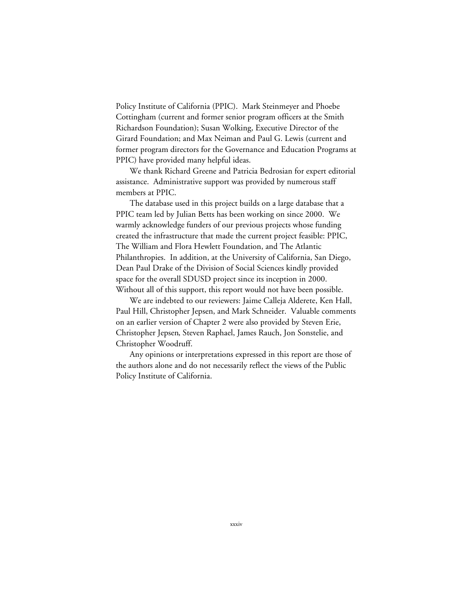Policy Institute of California (PPIC). Mark Steinmeyer and Phoebe Cottingham (current and former senior program officers at the Smith Richardson Foundation); Susan Wolking, Executive Director of the Girard Foundation; and Max Neiman and Paul G. Lewis (current and former program directors for the Governance and Education Programs at PPIC) have provided many helpful ideas.

We thank Richard Greene and Patricia Bedrosian for expert editorial assistance. Administrative support was provided by numerous staff members at PPIC.

The database used in this project builds on a large database that a PPIC team led by Julian Betts has been working on since 2000. We warmly acknowledge funders of our previous projects whose funding created the infrastructure that made the current project feasible: PPIC, The William and Flora Hewlett Foundation, and The Atlantic Philanthropies. In addition, at the University of California, San Diego, Dean Paul Drake of the Division of Social Sciences kindly provided space for the overall SDUSD project since its inception in 2000. Without all of this support, this report would not have been possible.

We are indebted to our reviewers: Jaime Calleja Alderete, Ken Hall, Paul Hill, Christopher Jepsen, and Mark Schneider. Valuable comments on an earlier version of Chapter 2 were also provided by Steven Erie, Christopher Jepsen, Steven Raphael, James Rauch, Jon Sonstelie, and Christopher Woodruff.

Any opinions or interpretations expressed in this report are those of the authors alone and do not necessarily reflect the views of the Public Policy Institute of California.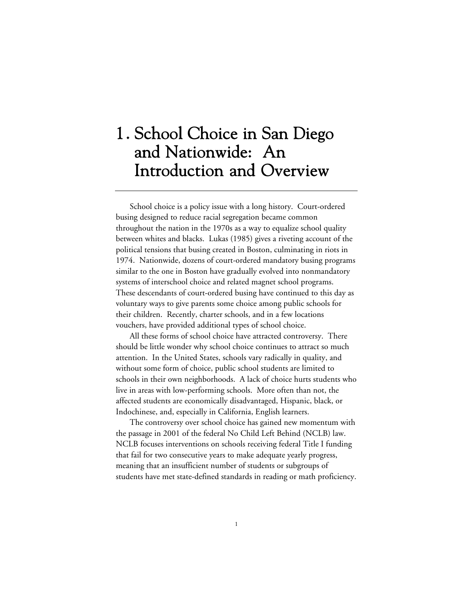### 1. School Choice in San Diego and Nationwide: An Introduction and Overview

School choice is a policy issue with a long history. Court-ordered busing designed to reduce racial segregation became common throughout the nation in the 1970s as a way to equalize school quality between whites and blacks. Lukas (1985) gives a riveting account of the political tensions that busing created in Boston, culminating in riots in 1974. Nationwide, dozens of court-ordered mandatory busing programs similar to the one in Boston have gradually evolved into nonmandatory systems of interschool choice and related magnet school programs. These descendants of court-ordered busing have continued to this day as voluntary ways to give parents some choice among public schools for their children. Recently, charter schools, and in a few locations vouchers, have provided additional types of school choice.

All these forms of school choice have attracted controversy. There should be little wonder why school choice continues to attract so much attention. In the United States, schools vary radically in quality, and without some form of choice, public school students are limited to schools in their own neighborhoods. A lack of choice hurts students who live in areas with low-performing schools. More often than not, the affected students are economically disadvantaged, Hispanic, black, or Indochinese, and, especially in California, English learners.

The controversy over school choice has gained new momentum with the passage in 2001 of the federal No Child Left Behind (NCLB) law. NCLB focuses interventions on schools receiving federal Title I funding that fail for two consecutive years to make adequate yearly progress, meaning that an insufficient number of students or subgroups of students have met state-defined standards in reading or math proficiency.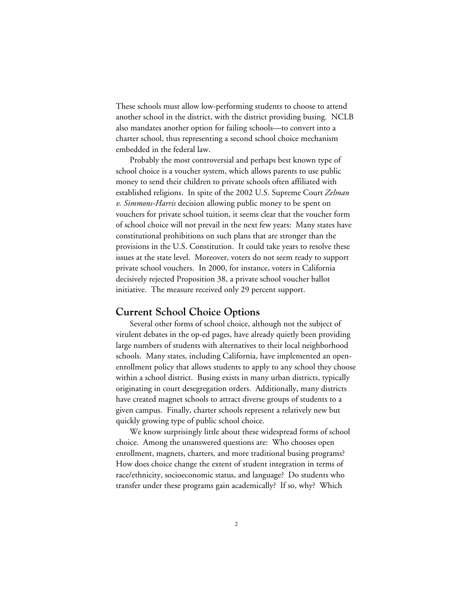These schools must allow low-performing students to choose to attend another school in the district, with the district providing busing. NCLB also mandates another option for failing schools—to convert into a charter school, thus representing a second school choice mechanism embedded in the federal law.

Probably the most controversial and perhaps best known type of school choice is a voucher system, which allows parents to use public money to send their children to private schools often affiliated with established religions. In spite of the 2002 U.S. Supreme Court *Zelman v. Simmons-Harris* decision allowing public money to be spent on vouchers for private school tuition, it seems clear that the voucher form of school choice will not prevail in the next few years: Many states have constitutional prohibitions on such plans that are stronger than the provisions in the U.S. Constitution. It could take years to resolve these issues at the state level. Moreover, voters do not seem ready to support private school vouchers. In 2000, for instance, voters in California decisively rejected Proposition 38, a private school voucher ballot initiative. The measure received only 29 percent support.

#### **Current School Choice Options**

Several other forms of school choice, although not the subject of virulent debates in the op-ed pages, have already quietly been providing large numbers of students with alternatives to their local neighborhood schools. Many states, including California, have implemented an openenrollment policy that allows students to apply to any school they choose within a school district. Busing exists in many urban districts, typically originating in court desegregation orders. Additionally, many districts have created magnet schools to attract diverse groups of students to a given campus. Finally, charter schools represent a relatively new but quickly growing type of public school choice.

We know surprisingly little about these widespread forms of school choice. Among the unanswered questions are: Who chooses open enrollment, magnets, charters, and more traditional busing programs? How does choice change the extent of student integration in terms of race/ethnicity, socioeconomic status, and language? Do students who transfer under these programs gain academically? If so, why? Which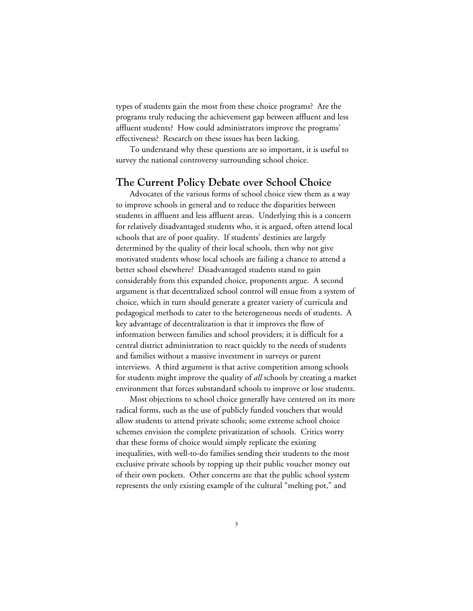types of students gain the most from these choice programs? Are the programs truly reducing the achievement gap between affluent and less affluent students? How could administrators improve the programs' effectiveness? Research on these issues has been lacking.

To understand why these questions are so important, it is useful to survey the national controversy surrounding school choice.

# **The Current Policy Debate over School Choice**

Advocates of the various forms of school choice view them as a way to improve schools in general and to reduce the disparities between students in affluent and less affluent areas. Underlying this is a concern for relatively disadvantaged students who, it is argued, often attend local schools that are of poor quality. If students' destinies are largely determined by the quality of their local schools, then why not give motivated students whose local schools are failing a chance to attend a better school elsewhere? Disadvantaged students stand to gain considerably from this expanded choice, proponents argue. A second argument is that decentralized school control will ensue from a system of choice, which in turn should generate a greater variety of curricula and pedagogical methods to cater to the heterogeneous needs of students. A key advantage of decentralization is that it improves the flow of information between families and school providers; it is difficult for a central district administration to react quickly to the needs of students and families without a massive investment in surveys or parent interviews. A third argument is that active competition among schools for students might improve the quality of *all* schools by creating a market environment that forces substandard schools to improve or lose students.

Most objections to school choice generally have centered on its more radical forms, such as the use of publicly funded vouchers that would allow students to attend private schools; some extreme school choice schemes envision the complete privatization of schools. Critics worry that these forms of choice would simply replicate the existing inequalities, with well-to-do families sending their students to the most exclusive private schools by topping up their public voucher money out of their own pockets. Other concerns are that the public school system represents the only existing example of the cultural "melting pot," and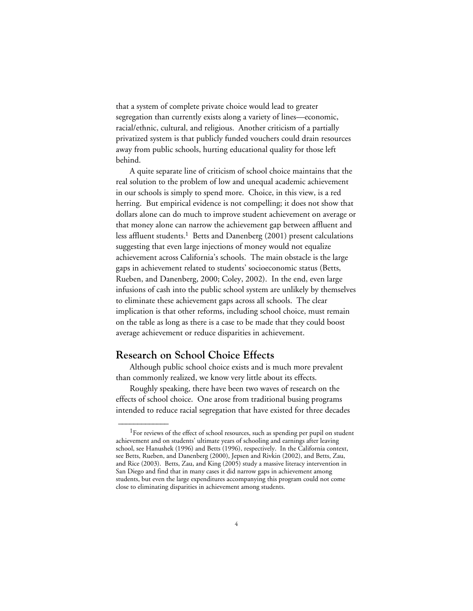that a system of complete private choice would lead to greater segregation than currently exists along a variety of lines—economic, racial/ethnic, cultural, and religious. Another criticism of a partially privatized system is that publicly funded vouchers could drain resources away from public schools, hurting educational quality for those left behind.

A quite separate line of criticism of school choice maintains that the real solution to the problem of low and unequal academic achievement in our schools is simply to spend more. Choice, in this view, is a red herring. But empirical evidence is not compelling; it does not show that dollars alone can do much to improve student achievement on average or that money alone can narrow the achievement gap between affluent and less affluent students.<sup>1</sup> Betts and Danenberg  $(2001)$  present calculations suggesting that even large injections of money would not equalize achievement across California's schools. The main obstacle is the large gaps in achievement related to students' socioeconomic status (Betts, Rueben, and Danenberg, 2000; Coley, 2002). In the end, even large infusions of cash into the public school system are unlikely by themselves to eliminate these achievement gaps across all schools. The clear implication is that other reforms, including school choice, must remain on the table as long as there is a case to be made that they could boost average achievement or reduce disparities in achievement.

# **Research on School Choice Effects**

 $\overline{\phantom{a}}$ 

Although public school choice exists and is much more prevalent than commonly realized, we know very little about its effects.

Roughly speaking, there have been two waves of research on the effects of school choice. One arose from traditional busing programs intended to reduce racial segregation that have existed for three decades

<sup>&</sup>lt;sup>1</sup>For reviews of the effect of school resources, such as spending per pupil on student achievement and on students' ultimate years of schooling and earnings after leaving school, see Hanushek (1996) and Betts (1996), respectively. In the California context, see Betts, Rueben, and Danenberg (2000), Jepsen and Rivkin (2002), and Betts, Zau, and Rice (2003). Betts, Zau, and King (2005) study a massive literacy intervention in San Diego and find that in many cases it did narrow gaps in achievement among students, but even the large expenditures accompanying this program could not come close to eliminating disparities in achievement among students.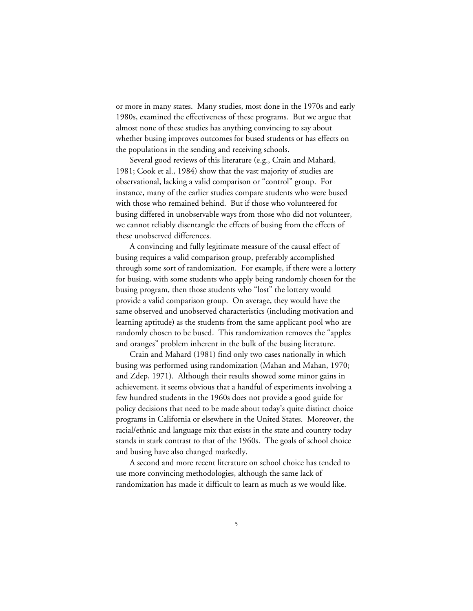or more in many states. Many studies, most done in the 1970s and early 1980s, examined the effectiveness of these programs. But we argue that almost none of these studies has anything convincing to say about whether busing improves outcomes for bused students or has effects on the populations in the sending and receiving schools.

Several good reviews of this literature (e.g., Crain and Mahard, 1981; Cook et al., 1984) show that the vast majority of studies are observational, lacking a valid comparison or "control" group. For instance, many of the earlier studies compare students who were bused with those who remained behind. But if those who volunteered for busing differed in unobservable ways from those who did not volunteer, we cannot reliably disentangle the effects of busing from the effects of these unobserved differences.

A convincing and fully legitimate measure of the causal effect of busing requires a valid comparison group, preferably accomplished through some sort of randomization. For example, if there were a lottery for busing, with some students who apply being randomly chosen for the busing program, then those students who "lost" the lottery would provide a valid comparison group. On average, they would have the same observed and unobserved characteristics (including motivation and learning aptitude) as the students from the same applicant pool who are randomly chosen to be bused. This randomization removes the "apples and oranges" problem inherent in the bulk of the busing literature.

Crain and Mahard (1981) find only two cases nationally in which busing was performed using randomization (Mahan and Mahan, 1970; and Zdep, 1971). Although their results showed some minor gains in achievement, it seems obvious that a handful of experiments involving a few hundred students in the 1960s does not provide a good guide for policy decisions that need to be made about today's quite distinct choice programs in California or elsewhere in the United States. Moreover, the racial/ethnic and language mix that exists in the state and country today stands in stark contrast to that of the 1960s. The goals of school choice and busing have also changed markedly.

A second and more recent literature on school choice has tended to use more convincing methodologies, although the same lack of randomization has made it difficult to learn as much as we would like.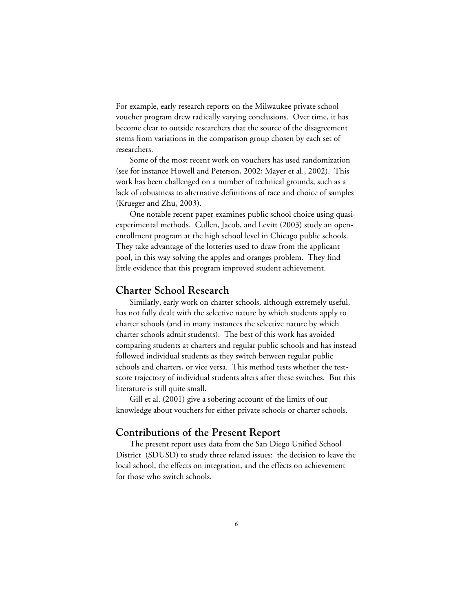For example, early research reports on the Milwaukee private school voucher program drew radically varying conclusions. Over time, it has become clear to outside researchers that the source of the disagreement stems from variations in the comparison group chosen by each set of researchers.

Some of the most recent work on vouchers has used randomization (see for instance Howell and Peterson, 2002; Mayer et al., 2002). This work has been challenged on a number of technical grounds, such as a lack of robustness to alternative definitions of race and choice of samples (Krueger and Zhu, 2003).

One notable recent paper examines public school choice using quasiexperimental methods. Cullen, Jacob, and Levitt (2003) study an openenrollment program at the high school level in Chicago public schools. They take advantage of the lotteries used to draw from the applicant pool, in this way solving the apples and oranges problem. They find little evidence that this program improved student achievement.

# **Charter School Research**

Similarly, early work on charter schools, although extremely useful, has not fully dealt with the selective nature by which students apply to charter schools (and in many instances the selective nature by which charter schools admit students). The best of this work has avoided comparing students at charters and regular public schools and has instead followed individual students as they switch between regular public schools and charters, or vice versa. This method tests whether the testscore trajectory of individual students alters after these switches. But this literature is still quite small.

Gill et al. (2001) give a sobering account of the limits of our knowledge about vouchers for either private schools or charter schools.

# **Contributions of the Present Report**

The present report uses data from the San Diego Unified School District (SDUSD) to study three related issues: the decision to leave the local school, the effects on integration, and the effects on achievement for those who switch schools.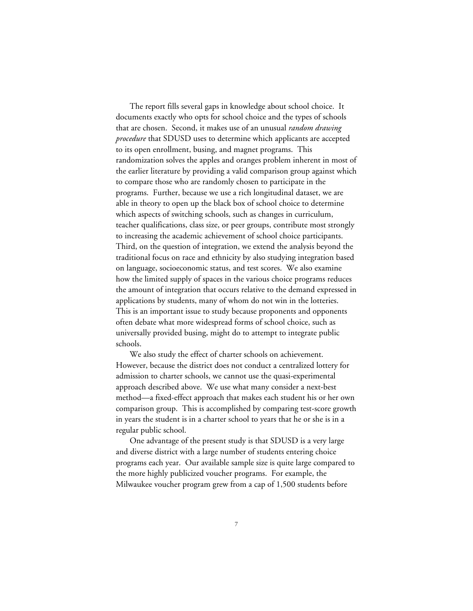The report fills several gaps in knowledge about school choice. It documents exactly who opts for school choice and the types of schools that are chosen. Second, it makes use of an unusual *random drawing procedure* that SDUSD uses to determine which applicants are accepted to its open enrollment, busing, and magnet programs. This randomization solves the apples and oranges problem inherent in most of the earlier literature by providing a valid comparison group against which to compare those who are randomly chosen to participate in the programs. Further, because we use a rich longitudinal dataset, we are able in theory to open up the black box of school choice to determine which aspects of switching schools, such as changes in curriculum, teacher qualifications, class size, or peer groups, contribute most strongly to increasing the academic achievement of school choice participants. Third, on the question of integration, we extend the analysis beyond the traditional focus on race and ethnicity by also studying integration based on language, socioeconomic status, and test scores. We also examine how the limited supply of spaces in the various choice programs reduces the amount of integration that occurs relative to the demand expressed in applications by students, many of whom do not win in the lotteries. This is an important issue to study because proponents and opponents often debate what more widespread forms of school choice, such as universally provided busing, might do to attempt to integrate public schools.

We also study the effect of charter schools on achievement. However, because the district does not conduct a centralized lottery for admission to charter schools, we cannot use the quasi-experimental approach described above. We use what many consider a next-best method—a fixed-effect approach that makes each student his or her own comparison group. This is accomplished by comparing test-score growth in years the student is in a charter school to years that he or she is in a regular public school.

One advantage of the present study is that SDUSD is a very large and diverse district with a large number of students entering choice programs each year. Our available sample size is quite large compared to the more highly publicized voucher programs. For example, the Milwaukee voucher program grew from a cap of 1,500 students before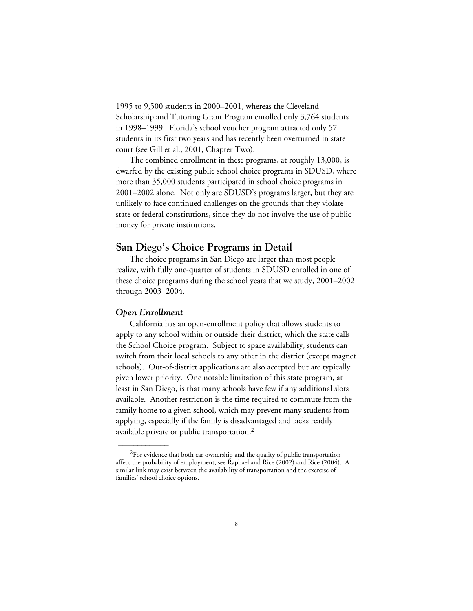1995 to 9,500 students in 2000–2001, whereas the Cleveland Scholarship and Tutoring Grant Program enrolled only 3,764 students in 1998–1999. Florida's school voucher program attracted only 57 students in its first two years and has recently been overturned in state court (see Gill et al., 2001, Chapter Two).

The combined enrollment in these programs, at roughly 13,000, is dwarfed by the existing public school choice programs in SDUSD, where more than 35,000 students participated in school choice programs in 2001–2002 alone. Not only are SDUSD's programs larger, but they are unlikely to face continued challenges on the grounds that they violate state or federal constitutions, since they do not involve the use of public money for private institutions.

## **San Diego's Choice Programs in Detail**

The choice programs in San Diego are larger than most people realize, with fully one-quarter of students in SDUSD enrolled in one of these choice programs during the school years that we study, 2001–2002 through 2003–2004.

#### *Open Enrollment*

 $\overline{\phantom{a}}$ 

California has an open-enrollment policy that allows students to apply to any school within or outside their district, which the state calls the School Choice program. Subject to space availability, students can switch from their local schools to any other in the district (except magnet schools). Out-of-district applications are also accepted but are typically given lower priority. One notable limitation of this state program, at least in San Diego, is that many schools have few if any additional slots available. Another restriction is the time required to commute from the family home to a given school, which may prevent many students from applying, especially if the family is disadvantaged and lacks readily available private or public transportation.2

 ${}^{2}$ For evidence that both car ownership and the quality of public transportation affect the probability of employment, see Raphael and Rice (2002) and Rice (2004). A similar link may exist between the availability of transportation and the exercise of families' school choice options.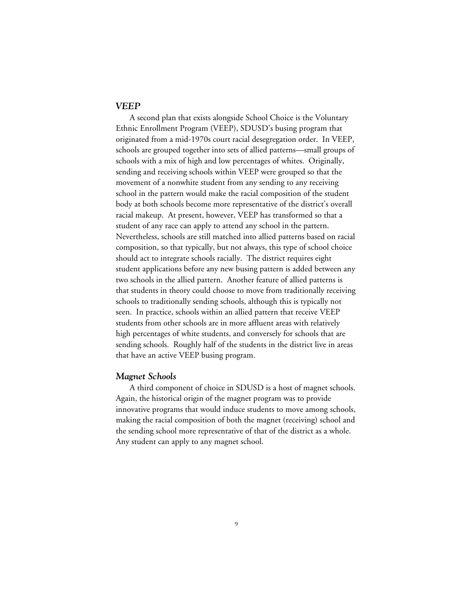### *VEEP*

A second plan that exists alongside School Choice is the Voluntary Ethnic Enrollment Program (VEEP), SDUSD's busing program that originated from a mid-1970s court racial desegregation order. In VEEP, schools are grouped together into sets of allied patterns—small groups of schools with a mix of high and low percentages of whites. Originally, sending and receiving schools within VEEP were grouped so that the movement of a nonwhite student from any sending to any receiving school in the pattern would make the racial composition of the student body at both schools become more representative of the district's overall racial makeup. At present, however, VEEP has transformed so that a student of any race can apply to attend any school in the pattern. Nevertheless, schools are still matched into allied patterns based on racial composition, so that typically, but not always, this type of school choice should act to integrate schools racially. The district requires eight student applications before any new busing pattern is added between any two schools in the allied pattern. Another feature of allied patterns is that students in theory could choose to move from traditionally receiving schools to traditionally sending schools, although this is typically not seen. In practice, schools within an allied pattern that receive VEEP students from other schools are in more affluent areas with relatively high percentages of white students, and conversely for schools that are sending schools. Roughly half of the students in the district live in areas that have an active VEEP busing program.

#### *Magnet Schools*

A third component of choice in SDUSD is a host of magnet schools. Again, the historical origin of the magnet program was to provide innovative programs that would induce students to move among schools, making the racial composition of both the magnet (receiving) school and the sending school more representative of that of the district as a whole. Any student can apply to any magnet school.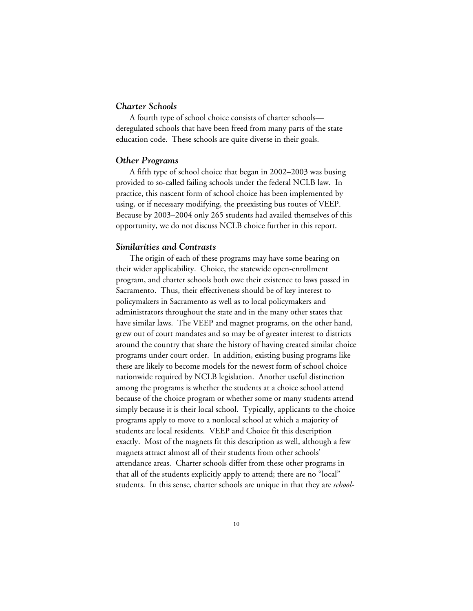## *Charter Schools*

A fourth type of school choice consists of charter schools deregulated schools that have been freed from many parts of the state education code. These schools are quite diverse in their goals.

## *Other Programs*

A fifth type of school choice that began in 2002–2003 was busing provided to so-called failing schools under the federal NCLB law. In practice, this nascent form of school choice has been implemented by using, or if necessary modifying, the preexisting bus routes of VEEP. Because by 2003–2004 only 265 students had availed themselves of this opportunity, we do not discuss NCLB choice further in this report.

## *Similarities and Contrasts*

The origin of each of these programs may have some bearing on their wider applicability. Choice, the statewide open-enrollment program, and charter schools both owe their existence to laws passed in Sacramento. Thus, their effectiveness should be of key interest to policymakers in Sacramento as well as to local policymakers and administrators throughout the state and in the many other states that have similar laws. The VEEP and magnet programs, on the other hand, grew out of court mandates and so may be of greater interest to districts around the country that share the history of having created similar choice programs under court order. In addition, existing busing programs like these are likely to become models for the newest form of school choice nationwide required by NCLB legislation. Another useful distinction among the programs is whether the students at a choice school attend because of the choice program or whether some or many students attend simply because it is their local school. Typically, applicants to the choice programs apply to move to a nonlocal school at which a majority of students are local residents. VEEP and Choice fit this description exactly. Most of the magnets fit this description as well, although a few magnets attract almost all of their students from other schools' attendance areas. Charter schools differ from these other programs in that all of the students explicitly apply to attend; there are no "local" students. In this sense, charter schools are unique in that they are *school-*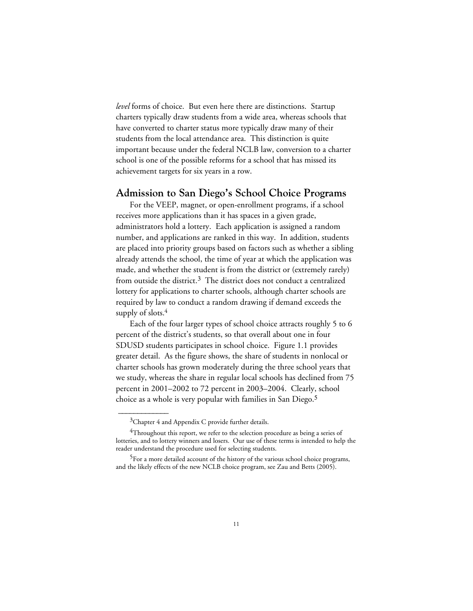*level* forms of choice. But even here there are distinctions. Startup charters typically draw students from a wide area, whereas schools that have converted to charter status more typically draw many of their students from the local attendance area. This distinction is quite important because under the federal NCLB law, conversion to a charter school is one of the possible reforms for a school that has missed its achievement targets for six years in a row.

## **Admission to San Diego's School Choice Programs**

For the VEEP, magnet, or open-enrollment programs, if a school receives more applications than it has spaces in a given grade, administrators hold a lottery. Each application is assigned a random number, and applications are ranked in this way. In addition, students are placed into priority groups based on factors such as whether a sibling already attends the school, the time of year at which the application was made, and whether the student is from the district or (extremely rarely) from outside the district.<sup>3</sup> The district does not conduct a centralized lottery for applications to charter schools, although charter schools are required by law to conduct a random drawing if demand exceeds the supply of slots.<sup>4</sup>

Each of the four larger types of school choice attracts roughly 5 to 6 percent of the district's students, so that overall about one in four SDUSD students participates in school choice. Figure 1.1 provides greater detail. As the figure shows, the share of students in nonlocal or charter schools has grown moderately during the three school years that we study, whereas the share in regular local schools has declined from 75 percent in 2001–2002 to 72 percent in 2003–2004. Clearly, school choice as a whole is very popular with families in San Diego.<sup>5</sup>

 $\overline{\phantom{a}}$ 

 $3$ Chapter 4 and Appendix C provide further details.

 ${}^{4}$ Throughout this report, we refer to the selection procedure as being a series of lotteries, and to lottery winners and losers. Our use of these terms is intended to help the reader understand the procedure used for selecting students.

<sup>5</sup>For a more detailed account of the history of the various school choice programs, and the likely effects of the new NCLB choice program, see Zau and Betts (2005).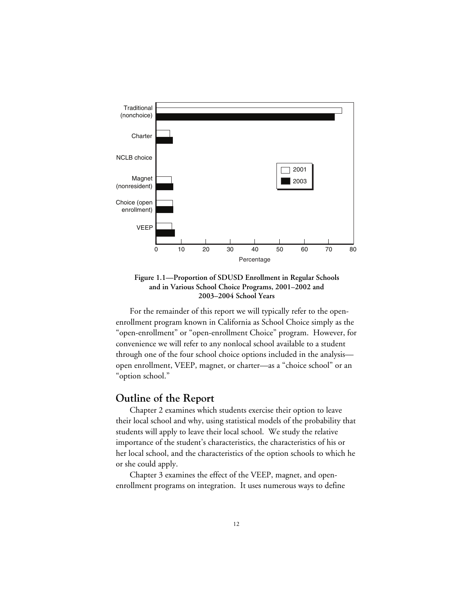

**Figure 1.1—Proportion of SDUSD Enrollment in Regular Schools and in Various School Choice Programs, 2001–2002 and 2003–2004 School Years**

For the remainder of this report we will typically refer to the openenrollment program known in California as School Choice simply as the "open-enrollment" or "open-enrollment Choice" program. However, for convenience we will refer to any nonlocal school available to a student through one of the four school choice options included in the analysis open enrollment, VEEP, magnet, or charter—as a "choice school" or an "option school."

# **Outline of the Report**

Chapter 2 examines which students exercise their option to leave their local school and why, using statistical models of the probability that students will apply to leave their local school. We study the relative importance of the student's characteristics, the characteristics of his or her local school, and the characteristics of the option schools to which he or she could apply.

Chapter 3 examines the effect of the VEEP, magnet, and openenrollment programs on integration. It uses numerous ways to define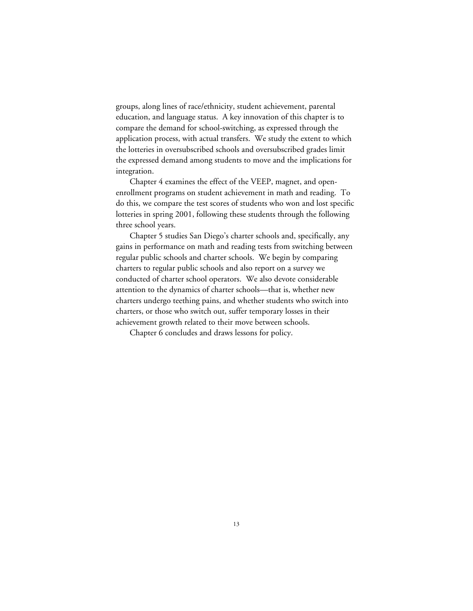groups, along lines of race/ethnicity, student achievement, parental education, and language status. A key innovation of this chapter is to compare the demand for school-switching, as expressed through the application process, with actual transfers. We study the extent to which the lotteries in oversubscribed schools and oversubscribed grades limit the expressed demand among students to move and the implications for integration.

Chapter 4 examines the effect of the VEEP, magnet, and openenrollment programs on student achievement in math and reading. To do this, we compare the test scores of students who won and lost specific lotteries in spring 2001, following these students through the following three school years.

Chapter 5 studies San Diego's charter schools and, specifically, any gains in performance on math and reading tests from switching between regular public schools and charter schools. We begin by comparing charters to regular public schools and also report on a survey we conducted of charter school operators. We also devote considerable attention to the dynamics of charter schools—that is, whether new charters undergo teething pains, and whether students who switch into charters, or those who switch out, suffer temporary losses in their achievement growth related to their move between schools.

Chapter 6 concludes and draws lessons for policy.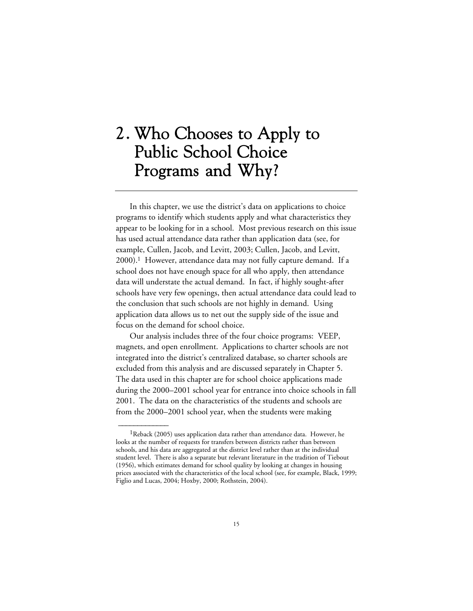# 2. Who Chooses to Apply to Public School Choice Programs and Why?

In this chapter, we use the district's data on applications to choice programs to identify which students apply and what characteristics they appear to be looking for in a school. Most previous research on this issue has used actual attendance data rather than application data (see, for example, Cullen, Jacob, and Levitt, 2003; Cullen, Jacob, and Levitt, 2000).1 However, attendance data may not fully capture demand. If a school does not have enough space for all who apply, then attendance data will understate the actual demand. In fact, if highly sought-after schools have very few openings, then actual attendance data could lead to the conclusion that such schools are not highly in demand. Using application data allows us to net out the supply side of the issue and focus on the demand for school choice.

Our analysis includes three of the four choice programs: VEEP, magnets, and open enrollment. Applications to charter schools are not integrated into the district's centralized database, so charter schools are excluded from this analysis and are discussed separately in Chapter 5. The data used in this chapter are for school choice applications made during the 2000–2001 school year for entrance into choice schools in fall 2001. The data on the characteristics of the students and schools are from the 2000–2001 school year, when the students were making

 $\overline{\phantom{a}}$ 

<sup>&</sup>lt;sup>1</sup>Reback (2005) uses application data rather than attendance data. However, he looks at the number of requests for transfers between districts rather than between schools, and his data are aggregated at the district level rather than at the individual student level. There is also a separate but relevant literature in the tradition of Tiebout (1956), which estimates demand for school quality by looking at changes in housing prices associated with the characteristics of the local school (see, for example, Black, 1999; Figlio and Lucas, 2004; Hoxby, 2000; Rothstein, 2004).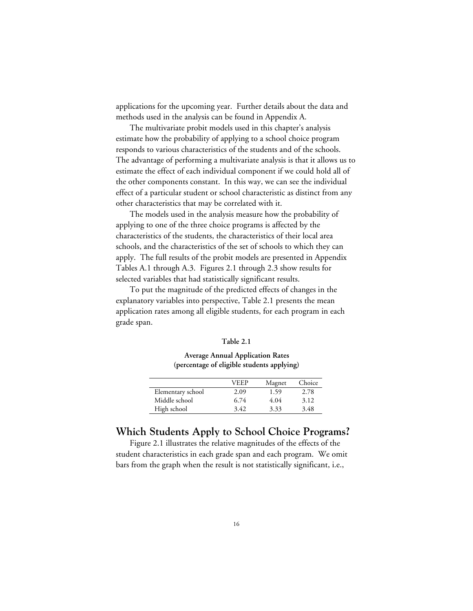applications for the upcoming year. Further details about the data and methods used in the analysis can be found in Appendix A.

The multivariate probit models used in this chapter's analysis estimate how the probability of applying to a school choice program responds to various characteristics of the students and of the schools. The advantage of performing a multivariate analysis is that it allows us to estimate the effect of each individual component if we could hold all of the other components constant. In this way, we can see the individual effect of a particular student or school characteristic as distinct from any other characteristics that may be correlated with it.

The models used in the analysis measure how the probability of applying to one of the three choice programs is affected by the characteristics of the students, the characteristics of their local area schools, and the characteristics of the set of schools to which they can apply. The full results of the probit models are presented in Appendix Tables A.1 through A.3. Figures 2.1 through 2.3 show results for selected variables that had statistically significant results.

To put the magnitude of the predicted effects of changes in the explanatory variables into perspective, Table 2.1 presents the mean application rates among all eligible students, for each program in each grade span.

#### **Table 2.1**

**Average Annual Application Rates (percentage of eligible students applying)**

|                   | VEED | Magnet | Choice |
|-------------------|------|--------|--------|
| Elementary school | 2.09 | 1.59   | 2.78   |
| Middle school     | 6.74 | 4.04   | 3.12   |
| High school       | 3.42 | 3.33   | 3.48   |
|                   |      |        |        |

# **Which Students Apply to School Choice Programs?**

Figure 2.1 illustrates the relative magnitudes of the effects of the student characteristics in each grade span and each program. We omit bars from the graph when the result is not statistically significant, i.e.,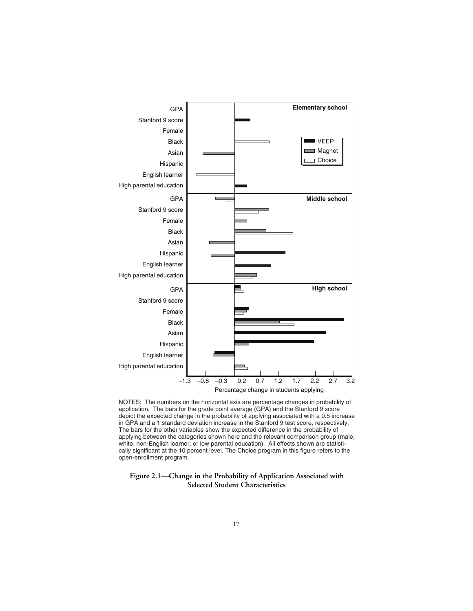

NOTES: The numbers on the horizontal axis are percentage changes in probability of application. The bars for the grade point average (GPA) and the Stanford 9 score depict the expected change in the probability of applying associated with a 0.5 increase in GPA and a 1 standard deviation increase in the Stanford 9 test score, respectively. The bars for the other variables show the expected difference in the probability of applying between the categories shown here and the relevant comparison group (male, white, non-English learner, or low parental education). All effects shown are statistically significant at the 10 percent level. The Choice program in this figure refers to the open-enrollment program.

#### **Figure 2.1—Change in the Probability of Application Associated with Selected Student Characteristics**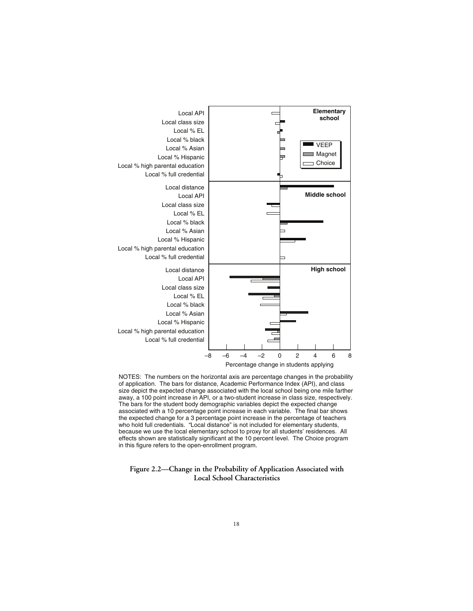

NOTES: The numbers on the horizontal axis are percentage changes in the probability of application. The bars for distance, Academic Performance Index (API), and class size depict the expected change associated with the local school being one mile farther away, a 100 point increase in API, or a two-student increase in class size, respectively. The bars for the student body demographic variables depict the expected change associated with a 10 percentage point increase in each variable. The final bar shows the expected change for a 3 percentage point increase in the percentage of teachers who hold full credentials. "Local distance" is not included for elementary students, because we use the local elementary school to proxy for all students' residences. All effects shown are statistically significant at the 10 percent level. The Choice program in this figure refers to the open-enrollment program.

#### **Figure 2.2—Change in the Probability of Application Associated with Local School Characteristics**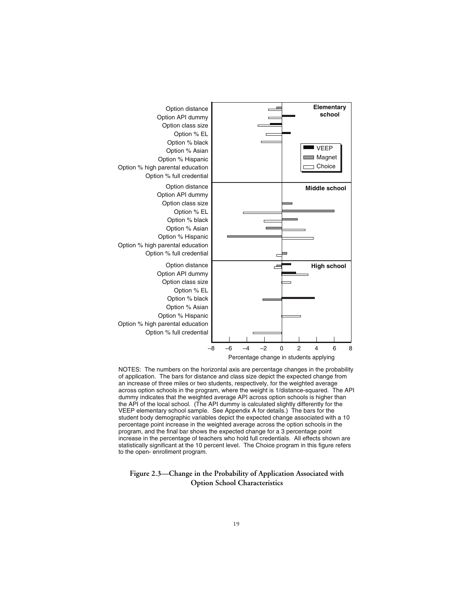

NOTES: The numbers on the horizontal axis are percentage changes in the probability of application. The bars for distance and class size depict the expected change from an increase of three miles or two students, respectively, for the weighted average across option schools in the program, where the weight is 1/distance-squared. The API dummy indicates that the weighted average API across option schools is higher than the API of the local school. (The API dummy is calculated slightly differently for the VEEP elementary school sample. See Appendix A for details.) The bars for the student body demographic variables depict the expected change associated with a 10 percentage point increase in the weighted average across the option schools in the program, and the final bar shows the expected change for a 3 percentage point increase in the percentage of teachers who hold full credentials. All effects shown are statistically significant at the 10 percent level. The Choice program in this figure refers to the open- enrollment program.

#### **Figure 2.3—Change in the Probability of Application Associated with Option School Characteristics**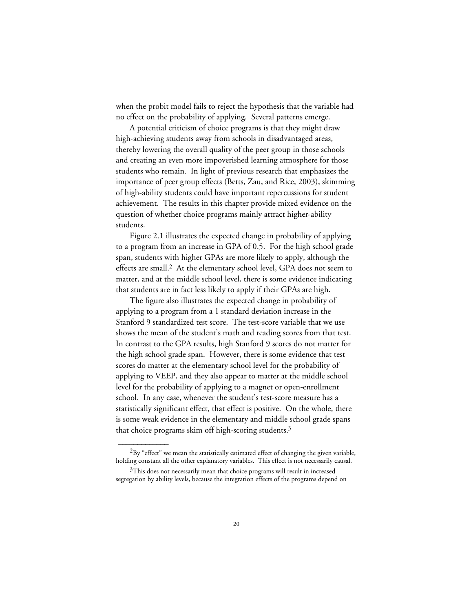when the probit model fails to reject the hypothesis that the variable had no effect on the probability of applying. Several patterns emerge.

A potential criticism of choice programs is that they might draw high-achieving students away from schools in disadvantaged areas, thereby lowering the overall quality of the peer group in those schools and creating an even more impoverished learning atmosphere for those students who remain. In light of previous research that emphasizes the importance of peer group effects (Betts, Zau, and Rice, 2003), skimming of high-ability students could have important repercussions for student achievement. The results in this chapter provide mixed evidence on the question of whether choice programs mainly attract higher-ability students.

Figure 2.1 illustrates the expected change in probability of applying to a program from an increase in GPA of 0.5. For the high school grade span, students with higher GPAs are more likely to apply, although the effects are small.<sup>2</sup> At the elementary school level, GPA does not seem to matter, and at the middle school level, there is some evidence indicating that students are in fact less likely to apply if their GPAs are high.

The figure also illustrates the expected change in probability of applying to a program from a 1 standard deviation increase in the Stanford 9 standardized test score. The test-score variable that we use shows the mean of the student's math and reading scores from that test. In contrast to the GPA results, high Stanford 9 scores do not matter for the high school grade span. However, there is some evidence that test scores do matter at the elementary school level for the probability of applying to VEEP, and they also appear to matter at the middle school level for the probability of applying to a magnet or open-enrollment school. In any case, whenever the student's test-score measure has a statistically significant effect, that effect is positive. On the whole, there is some weak evidence in the elementary and middle school grade spans that choice programs skim off high-scoring students.3

 $\overline{\phantom{a}}$ 

 ${}^{2}$ By "effect" we mean the statistically estimated effect of changing the given variable, holding constant all the other explanatory variables. This effect is not necessarily causal.

 $3$ This does not necessarily mean that choice programs will result in increased segregation by ability levels, because the integration effects of the programs depend on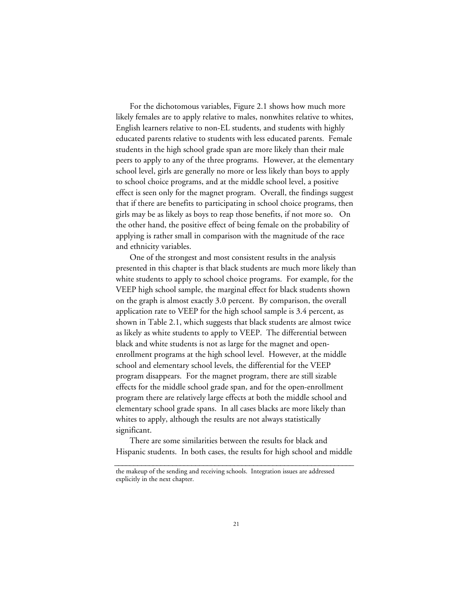For the dichotomous variables, Figure 2.1 shows how much more likely females are to apply relative to males, nonwhites relative to whites, English learners relative to non-EL students, and students with highly educated parents relative to students with less educated parents. Female students in the high school grade span are more likely than their male peers to apply to any of the three programs. However, at the elementary school level, girls are generally no more or less likely than boys to apply to school choice programs, and at the middle school level, a positive effect is seen only for the magnet program. Overall, the findings suggest that if there are benefits to participating in school choice programs, then girls may be as likely as boys to reap those benefits, if not more so. On the other hand, the positive effect of being female on the probability of applying is rather small in comparison with the magnitude of the race and ethnicity variables.

One of the strongest and most consistent results in the analysis presented in this chapter is that black students are much more likely than white students to apply to school choice programs. For example, for the VEEP high school sample, the marginal effect for black students shown on the graph is almost exactly 3.0 percent. By comparison, the overall application rate to VEEP for the high school sample is 3.4 percent, as shown in Table 2.1, which suggests that black students are almost twice as likely as white students to apply to VEEP. The differential between black and white students is not as large for the magnet and openenrollment programs at the high school level. However, at the middle school and elementary school levels, the differential for the VEEP program disappears. For the magnet program, there are still sizable effects for the middle school grade span, and for the open-enrollment program there are relatively large effects at both the middle school and elementary school grade spans. In all cases blacks are more likely than whites to apply, although the results are not always statistically significant.

There are some similarities between the results for black and Hispanic students. In both cases, the results for high school and middle

**\_\_\_\_\_\_\_\_\_\_\_\_\_\_\_\_\_\_\_\_\_\_\_\_\_\_\_\_\_\_\_\_\_\_\_\_\_\_\_\_\_\_\_\_\_\_\_\_\_\_\_\_\_\_\_\_\_\_\_\_\_\_**

the makeup of the sending and receiving schools. Integration issues are addressed explicitly in the next chapter.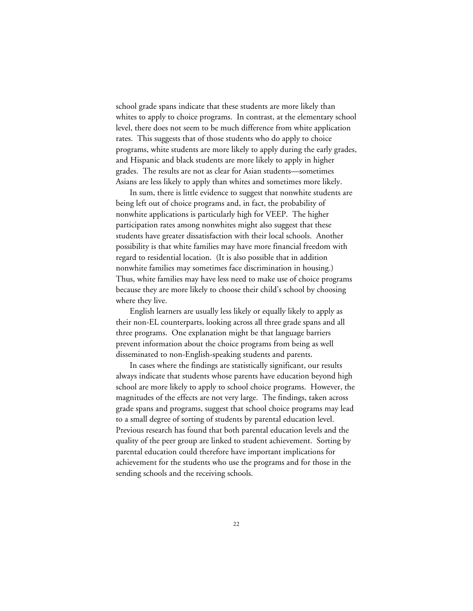school grade spans indicate that these students are more likely than whites to apply to choice programs. In contrast, at the elementary school level, there does not seem to be much difference from white application rates. This suggests that of those students who do apply to choice programs, white students are more likely to apply during the early grades, and Hispanic and black students are more likely to apply in higher grades. The results are not as clear for Asian students—sometimes Asians are less likely to apply than whites and sometimes more likely.

In sum, there is little evidence to suggest that nonwhite students are being left out of choice programs and, in fact, the probability of nonwhite applications is particularly high for VEEP. The higher participation rates among nonwhites might also suggest that these students have greater dissatisfaction with their local schools. Another possibility is that white families may have more financial freedom with regard to residential location. (It is also possible that in addition nonwhite families may sometimes face discrimination in housing.) Thus, white families may have less need to make use of choice programs because they are more likely to choose their child's school by choosing where they live.

English learners are usually less likely or equally likely to apply as their non-EL counterparts, looking across all three grade spans and all three programs. One explanation might be that language barriers prevent information about the choice programs from being as well disseminated to non-English-speaking students and parents.

In cases where the findings are statistically significant, our results always indicate that students whose parents have education beyond high school are more likely to apply to school choice programs. However, the magnitudes of the effects are not very large. The findings, taken across grade spans and programs, suggest that school choice programs may lead to a small degree of sorting of students by parental education level. Previous research has found that both parental education levels and the quality of the peer group are linked to student achievement. Sorting by parental education could therefore have important implications for achievement for the students who use the programs and for those in the sending schools and the receiving schools.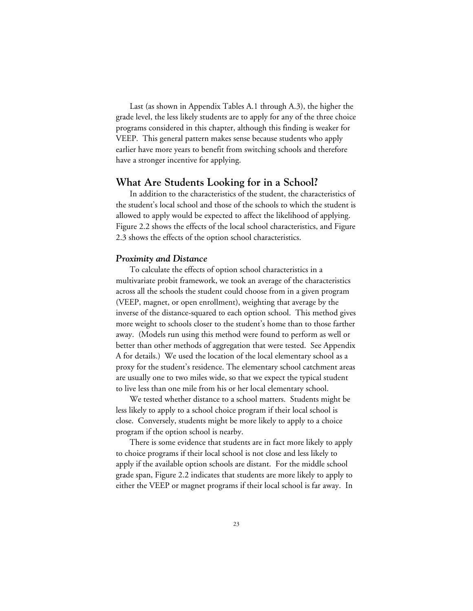Last (as shown in Appendix Tables A.1 through A.3), the higher the grade level, the less likely students are to apply for any of the three choice programs considered in this chapter, although this finding is weaker for VEEP. This general pattern makes sense because students who apply earlier have more years to benefit from switching schools and therefore have a stronger incentive for applying.

## **What Are Students Looking for in a School?**

In addition to the characteristics of the student, the characteristics of the student's local school and those of the schools to which the student is allowed to apply would be expected to affect the likelihood of applying. Figure 2.2 shows the effects of the local school characteristics, and Figure 2.3 shows the effects of the option school characteristics.

### *Proximity and Distance*

To calculate the effects of option school characteristics in a multivariate probit framework, we took an average of the characteristics across all the schools the student could choose from in a given program (VEEP, magnet, or open enrollment), weighting that average by the inverse of the distance-squared to each option school. This method gives more weight to schools closer to the student's home than to those farther away. (Models run using this method were found to perform as well or better than other methods of aggregation that were tested. See Appendix A for details.) We used the location of the local elementary school as a proxy for the student's residence. The elementary school catchment areas are usually one to two miles wide, so that we expect the typical student to live less than one mile from his or her local elementary school.

We tested whether distance to a school matters. Students might be less likely to apply to a school choice program if their local school is close. Conversely, students might be more likely to apply to a choice program if the option school is nearby.

There is some evidence that students are in fact more likely to apply to choice programs if their local school is not close and less likely to apply if the available option schools are distant. For the middle school grade span, Figure 2.2 indicates that students are more likely to apply to either the VEEP or magnet programs if their local school is far away. In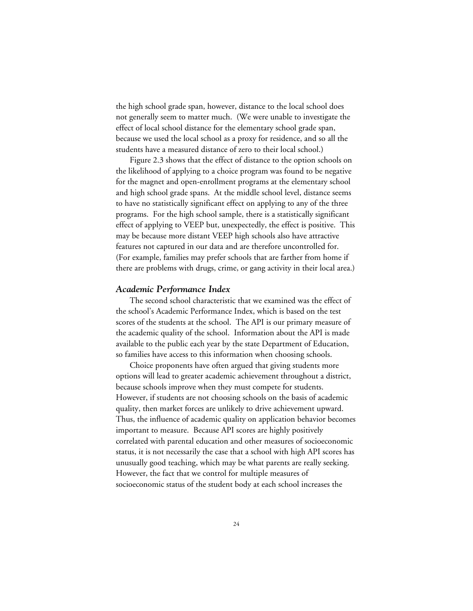the high school grade span, however, distance to the local school does not generally seem to matter much. (We were unable to investigate the effect of local school distance for the elementary school grade span, because we used the local school as a proxy for residence, and so all the students have a measured distance of zero to their local school.)

Figure 2.3 shows that the effect of distance to the option schools on the likelihood of applying to a choice program was found to be negative for the magnet and open-enrollment programs at the elementary school and high school grade spans. At the middle school level, distance seems to have no statistically significant effect on applying to any of the three programs. For the high school sample, there is a statistically significant effect of applying to VEEP but, unexpectedly, the effect is positive. This may be because more distant VEEP high schools also have attractive features not captured in our data and are therefore uncontrolled for. (For example, families may prefer schools that are farther from home if there are problems with drugs, crime, or gang activity in their local area.)

#### *Academic Performance Index*

The second school characteristic that we examined was the effect of the school's Academic Performance Index, which is based on the test scores of the students at the school. The API is our primary measure of the academic quality of the school. Information about the API is made available to the public each year by the state Department of Education, so families have access to this information when choosing schools.

Choice proponents have often argued that giving students more options will lead to greater academic achievement throughout a district, because schools improve when they must compete for students. However, if students are not choosing schools on the basis of academic quality, then market forces are unlikely to drive achievement upward. Thus, the influence of academic quality on application behavior becomes important to measure. Because API scores are highly positively correlated with parental education and other measures of socioeconomic status, it is not necessarily the case that a school with high API scores has unusually good teaching, which may be what parents are really seeking. However, the fact that we control for multiple measures of socioeconomic status of the student body at each school increases the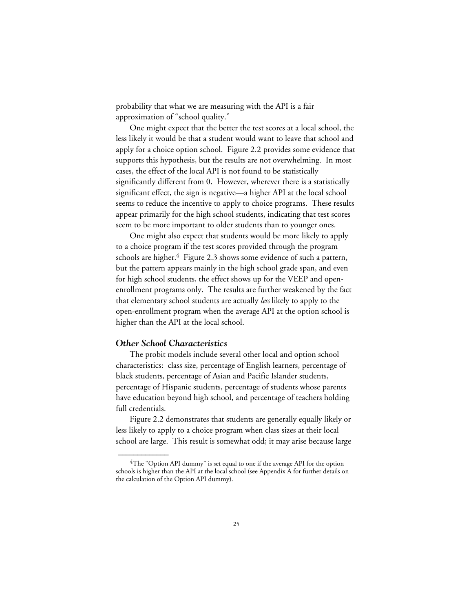probability that what we are measuring with the API is a fair approximation of "school quality."

One might expect that the better the test scores at a local school, the less likely it would be that a student would want to leave that school and apply for a choice option school. Figure 2.2 provides some evidence that supports this hypothesis, but the results are not overwhelming. In most cases, the effect of the local API is not found to be statistically significantly different from 0. However, wherever there is a statistically significant effect, the sign is negative—a higher API at the local school seems to reduce the incentive to apply to choice programs. These results appear primarily for the high school students, indicating that test scores seem to be more important to older students than to younger ones.

One might also expect that students would be more likely to apply to a choice program if the test scores provided through the program schools are higher.<sup>4</sup> Figure 2.3 shows some evidence of such a pattern, but the pattern appears mainly in the high school grade span, and even for high school students, the effect shows up for the VEEP and openenrollment programs only. The results are further weakened by the fact that elementary school students are actually *less* likely to apply to the open-enrollment program when the average API at the option school is higher than the API at the local school.

### *Other School Characteristics*

 $\overline{\phantom{a}}$ 

The probit models include several other local and option school characteristics: class size, percentage of English learners, percentage of black students, percentage of Asian and Pacific Islander students, percentage of Hispanic students, percentage of students whose parents have education beyond high school, and percentage of teachers holding full credentials.

Figure 2.2 demonstrates that students are generally equally likely or less likely to apply to a choice program when class sizes at their local school are large. This result is somewhat odd; it may arise because large

 ${}^{4}$ The "Option API dummy" is set equal to one if the average API for the option schools is higher than the API at the local school (see Appendix A for further details on the calculation of the Option API dummy).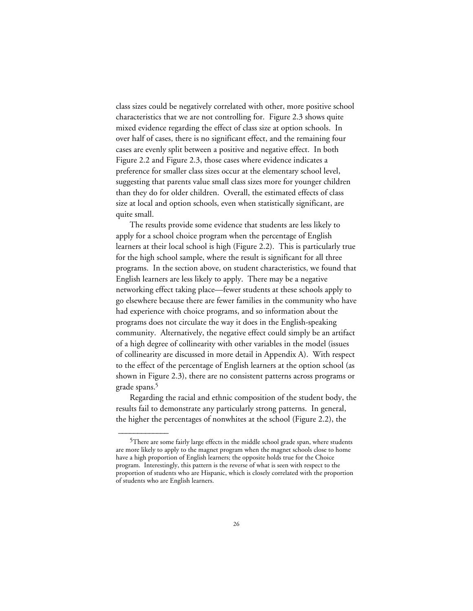class sizes could be negatively correlated with other, more positive school characteristics that we are not controlling for. Figure 2.3 shows quite mixed evidence regarding the effect of class size at option schools. In over half of cases, there is no significant effect, and the remaining four cases are evenly split between a positive and negative effect. In both Figure 2.2 and Figure 2.3, those cases where evidence indicates a preference for smaller class sizes occur at the elementary school level, suggesting that parents value small class sizes more for younger children than they do for older children. Overall, the estimated effects of class size at local and option schools, even when statistically significant, are quite small.

The results provide some evidence that students are less likely to apply for a school choice program when the percentage of English learners at their local school is high (Figure 2.2). This is particularly true for the high school sample, where the result is significant for all three programs. In the section above, on student characteristics, we found that English learners are less likely to apply. There may be a negative networking effect taking place—fewer students at these schools apply to go elsewhere because there are fewer families in the community who have had experience with choice programs, and so information about the programs does not circulate the way it does in the English-speaking community. Alternatively, the negative effect could simply be an artifact of a high degree of collinearity with other variables in the model (issues of collinearity are discussed in more detail in Appendix A). With respect to the effect of the percentage of English learners at the option school (as shown in Figure 2.3), there are no consistent patterns across programs or grade spans.5

Regarding the racial and ethnic composition of the student body, the results fail to demonstrate any particularly strong patterns. In general, the higher the percentages of nonwhites at the school (Figure 2.2), the

 $\overline{\phantom{a}}$ 

<sup>&</sup>lt;sup>5</sup>There are some fairly large effects in the middle school grade span, where students are more likely to apply to the magnet program when the magnet schools close to home have a high proportion of English learners; the opposite holds true for the Choice program. Interestingly, this pattern is the reverse of what is seen with respect to the proportion of students who are Hispanic, which is closely correlated with the proportion of students who are English learners.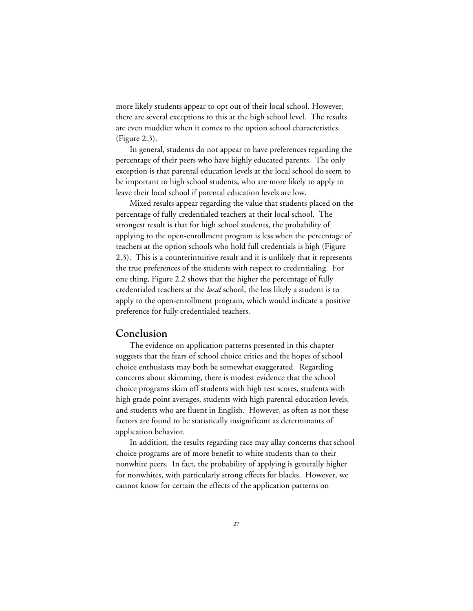more likely students appear to opt out of their local school. However, there are several exceptions to this at the high school level. The results are even muddier when it comes to the option school characteristics (Figure 2.3).

In general, students do not appear to have preferences regarding the percentage of their peers who have highly educated parents. The only exception is that parental education levels at the local school do seem to be important to high school students, who are more likely to apply to leave their local school if parental education levels are low.

Mixed results appear regarding the value that students placed on the percentage of fully credentialed teachers at their local school. The strongest result is that for high school students, the probability of applying to the open-enrollment program is less when the percentage of teachers at the option schools who hold full credentials is high (Figure 2.3). This is a counterintuitive result and it is unlikely that it represents the true preferences of the students with respect to credentialing. For one thing, Figure 2.2 shows that the higher the percentage of fully credentialed teachers at the *local* school, the less likely a student is to apply to the open-enrollment program, which would indicate a positive preference for fully credentialed teachers.

## **Conclusion**

The evidence on application patterns presented in this chapter suggests that the fears of school choice critics and the hopes of school choice enthusiasts may both be somewhat exaggerated. Regarding concerns about skimming, there is modest evidence that the school choice programs skim off students with high test scores, students with high grade point averages, students with high parental education levels, and students who are fluent in English. However, as often as not these factors are found to be statistically insignificant as determinants of application behavior.

In addition, the results regarding race may allay concerns that school choice programs are of more benefit to white students than to their nonwhite peers. In fact, the probability of applying is generally higher for nonwhites, with particularly strong effects for blacks. However, we cannot know for certain the effects of the application patterns on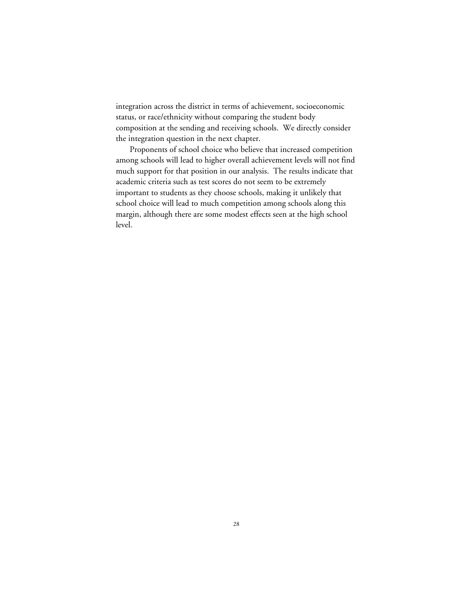integration across the district in terms of achievement, socioeconomic status, or race/ethnicity without comparing the student body composition at the sending and receiving schools. We directly consider the integration question in the next chapter.

Proponents of school choice who believe that increased competition among schools will lead to higher overall achievement levels will not find much support for that position in our analysis. The results indicate that academic criteria such as test scores do not seem to be extremely important to students as they choose schools, making it unlikely that school choice will lead to much competition among schools along this margin, although there are some modest effects seen at the high school level.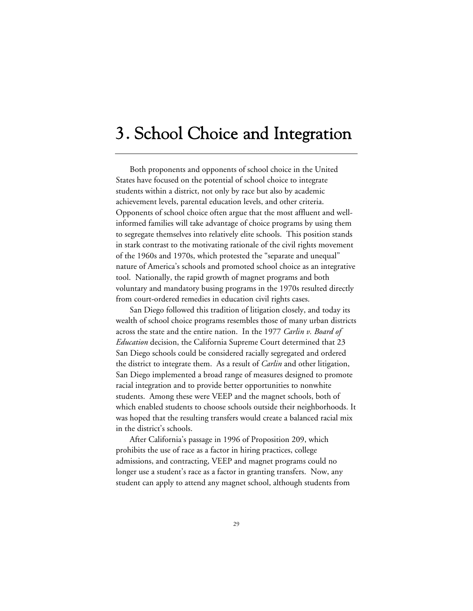# 3. School Choice and Integration

Both proponents and opponents of school choice in the United States have focused on the potential of school choice to integrate students within a district, not only by race but also by academic achievement levels, parental education levels, and other criteria. Opponents of school choice often argue that the most affluent and wellinformed families will take advantage of choice programs by using them to segregate themselves into relatively elite schools. This position stands in stark contrast to the motivating rationale of the civil rights movement of the 1960s and 1970s, which protested the "separate and unequal" nature of America's schools and promoted school choice as an integrative tool. Nationally, the rapid growth of magnet programs and both voluntary and mandatory busing programs in the 1970s resulted directly from court-ordered remedies in education civil rights cases.

San Diego followed this tradition of litigation closely, and today its wealth of school choice programs resembles those of many urban districts across the state and the entire nation. In the 1977 *Carlin v. Board of Education* decision, the California Supreme Court determined that 23 San Diego schools could be considered racially segregated and ordered the district to integrate them. As a result of *Carlin* and other litigation, San Diego implemented a broad range of measures designed to promote racial integration and to provide better opportunities to nonwhite students. Among these were VEEP and the magnet schools, both of which enabled students to choose schools outside their neighborhoods. It was hoped that the resulting transfers would create a balanced racial mix in the district's schools.

After California's passage in 1996 of Proposition 209, which prohibits the use of race as a factor in hiring practices, college admissions, and contracting, VEEP and magnet programs could no longer use a student's race as a factor in granting transfers. Now, any student can apply to attend any magnet school, although students from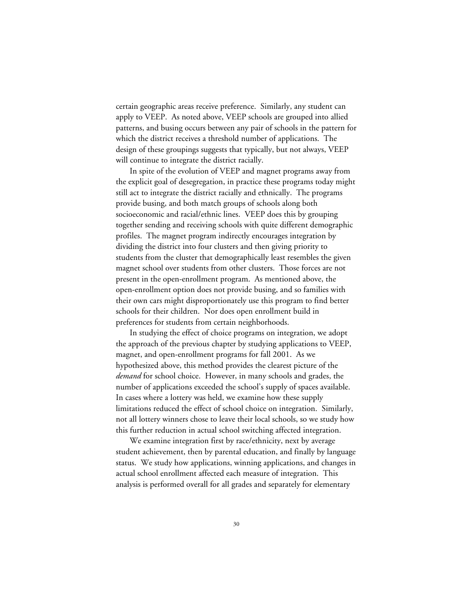certain geographic areas receive preference. Similarly, any student can apply to VEEP. As noted above, VEEP schools are grouped into allied patterns, and busing occurs between any pair of schools in the pattern for which the district receives a threshold number of applications. The design of these groupings suggests that typically, but not always, VEEP will continue to integrate the district racially.

In spite of the evolution of VEEP and magnet programs away from the explicit goal of desegregation, in practice these programs today might still act to integrate the district racially and ethnically. The programs provide busing, and both match groups of schools along both socioeconomic and racial/ethnic lines. VEEP does this by grouping together sending and receiving schools with quite different demographic profiles. The magnet program indirectly encourages integration by dividing the district into four clusters and then giving priority to students from the cluster that demographically least resembles the given magnet school over students from other clusters. Those forces are not present in the open-enrollment program. As mentioned above, the open-enrollment option does not provide busing, and so families with their own cars might disproportionately use this program to find better schools for their children. Nor does open enrollment build in preferences for students from certain neighborhoods.

In studying the effect of choice programs on integration, we adopt the approach of the previous chapter by studying applications to VEEP, magnet, and open-enrollment programs for fall 2001. As we hypothesized above, this method provides the clearest picture of the *demand* for school choice. However, in many schools and grades, the number of applications exceeded the school's supply of spaces available. In cases where a lottery was held, we examine how these supply limitations reduced the effect of school choice on integration. Similarly, not all lottery winners chose to leave their local schools, so we study how this further reduction in actual school switching affected integration.

We examine integration first by race/ethnicity, next by average student achievement, then by parental education, and finally by language status. We study how applications, winning applications, and changes in actual school enrollment affected each measure of integration. This analysis is performed overall for all grades and separately for elementary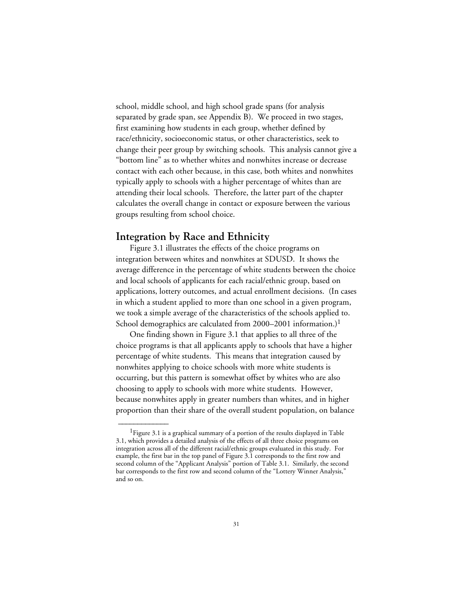school, middle school, and high school grade spans (for analysis separated by grade span, see Appendix B). We proceed in two stages, first examining how students in each group, whether defined by race/ethnicity, socioeconomic status, or other characteristics, seek to change their peer group by switching schools. This analysis cannot give a "bottom line" as to whether whites and nonwhites increase or decrease contact with each other because, in this case, both whites and nonwhites typically apply to schools with a higher percentage of whites than are attending their local schools. Therefore, the latter part of the chapter calculates the overall change in contact or exposure between the various groups resulting from school choice.

## **Integration by Race and Ethnicity**

 $\overline{\phantom{a}}$ 

Figure 3.1 illustrates the effects of the choice programs on integration between whites and nonwhites at SDUSD. It shows the average difference in the percentage of white students between the choice and local schools of applicants for each racial/ethnic group, based on applications, lottery outcomes, and actual enrollment decisions. (In cases in which a student applied to more than one school in a given program, we took a simple average of the characteristics of the schools applied to. School demographics are calculated from 2000–2001 information.)<sup>1</sup>

One finding shown in Figure 3.1 that applies to all three of the choice programs is that all applicants apply to schools that have a higher percentage of white students. This means that integration caused by nonwhites applying to choice schools with more white students is occurring, but this pattern is somewhat offset by whites who are also choosing to apply to schools with more white students. However, because nonwhites apply in greater numbers than whites, and in higher proportion than their share of the overall student population, on balance

 $^1$ Figure 3.1 is a graphical summary of a portion of the results displayed in Table 3.1, which provides a detailed analysis of the effects of all three choice programs on integration across all of the different racial/ethnic groups evaluated in this study. For example, the first bar in the top panel of Figure 3.1 corresponds to the first row and second column of the "Applicant Analysis" portion of Table 3.1. Similarly, the second bar corresponds to the first row and second column of the "Lottery Winner Analysis," and so on.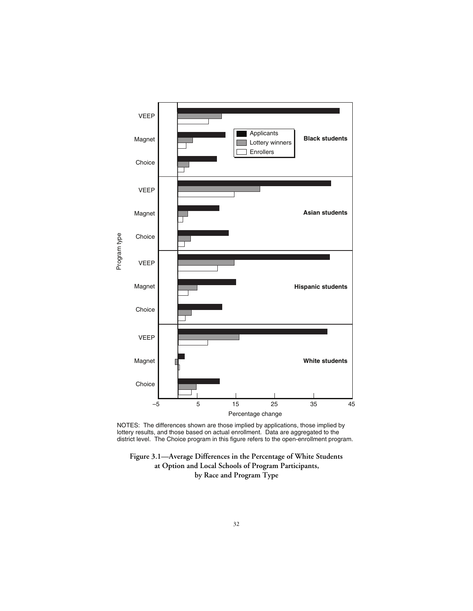

NOTES: The differences shown are those implied by applications, those implied by lottery results, and those based on actual enrollment. Data are aggregated to the district level. The Choice program in this figure refers to the open-enrollment program.

**Figure 3.1—Average Differences in the Percentage of White Students at Option and Local Schools of Program Participants, by Race and Program Type**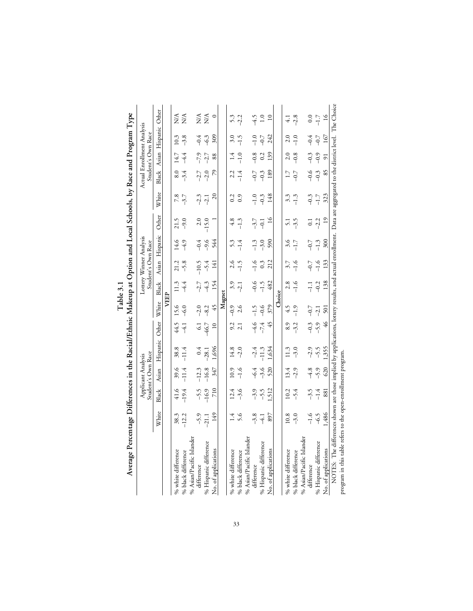| Average Percentage Differences in the Racial/Ethnic Makeup at Option and Local Schools, by Race and Program Type                                              |         |         |                                          |          |                         |        |                |                    |                         |                  |                  |                            |                    |                  |                  |
|---------------------------------------------------------------------------------------------------------------------------------------------------------------|---------|---------|------------------------------------------|----------|-------------------------|--------|----------------|--------------------|-------------------------|------------------|------------------|----------------------------|--------------------|------------------|------------------|
|                                                                                                                                                               |         |         | Student's Own Race<br>Applicant Analysis |          |                         |        |                | Student's Own Race | Lottery Winner Analysis |                  |                  | Actual Enrollment Analysis | Student's Own Race |                  |                  |
|                                                                                                                                                               | White   | Black   | Asian                                    | Hispanic | Other                   | White  | Black          | Asian              | Hispanic                | Other            | White            | Black                      |                    | Asian Hispanic   | Other            |
|                                                                                                                                                               |         |         |                                          |          |                         | VEEP   |                |                    |                         |                  |                  |                            |                    |                  |                  |
| % white difference                                                                                                                                            | 38.3    | 41.6    | 39.6                                     | 38.8     | 44.5                    | 15.6   | 11.3           | 21.2               | 14.6                    | 21.5             | 7.8              | 8.0                        | 14.7               | 10.3             | ₹                |
| % black difference                                                                                                                                            | $-12.2$ | $-19.4$ |                                          |          | $-4.1$                  | $-6.0$ | $-4.4$         | $-5.8$             | $-4.9$                  | $-9.0$           | $-3.7$           | $-3.4$                     | $-4.4$             | $-3.8$           | <b>N/A</b>       |
| % Asian/Pacific Islander                                                                                                                                      |         |         |                                          |          |                         |        |                |                    |                         |                  |                  |                            |                    |                  |                  |
| difference                                                                                                                                                    | $-5.9$  |         | $-12.3$                                  |          | $\overline{61}$         | $-2.0$ | $-2.7$         | $-10.5$            | $-0.4$                  | 2.0              |                  | $-2.7$                     | $-7.9$             |                  | $\sum_{i=1}^{n}$ |
| % Hispanic difference                                                                                                                                         | $-21.1$ | $-16.9$ | $-16.8$                                  | $-28.1$  | $-46.7$                 | $-8.2$ | $-4.3$         | $-5.4$             | $-9.6$                  | $-15.0$          | $-2.3$<br>$-2.1$ | $-2.0$                     | $-2.7$             | $-6.3$           | N/A              |
| No. of applications                                                                                                                                           | 149     | 710     | 347                                      | 1,696    | $\overline{10}$         | 45     | 154            | 141                | 544                     |                  | $\overline{c}$   |                            | 88                 | 309              | $\circ$          |
|                                                                                                                                                               |         |         |                                          |          |                         | Magnet |                |                    |                         |                  |                  |                            |                    |                  |                  |
| % white difference                                                                                                                                            |         | 12.4    | 10.9                                     | 14.8     |                         | $-9.9$ |                |                    |                         | 4.8              | 0.2              |                            |                    | 3.0              | 5.3              |
| % black difference                                                                                                                                            | 5.6     |         |                                          |          | $9.\overline{2}$<br>2.1 |        | $\overline{3}$ |                    |                         |                  | $_{0.9}$         |                            |                    |                  | $-2.2$           |
| % Asian/Pacific Islander                                                                                                                                      |         |         |                                          |          |                         |        |                |                    |                         |                  |                  |                            |                    |                  |                  |
| difference                                                                                                                                                    | $-3.8$  | $-3.9$  | $-6.4$                                   | $-2.4$   | $-4.6$                  | $-1.5$ |                | $-1.6$             |                         |                  | $-1.0$           | $-0.7$                     | $-9.8$             |                  | $-4.5$           |
| % Hispanic difference                                                                                                                                         | $-4.1$  | $-5.5$  | $-3.6$                                   | $-11.3$  | $-7.4$                  | $-0.6$ | $-0.5$<br>-1.5 | $0.\overline{3}$   | $-1.3$<br>$-3.0$        | $-3.7$<br>-0.1   | $-0.3$           | $-0.3$                     | 0.2                | $-1.0$<br>$-0.7$ | 1.0              |
| No. of applications                                                                                                                                           | 897     | 1,512   | 520                                      | 1,634    | 45                      | 379    | 482            | 212                | 590                     | $\geq$           | 148              | 189                        | 139                | 242              | $\overline{10}$  |
|                                                                                                                                                               |         |         |                                          |          |                         | Choice |                |                    |                         |                  |                  |                            |                    |                  |                  |
| % white difference                                                                                                                                            | 10.8    | 10.2    | 13.4                                     |          | 8.9                     |        | 2.8            | $\frac{1}{2}$      | 3.6                     | $\sim$           | 3.3              |                            |                    | 2.0              | $\overline{4.1}$ |
| % black difference                                                                                                                                            | $-3.0$  | $-5.4$  | $-2.9$                                   | $-3.0$   | $-3.2$                  | $-1.9$ |                |                    |                         | $-3.5$           | $-1.3$           | $-0.7$                     | $-0.8$             | $-1.0$           | $-2.8$           |
| % Asian/Pacific Islander                                                                                                                                      |         |         |                                          |          |                         |        |                |                    |                         |                  |                  |                            |                    |                  |                  |
| difference                                                                                                                                                    | $-1.6$  | -3.5    | $-4.8$                                   | $-2.9$   | $-0.3$                  | $-0.7$ | $-1.1$         | $-0.7$<br>-1.6     | $-1.3$                  | $\overline{0}$ . | $-0.3$           | $-0.6$                     | $-0.3$             | $-0.7$           | 0.0              |
| % Hispanic difference                                                                                                                                         | $-6.5$  | $-1.4$  | $-5.9$                                   | $-5.5$   | $-5.9$                  | $-2.1$ | $-0.2$         |                    |                         | $-2.2$           | $-1.7$           | $-0.3$                     | $-0.9$             |                  | $-1.7$           |
| No. of applications                                                                                                                                           | 1,486   | 881     | 620                                      | 1,355    | $\frac{46}{5}$          | 501    | 138            | 133                | 300                     | $\overline{1}$   | 323              | 85                         | $\overline{91}$    | 167              | 16               |
| NOTES: The differences shown are those implied by applications, lottery results, and actual enrollment. Data are aggregated to the district level. The Choice |         |         |                                          |          |                         |        |                |                    |                         |                  |                  |                            |                    |                  |                  |
| program in this table refers to the open-enrollment program                                                                                                   |         |         |                                          |          |                         |        |                |                    |                         |                  |                  |                            |                    |                  |                  |

**Table 3.1**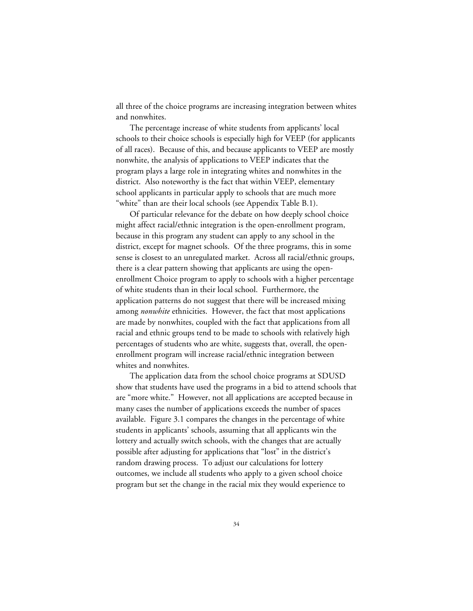all three of the choice programs are increasing integration between whites and nonwhites.

The percentage increase of white students from applicants' local schools to their choice schools is especially high for VEEP (for applicants of all races). Because of this, and because applicants to VEEP are mostly nonwhite, the analysis of applications to VEEP indicates that the program plays a large role in integrating whites and nonwhites in the district. Also noteworthy is the fact that within VEEP, elementary school applicants in particular apply to schools that are much more "white" than are their local schools (see Appendix Table B.1).

Of particular relevance for the debate on how deeply school choice might affect racial/ethnic integration is the open-enrollment program, because in this program any student can apply to any school in the district, except for magnet schools. Of the three programs, this in some sense is closest to an unregulated market. Across all racial/ethnic groups, there is a clear pattern showing that applicants are using the openenrollment Choice program to apply to schools with a higher percentage of white students than in their local school. Furthermore, the application patterns do not suggest that there will be increased mixing among *nonwhite* ethnicities. However, the fact that most applications are made by nonwhites, coupled with the fact that applications from all racial and ethnic groups tend to be made to schools with relatively high percentages of students who are white, suggests that, overall, the openenrollment program will increase racial/ethnic integration between whites and nonwhites.

The application data from the school choice programs at SDUSD show that students have used the programs in a bid to attend schools that are "more white." However, not all applications are accepted because in many cases the number of applications exceeds the number of spaces available. Figure 3.1 compares the changes in the percentage of white students in applicants' schools, assuming that all applicants win the lottery and actually switch schools, with the changes that are actually possible after adjusting for applications that "lost" in the district's random drawing process. To adjust our calculations for lottery outcomes, we include all students who apply to a given school choice program but set the change in the racial mix they would experience to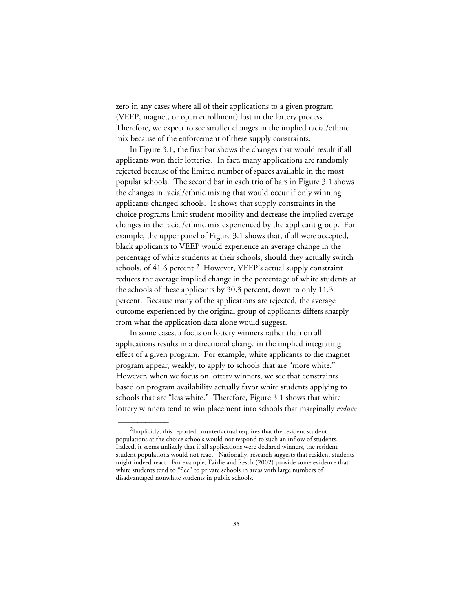zero in any cases where all of their applications to a given program (VEEP, magnet, or open enrollment) lost in the lottery process. Therefore, we expect to see smaller changes in the implied racial/ethnic mix because of the enforcement of these supply constraints.

In Figure 3.1, the first bar shows the changes that would result if all applicants won their lotteries. In fact, many applications are randomly rejected because of the limited number of spaces available in the most popular schools. The second bar in each trio of bars in Figure 3.1 shows the changes in racial/ethnic mixing that would occur if only winning applicants changed schools. It shows that supply constraints in the choice programs limit student mobility and decrease the implied average changes in the racial/ethnic mix experienced by the applicant group. For example, the upper panel of Figure 3.1 shows that, if all were accepted, black applicants to VEEP would experience an average change in the percentage of white students at their schools, should they actually switch schools, of 41.6 percent.<sup>2</sup> However, VEEP's actual supply constraint reduces the average implied change in the percentage of white students at the schools of these applicants by 30.3 percent, down to only 11.3 percent. Because many of the applications are rejected, the average outcome experienced by the original group of applicants differs sharply from what the application data alone would suggest.

In some cases, a focus on lottery winners rather than on all applications results in a directional change in the implied integrating effect of a given program. For example, white applicants to the magnet program appear, weakly, to apply to schools that are "more white." However, when we focus on lottery winners, we see that constraints based on program availability actually favor white students applying to schools that are "less white." Therefore, Figure 3.1 shows that white lottery winners tend to win placement into schools that marginally *reduce*

 $\overline{\phantom{a}}$ 

<sup>&</sup>lt;sup>2</sup>Implicitly, this reported counterfactual requires that the resident student populations at the choice schools would not respond to such an inflow of students. Indeed, it seems unlikely that if all applications were declared winners, the resident student populations would not react. Nationally, research suggests that resident students might indeed react. For example, Fairlie and Resch (2002) provide some evidence that white students tend to "flee" to private schools in areas with large numbers of disadvantaged nonwhite students in public schools.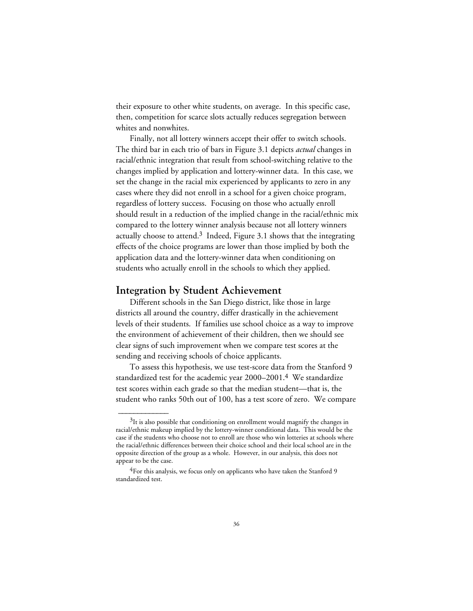their exposure to other white students, on average. In this specific case, then, competition for scarce slots actually reduces segregation between whites and nonwhites.

Finally, not all lottery winners accept their offer to switch schools. The third bar in each trio of bars in Figure 3.1 depicts *actual* changes in racial/ethnic integration that result from school-switching relative to the changes implied by application and lottery-winner data. In this case, we set the change in the racial mix experienced by applicants to zero in any cases where they did not enroll in a school for a given choice program, regardless of lottery success. Focusing on those who actually enroll should result in a reduction of the implied change in the racial/ethnic mix compared to the lottery winner analysis because not all lottery winners actually choose to attend.3 Indeed, Figure 3.1 shows that the integrating effects of the choice programs are lower than those implied by both the application data and the lottery-winner data when conditioning on students who actually enroll in the schools to which they applied.

## **Integration by Student Achievement**

 $\overline{\phantom{a}}$ 

Different schools in the San Diego district, like those in large districts all around the country, differ drastically in the achievement levels of their students. If families use school choice as a way to improve the environment of achievement of their children, then we should see clear signs of such improvement when we compare test scores at the sending and receiving schools of choice applicants.

To assess this hypothesis, we use test-score data from the Stanford 9 standardized test for the academic year 2000–2001.4 We standardize test scores within each grade so that the median student—that is, the student who ranks 50th out of 100, has a test score of zero. We compare

 ${}^{3}$ It is also possible that conditioning on enrollment would magnify the changes in racial/ethnic makeup implied by the lottery-winner conditional data. This would be the case if the students who choose not to enroll are those who win lotteries at schools where the racial/ethnic differences between their choice school and their local school are in the opposite direction of the group as a whole. However, in our analysis, this does not appear to be the case.

<sup>&</sup>lt;sup>4</sup>For this analysis, we focus only on applicants who have taken the Stanford 9 standardized test.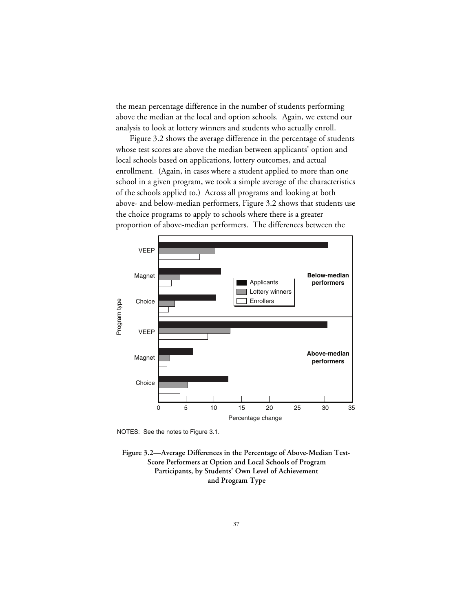the mean percentage difference in the number of students performing above the median at the local and option schools. Again, we extend our analysis to look at lottery winners and students who actually enroll.

Figure 3.2 shows the average difference in the percentage of students whose test scores are above the median between applicants' option and local schools based on applications, lottery outcomes, and actual enrollment. (Again, in cases where a student applied to more than one school in a given program, we took a simple average of the characteristics of the schools applied to.) Across all programs and looking at both above- and below-median performers, Figure 3.2 shows that students use the choice programs to apply to schools where there is a greater proportion of above-median performers. The differences between the



NOTES: See the notes to Figure 3.1.

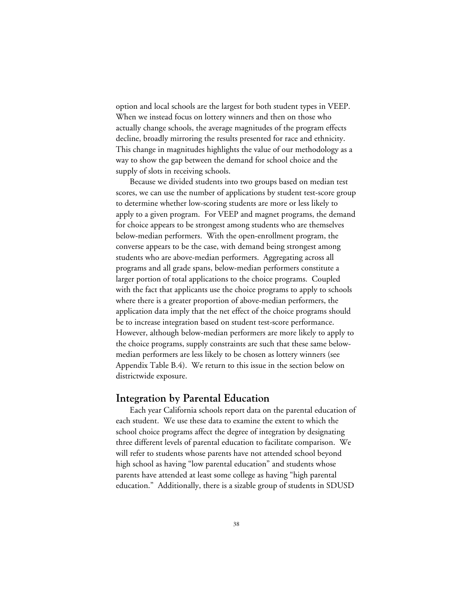option and local schools are the largest for both student types in VEEP. When we instead focus on lottery winners and then on those who actually change schools, the average magnitudes of the program effects decline, broadly mirroring the results presented for race and ethnicity. This change in magnitudes highlights the value of our methodology as a way to show the gap between the demand for school choice and the supply of slots in receiving schools.

Because we divided students into two groups based on median test scores, we can use the number of applications by student test-score group to determine whether low-scoring students are more or less likely to apply to a given program. For VEEP and magnet programs, the demand for choice appears to be strongest among students who are themselves below-median performers. With the open-enrollment program, the converse appears to be the case, with demand being strongest among students who are above-median performers. Aggregating across all programs and all grade spans, below-median performers constitute a larger portion of total applications to the choice programs. Coupled with the fact that applicants use the choice programs to apply to schools where there is a greater proportion of above-median performers, the application data imply that the net effect of the choice programs should be to increase integration based on student test-score performance. However, although below-median performers are more likely to apply to the choice programs, supply constraints are such that these same belowmedian performers are less likely to be chosen as lottery winners (see Appendix Table B.4). We return to this issue in the section below on districtwide exposure.

## **Integration by Parental Education**

Each year California schools report data on the parental education of each student. We use these data to examine the extent to which the school choice programs affect the degree of integration by designating three different levels of parental education to facilitate comparison. We will refer to students whose parents have not attended school beyond high school as having "low parental education" and students whose parents have attended at least some college as having "high parental education." Additionally, there is a sizable group of students in SDUSD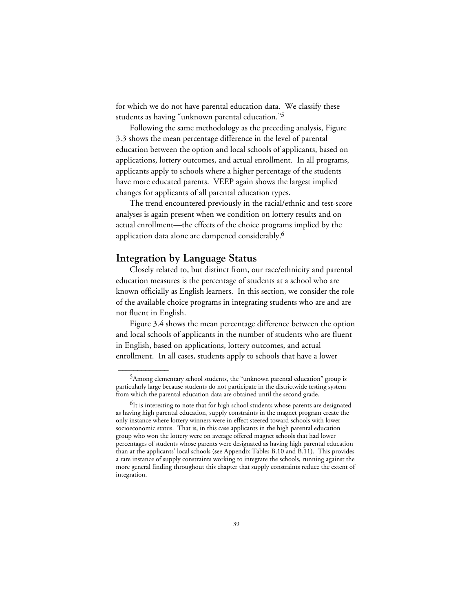for which we do not have parental education data. We classify these students as having "unknown parental education."<sup>5</sup>

Following the same methodology as the preceding analysis, Figure 3.3 shows the mean percentage difference in the level of parental education between the option and local schools of applicants, based on applications, lottery outcomes, and actual enrollment. In all programs, applicants apply to schools where a higher percentage of the students have more educated parents. VEEP again shows the largest implied changes for applicants of all parental education types.

The trend encountered previously in the racial/ethnic and test-score analyses is again present when we condition on lottery results and on actual enrollment—the effects of the choice programs implied by the application data alone are dampened considerably.<sup>6</sup>

## **Integration by Language Status**

 $\overline{\phantom{a}}$ 

Closely related to, but distinct from, our race/ethnicity and parental education measures is the percentage of students at a school who are known officially as English learners. In this section, we consider the role of the available choice programs in integrating students who are and are not fluent in English.

Figure 3.4 shows the mean percentage difference between the option and local schools of applicants in the number of students who are fluent in English, based on applications, lottery outcomes, and actual enrollment. In all cases, students apply to schools that have a lower

 $5A$ mong elementary school students, the "unknown parental education" group is particularly large because students do not participate in the districtwide testing system from which the parental education data are obtained until the second grade.

<sup>&</sup>lt;sup>6</sup>It is interesting to note that for high school students whose parents are designated as having high parental education, supply constraints in the magnet program create the only instance where lottery winners were in effect steered toward schools with lower socioeconomic status. That is, in this case applicants in the high parental education group who won the lottery were on average offered magnet schools that had lower percentages of students whose parents were designated as having high parental education than at the applicants' local schools (**s**ee Appendix Tables B.10 and B.11). This provides a rare instance of supply constraints working to integrate the schools, running against the more general finding throughout this chapter that supply constraints reduce the extent of integration.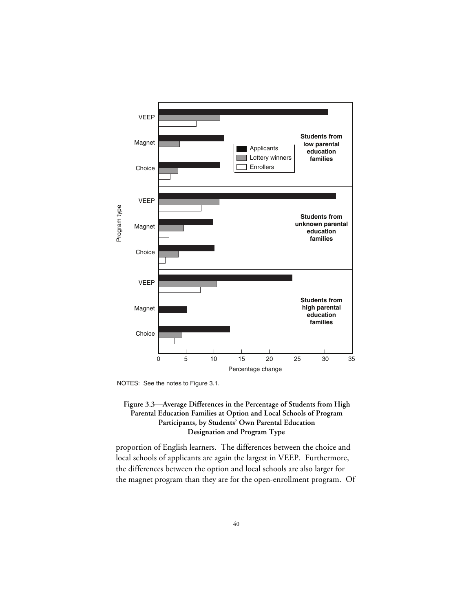

NOTES: See the notes to Figure 3.1.

### **Figure 3.3—Average Differences in the Percentage of Students from High Parental Education Families at Option and Local Schools of Program Participants, by Students' Own Parental Education Designation and Program Type**

proportion of English learners. The differences between the choice and local schools of applicants are again the largest in VEEP. Furthermore, the differences between the option and local schools are also larger for the magnet program than they are for the open-enrollment program. Of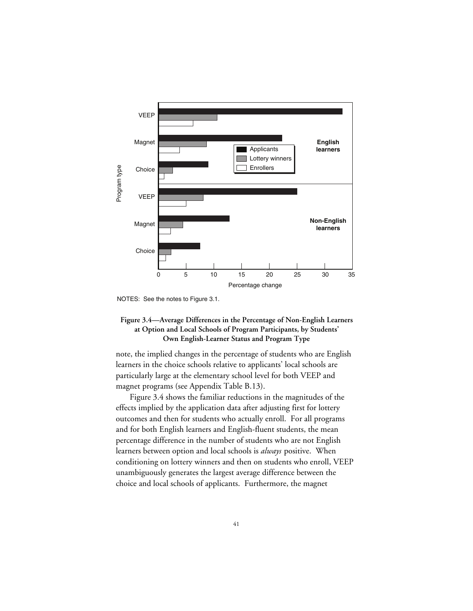

NOTES: See the notes to Figure 3.1.

#### **Figure 3.4—Average Differences in the Percentage of Non-English Learners at Option and Local Schools of Program Participants, by Students' Own English-Learner Status and Program Type**

note, the implied changes in the percentage of students who are English learners in the choice schools relative to applicants' local schools are particularly large at the elementary school level for both VEEP and magnet programs (see Appendix Table B.13).

Figure 3.4 shows the familiar reductions in the magnitudes of the effects implied by the application data after adjusting first for lottery outcomes and then for students who actually enroll. For all programs and for both English learners and English-fluent students, the mean percentage difference in the number of students who are not English learners between option and local schools is *always* positive. When conditioning on lottery winners and then on students who enroll, VEEP unambiguously generates the largest average difference between the choice and local schools of applicants. Furthermore, the magnet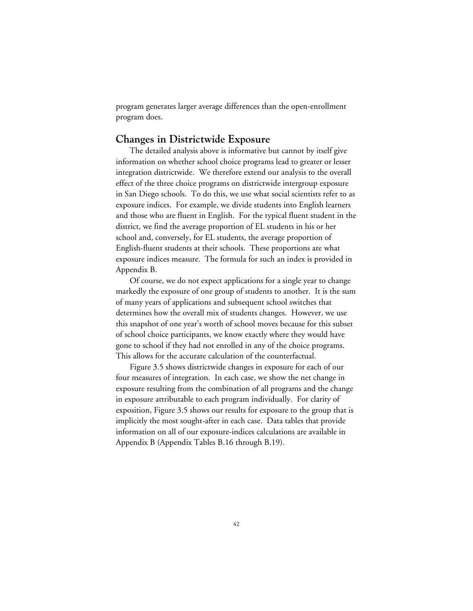program generates larger average differences than the open-enrollment program does.

# **Changes in Districtwide Exposure**

The detailed analysis above is informative but cannot by itself give information on whether school choice programs lead to greater or lesser integration districtwide. We therefore extend our analysis to the overall effect of the three choice programs on districtwide intergroup exposure in San Diego schools. To do this, we use what social scientists refer to as exposure indices. For example, we divide students into English learners and those who are fluent in English. For the typical fluent student in the district, we find the average proportion of EL students in his or her school and, conversely, for EL students, the average proportion of English-fluent students at their schools. These proportions are what exposure indices measure. The formula for such an index is provided in Appendix B.

Of course, we do not expect applications for a single year to change markedly the exposure of one group of students to another. It is the sum of many years of applications and subsequent school switches that determines how the overall mix of students changes. However, we use this snapshot of one year's worth of school moves because for this subset of school choice participants, we know exactly where they would have gone to school if they had not enrolled in any of the choice programs. This allows for the accurate calculation of the counterfactual.

Figure 3.5 shows districtwide changes in exposure for each of our four measures of integration. In each case, we show the net change in exposure resulting from the combination of all programs and the change in exposure attributable to each program individually. For clarity of exposition, Figure 3.5 shows our results for exposure to the group that is implicitly the most sought-after in each case. Data tables that provide information on all of our exposure-indices calculations are available in Appendix B (Appendix Tables B.16 through B.19).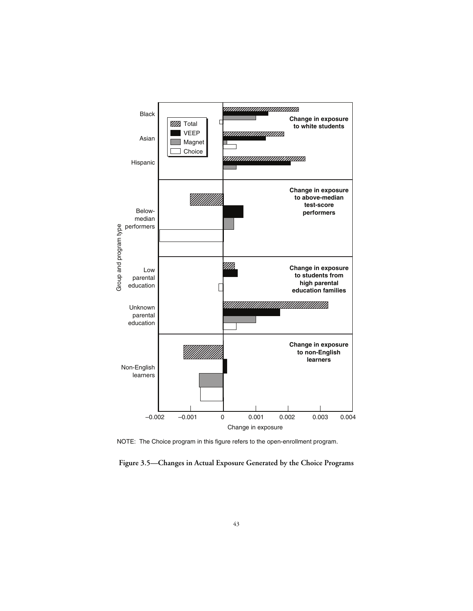

NOTE: The Choice program in this figure refers to the open-enrollment program.

**Figure 3.5—Changes in Actual Exposure Generated by the Choice Programs**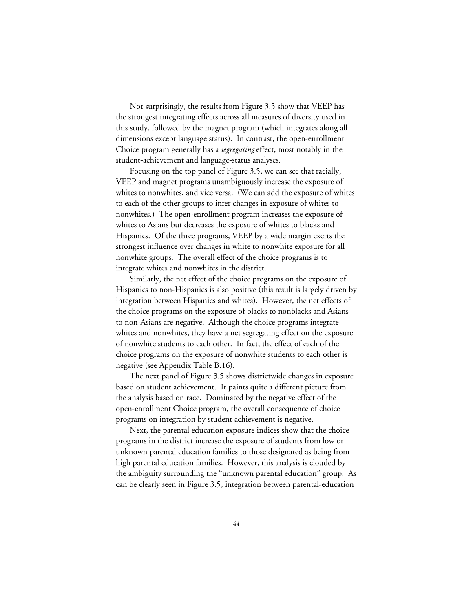Not surprisingly, the results from Figure 3.5 show that VEEP has the strongest integrating effects across all measures of diversity used in this study, followed by the magnet program (which integrates along all dimensions except language status). In contrast, the open-enrollment Choice program generally has a *segregating* effect, most notably in the student-achievement and language-status analyses.

Focusing on the top panel of Figure 3.5, we can see that racially, VEEP and magnet programs unambiguously increase the exposure of whites to nonwhites, and vice versa. (We can add the exposure of whites to each of the other groups to infer changes in exposure of whites to nonwhites.) The open-enrollment program increases the exposure of whites to Asians but decreases the exposure of whites to blacks and Hispanics. Of the three programs, VEEP by a wide margin exerts the strongest influence over changes in white to nonwhite exposure for all nonwhite groups. The overall effect of the choice programs is to integrate whites and nonwhites in the district.

Similarly, the net effect of the choice programs on the exposure of Hispanics to non-Hispanics is also positive (this result is largely driven by integration between Hispanics and whites). However, the net effects of the choice programs on the exposure of blacks to nonblacks and Asians to non-Asians are negative. Although the choice programs integrate whites and nonwhites, they have a net segregating effect on the exposure of nonwhite students to each other. In fact, the effect of each of the choice programs on the exposure of nonwhite students to each other is negative (see Appendix Table B.16).

The next panel of Figure 3.5 shows districtwide changes in exposure based on student achievement. It paints quite a different picture from the analysis based on race. Dominated by the negative effect of the open-enrollment Choice program, the overall consequence of choice programs on integration by student achievement is negative.

Next, the parental education exposure indices show that the choice programs in the district increase the exposure of students from low or unknown parental education families to those designated as being from high parental education families. However, this analysis is clouded by the ambiguity surrounding the "unknown parental education" group. As can be clearly seen in Figure 3.5, integration between parental-education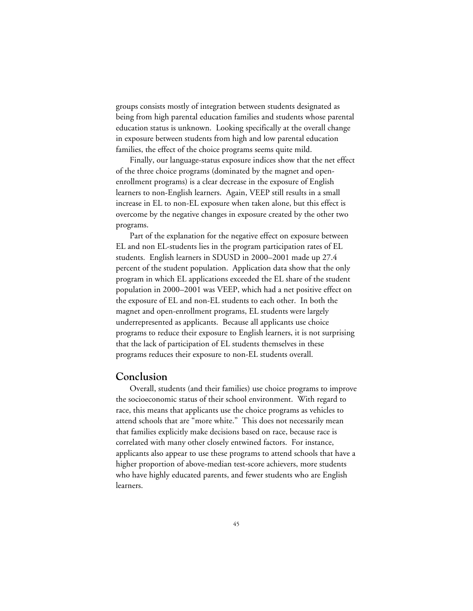groups consists mostly of integration between students designated as being from high parental education families and students whose parental education status is unknown. Looking specifically at the overall change in exposure between students from high and low parental education families, the effect of the choice programs seems quite mild.

Finally, our language-status exposure indices show that the net effect of the three choice programs (dominated by the magnet and openenrollment programs) is a clear decrease in the exposure of English learners to non-English learners. Again, VEEP still results in a small increase in EL to non-EL exposure when taken alone, but this effect is overcome by the negative changes in exposure created by the other two programs.

Part of the explanation for the negative effect on exposure between EL and non EL-students lies in the program participation rates of EL students. English learners in SDUSD in 2000–2001 made up 27.4 percent of the student population. Application data show that the only program in which EL applications exceeded the EL share of the student population in 2000–2001 was VEEP, which had a net positive effect on the exposure of EL and non-EL students to each other. In both the magnet and open-enrollment programs, EL students were largely underrepresented as applicants. Because all applicants use choice programs to reduce their exposure to English learners, it is not surprising that the lack of participation of EL students themselves in these programs reduces their exposure to non-EL students overall.

## **Conclusion**

Overall, students (and their families) use choice programs to improve the socioeconomic status of their school environment. With regard to race, this means that applicants use the choice programs as vehicles to attend schools that are "more white." This does not necessarily mean that families explicitly make decisions based on race, because race is correlated with many other closely entwined factors. For instance, applicants also appear to use these programs to attend schools that have a higher proportion of above-median test-score achievers, more students who have highly educated parents, and fewer students who are English learners.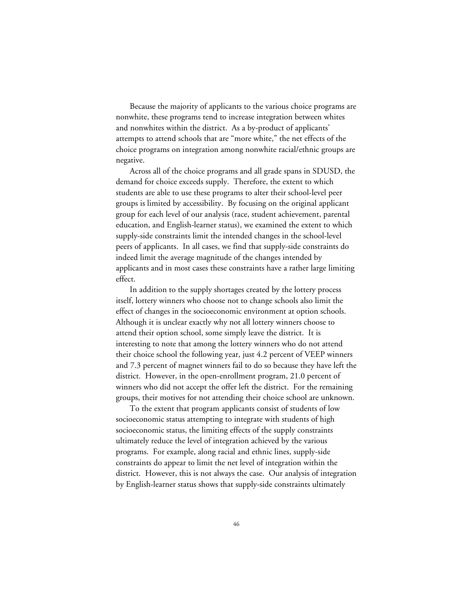Because the majority of applicants to the various choice programs are nonwhite, these programs tend to increase integration between whites and nonwhites within the district. As a by-product of applicants' attempts to attend schools that are "more white," the net effects of the choice programs on integration among nonwhite racial/ethnic groups are negative.

Across all of the choice programs and all grade spans in SDUSD, the demand for choice exceeds supply. Therefore, the extent to which students are able to use these programs to alter their school-level peer groups is limited by accessibility. By focusing on the original applicant group for each level of our analysis (race, student achievement, parental education, and English-learner status), we examined the extent to which supply-side constraints limit the intended changes in the school-level peers of applicants. In all cases, we find that supply-side constraints do indeed limit the average magnitude of the changes intended by applicants and in most cases these constraints have a rather large limiting effect.

In addition to the supply shortages created by the lottery process itself, lottery winners who choose not to change schools also limit the effect of changes in the socioeconomic environment at option schools. Although it is unclear exactly why not all lottery winners choose to attend their option school, some simply leave the district. It is interesting to note that among the lottery winners who do not attend their choice school the following year, just 4.2 percent of VEEP winners and 7.3 percent of magnet winners fail to do so because they have left the district. However, in the open-enrollment program, 21.0 percent of winners who did not accept the offer left the district. For the remaining groups, their motives for not attending their choice school are unknown.

To the extent that program applicants consist of students of low socioeconomic status attempting to integrate with students of high socioeconomic status, the limiting effects of the supply constraints ultimately reduce the level of integration achieved by the various programs. For example, along racial and ethnic lines, supply-side constraints do appear to limit the net level of integration within the district. However, this is not always the case. Our analysis of integration by English-learner status shows that supply-side constraints ultimately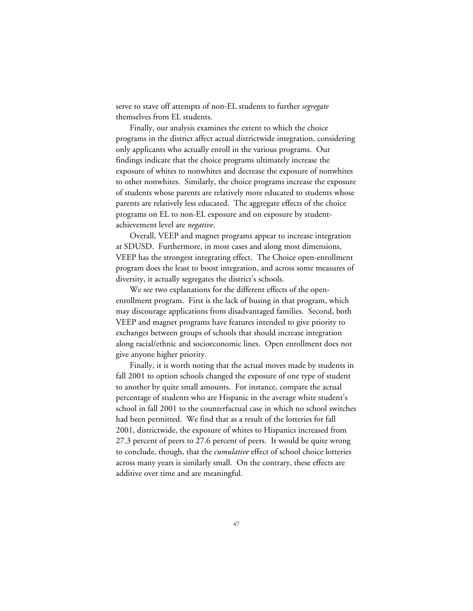serve to stave off attempts of non-EL students to further *segregate* themselves from EL students.

Finally, our analysis examines the extent to which the choice programs in the district affect actual districtwide integration, considering only applicants who actually enroll in the various programs. Our findings indicate that the choice programs ultimately increase the exposure of whites to nonwhites and decrease the exposure of nonwhites to other nonwhites. Similarly, the choice programs increase the exposure of students whose parents are relatively more educated to students whose parents are relatively less educated. The aggregate effects of the choice programs on EL to non-EL exposure and on exposure by studentachievement level are *negative*.

Overall, VEEP and magnet programs appear to increase integration at SDUSD. Furthermore, in most cases and along most dimensions, VEEP has the strongest integrating effect. The Choice open-enrollment program does the least to boost integration, and across some measures of diversity, it actually segregates the district's schools.

We see two explanations for the different effects of the openenrollment program. First is the lack of busing in that program, which may discourage applications from disadvantaged families. Second, both VEEP and magnet programs have features intended to give priority to exchanges between groups of schools that should increase integration along racial/ethnic and socioeconomic lines. Open enrollment does not give anyone higher priority.

Finally, it is worth noting that the actual moves made by students in fall 2001 to option schools changed the exposure of one type of student to another by quite small amounts. For instance, compare the actual percentage of students who are Hispanic in the average white student's school in fall 2001 to the counterfactual case in which no school switches had been permitted. We find that as a result of the lotteries for fall 2001, districtwide, the exposure of whites to Hispanics increased from 27.3 percent of peers to 27.6 percent of peers. It would be quite wrong to conclude, though, that the *cumulative* effect of school choice lotteries across many years is similarly small. On the contrary, these effects are additive over time and are meaningful.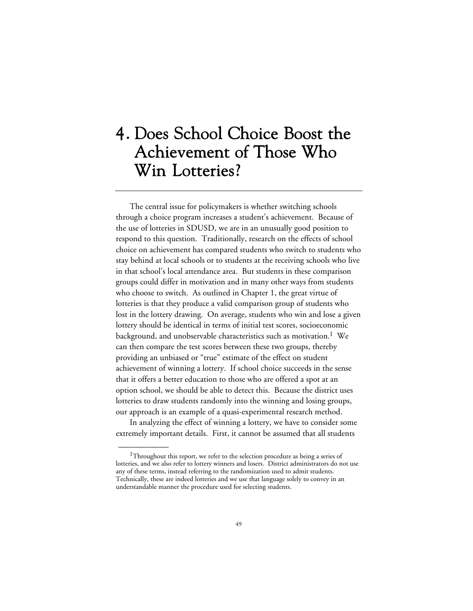# 4. Does School Choice Boost the Achievement of Those Who Win Lotteries?

The central issue for policymakers is whether switching schools through a choice program increases a student's achievement. Because of the use of lotteries in SDUSD, we are in an unusually good position to respond to this question. Traditionally, research on the effects of school choice on achievement has compared students who switch to students who stay behind at local schools or to students at the receiving schools who live in that school's local attendance area. But students in these comparison groups could differ in motivation and in many other ways from students who choose to switch. As outlined in Chapter 1, the great virtue of lotteries is that they produce a valid comparison group of students who lost in the lottery drawing. On average, students who win and lose a given lottery should be identical in terms of initial test scores, socioeconomic background, and unobservable characteristics such as motivation.1 We can then compare the test scores between these two groups, thereby providing an unbiased or "true" estimate of the effect on student achievement of winning a lottery. If school choice succeeds in the sense that it offers a better education to those who are offered a spot at an option school, we should be able to detect this. Because the district uses lotteries to draw students randomly into the winning and losing groups, our approach is an example of a quasi-experimental research method.

In analyzing the effect of winning a lottery, we have to consider some extremely important details. First, it cannot be assumed that all students

<sup>&</sup>lt;sup>1</sup>Throughout this report, we refer to the selection procedure as being a series of lotteries, and we also refer to lottery winners and losers. District administrators do not use any of these terms, instead referring to the randomization used to admit students. Technically, these are indeed lotteries and we use that language solely to convey in an understandable manner the procedure used for selecting students.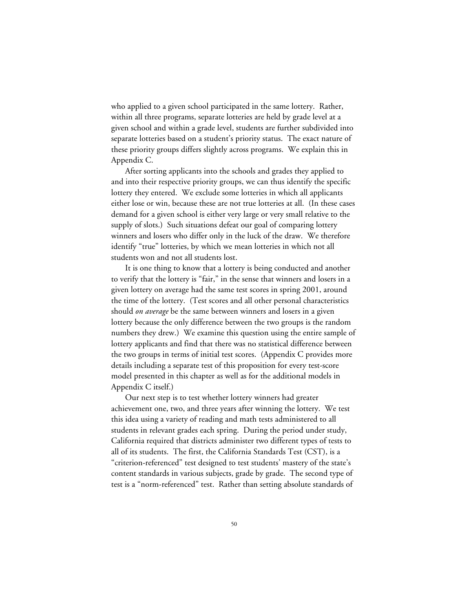who applied to a given school participated in the same lottery. Rather, within all three programs, separate lotteries are held by grade level at a given school and within a grade level, students are further subdivided into separate lotteries based on a student's priority status. The exact nature of these priority groups differs slightly across programs. We explain this in Appendix C.

After sorting applicants into the schools and grades they applied to and into their respective priority groups, we can thus identify the specific lottery they entered. We exclude some lotteries in which all applicants either lose or win, because these are not true lotteries at all. (In these cases demand for a given school is either very large or very small relative to the supply of slots.) Such situations defeat our goal of comparing lottery winners and losers who differ only in the luck of the draw. We therefore identify "true" lotteries, by which we mean lotteries in which not all students won and not all students lost.

It is one thing to know that a lottery is being conducted and another to verify that the lottery is "fair," in the sense that winners and losers in a given lottery on average had the same test scores in spring 2001, around the time of the lottery. (Test scores and all other personal characteristics should *on average* be the same between winners and losers in a given lottery because the only difference between the two groups is the random numbers they drew.) We examine this question using the entire sample of lottery applicants and find that there was no statistical difference between the two groups in terms of initial test scores. (Appendix C provides more details including a separate test of this proposition for every test-score model presented in this chapter as well as for the additional models in Appendix C itself.)

Our next step is to test whether lottery winners had greater achievement one, two, and three years after winning the lottery. We test this idea using a variety of reading and math tests administered to all students in relevant grades each spring. During the period under study, California required that districts administer two different types of tests to all of its students. The first, the California Standards Test (CST), is a "criterion-referenced" test designed to test students' mastery of the state's content standards in various subjects, grade by grade. The second type of test is a "norm-referenced" test. Rather than setting absolute standards of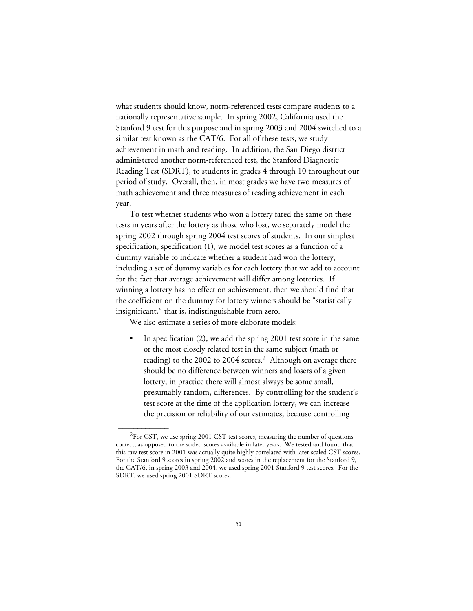what students should know, norm-referenced tests compare students to a nationally representative sample. In spring 2002, California used the Stanford 9 test for this purpose and in spring 2003 and 2004 switched to a similar test known as the CAT/6. For all of these tests, we study achievement in math and reading. In addition, the San Diego district administered another norm-referenced test, the Stanford Diagnostic Reading Test (SDRT), to students in grades 4 through 10 throughout our period of study. Overall, then, in most grades we have two measures of math achievement and three measures of reading achievement in each year.

To test whether students who won a lottery fared the same on these tests in years after the lottery as those who lost, we separately model the spring 2002 through spring 2004 test scores of students. In our simplest specification, specification (1), we model test scores as a function of a dummy variable to indicate whether a student had won the lottery, including a set of dummy variables for each lottery that we add to account for the fact that average achievement will differ among lotteries. If winning a lottery has no effect on achievement, then we should find that the coefficient on the dummy for lottery winners should be "statistically insignificant," that is, indistinguishable from zero.

We also estimate a series of more elaborate models:

 $\overline{\phantom{a}}$ 

In specification (2), we add the spring 2001 test score in the same or the most closely related test in the same subject (math or reading) to the 2002 to 2004 scores.2 Although on average there should be no difference between winners and losers of a given lottery, in practice there will almost always be some small, presumably random, differences. By controlling for the student's test score at the time of the application lottery, we can increase the precision or reliability of our estimates, because controlling

 ${}^{2}$ For CST, we use spring 2001 CST test scores, measuring the number of questions correct, as opposed to the scaled scores available in later years. We tested and found that this raw test score in 2001 was actually quite highly correlated with later scaled CST scores. For the Stanford 9 scores in spring 2002 and scores in the replacement for the Stanford 9, the CAT/6, in spring 2003 and 2004, we used spring 2001 Stanford 9 test scores. For the SDRT, we used spring 2001 SDRT scores.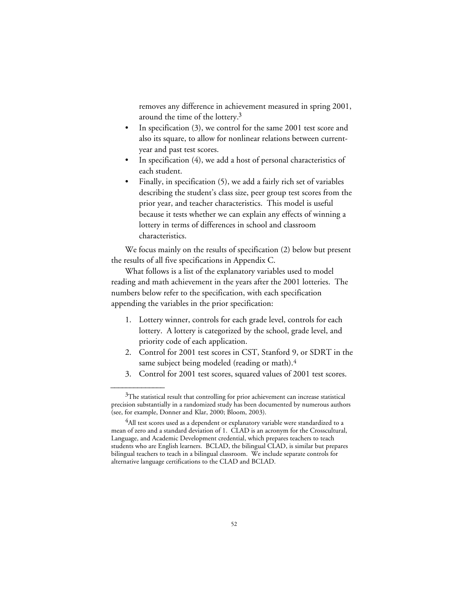removes any difference in achievement measured in spring 2001, around the time of the lottery.<sup>3</sup>

- In specification (3), we control for the same 2001 test score and also its square, to allow for nonlinear relations between currentyear and past test scores.
- In specification (4), we add a host of personal characteristics of each student.
- Finally, in specification (5), we add a fairly rich set of variables describing the student's class size, peer group test scores from the prior year, and teacher characteristics. This model is useful because it tests whether we can explain any effects of winning a lottery in terms of differences in school and classroom characteristics.

We focus mainly on the results of specification (2) below but present the results of all five specifications in Appendix C.

What follows is a list of the explanatory variables used to model reading and math achievement in the years after the 2001 lotteries. The numbers below refer to the specification, with each specification appending the variables in the prior specification:

- 1. Lottery winner, controls for each grade level, controls for each lottery. A lottery is categorized by the school, grade level, and priority code of each application.
- 2. Control for 2001 test scores in CST, Stanford 9, or SDRT in the same subject being modeled (reading or math).<sup>4</sup>
- 3. Control for 2001 test scores, squared values of 2001 test scores.

 $3$ The statistical result that controlling for prior achievement can increase statistical precision substantially in a randomized study has been documented by numerous authors (see, for example, Donner and Klar, 2000; Bloom, 2003).

<sup>&</sup>lt;sup>4</sup>All test scores used as a dependent or explanatory variable were standardized to a mean of zero and a standard deviation of 1. CLAD is an acronym for the Crosscultural, Language, and Academic Development credential, which prepares teachers to teach students who are English learners. BCLAD, the bilingual CLAD, is similar but prepares bilingual teachers to teach in a bilingual classroom. We include separate controls for alternative language certifications to the CLAD and BCLAD.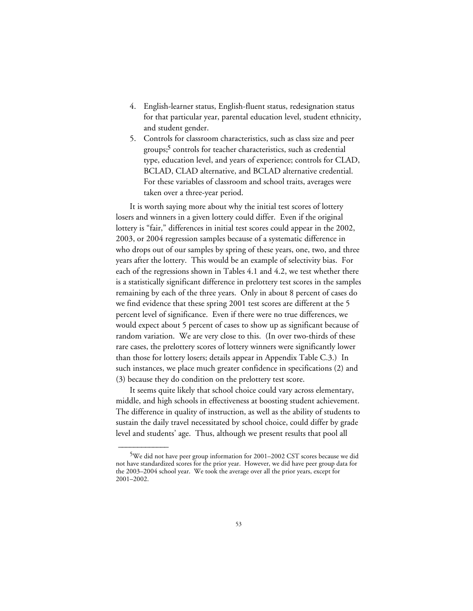- 4. English-learner status, English-fluent status, redesignation status for that particular year, parental education level, student ethnicity, and student gender.
- 5. Controls for classroom characteristics, such as class size and peer groups;5 controls for teacher characteristics, such as credential type, education level, and years of experience; controls for CLAD, BCLAD, CLAD alternative, and BCLAD alternative credential. For these variables of classroom and school traits, averages were taken over a three-year period.

It is worth saying more about why the initial test scores of lottery losers and winners in a given lottery could differ. Even if the original lottery is "fair," differences in initial test scores could appear in the 2002, 2003, or 2004 regression samples because of a systematic difference in who drops out of our samples by spring of these years, one, two, and three years after the lottery. This would be an example of selectivity bias. For each of the regressions shown in Tables 4.1 and 4.2, we test whether there is a statistically significant difference in prelottery test scores in the samples remaining by each of the three years. Only in about 8 percent of cases do we find evidence that these spring 2001 test scores are different at the 5 percent level of significance. Even if there were no true differences, we would expect about 5 percent of cases to show up as significant because of random variation. We are very close to this. (In over two-thirds of these rare cases, the prelottery scores of lottery winners were significantly lower than those for lottery losers; details appear in Appendix Table C.3.) In such instances, we place much greater confidence in specifications (2) and (3) because they do condition on the prelottery test score.

It seems quite likely that school choice could vary across elementary, middle, and high schools in effectiveness at boosting student achievement. The difference in quality of instruction, as well as the ability of students to sustain the daily travel necessitated by school choice, could differ by grade level and students' age. Thus, although we present results that pool all

<sup>5</sup>We did not have peer group information for 2001–2002 CST scores because we did not have standardized scores for the prior year. However, we did have peer group data for the 2003–2004 school year. We took the average over all the prior years, except for 2001–2002.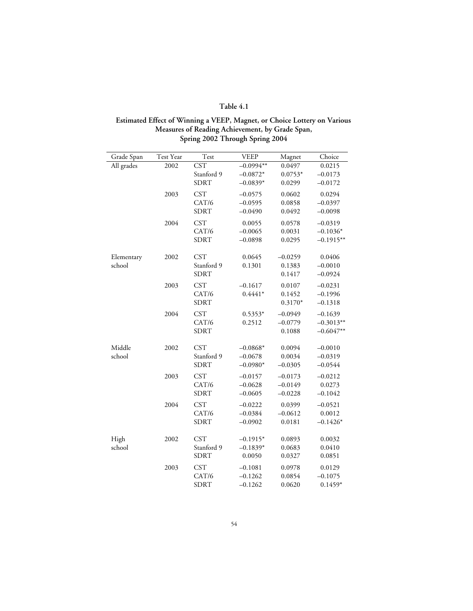## **Table 4.1**

## **Estimated Effect of Winning a VEEP, Magnet, or Choice Lottery on Various Measures of Reading Achievement, by Grade Span, Spring 2002 Through Spring 2004**

|            | Test Year | Test                      | <b>VEEP</b>              |                     | Choice                 |
|------------|-----------|---------------------------|--------------------------|---------------------|------------------------|
| Grade Span |           | <b>CST</b>                |                          | Magnet              |                        |
| All grades | 2002      |                           | $-0.0994**$              | 0.0497<br>$0.0753*$ | 0.0215                 |
|            |           | Stanford 9<br><b>SDRT</b> | $-0.0872*$<br>$-0.0839*$ | 0.0299              | $-0.0173$<br>$-0.0172$ |
|            |           |                           |                          |                     |                        |
|            | 2003      | <b>CST</b>                | $-0.0575$                | 0.0602              | 0.0294                 |
|            |           | CAT/6                     | $-0.0595$                | 0.0858              | $-0.0397$              |
|            |           | <b>SDRT</b>               | $-0.0490$                | 0.0492              | $-0.0098$              |
|            | 2004      | <b>CST</b>                | 0.0055                   | 0.0578              | $-0.0319$              |
|            |           | CAT/6                     | $-0.0065$                | 0.0031              | $-0.1036*$             |
|            |           | <b>SDRT</b>               | $-0.0898$                | 0.0295              | $-0.1915**$            |
| Elementary | 2002      | <b>CST</b>                | 0.0645                   | $-0.0259$           | 0.0406                 |
| school     |           | Stanford 9                | 0.1301                   | 0.1383              | $-0.0010$              |
|            |           | <b>SDRT</b>               |                          | 0.1417              | $-0.0924$              |
|            | 2003      | <b>CST</b>                | $-0.1617$                | 0.0107              | $-0.0231$              |
|            |           | CAT/6                     | $0.4441*$                | 0.1452              | $-0.1996$              |
|            |           | <b>SDRT</b>               |                          | $0.3170*$           | $-0.1318$              |
|            | 2004      | <b>CST</b>                | $0.5353*$                | $-0.0949$           | $-0.1639$              |
|            |           | CAT/6                     | 0.2512                   | $-0.0779$           | $-0.3013**$            |
|            |           | <b>SDRT</b>               |                          | 0.1088              | $-0.6047**$            |
| Middle     | 2002      | <b>CST</b>                | $-0.0868*$               | 0.0094              | $-0.0010$              |
| school     |           | Stanford 9                | $-0.0678$                | 0.0034              | $-0.0319$              |
|            |           | <b>SDRT</b>               | $-0.0980*$               | $-0.0305$           | $-0.0544$              |
|            | 2003      | <b>CST</b>                | $-0.0157$                | $-0.0173$           | $-0.0212$              |
|            |           | CAT/6                     | $-0.0628$                | $-0.0149$           | 0.0273                 |
|            |           | <b>SDRT</b>               | $-0.0605$                | $-0.0228$           | $-0.1042$              |
|            | 2004      | <b>CST</b>                | $-0.0222$                | 0.0399              | $-0.0521$              |
|            |           | CAT/6                     | $-0.0384$                | $-0.0612$           | 0.0012                 |
|            |           | <b>SDRT</b>               | $-0.0902$                | 0.0181              | $-0.1426*$             |
|            | 2002      | <b>CST</b>                |                          |                     |                        |
| High       |           |                           | $-0.1915*$               | 0.0893              | 0.0032                 |
| school     |           | Stanford 9<br><b>SDRT</b> | $-0.1839*$<br>0.0050     | 0.0683              | 0.0410                 |
|            |           |                           |                          | 0.0327              | 0.0851                 |
|            | 2003      | <b>CST</b>                | $-0.1081$                | 0.0978              | 0.0129                 |
|            |           | CAT/6                     | $-0.1262$                | 0.0854              | $-0.1075$              |
|            |           | <b>SDRT</b>               | $-0.1262$                | 0.0620              | $0.1459*$              |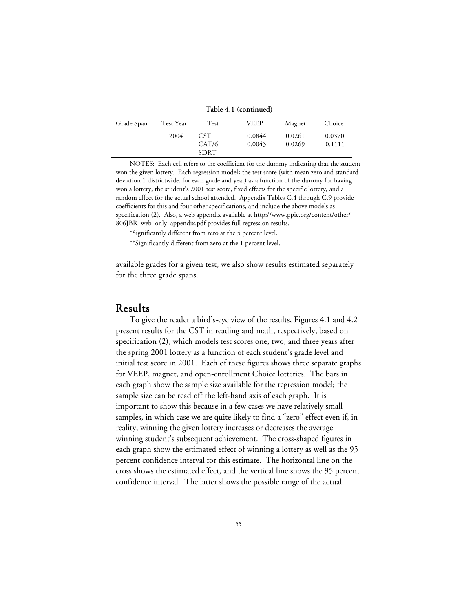**Table 4.1 (continued)**

| Grade Span | Test Year | Test        | VEEP   | Magnet | Choice    |  |
|------------|-----------|-------------|--------|--------|-----------|--|
|            | 2004      | CST         | 0.0844 | 0.0261 | 0.0370    |  |
|            |           | CAT/6       | 0.0043 | 0.0269 | $-0.1111$ |  |
|            |           | <b>SDRT</b> |        |        |           |  |

NOTES: Each cell refers to the coefficient for the dummy indicating that the student won the given lottery. Each regression models the test score (with mean zero and standard deviation 1 districtwide, for each grade and year) as a function of the dummy for having won a lottery, the student's 2001 test score, fixed effects for the specific lottery, and a random effect for the actual school attended. Appendix Tables C.4 through C.9 provide coefficients for this and four other specifications, and include the above models as specification (2). Also, a web appendix available at http://www.ppic.org/content/other/ 806JBR\_web\_only\_appendix.pdf provides full regression results.

\*Significantly different from zero at the 5 percent level.

\*\*Significantly different from zero at the 1 percent level.

available grades for a given test, we also show results estimated separately for the three grade spans.

## Results

To give the reader a bird's-eye view of the results, Figures 4.1 and 4.2 present results for the CST in reading and math, respectively, based on specification (2), which models test scores one, two, and three years after the spring 2001 lottery as a function of each student's grade level and initial test score in 2001. Each of these figures shows three separate graphs for VEEP, magnet, and open-enrollment Choice lotteries. The bars in each graph show the sample size available for the regression model; the sample size can be read off the left-hand axis of each graph. It is important to show this because in a few cases we have relatively small samples, in which case we are quite likely to find a "zero" effect even if, in reality, winning the given lottery increases or decreases the average winning student's subsequent achievement. The cross-shaped figures in each graph show the estimated effect of winning a lottery as well as the 95 percent confidence interval for this estimate. The horizontal line on the cross shows the estimated effect, and the vertical line shows the 95 percent confidence interval. The latter shows the possible range of the actual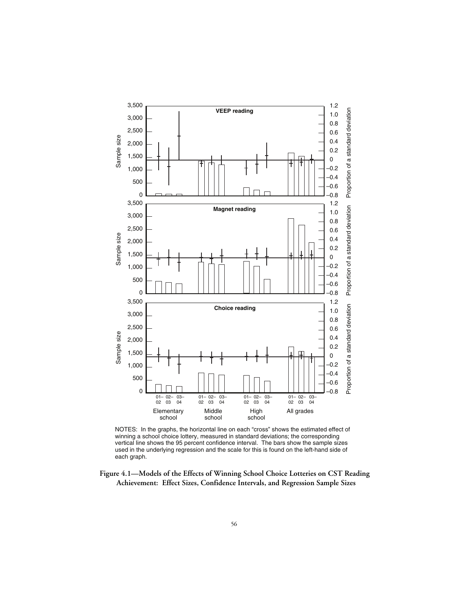

NOTES: In the graphs, the horizontal line on each "cross" shows the estimated effect of winning a school choice lottery, measured in standard deviations; the corresponding vertical line shows the 95 percent confidence interval. The bars show the sample sizes used in the underlying regression and the scale for this is found on the left-hand side of each graph.

**Figure 4.1—Models of the Effects of Winning School Choice Lotteries on CST Reading Achievement: Effect Sizes, Confidence Intervals, and Regression Sample Sizes**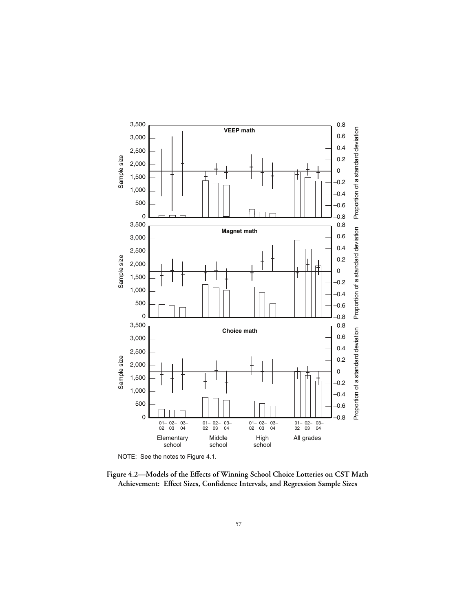

NOTE: See the notes to Figure 4.1.

**Figure 4.2—Models of the Effects of Winning School Choice Lotteries on CST Math Achievement: Effect Sizes, Confidence Intervals, and Regression Sample Sizes**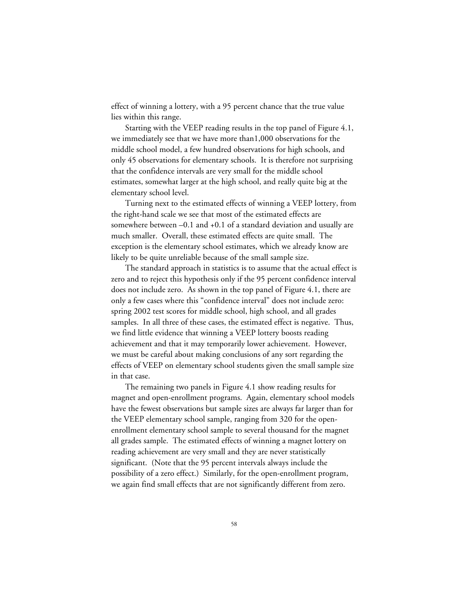effect of winning a lottery, with a 95 percent chance that the true value lies within this range.

Starting with the VEEP reading results in the top panel of Figure 4.1, we immediately see that we have more than1,000 observations for the middle school model, a few hundred observations for high schools, and only 45 observations for elementary schools. It is therefore not surprising that the confidence intervals are very small for the middle school estimates, somewhat larger at the high school, and really quite big at the elementary school level.

Turning next to the estimated effects of winning a VEEP lottery, from the right-hand scale we see that most of the estimated effects are somewhere between –0.1 and +0.1 of a standard deviation and usually are much smaller. Overall, these estimated effects are quite small. The exception is the elementary school estimates, which we already know are likely to be quite unreliable because of the small sample size.

The standard approach in statistics is to assume that the actual effect is zero and to reject this hypothesis only if the 95 percent confidence interval does not include zero. As shown in the top panel of Figure 4.1, there are only a few cases where this "confidence interval" does not include zero: spring 2002 test scores for middle school, high school, and all grades samples. In all three of these cases, the estimated effect is negative. Thus, we find little evidence that winning a VEEP lottery boosts reading achievement and that it may temporarily lower achievement. However, we must be careful about making conclusions of any sort regarding the effects of VEEP on elementary school students given the small sample size in that case.

The remaining two panels in Figure 4.1 show reading results for magnet and open-enrollment programs. Again, elementary school models have the fewest observations but sample sizes are always far larger than for the VEEP elementary school sample, ranging from 320 for the openenrollment elementary school sample to several thousand for the magnet all grades sample. The estimated effects of winning a magnet lottery on reading achievement are very small and they are never statistically significant. (Note that the 95 percent intervals always include the possibility of a zero effect.) Similarly, for the open-enrollment program, we again find small effects that are not significantly different from zero.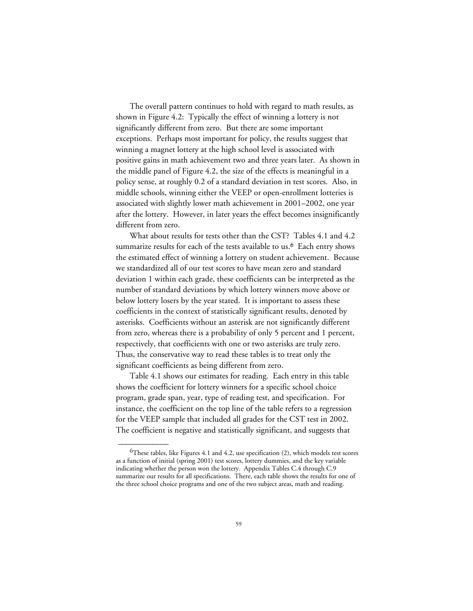The overall pattern continues to hold with regard to math results, as shown in Figure 4.2: Typically the effect of winning a lottery is not significantly different from zero. But there are some important exceptions. Perhaps most important for policy, the results suggest that winning a magnet lottery at the high school level is associated with positive gains in math achievement two and three years later. As shown in the middle panel of Figure 4.2, the size of the effects is meaningful in a policy sense, at roughly 0.2 of a standard deviation in test scores. Also, in middle schools, winning either the VEEP or open-enrollment lotteries is associated with slightly lower math achievement in 2001–2002, one year after the lottery. However, in later years the effect becomes insignificantly different from zero.

What about results for tests other than the CST? Tables 4.1 and 4.2 summarize results for each of the tests available to us.<sup>6</sup> Each entry shows the estimated effect of winning a lottery on student achievement. Because we standardized all of our test scores to have mean zero and standard deviation 1 within each grade, these coefficients can be interpreted as the number of standard deviations by which lottery winners move above or below lottery losers by the year stated. It is important to assess these coefficients in the context of statistically significant results, denoted by asterisks. Coefficients without an asterisk are not significantly different from zero, whereas there is a probability of only 5 percent and 1 percent, respectively, that coefficients with one or two asterisks are truly zero. Thus, the conservative way to read these tables is to treat only the significant coefficients as being different from zero.

Table 4.1 shows our estimates for reading. Each entry in this table shows the coefficient for lottery winners for a specific school choice program, grade span, year, type of reading test, and specification. For instance, the coefficient on the top line of the table refers to a regression for the VEEP sample that included all grades for the CST test in 2002. The coefficient is negative and statistically significant, and suggests that

 $6$ These tables, like Figures 4.1 and 4.2, use specification (2), which models test scores as a function of initial (spring 2001) test scores, lottery dummies, and the key variable indicating whether the person won the lottery. Appendix Tables C.4 through C.9 summarize our results for all specifications. There, each table shows the results for one of the three school choice programs and one of the two subject areas, math and reading.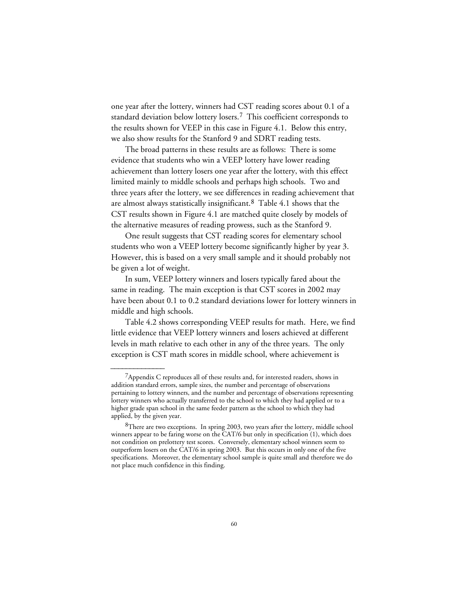one year after the lottery, winners had CST reading scores about 0.1 of a standard deviation below lottery losers.7 This coefficient corresponds to the results shown for VEEP in this case in Figure 4.1. Below this entry, we also show results for the Stanford 9 and SDRT reading tests.

The broad patterns in these results are as follows: There is some evidence that students who win a VEEP lottery have lower reading achievement than lottery losers one year after the lottery, with this effect limited mainly to middle schools and perhaps high schools. Two and three years after the lottery, we see differences in reading achievement that are almost always statistically insignificant.8 Table 4.1 shows that the CST results shown in Figure 4.1 are matched quite closely by models of the alternative measures of reading prowess, such as the Stanford 9.

One result suggests that CST reading scores for elementary school students who won a VEEP lottery become significantly higher by year 3. However, this is based on a very small sample and it should probably not be given a lot of weight.

In sum, VEEP lottery winners and losers typically fared about the same in reading. The main exception is that CST scores in 2002 may have been about 0.1 to 0.2 standard deviations lower for lottery winners in middle and high schools.

Table 4.2 shows corresponding VEEP results for math. Here, we find little evidence that VEEP lottery winners and losers achieved at different levels in math relative to each other in any of the three years. The only exception is CST math scores in middle school, where achievement is

<sup>7</sup>Appendix C reproduces all of these results and, for interested readers, shows in addition standard errors, sample sizes, the number and percentage of observations pertaining to lottery winners, and the number and percentage of observations representing lottery winners who actually transferred to the school to which they had applied or to a higher grade span school in the same feeder pattern as the school to which they had applied, by the given year.

<sup>8</sup>There are two exceptions. In spring 2003, two years after the lottery, middle school winners appear to be faring worse on the CAT/6 but only in specification (1), which does not condition on prelottery test scores. Conversely, elementary school winners seem to outperform losers on the CAT/6 in spring 2003. But this occurs in only one of the five specifications. Moreover, the elementary school sample is quite small and therefore we do not place much confidence in this finding.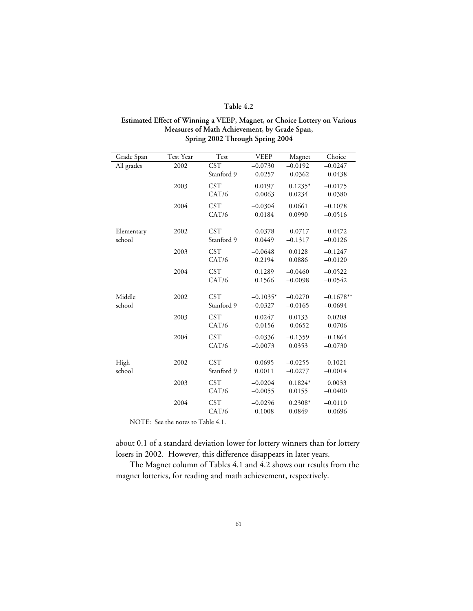### **Table 4.2**

### **Estimated Effect of Winning a VEEP, Magnet, or Choice Lottery on Various Measures of Math Achievement, by Grade Span, Spring 2002 Through Spring 2004**

| Grade Span | Test Year | Test       | <b>VEEP</b> | Magnet    | Choice      |
|------------|-----------|------------|-------------|-----------|-------------|
| All grades | 2002      | <b>CST</b> | $-0.0730$   | $-0.0192$ | $-0.0247$   |
|            |           | Stanford 9 | $-0.0257$   | $-0.0362$ | $-0.0438$   |
|            | 2003      | <b>CST</b> | 0.0197      | $0.1235*$ | $-0.0175$   |
|            |           | CAT/6      | $-0.0063$   | 0.0234    | $-0.0380$   |
|            | 2004      | <b>CST</b> | $-0.0304$   | 0.0661    | $-0.1078$   |
|            |           | CAT/6      | 0.0184      | 0.0990    | $-0.0516$   |
|            |           |            |             |           |             |
| Elementary | 2002      | <b>CST</b> | $-0.0378$   | $-0.0717$ | $-0.0472$   |
| school     |           | Stanford 9 | 0.0449      | $-0.1317$ | $-0.0126$   |
|            | 2003      | <b>CST</b> | $-0.0648$   | 0.0128    | $-0.1247$   |
|            |           | CAT/6      | 0.2194      | 0.0886    | $-0.0120$   |
|            | 2004      | <b>CST</b> | 0.1289      | $-0.0460$ | $-0.0522$   |
|            |           | CAT/6      | 0.1566      | $-0.0098$ | $-0.0542$   |
|            |           |            |             |           |             |
| Middle     | 2002      | <b>CST</b> | $-0.1035*$  | $-0.0270$ | $-0.1678**$ |
| school     |           | Stanford 9 | $-0.0327$   | $-0.0165$ | $-0.0694$   |
|            | 2003      | <b>CST</b> | 0.0247      | 0.0133    | 0.0208      |
|            |           | CAT/6      | $-0.0156$   | $-0.0652$ | $-0.0706$   |
|            | 2004      | <b>CST</b> | $-0.0336$   | $-0.1359$ | $-0.1864$   |
|            |           | CAT/6      | $-0.0073$   | 0.0353    | $-0.0730$   |
|            |           |            |             |           |             |
| High       | 2002      | <b>CST</b> | 0.0695      | $-0.0255$ | 0.1021      |
| school     |           | Stanford 9 | 0.0011      | $-0.0277$ | $-0.0014$   |
|            | 2003      | <b>CST</b> | $-0.0204$   | $0.1824*$ | 0.0033      |
|            |           | CAT/6      | $-0.0055$   | 0.0155    | $-0.0400$   |
|            | 2004      | <b>CST</b> | $-0.0296$   | $0.2308*$ | $-0.0110$   |
|            |           | CAT/6      | 0.1008      | 0.0849    | $-0.0696$   |

NOTE: See the notes to Table 4.1.

about 0.1 of a standard deviation lower for lottery winners than for lottery losers in 2002. However, this difference disappears in later years.

The Magnet column of Tables 4.1 and 4.2 shows our results from the magnet lotteries, for reading and math achievement, respectively.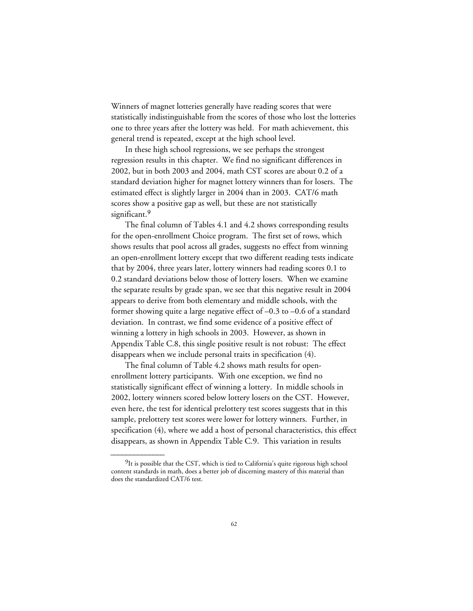Winners of magnet lotteries generally have reading scores that were statistically indistinguishable from the scores of those who lost the lotteries one to three years after the lottery was held. For math achievement, this general trend is repeated, except at the high school level.

In these high school regressions, we see perhaps the strongest regression results in this chapter. We find no significant differences in 2002, but in both 2003 and 2004, math CST scores are about 0.2 of a standard deviation higher for magnet lottery winners than for losers. The estimated effect is slightly larger in 2004 than in 2003. CAT/6 math scores show a positive gap as well, but these are not statistically significant.<sup>9</sup>

The final column of Tables 4.1 and 4.2 shows corresponding results for the open-enrollment Choice program. The first set of rows, which shows results that pool across all grades, suggests no effect from winning an open-enrollment lottery except that two different reading tests indicate that by 2004, three years later, lottery winners had reading scores 0.1 to 0.2 standard deviations below those of lottery losers. When we examine the separate results by grade span, we see that this negative result in 2004 appears to derive from both elementary and middle schools, with the former showing quite a large negative effect of –0.3 to –0.6 of a standard deviation. In contrast, we find some evidence of a positive effect of winning a lottery in high schools in 2003. However, as shown in Appendix Table C.8, this single positive result is not robust: The effect disappears when we include personal traits in specification (4).

The final column of Table 4.2 shows math results for openenrollment lottery participants. With one exception, we find no statistically significant effect of winning a lottery. In middle schools in 2002, lottery winners scored below lottery losers on the CST. However, even here, the test for identical prelottery test scores suggests that in this sample, prelottery test scores were lower for lottery winners. Further, in specification (4), where we add a host of personal characteristics, this effect disappears, as shown in Appendix Table C.9. This variation in results

<sup>&</sup>lt;sup>9</sup>It is possible that the CST, which is tied to California's quite rigorous high school content standards in math, does a better job of discerning mastery of this material than does the standardized CAT/6 test.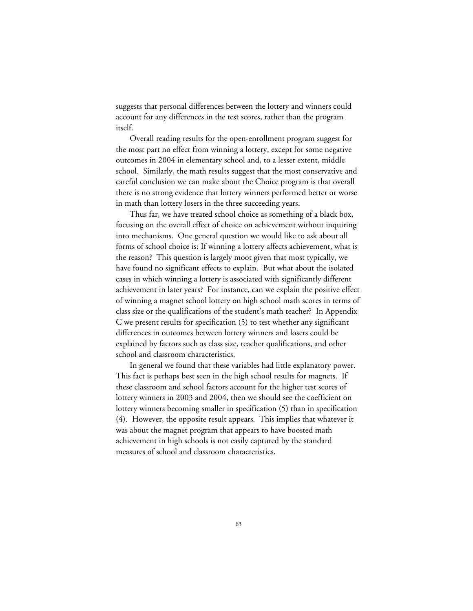suggests that personal differences between the lottery and winners could account for any differences in the test scores, rather than the program itself.

Overall reading results for the open-enrollment program suggest for the most part no effect from winning a lottery, except for some negative outcomes in 2004 in elementary school and, to a lesser extent, middle school. Similarly, the math results suggest that the most conservative and careful conclusion we can make about the Choice program is that overall there is no strong evidence that lottery winners performed better or worse in math than lottery losers in the three succeeding years.

Thus far, we have treated school choice as something of a black box, focusing on the overall effect of choice on achievement without inquiring into mechanisms. One general question we would like to ask about all forms of school choice is: If winning a lottery affects achievement, what is the reason? This question is largely moot given that most typically, we have found no significant effects to explain. But what about the isolated cases in which winning a lottery is associated with significantly different achievement in later years? For instance, can we explain the positive effect of winning a magnet school lottery on high school math scores in terms of class size or the qualifications of the student's math teacher? In Appendix C we present results for specification (5) to test whether any significant differences in outcomes between lottery winners and losers could be explained by factors such as class size, teacher qualifications, and other school and classroom characteristics.

In general we found that these variables had little explanatory power. This fact is perhaps best seen in the high school results for magnets. If these classroom and school factors account for the higher test scores of lottery winners in 2003 and 2004, then we should see the coefficient on lottery winners becoming smaller in specification (5) than in specification (4). However, the opposite result appears. This implies that whatever it was about the magnet program that appears to have boosted math achievement in high schools is not easily captured by the standard measures of school and classroom characteristics.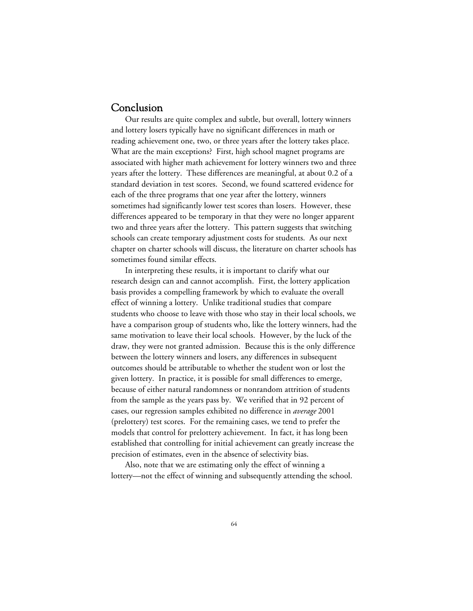# Conclusion

Our results are quite complex and subtle, but overall, lottery winners and lottery losers typically have no significant differences in math or reading achievement one, two, or three years after the lottery takes place. What are the main exceptions? First, high school magnet programs are associated with higher math achievement for lottery winners two and three years after the lottery. These differences are meaningful, at about 0.2 of a standard deviation in test scores. Second, we found scattered evidence for each of the three programs that one year after the lottery, winners sometimes had significantly lower test scores than losers. However, these differences appeared to be temporary in that they were no longer apparent two and three years after the lottery. This pattern suggests that switching schools can create temporary adjustment costs for students. As our next chapter on charter schools will discuss, the literature on charter schools has sometimes found similar effects.

In interpreting these results, it is important to clarify what our research design can and cannot accomplish. First, the lottery application basis provides a compelling framework by which to evaluate the overall effect of winning a lottery. Unlike traditional studies that compare students who choose to leave with those who stay in their local schools, we have a comparison group of students who, like the lottery winners, had the same motivation to leave their local schools. However, by the luck of the draw, they were not granted admission. Because this is the only difference between the lottery winners and losers, any differences in subsequent outcomes should be attributable to whether the student won or lost the given lottery. In practice, it is possible for small differences to emerge, because of either natural randomness or nonrandom attrition of students from the sample as the years pass by. We verified that in 92 percent of cases, our regression samples exhibited no difference in *average* 2001 (prelottery) test scores. For the remaining cases, we tend to prefer the models that control for prelottery achievement. In fact, it has long been established that controlling for initial achievement can greatly increase the precision of estimates, even in the absence of selectivity bias.

Also, note that we are estimating only the effect of winning a lottery—not the effect of winning and subsequently attending the school.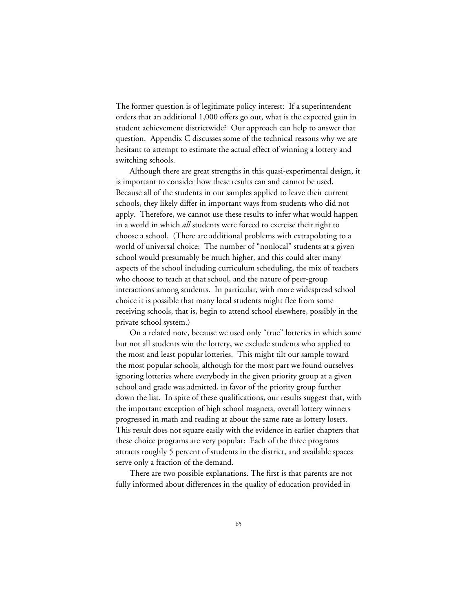The former question is of legitimate policy interest: If a superintendent orders that an additional 1,000 offers go out, what is the expected gain in student achievement districtwide? Our approach can help to answer that question. Appendix C discusses some of the technical reasons why we are hesitant to attempt to estimate the actual effect of winning a lottery and switching schools.

Although there are great strengths in this quasi-experimental design, it is important to consider how these results can and cannot be used. Because all of the students in our samples applied to leave their current schools, they likely differ in important ways from students who did not apply. Therefore, we cannot use these results to infer what would happen in a world in which *all* students were forced to exercise their right to choose a school. (There are additional problems with extrapolating to a world of universal choice: The number of "nonlocal" students at a given school would presumably be much higher, and this could alter many aspects of the school including curriculum scheduling, the mix of teachers who choose to teach at that school, and the nature of peer-group interactions among students. In particular, with more widespread school choice it is possible that many local students might flee from some receiving schools, that is, begin to attend school elsewhere, possibly in the private school system.)

On a related note, because we used only "true" lotteries in which some but not all students win the lottery, we exclude students who applied to the most and least popular lotteries. This might tilt our sample toward the most popular schools, although for the most part we found ourselves ignoring lotteries where everybody in the given priority group at a given school and grade was admitted, in favor of the priority group further down the list. In spite of these qualifications, our results suggest that, with the important exception of high school magnets, overall lottery winners progressed in math and reading at about the same rate as lottery losers. This result does not square easily with the evidence in earlier chapters that these choice programs are very popular: Each of the three programs attracts roughly 5 percent of students in the district, and available spaces serve only a fraction of the demand.

There are two possible explanations. The first is that parents are not fully informed about differences in the quality of education provided in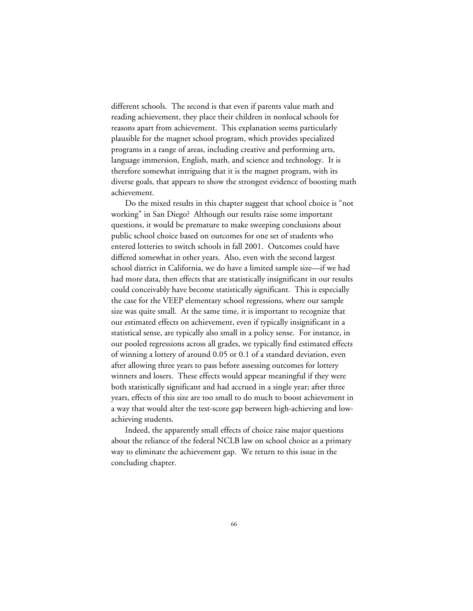different schools. The second is that even if parents value math and reading achievement, they place their children in nonlocal schools for reasons apart from achievement. This explanation seems particularly plausible for the magnet school program, which provides specialized programs in a range of areas, including creative and performing arts, language immersion, English, math, and science and technology. It is therefore somewhat intriguing that it is the magnet program, with its diverse goals, that appears to show the strongest evidence of boosting math achievement.

Do the mixed results in this chapter suggest that school choice is "not working" in San Diego? Although our results raise some important questions, it would be premature to make sweeping conclusions about public school choice based on outcomes for one set of students who entered lotteries to switch schools in fall 2001. Outcomes could have differed somewhat in other years. Also, even with the second largest school district in California, we do have a limited sample size—if we had had more data, then effects that are statistically insignificant in our results could conceivably have become statistically significant. This is especially the case for the VEEP elementary school regressions, where our sample size was quite small. At the same time, it is important to recognize that our estimated effects on achievement, even if typically insignificant in a statistical sense, are typically also small in a policy sense. For instance, in our pooled regressions across all grades, we typically find estimated effects of winning a lottery of around 0.05 or 0.1 of a standard deviation, even after allowing three years to pass before assessing outcomes for lottery winners and losers. These effects would appear meaningful if they were both statistically significant and had accrued in a single year; after three years, effects of this size are too small to do much to boost achievement in a way that would alter the test-score gap between high-achieving and lowachieving students.

Indeed, the apparently small effects of choice raise major questions about the reliance of the federal NCLB law on school choice as a primary way to eliminate the achievement gap. We return to this issue in the concluding chapter.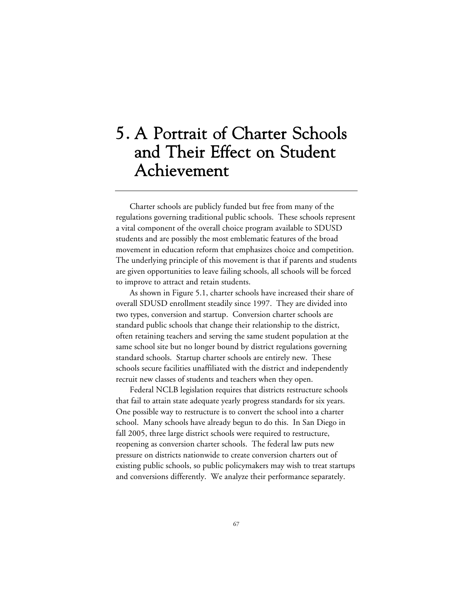# 5. A Portrait of Charter Schools and Their Effect on Student Achievement

Charter schools are publicly funded but free from many of the regulations governing traditional public schools. These schools represent a vital component of the overall choice program available to SDUSD students and are possibly the most emblematic features of the broad movement in education reform that emphasizes choice and competition. The underlying principle of this movement is that if parents and students are given opportunities to leave failing schools, all schools will be forced to improve to attract and retain students.

As shown in Figure 5.1, charter schools have increased their share of overall SDUSD enrollment steadily since 1997. They are divided into two types, conversion and startup. Conversion charter schools are standard public schools that change their relationship to the district, often retaining teachers and serving the same student population at the same school site but no longer bound by district regulations governing standard schools. Startup charter schools are entirely new. These schools secure facilities unaffiliated with the district and independently recruit new classes of students and teachers when they open.

Federal NCLB legislation requires that districts restructure schools that fail to attain state adequate yearly progress standards for six years. One possible way to restructure is to convert the school into a charter school. Many schools have already begun to do this. In San Diego in fall 2005, three large district schools were required to restructure, reopening as conversion charter schools. The federal law puts new pressure on districts nationwide to create conversion charters out of existing public schools, so public policymakers may wish to treat startups and conversions differently. We analyze their performance separately.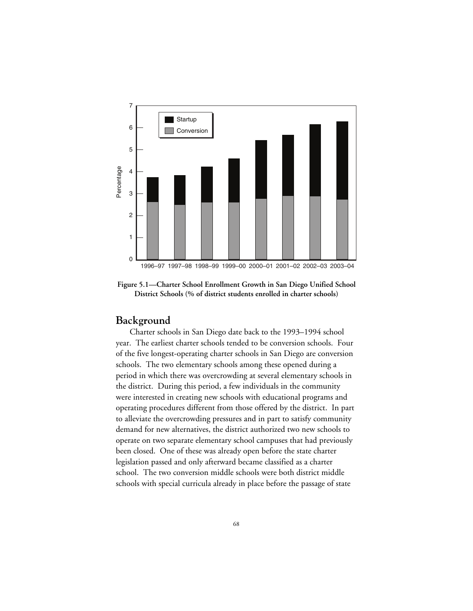

**Figure 5.1—Charter School Enrollment Growth in San Diego Unified School District Schools (% of district students enrolled in charter schools)**

## **Background**

Charter schools in San Diego date back to the 1993–1994 school year. The earliest charter schools tended to be conversion schools. Four of the five longest-operating charter schools in San Diego are conversion schools. The two elementary schools among these opened during a period in which there was overcrowding at several elementary schools in the district. During this period, a few individuals in the community were interested in creating new schools with educational programs and operating procedures different from those offered by the district. In part to alleviate the overcrowding pressures and in part to satisfy community demand for new alternatives, the district authorized two new schools to operate on two separate elementary school campuses that had previously been closed. One of these was already open before the state charter legislation passed and only afterward became classified as a charter school. The two conversion middle schools were both district middle schools with special curricula already in place before the passage of state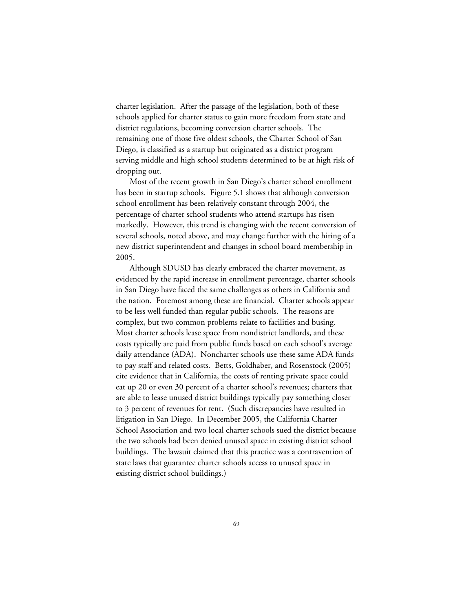charter legislation. After the passage of the legislation, both of these schools applied for charter status to gain more freedom from state and district regulations, becoming conversion charter schools. The remaining one of those five oldest schools, the Charter School of San Diego, is classified as a startup but originated as a district program serving middle and high school students determined to be at high risk of dropping out.

Most of the recent growth in San Diego's charter school enrollment has been in startup schools. Figure 5.1 shows that although conversion school enrollment has been relatively constant through 2004, the percentage of charter school students who attend startups has risen markedly. However, this trend is changing with the recent conversion of several schools, noted above, and may change further with the hiring of a new district superintendent and changes in school board membership in 2005.

Although SDUSD has clearly embraced the charter movement, as evidenced by the rapid increase in enrollment percentage, charter schools in San Diego have faced the same challenges as others in California and the nation. Foremost among these are financial. Charter schools appear to be less well funded than regular public schools. The reasons are complex, but two common problems relate to facilities and busing. Most charter schools lease space from nondistrict landlords, and these costs typically are paid from public funds based on each school's average daily attendance (ADA). Noncharter schools use these same ADA funds to pay staff and related costs. Betts, Goldhaber, and Rosenstock (2005) cite evidence that in California, the costs of renting private space could eat up 20 or even 30 percent of a charter school's revenues; charters that are able to lease unused district buildings typically pay something closer to 3 percent of revenues for rent. (Such discrepancies have resulted in litigation in San Diego. In December 2005, the California Charter School Association and two local charter schools sued the district because the two schools had been denied unused space in existing district school buildings. The lawsuit claimed that this practice was a contravention of state laws that guarantee charter schools access to unused space in existing district school buildings.)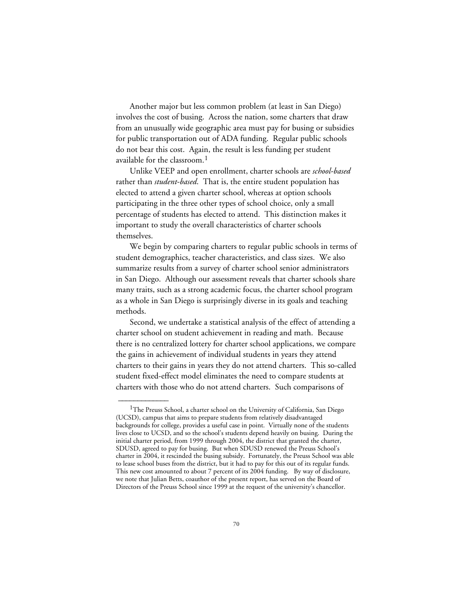Another major but less common problem (at least in San Diego) involves the cost of busing. Across the nation, some charters that draw from an unusually wide geographic area must pay for busing or subsidies for public transportation out of ADA funding. Regular public schools do not bear this cost. Again, the result is less funding per student available for the classroom.<sup>1</sup>

Unlike VEEP and open enrollment, charter schools are *school-based* rather than *student-based*. That is, the entire student population has elected to attend a given charter school, whereas at option schools participating in the three other types of school choice, only a small percentage of students has elected to attend. This distinction makes it important to study the overall characteristics of charter schools themselves.

We begin by comparing charters to regular public schools in terms of student demographics, teacher characteristics, and class sizes. We also summarize results from a survey of charter school senior administrators in San Diego. Although our assessment reveals that charter schools share many traits, such as a strong academic focus, the charter school program as a whole in San Diego is surprisingly diverse in its goals and teaching methods.

Second, we undertake a statistical analysis of the effect of attending a charter school on student achievement in reading and math. Because there is no centralized lottery for charter school applications, we compare the gains in achievement of individual students in years they attend charters to their gains in years they do not attend charters. This so-called student fixed-effect model eliminates the need to compare students at charters with those who do not attend charters. Such comparisons of

<sup>&</sup>lt;sup>1</sup>The Preuss School, a charter school on the University of California, San Diego (UCSD), campus that aims to prepare students from relatively disadvantaged backgrounds for college, provides a useful case in point. Virtually none of the students lives close to UCSD, and so the school's students depend heavily on busing. During the initial charter period, from 1999 through 2004, the district that granted the charter, SDUSD, agreed to pay for busing. But when SDUSD renewed the Preuss School's charter in 2004, it rescinded the busing subsidy. Fortunately, the Preuss School was able to lease school buses from the district, but it had to pay for this out of its regular funds. This new cost amounted to about 7 percent of its 2004 funding. By way of disclosure, we note that Julian Betts, coauthor of the present report, has served on the Board of Directors of the Preuss School since 1999 at the request of the university's chancellor.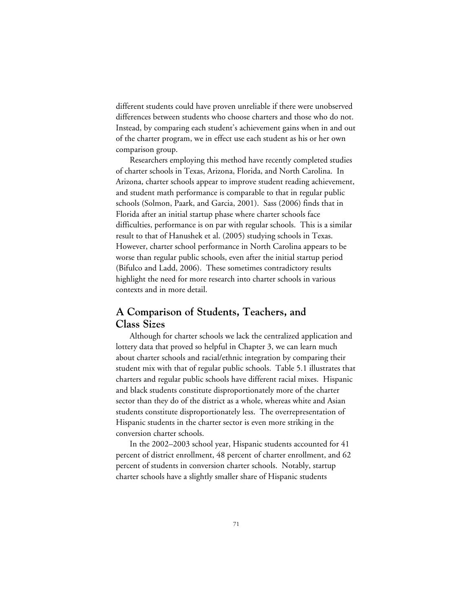different students could have proven unreliable if there were unobserved differences between students who choose charters and those who do not. Instead, by comparing each student's achievement gains when in and out of the charter program, we in effect use each student as his or her own comparison group.

Researchers employing this method have recently completed studies of charter schools in Texas, Arizona, Florida, and North Carolina. In Arizona, charter schools appear to improve student reading achievement, and student math performance is comparable to that in regular public schools (Solmon, Paark, and Garcia, 2001). Sass (2006) finds that in Florida after an initial startup phase where charter schools face difficulties, performance is on par with regular schools. This is a similar result to that of Hanushek et al. (2005) studying schools in Texas. However, charter school performance in North Carolina appears to be worse than regular public schools, even after the initial startup period (Bifulco and Ladd, 2006). These sometimes contradictory results highlight the need for more research into charter schools in various contexts and in more detail.

# **A Comparison of Students, Teachers, and Class Sizes**

Although for charter schools we lack the centralized application and lottery data that proved so helpful in Chapter 3, we can learn much about charter schools and racial/ethnic integration by comparing their student mix with that of regular public schools. Table 5.1 illustrates that charters and regular public schools have different racial mixes. Hispanic and black students constitute disproportionately more of the charter sector than they do of the district as a whole, whereas white and Asian students constitute disproportionately less. The overrepresentation of Hispanic students in the charter sector is even more striking in the conversion charter schools.

In the 2002–2003 school year, Hispanic students accounted for 41 percent of district enrollment, 48 percent of charter enrollment, and 62 percent of students in conversion charter schools. Notably, startup charter schools have a slightly smaller share of Hispanic students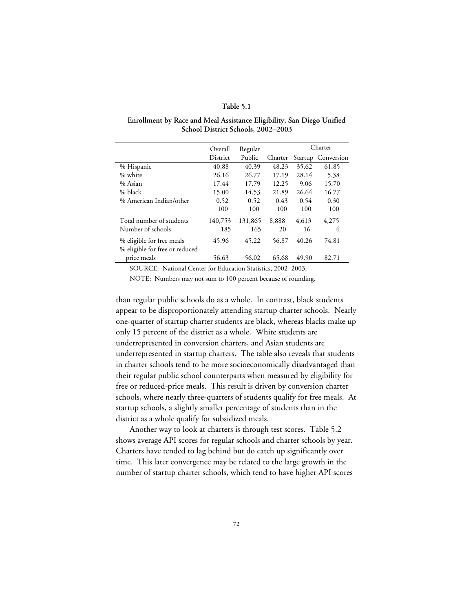#### **Table 5.1**

#### **Enrollment by Race and Meal Assistance Eligibility, San Diego Unified School District Schools, 2002–2003**

|                                 | Overall  | Regular |         |         | Charter    |  |
|---------------------------------|----------|---------|---------|---------|------------|--|
|                                 | District | Public  | Charter | Startup | Conversion |  |
| % Hispanic                      | 40.88    | 40.39   | 48.23   | 35.62   | 61.85      |  |
| % white                         | 26.16    | 26.77   | 17.19   | 28.14   | 5.38       |  |
| % Asian                         | 17.44    | 17.79   | 12.25   | 9.06    | 15.70      |  |
| % black                         | 15.00    | 14.53   | 21.89   | 26.64   | 16.77      |  |
| % American Indian/other         | 0.52     | 0.52    | 0.43    | 0.54    | 0.30       |  |
|                                 | 100      | 100     | 100     | 100     | 100        |  |
| Total number of students        | 140,753  | 131,865 | 8,888   | 4,613   | 4.275      |  |
| Number of schools               | 185      | 165     | 20      | 16      | 4          |  |
| % eligible for free meals       | 45.96    | 45.22   | 56.87   | 40.26   | 74.81      |  |
| % eligible for free or reduced- |          |         |         |         |            |  |
| price meals                     | 56.63    | 56.02   | 65.68   | 49.90   | 82.71      |  |

SOURCE: National Center for Education Statistics, 2002–2003.

NOTE: Numbers may not sum to 100 percent because of rounding.

than regular public schools do as a whole. In contrast, black students appear to be disproportionately attending startup charter schools. Nearly one-quarter of startup charter students are black, whereas blacks make up only 15 percent of the district as a whole. White students are underrepresented in conversion charters, and Asian students are underrepresented in startup charters. The table also reveals that students in charter schools tend to be more socioeconomically disadvantaged than their regular public school counterparts when measured by eligibility for free or reduced-price meals. This result is driven by conversion charter schools, where nearly three-quarters of students qualify for free meals. At startup schools, a slightly smaller percentage of students than in the district as a whole qualify for subsidized meals.

Another way to look at charters is through test scores. Table 5.2 shows average API scores for regular schools and charter schools by year. Charters have tended to lag behind but do catch up significantly over time. This later convergence may be related to the large growth in the number of startup charter schools, which tend to have higher API scores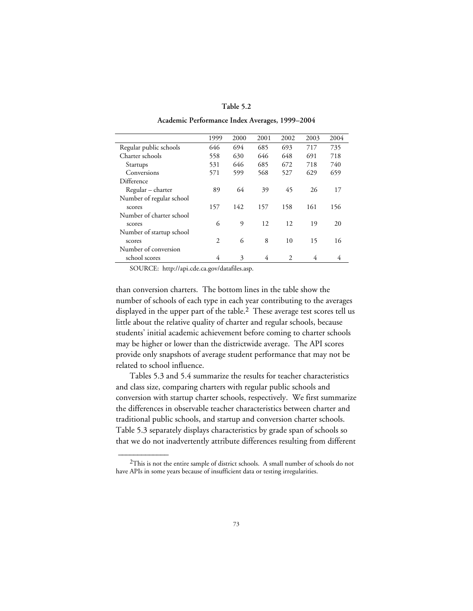#### **Table 5.2**

#### **Academic Performance Index Averages, 1999–2004**

|                          | 1999           | 2000 | 2001 | 2002 | 2003 | 2004 |
|--------------------------|----------------|------|------|------|------|------|
| Regular public schools   | 646            | 694  | 685  | 693  | 717  | 735  |
| Charter schools          | 558            | 630  | 646  | 648  | 691  | 718  |
| Startups                 | 531            | 646  | 685  | 672  | 718  | 740  |
| Conversions              | 571            | 599  | 568  | 527  | 629  | 659  |
| Difference               |                |      |      |      |      |      |
| Regular – charter        | 89             | 64   | 39   | 45   | 26   | 17   |
| Number of regular school |                |      |      |      |      |      |
| scores                   | 157            | 142  | 157  | 158  | 161  | 156  |
| Number of charter school |                |      |      |      |      |      |
| scores                   | 6              | 9    | 12   | 12   | 19   | 20   |
| Number of startup school |                |      |      |      |      |      |
| scores                   | $\mathfrak{D}$ | 6    | 8    | 10   | 15   | 16   |
| Number of conversion     |                |      |      |      |      |      |
| school scores            | 4              | 3    | 4    | 2    | 4    | 4    |

SOURCE: http://api.cde.ca.gov/datafiles.asp.

 $\overline{\phantom{a}}$ 

than conversion charters. The bottom lines in the table show the number of schools of each type in each year contributing to the averages displayed in the upper part of the table.<sup>2</sup> These average test scores tell us little about the relative quality of charter and regular schools, because students' initial academic achievement before coming to charter schools may be higher or lower than the districtwide average. The API scores provide only snapshots of average student performance that may not be related to school influence.

Tables 5.3 and 5.4 summarize the results for teacher characteristics and class size, comparing charters with regular public schools and conversion with startup charter schools, respectively. We first summarize the differences in observable teacher characteristics between charter and traditional public schools, and startup and conversion charter schools. Table 5.3 separately displays characteristics by grade span of schools so that we do not inadvertently attribute differences resulting from different

<sup>&</sup>lt;sup>2</sup>This is not the entire sample of district schools. A small number of schools do not have APIs in some years because of insufficient data or testing irregularities.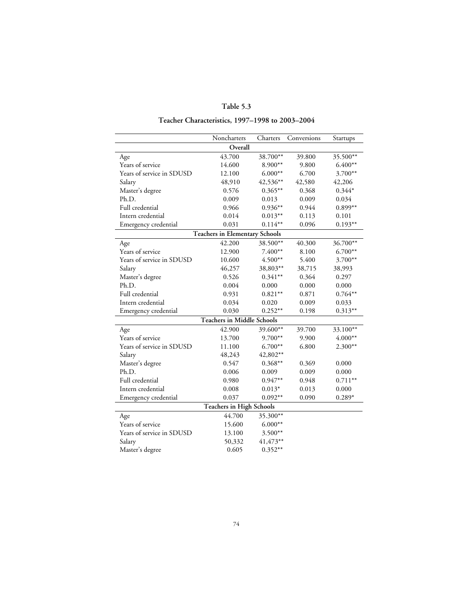# **Table 5.3**

# **Teacher Characteristics, 1997–1998 to 2003–2004**

|                                   | Noncharters                           | Charters           | Conversions | Startups  |  |  |  |  |
|-----------------------------------|---------------------------------------|--------------------|-------------|-----------|--|--|--|--|
| Overall                           |                                       |                    |             |           |  |  |  |  |
| Age                               | 43.700                                | 38.700**           | 39.800      | 35.500**  |  |  |  |  |
| Years of service                  | 14.600                                | $8.900**$          | 9.800       | $6.400**$ |  |  |  |  |
| Years of service in SDUSD         | 12.100                                | $6.000**$          | 6.700       | 3.700**   |  |  |  |  |
| Salary                            | 48,910                                | 42,536**           | 42,580      | 42,206    |  |  |  |  |
| Master's degree                   | 0.576                                 | $0.365***$         | 0.368       | $0.344*$  |  |  |  |  |
| Ph.D.                             | 0.009                                 | 0.013              | 0.009       | 0.034     |  |  |  |  |
| Full credential                   | 0.966                                 | $0.936**$<br>0.944 |             | $0.899**$ |  |  |  |  |
| Intern credential                 | 0.014                                 | 0.113<br>$0.013**$ |             | 0.101     |  |  |  |  |
| Emergency credential              | 0.031                                 | $0.114***$         | 0.096       | $0.193**$ |  |  |  |  |
|                                   | <b>Teachers in Elementary Schools</b> |                    |             |           |  |  |  |  |
| Age                               | 42.200                                | 38.500**           | 40.300      | 36.700**  |  |  |  |  |
| Years of service                  | 12.900                                | 7.400**            | 8.100       | $6.700**$ |  |  |  |  |
| Years of service in SDUSD         | 10.600                                | $4.500**$          | 5.400       | 3.700**   |  |  |  |  |
| Salary                            | 46,257                                | 38,803**           | 38,715      | 38,993    |  |  |  |  |
| Master's degree                   | 0.526                                 | $0.341**$          | 0.364       | 0.297     |  |  |  |  |
| Ph.D.                             | 0.004                                 | 0.000              | 0.000       | 0.000     |  |  |  |  |
| Full credential                   | 0.931                                 | $0.821**$          | 0.871       | $0.764**$ |  |  |  |  |
| Intern credential                 | 0.034                                 | 0.020              | 0.009       | 0.033     |  |  |  |  |
| Emergency credential              | 0.030                                 | $0.252**$          | 0.198       | $0.313**$ |  |  |  |  |
| <b>Teachers in Middle Schools</b> |                                       |                    |             |           |  |  |  |  |
| Age                               | 42.900                                | 39.600**           | 39.700      | 33.100**  |  |  |  |  |
| Years of service                  | 13.700                                | $9.700**$          | 9.900       | $4.000**$ |  |  |  |  |
| Years of service in SDUSD         | 11.100                                | 6.700**            | 6.800       | $2.300**$ |  |  |  |  |
| Salary                            | 48,243                                | 42,802**           |             |           |  |  |  |  |
| Master's degree                   | 0.547                                 | $0.368**$          | 0.369       | 0.000     |  |  |  |  |
| Ph.D.                             | 0.006                                 | 0.009              | 0.009       | 0.000     |  |  |  |  |
| Full credential                   | 0.980                                 | $0.947**$          | 0.948       | $0.711**$ |  |  |  |  |
| Intern credential                 | 0.008                                 | $0.013*$           | 0.013       | 0.000     |  |  |  |  |
| Emergency credential              | 0.037                                 | $0.092**$          | 0.090       | $0.289*$  |  |  |  |  |
| <b>Teachers in High Schools</b>   |                                       |                    |             |           |  |  |  |  |
| Age                               | 44.700                                | 35.300**           |             |           |  |  |  |  |
| Years of service                  | 15.600                                | $6.000**$          |             |           |  |  |  |  |
| Years of service in SDUSD         | 13.100                                | 3.500**            |             |           |  |  |  |  |
| Salary                            | 50,332                                | 41, 473**          |             |           |  |  |  |  |
| Master's degree                   | 0.605                                 | $0.352**$          |             |           |  |  |  |  |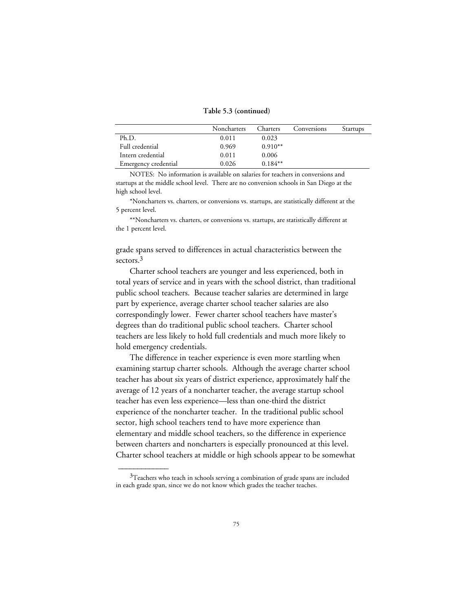**Table 5.3 (continued)**

|                      | Noncharters | Charters  | Conversions | Startups |
|----------------------|-------------|-----------|-------------|----------|
| Ph.D.                | 0.011       | 0.023     |             |          |
| Full credential      | 0.969       | $0.910**$ |             |          |
| Intern credential    | 0.011       | 0.006     |             |          |
| Emergency credential | 0.026       | $0.184**$ |             |          |

NOTES: No information is available on salaries for teachers in conversions and startups at the middle school level. There are no conversion schools in San Diego at the high school level.

\*Noncharters vs. charters, or conversions vs. startups, are statistically different at the 5 percent level.

\*\*Noncharters vs. charters, or conversions vs. startups, are statistically different at the 1 percent level.

grade spans served to differences in actual characteristics between the sectors.<sup>3</sup>

Charter school teachers are younger and less experienced, both in total years of service and in years with the school district, than traditional public school teachers. Because teacher salaries are determined in large part by experience, average charter school teacher salaries are also correspondingly lower. Fewer charter school teachers have master's degrees than do traditional public school teachers. Charter school teachers are less likely to hold full credentials and much more likely to hold emergency credentials.

The difference in teacher experience is even more startling when examining startup charter schools. Although the average charter school teacher has about six years of district experience, approximately half the average of 12 years of a noncharter teacher, the average startup school teacher has even less experience—less than one-third the district experience of the noncharter teacher. In the traditional public school sector, high school teachers tend to have more experience than elementary and middle school teachers, so the difference in experience between charters and noncharters is especially pronounced at this level. Charter school teachers at middle or high schools appear to be somewhat

 $3$ Teachers who teach in schools serving a combination of grade spans are included in each grade span, since we do not know which grades the teacher teaches.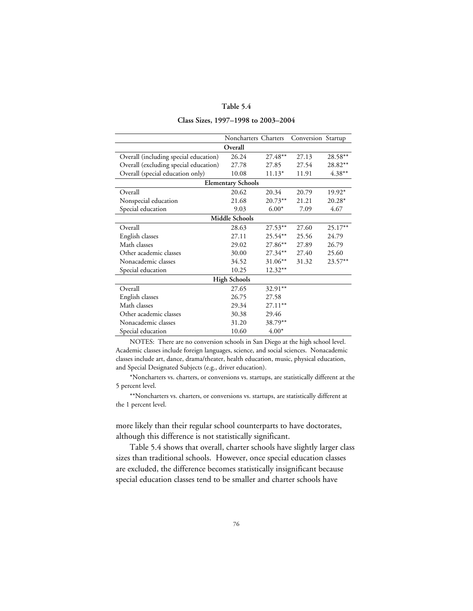| able |
|------|
|------|

| Class Sizes, 1997–1998 to 2003–2004 |  |  |
|-------------------------------------|--|--|
|-------------------------------------|--|--|

|                                       | Noncharters Charters      |            | Conversion Startup |          |  |  |  |  |
|---------------------------------------|---------------------------|------------|--------------------|----------|--|--|--|--|
| Overall                               |                           |            |                    |          |  |  |  |  |
| Overall (including special education) | 26.24                     | $27.48**$  | 27.13              | 28.58**  |  |  |  |  |
| Overall (excluding special education) | 27.78                     | 27.85      | 27.54              | 28.82**  |  |  |  |  |
| Overall (special education only)      | 10.08                     | $11.13*$   | 11.91              | $4.38**$ |  |  |  |  |
|                                       | <b>Elementary Schools</b> |            |                    |          |  |  |  |  |
| Overall                               | 20.62                     | 20.34      | 20.79              | $19.92*$ |  |  |  |  |
| Nonspecial education                  | 21.68                     | $20.73**$  | 21.21              | $20.28*$ |  |  |  |  |
| Special education                     | 9.03                      | $6.00*$    | 7.09               | 4.67     |  |  |  |  |
| Middle Schools                        |                           |            |                    |          |  |  |  |  |
| Overall                               | 28.63                     | $27.53**$  | 27.60              | 25.17**  |  |  |  |  |
| English classes                       | 27.11                     | $25.54**$  | 25.56              | 24.79    |  |  |  |  |
| Math classes                          | 29.02                     | 27.86**    | 27.89              | 26.79    |  |  |  |  |
| Other academic classes                | 30.00                     | 27.34**    | 27.40              | 25.60    |  |  |  |  |
| Nonacademic classes                   | 34.52                     | $31.06**$  | 31.32              | 23.57**  |  |  |  |  |
| Special education                     | 10.25                     | $12.32**$  |                    |          |  |  |  |  |
| <b>High Schools</b>                   |                           |            |                    |          |  |  |  |  |
| Overall                               | 27.65                     | 32.91**    |                    |          |  |  |  |  |
| English classes                       | 26.75                     | 27.58      |                    |          |  |  |  |  |
| Math classes                          | 29.34                     | $27.11***$ |                    |          |  |  |  |  |
| Other academic classes                | 30.38                     | 29.46      |                    |          |  |  |  |  |
| Nonacademic classes                   | 31.20                     | 38.79**    |                    |          |  |  |  |  |
| Special education                     | 10.60                     | $4.00*$    |                    |          |  |  |  |  |

NOTES: There are no conversion schools in San Diego at the high school level. Academic classes include foreign languages, science, and social sciences. Nonacademic classes include art, dance, drama/theater, health education, music, physical education, and Special Designated Subjects (e.g., driver education).

\*Noncharters vs. charters, or conversions vs. startups, are statistically different at the 5 percent level.

\*\*Noncharters vs. charters, or conversions vs. startups, are statistically different at the 1 percent level.

more likely than their regular school counterparts to have doctorates, although this difference is not statistically significant.

Table 5.4 shows that overall, charter schools have slightly larger class sizes than traditional schools. However, once special education classes are excluded, the difference becomes statistically insignificant because special education classes tend to be smaller and charter schools have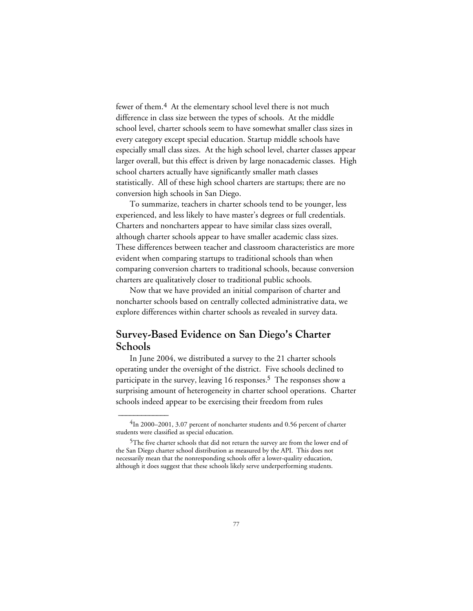fewer of them.4 At the elementary school level there is not much difference in class size between the types of schools. At the middle school level, charter schools seem to have somewhat smaller class sizes in every category except special education. Startup middle schools have especially small class sizes. At the high school level, charter classes appear larger overall, but this effect is driven by large nonacademic classes. High school charters actually have significantly smaller math classes statistically. All of these high school charters are startups; there are no conversion high schools in San Diego.

To summarize, teachers in charter schools tend to be younger, less experienced, and less likely to have master's degrees or full credentials. Charters and noncharters appear to have similar class sizes overall, although charter schools appear to have smaller academic class sizes. These differences between teacher and classroom characteristics are more evident when comparing startups to traditional schools than when comparing conversion charters to traditional schools, because conversion charters are qualitatively closer to traditional public schools.

Now that we have provided an initial comparison of charter and noncharter schools based on centrally collected administrative data, we explore differences within charter schools as revealed in survey data.

### **Survey-Based Evidence on San Diego's Charter Schools**

In June 2004, we distributed a survey to the 21 charter schools operating under the oversight of the district. Five schools declined to participate in the survey, leaving 16 responses.<sup>5</sup> The responses show a surprising amount of heterogeneity in charter school operations. Charter schools indeed appear to be exercising their freedom from rules

 $^{4}$ In 2000–2001, 3.07 percent of noncharter students and 0.56 percent of charter students were classified as special education.

<sup>&</sup>lt;sup>5</sup>The five charter schools that did not return the survey are from the lower end of the San Diego charter school distribution as measured by the API. This does not necessarily mean that the nonresponding schools offer a lower-quality education, although it does suggest that these schools likely serve underperforming students.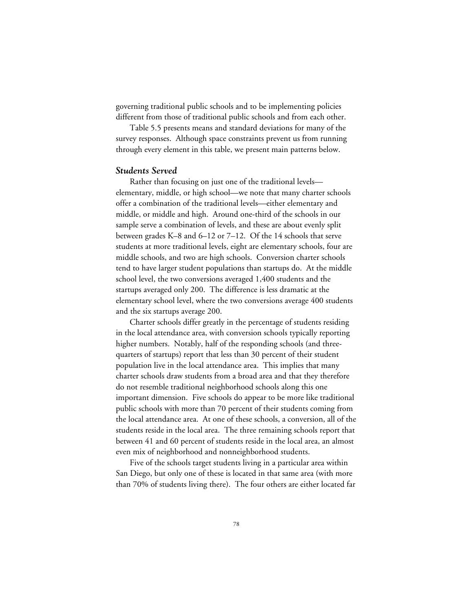governing traditional public schools and to be implementing policies different from those of traditional public schools and from each other.

Table 5.5 presents means and standard deviations for many of the survey responses. Although space constraints prevent us from running through every element in this table, we present main patterns below.

#### *Students Served*

Rather than focusing on just one of the traditional levels elementary, middle, or high school—we note that many charter schools offer a combination of the traditional levels—either elementary and middle, or middle and high. Around one-third of the schools in our sample serve a combination of levels, and these are about evenly split between grades K–8 and 6–12 or 7–12. Of the 14 schools that serve students at more traditional levels, eight are elementary schools, four are middle schools, and two are high schools. Conversion charter schools tend to have larger student populations than startups do. At the middle school level, the two conversions averaged 1,400 students and the startups averaged only 200. The difference is less dramatic at the elementary school level, where the two conversions average 400 students and the six startups average 200.

Charter schools differ greatly in the percentage of students residing in the local attendance area, with conversion schools typically reporting higher numbers. Notably, half of the responding schools (and threequarters of startups) report that less than 30 percent of their student population live in the local attendance area. This implies that many charter schools draw students from a broad area and that they therefore do not resemble traditional neighborhood schools along this one important dimension. Five schools do appear to be more like traditional public schools with more than 70 percent of their students coming from the local attendance area. At one of these schools, a conversion, all of the students reside in the local area. The three remaining schools report that between 41 and 60 percent of students reside in the local area, an almost even mix of neighborhood and nonneighborhood students.

Five of the schools target students living in a particular area within San Diego, but only one of these is located in that same area (with more than 70% of students living there). The four others are either located far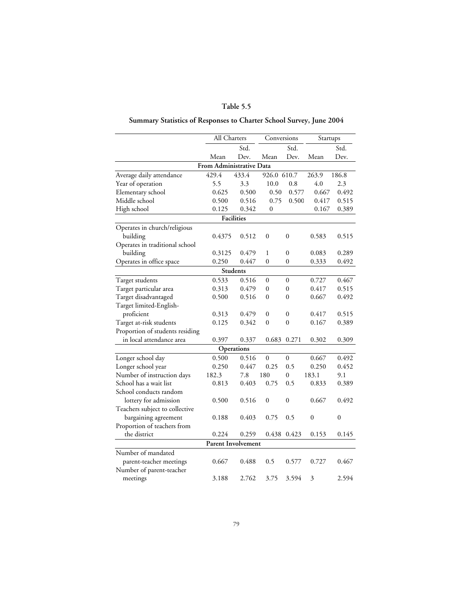#### **Table 5.5**

### **Summary Statistics of Responses to Charter School Survey, June 2004**

|                                 | All Charters       |                   | Conversions      |                  | Startups     |                  |  |
|---------------------------------|--------------------|-------------------|------------------|------------------|--------------|------------------|--|
|                                 | Std.<br>Std.       |                   |                  | Std.             |              |                  |  |
|                                 | Mean               | Dev.              | Mean             | Dev.             | Mean         | Dev.             |  |
| From Administrative Data        |                    |                   |                  |                  |              |                  |  |
| Average daily attendance        | 429.4              | 433.4             | 926.0 610.7      |                  | 263.9        | 186.8            |  |
| Year of operation               | 5.5                | 3.3               | 10.0             | 0.8              | 4.0          | 2.3              |  |
| Elementary school               | 0.625              | 0.500             | 0.50             | 0.577            | 0.667        | 0.492            |  |
| Middle school                   | 0.500              | 0.516             | 0.75             | 0.500            | 0.417        | 0.515            |  |
| High school                     | 0.125              | 0.342             | $\boldsymbol{0}$ |                  | 0.167        | 0.389            |  |
|                                 |                    | <b>Facilities</b> |                  |                  |              |                  |  |
| Operates in church/religious    |                    |                   |                  |                  |              |                  |  |
| building                        | 0.4375             | 0.512             | $\mathbf{0}$     | $\mathbf{0}$     | 0.583        | 0.515            |  |
| Operates in traditional school  |                    |                   |                  |                  |              |                  |  |
| building                        | 0.3125             | 0.479             | 1                | 0                | 0.083        | 0.289            |  |
| Operates in office space        | 0.250              | 0.447             | 0                | $\theta$         | 0.333        | 0.492            |  |
|                                 |                    | Students          |                  |                  |              |                  |  |
| Target students                 | 0.533              | 0.516             | 0                | $\boldsymbol{0}$ | 0.727        | 0.467            |  |
| Target particular area          | 0.313              | 0.479             | 0                | $\boldsymbol{0}$ | 0.417        | 0.515            |  |
| Target disadvantaged            | 0.500              | 0.516             | $\overline{0}$   | 0                | 0.667        | 0.492            |  |
| Target limited-English-         |                    |                   |                  |                  |              |                  |  |
| proficient                      | 0.313              | 0.479             | 0                | $\overline{0}$   | 0.417        | 0.515            |  |
| Target at-risk students         | 0.125              | 0.342             | 0                | $\mathbf{0}$     | 0.167        | 0.389            |  |
| Proportion of students residing |                    |                   |                  |                  |              |                  |  |
| in local attendance area        | 0.397              | 0.337             | 0.683            | 0.271            | 0.302        | 0.309            |  |
|                                 |                    | Operations        |                  |                  |              |                  |  |
| Longer school day               | 0.500              | 0.516             | $\mathbf{0}$     | $\boldsymbol{0}$ | 0.667        | 0.492            |  |
| Longer school year              | 0.250              | 0.447             | 0.25             | 0.5              | 0.250        | 0.452            |  |
| Number of instruction days      | 182.3              | 7.8               | 180              | 0                | 183.1        | 9.1              |  |
| School has a wait list          | 0.813              | 0.403             | 0.75             | 0.5              | 0.833        | 0.389            |  |
| School conducts random          |                    |                   |                  |                  |              |                  |  |
| lottery for admission           | 0.500              | 0.516             | $\mathbf{0}$     | $\theta$         | 0.667        | 0.492            |  |
| Teachers subject to collective  |                    |                   |                  |                  |              |                  |  |
| bargaining agreement            | 0.188              | 0.403             | 0.75             | 0.5              | $\mathbf{0}$ | $\boldsymbol{0}$ |  |
| Proportion of teachers from     |                    |                   |                  |                  |              |                  |  |
| the district                    | 0.224              | 0.259             |                  | 0.438 0.423      | 0.153        | 0.145            |  |
|                                 | Parent Involvement |                   |                  |                  |              |                  |  |
| Number of mandated              |                    |                   |                  |                  |              |                  |  |
| parent-teacher meetings         | 0.667              | 0.488             | 0.5              | 0.577            | 0.727        | 0.467            |  |
| Number of parent-teacher        |                    |                   |                  |                  |              |                  |  |
| meetings                        | 3.188              | 2.762             | 3.75             | 3.594            | 3            | 2.594            |  |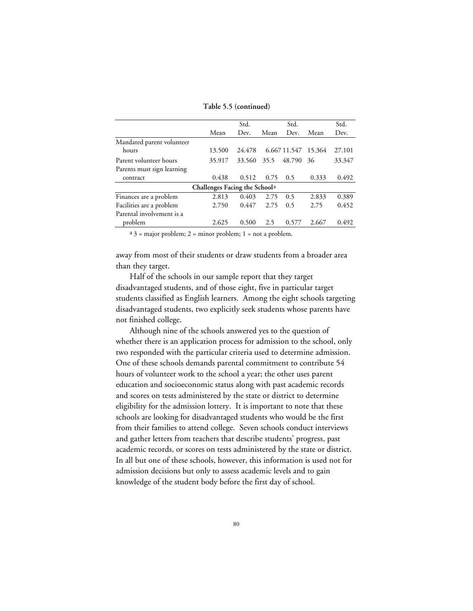**Table 5.5 (continued)**

|                            |                                           | Std.   |      | Std.         |        | Std.   |
|----------------------------|-------------------------------------------|--------|------|--------------|--------|--------|
|                            | Mean                                      | Dev.   | Mean | Dev.         | Mean   | Dev.   |
| Mandated parent volunteer  |                                           |        |      |              |        |        |
| hours                      | 13.500                                    | 24.478 |      | 6.667 11.547 | 15.364 | 27.101 |
| Parent volunteer hours     | 35.917                                    | 33.560 | 35.5 | 48.790       | 36     | 33.347 |
| Parents must sign learning |                                           |        |      |              |        |        |
| contract                   | 0.438                                     | 0.512  | 0.75 | 0.5          | 0.333  | 0.492  |
|                            | Challenges Facing the School <sup>a</sup> |        |      |              |        |        |
| Finances are a problem     | 2.813                                     | 0.403  | 2.75 | 0.5          | 2.833  | 0.389  |
| Facilities are a problem   | 2.750                                     | 0.447  | 2.75 | 0.5          | 2.75   | 0.452  |
| Parental involvement is a  |                                           |        |      |              |        |        |
| problem                    | 2.625                                     | 0.500  | 2.5  | 0.577        | 2.667  | 0.492  |

 $a_3$  = major problem; 2 = minor problem; 1 = not a problem.

away from most of their students or draw students from a broader area than they target.

Half of the schools in our sample report that they target disadvantaged students, and of those eight, five in particular target students classified as English learners. Among the eight schools targeting disadvantaged students, two explicitly seek students whose parents have not finished college.

Although nine of the schools answered yes to the question of whether there is an application process for admission to the school, only two responded with the particular criteria used to determine admission. One of these schools demands parental commitment to contribute 54 hours of volunteer work to the school a year; the other uses parent education and socioeconomic status along with past academic records and scores on tests administered by the state or district to determine eligibility for the admission lottery. It is important to note that these schools are looking for disadvantaged students who would be the first from their families to attend college. Seven schools conduct interviews and gather letters from teachers that describe students' progress, past academic records, or scores on tests administered by the state or district. In all but one of these schools, however, this information is used not for admission decisions but only to assess academic levels and to gain knowledge of the student body before the first day of school.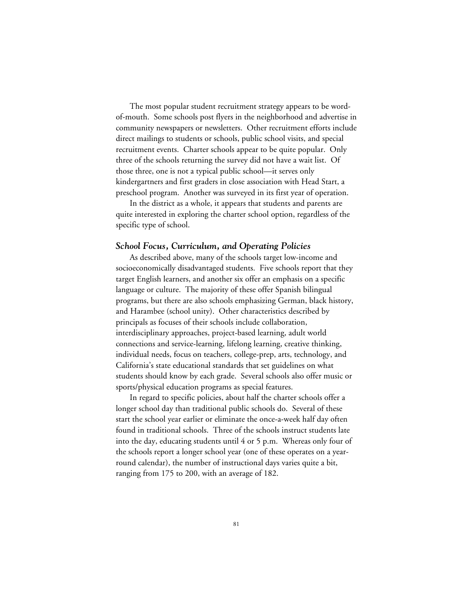The most popular student recruitment strategy appears to be wordof-mouth. Some schools post flyers in the neighborhood and advertise in community newspapers or newsletters. Other recruitment efforts include direct mailings to students or schools, public school visits, and special recruitment events. Charter schools appear to be quite popular. Only three of the schools returning the survey did not have a wait list. Of those three, one is not a typical public school—it serves only kindergartners and first graders in close association with Head Start, a preschool program. Another was surveyed in its first year of operation.

In the district as a whole, it appears that students and parents are quite interested in exploring the charter school option, regardless of the specific type of school.

#### *School Focus, Curriculum, and Operating Policies*

As described above, many of the schools target low-income and socioeconomically disadvantaged students. Five schools report that they target English learners, and another six offer an emphasis on a specific language or culture. The majority of these offer Spanish bilingual programs, but there are also schools emphasizing German, black history, and Harambee (school unity). Other characteristics described by principals as focuses of their schools include collaboration, interdisciplinary approaches, project-based learning, adult world connections and service-learning, lifelong learning, creative thinking, individual needs, focus on teachers, college-prep, arts, technology, and California's state educational standards that set guidelines on what students should know by each grade. Several schools also offer music or sports/physical education programs as special features.

In regard to specific policies, about half the charter schools offer a longer school day than traditional public schools do. Several of these start the school year earlier or eliminate the once-a-week half day often found in traditional schools. Three of the schools instruct students late into the day, educating students until 4 or 5 p.m. Whereas only four of the schools report a longer school year (one of these operates on a yearround calendar), the number of instructional days varies quite a bit, ranging from 175 to 200, with an average of 182.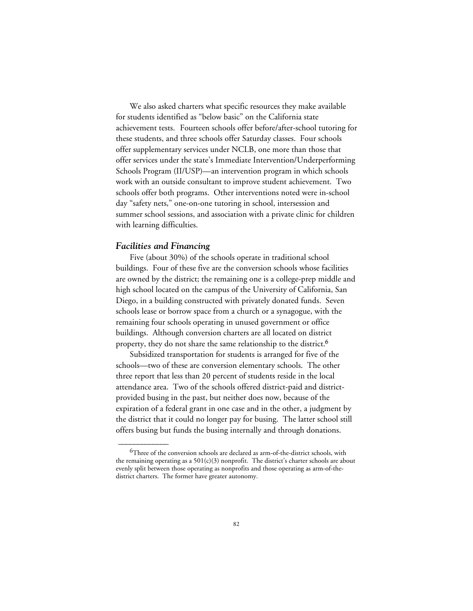We also asked charters what specific resources they make available for students identified as "below basic" on the California state achievement tests. Fourteen schools offer before/after-school tutoring for these students, and three schools offer Saturday classes. Four schools offer supplementary services under NCLB, one more than those that offer services under the state's Immediate Intervention/Underperforming Schools Program (II/USP)—an intervention program in which schools work with an outside consultant to improve student achievement. Two schools offer both programs. Other interventions noted were in-school day "safety nets," one-on-one tutoring in school, intersession and summer school sessions, and association with a private clinic for children with learning difficulties.

#### *Facilities and Financing*

 $\overline{\phantom{a}}$ 

Five (about 30%) of the schools operate in traditional school buildings. Four of these five are the conversion schools whose facilities are owned by the district; the remaining one is a college-prep middle and high school located on the campus of the University of California, San Diego, in a building constructed with privately donated funds. Seven schools lease or borrow space from a church or a synagogue, with the remaining four schools operating in unused government or office buildings. Although conversion charters are all located on district property, they do not share the same relationship to the district.<sup>6</sup>

Subsidized transportation for students is arranged for five of the schools—two of these are conversion elementary schools. The other three report that less than 20 percent of students reside in the local attendance area. Two of the schools offered district-paid and districtprovided busing in the past, but neither does now, because of the expiration of a federal grant in one case and in the other, a judgment by the district that it could no longer pay for busing. The latter school still offers busing but funds the busing internally and through donations.

<sup>&</sup>lt;sup>6</sup>Three of the conversion schools are declared as arm-of-the-district schools, with the remaining operating as a  $501(c)(3)$  nonprofit. The district's charter schools are about evenly split between those operating as nonprofits and those operating as arm-of-thedistrict charters. The former have greater autonomy.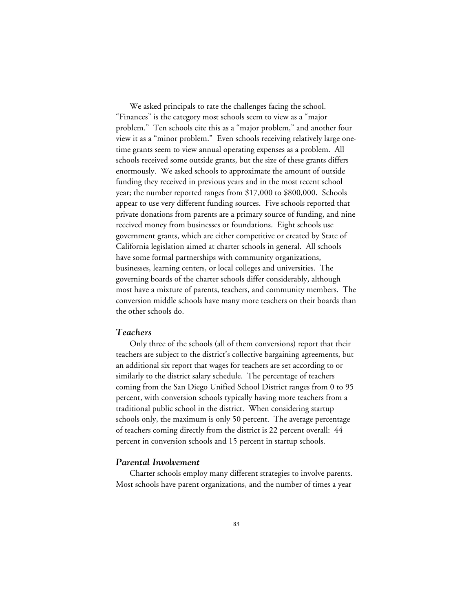We asked principals to rate the challenges facing the school. "Finances" is the category most schools seem to view as a "major problem." Ten schools cite this as a "major problem," and another four view it as a "minor problem." Even schools receiving relatively large onetime grants seem to view annual operating expenses as a problem. All schools received some outside grants, but the size of these grants differs enormously. We asked schools to approximate the amount of outside funding they received in previous years and in the most recent school year; the number reported ranges from \$17,000 to \$800,000. Schools appear to use very different funding sources. Five schools reported that private donations from parents are a primary source of funding, and nine received money from businesses or foundations. Eight schools use government grants, which are either competitive or created by State of California legislation aimed at charter schools in general. All schools have some formal partnerships with community organizations, businesses, learning centers, or local colleges and universities. The governing boards of the charter schools differ considerably, although most have a mixture of parents, teachers, and community members. The conversion middle schools have many more teachers on their boards than the other schools do.

#### *Teachers*

Only three of the schools (all of them conversions) report that their teachers are subject to the district's collective bargaining agreements, but an additional six report that wages for teachers are set according to or similarly to the district salary schedule. The percentage of teachers coming from the San Diego Unified School District ranges from 0 to 95 percent, with conversion schools typically having more teachers from a traditional public school in the district. When considering startup schools only, the maximum is only 50 percent. The average percentage of teachers coming directly from the district is 22 percent overall: 44 percent in conversion schools and 15 percent in startup schools.

#### *Parental Involvement*

Charter schools employ many different strategies to involve parents. Most schools have parent organizations, and the number of times a year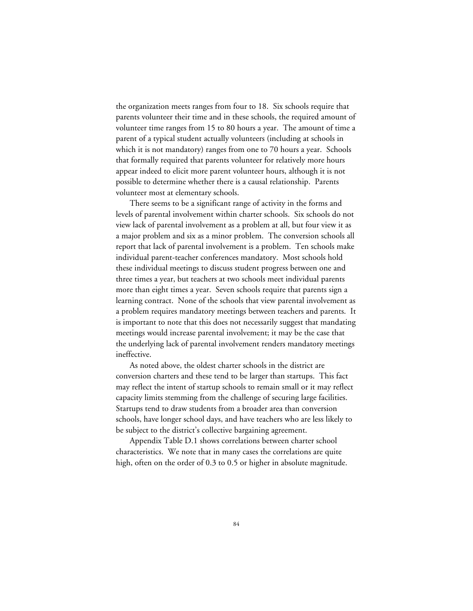the organization meets ranges from four to 18. Six schools require that parents volunteer their time and in these schools, the required amount of volunteer time ranges from 15 to 80 hours a year. The amount of time a parent of a typical student actually volunteers (including at schools in which it is not mandatory) ranges from one to 70 hours a year. Schools that formally required that parents volunteer for relatively more hours appear indeed to elicit more parent volunteer hours, although it is not possible to determine whether there is a causal relationship. Parents volunteer most at elementary schools.

There seems to be a significant range of activity in the forms and levels of parental involvement within charter schools. Six schools do not view lack of parental involvement as a problem at all, but four view it as a major problem and six as a minor problem. The conversion schools all report that lack of parental involvement is a problem. Ten schools make individual parent-teacher conferences mandatory. Most schools hold these individual meetings to discuss student progress between one and three times a year, but teachers at two schools meet individual parents more than eight times a year. Seven schools require that parents sign a learning contract. None of the schools that view parental involvement as a problem requires mandatory meetings between teachers and parents. It is important to note that this does not necessarily suggest that mandating meetings would increase parental involvement; it may be the case that the underlying lack of parental involvement renders mandatory meetings ineffective.

As noted above, the oldest charter schools in the district are conversion charters and these tend to be larger than startups. This fact may reflect the intent of startup schools to remain small or it may reflect capacity limits stemming from the challenge of securing large facilities. Startups tend to draw students from a broader area than conversion schools, have longer school days, and have teachers who are less likely to be subject to the district's collective bargaining agreement.

Appendix Table D.1 shows correlations between charter school characteristics. We note that in many cases the correlations are quite high, often on the order of 0.3 to 0.5 or higher in absolute magnitude.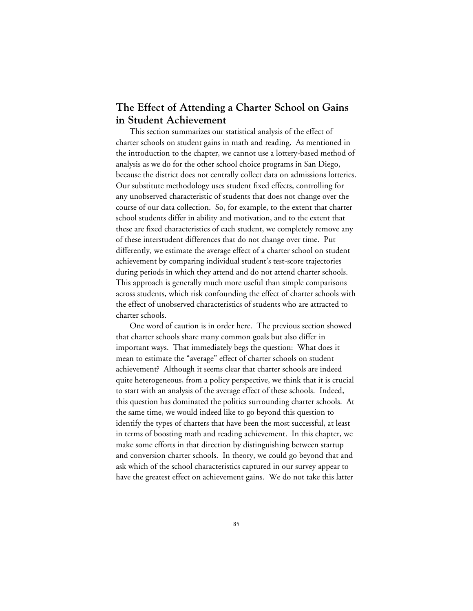## **The Effect of Attending a Charter School on Gains in Student Achievement**

This section summarizes our statistical analysis of the effect of charter schools on student gains in math and reading. As mentioned in the introduction to the chapter, we cannot use a lottery-based method of analysis as we do for the other school choice programs in San Diego, because the district does not centrally collect data on admissions lotteries. Our substitute methodology uses student fixed effects, controlling for any unobserved characteristic of students that does not change over the course of our data collection. So, for example, to the extent that charter school students differ in ability and motivation, and to the extent that these are fixed characteristics of each student, we completely remove any of these interstudent differences that do not change over time. Put differently, we estimate the average effect of a charter school on student achievement by comparing individual student's test-score trajectories during periods in which they attend and do not attend charter schools. This approach is generally much more useful than simple comparisons across students, which risk confounding the effect of charter schools with the effect of unobserved characteristics of students who are attracted to charter schools.

One word of caution is in order here. The previous section showed that charter schools share many common goals but also differ in important ways. That immediately begs the question: What does it mean to estimate the "average" effect of charter schools on student achievement? Although it seems clear that charter schools are indeed quite heterogeneous, from a policy perspective, we think that it is crucial to start with an analysis of the average effect of these schools. Indeed, this question has dominated the politics surrounding charter schools. At the same time, we would indeed like to go beyond this question to identify the types of charters that have been the most successful, at least in terms of boosting math and reading achievement. In this chapter, we make some efforts in that direction by distinguishing between startup and conversion charter schools. In theory, we could go beyond that and ask which of the school characteristics captured in our survey appear to have the greatest effect on achievement gains. We do not take this latter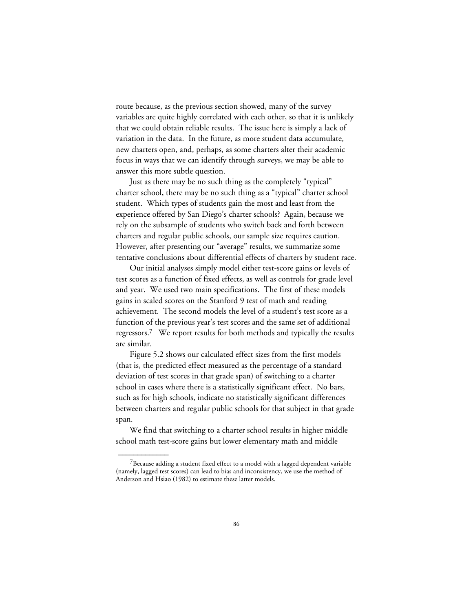route because, as the previous section showed, many of the survey variables are quite highly correlated with each other, so that it is unlikely that we could obtain reliable results. The issue here is simply a lack of variation in the data. In the future, as more student data accumulate, new charters open, and, perhaps, as some charters alter their academic focus in ways that we can identify through surveys, we may be able to answer this more subtle question.

Just as there may be no such thing as the completely "typical" charter school, there may be no such thing as a "typical" charter school student. Which types of students gain the most and least from the experience offered by San Diego's charter schools? Again, because we rely on the subsample of students who switch back and forth between charters and regular public schools, our sample size requires caution. However, after presenting our "average" results, we summarize some tentative conclusions about differential effects of charters by student race.

Our initial analyses simply model either test-score gains or levels of test scores as a function of fixed effects, as well as controls for grade level and year. We used two main specifications. The first of these models gains in scaled scores on the Stanford 9 test of math and reading achievement. The second models the level of a student's test score as a function of the previous year's test scores and the same set of additional regressors.7 We report results for both methods and typically the results are similar.

Figure 5.2 shows our calculated effect sizes from the first models (that is, the predicted effect measured as the percentage of a standard deviation of test scores in that grade span) of switching to a charter school in cases where there is a statistically significant effect. No bars, such as for high schools, indicate no statistically significant differences between charters and regular public schools for that subject in that grade span.

We find that switching to a charter school results in higher middle school math test-score gains but lower elementary math and middle

 $7B$ ecause adding a student fixed effect to a model with a lagged dependent variable (namely, lagged test scores) can lead to bias and inconsistency, we use the method of Anderson and Hsiao (1982) to estimate these latter models.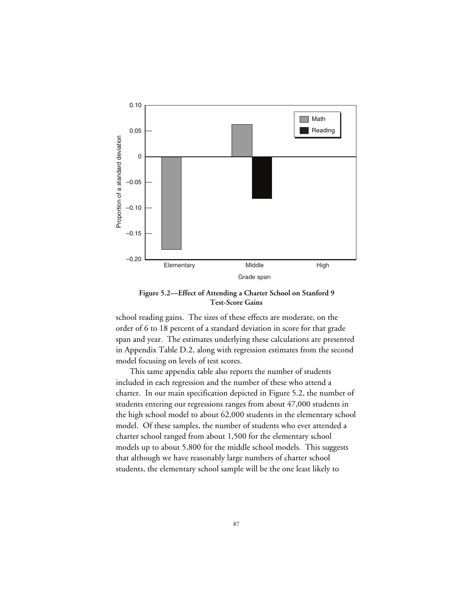

**Figure 5.2—Effect of Attending a Charter School on Stanford 9 Test-Score Gains**

school reading gains. The sizes of these effects are moderate, on the order of 6 to 18 percent of a standard deviation in score for that grade span and year. The estimates underlying these calculations are presented in Appendix Table D.2, along with regression estimates from the second model focusing on levels of test scores.

This same appendix table also reports the number of students included in each regression and the number of these who attend a charter. In our main specification depicted in Figure 5.2, the number of students entering our regressions ranges from about 47,000 students in the high school model to about 62,000 students in the elementary school model. Of these samples, the number of students who ever attended a charter school ranged from about 1,500 for the elementary school models up to about 5,800 for the middle school models. This suggests that although we have reasonably large numbers of charter school students, the elementary school sample will be the one least likely to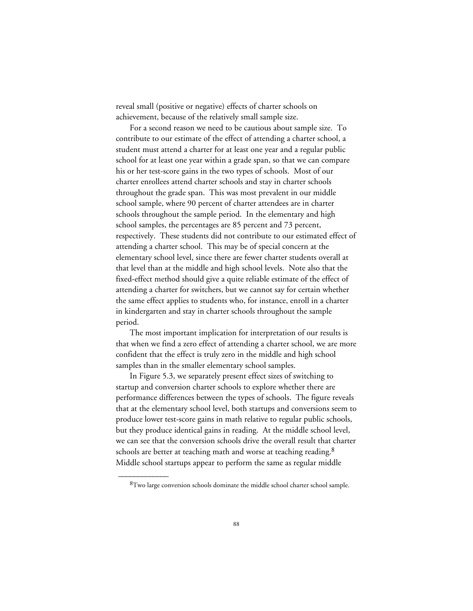reveal small (positive or negative) effects of charter schools on achievement, because of the relatively small sample size.

For a second reason we need to be cautious about sample size. To contribute to our estimate of the effect of attending a charter school, a student must attend a charter for at least one year and a regular public school for at least one year within a grade span, so that we can compare his or her test-score gains in the two types of schools. Most of our charter enrollees attend charter schools and stay in charter schools throughout the grade span. This was most prevalent in our middle school sample, where 90 percent of charter attendees are in charter schools throughout the sample period. In the elementary and high school samples, the percentages are 85 percent and 73 percent, respectively. These students did not contribute to our estimated effect of attending a charter school. This may be of special concern at the elementary school level, since there are fewer charter students overall at that level than at the middle and high school levels. Note also that the fixed-effect method should give a quite reliable estimate of the effect of attending a charter for switchers, but we cannot say for certain whether the same effect applies to students who, for instance, enroll in a charter in kindergarten and stay in charter schools throughout the sample period.

The most important implication for interpretation of our results is that when we find a zero effect of attending a charter school, we are more confident that the effect is truly zero in the middle and high school samples than in the smaller elementary school samples.

In Figure 5.3, we separately present effect sizes of switching to startup and conversion charter schools to explore whether there are performance differences between the types of schools. The figure reveals that at the elementary school level, both startups and conversions seem to produce lower test-score gains in math relative to regular public schools, but they produce identical gains in reading. At the middle school level, we can see that the conversion schools drive the overall result that charter schools are better at teaching math and worse at teaching reading.<sup>8</sup> Middle school startups appear to perform the same as regular middle

<sup>&</sup>lt;sup>8</sup>Two large conversion schools dominate the middle school charter school sample.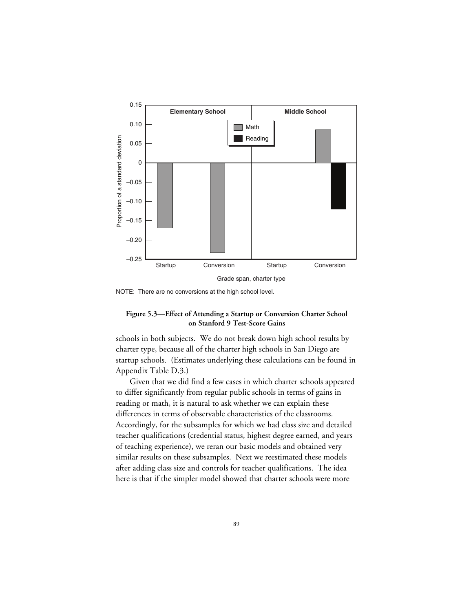

NOTE: There are no conversions at the high school level.

#### **Figure 5.3—Effect of Attending a Startup or Conversion Charter School on Stanford 9 Test-Score Gains**

schools in both subjects. We do not break down high school results by charter type, because all of the charter high schools in San Diego are startup schools. (Estimates underlying these calculations can be found in Appendix Table D.3.)

Given that we did find a few cases in which charter schools appeared to differ significantly from regular public schools in terms of gains in reading or math, it is natural to ask whether we can explain these differences in terms of observable characteristics of the classrooms. Accordingly, for the subsamples for which we had class size and detailed teacher qualifications (credential status, highest degree earned, and years of teaching experience), we reran our basic models and obtained very similar results on these subsamples. Next we reestimated these models after adding class size and controls for teacher qualifications. The idea here is that if the simpler model showed that charter schools were more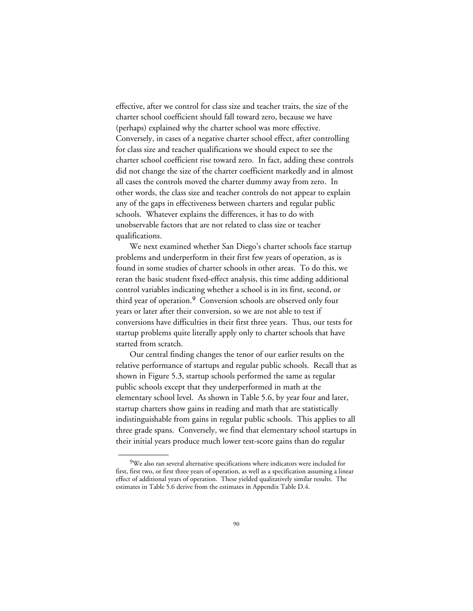effective, after we control for class size and teacher traits, the size of the charter school coefficient should fall toward zero, because we have (perhaps) explained why the charter school was more effective. Conversely, in cases of a negative charter school effect, after controlling for class size and teacher qualifications we should expect to see the charter school coefficient rise toward zero. In fact, adding these controls did not change the size of the charter coefficient markedly and in almost all cases the controls moved the charter dummy away from zero. In other words, the class size and teacher controls do not appear to explain any of the gaps in effectiveness between charters and regular public schools. Whatever explains the differences, it has to do with unobservable factors that are not related to class size or teacher qualifications.

We next examined whether San Diego's charter schools face startup problems and underperform in their first few years of operation, as is found in some studies of charter schools in other areas. To do this, we reran the basic student fixed-effect analysis, this time adding additional control variables indicating whether a school is in its first, second, or third year of operation.<sup>9</sup> Conversion schools are observed only four years or later after their conversion, so we are not able to test if conversions have difficulties in their first three years. Thus, our tests for startup problems quite literally apply only to charter schools that have started from scratch.

Our central finding changes the tenor of our earlier results on the relative performance of startups and regular public schools. Recall that as shown in Figure 5.3, startup schools performed the same as regular public schools except that they underperformed in math at the elementary school level. As shown in Table 5.6, by year four and later, startup charters show gains in reading and math that are statistically indistinguishable from gains in regular public schools. This applies to all three grade spans. Conversely, we find that elementary school startups in their initial years produce much lower test-score gains than do regular

 $9$ We also ran several alternative specifications where indicators were included for first, first two, or first three years of operation, as well as a specification assuming a linear effect of additional years of operation. These yielded qualitatively similar results. The estimates in Table 5.6 derive from the estimates in Appendix Table D.4.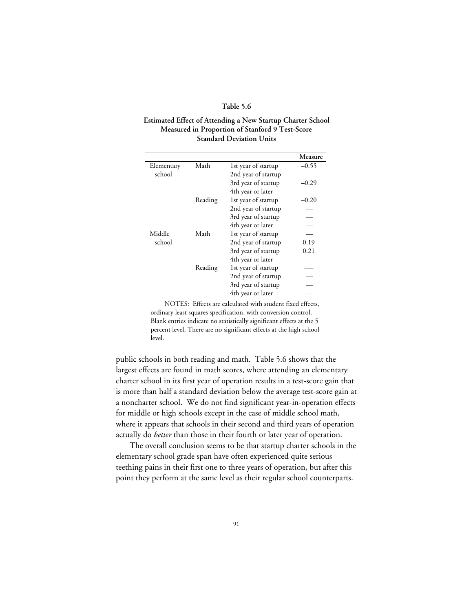#### **Table 5.6**

#### **Estimated Effect of Attending a New Startup Charter School Measured in Proportion of Stanford 9 Test-Score Standard Deviation Units**

|            |         |                     | Measure |
|------------|---------|---------------------|---------|
| Elementary | Math    | 1st year of startup | $-0.55$ |
| school     |         | 2nd year of startup |         |
|            |         | 3rd year of startup | $-0.29$ |
|            |         | 4th year or later   |         |
|            | Reading | 1st year of startup | $-0.20$ |
|            |         | 2nd year of startup |         |
|            |         | 3rd year of startup |         |
|            |         | 4th year or later   |         |
| Middle     | Math    | 1st year of startup |         |
| school     |         | 2nd year of startup | 0.19    |
|            |         | 3rd year of startup | 0.21    |
|            |         | 4th year or later   |         |
|            | Reading | 1st year of startup |         |
|            |         | 2nd year of startup |         |
|            |         | 3rd year of startup |         |
|            |         | 4th year or later   |         |

NOTES: Effects are calculated with student fixed effects, ordinary least squares specification, with conversion control. Blank entries indicate no statistically significant effects at the 5 percent level. There are no significant effects at the high school level.

public schools in both reading and math. Table 5.6 shows that the largest effects are found in math scores, where attending an elementary charter school in its first year of operation results in a test-score gain that is more than half a standard deviation below the average test-score gain at a noncharter school. We do not find significant year-in-operation effects for middle or high schools except in the case of middle school math, where it appears that schools in their second and third years of operation actually do *better* than those in their fourth or later year of operation.

The overall conclusion seems to be that startup charter schools in the elementary school grade span have often experienced quite serious teething pains in their first one to three years of operation, but after this point they perform at the same level as their regular school counterparts.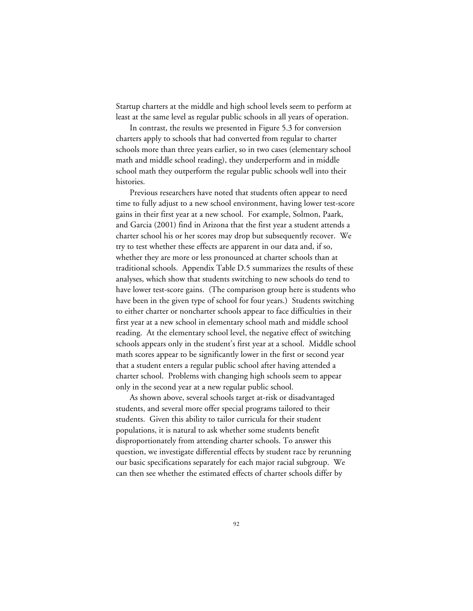Startup charters at the middle and high school levels seem to perform at least at the same level as regular public schools in all years of operation.

In contrast, the results we presented in Figure 5.3 for conversion charters apply to schools that had converted from regular to charter schools more than three years earlier, so in two cases (elementary school math and middle school reading), they underperform and in middle school math they outperform the regular public schools well into their histories.

Previous researchers have noted that students often appear to need time to fully adjust to a new school environment, having lower test-score gains in their first year at a new school. For example, Solmon, Paark, and Garcia (2001) find in Arizona that the first year a student attends a charter school his or her scores may drop but subsequently recover. We try to test whether these effects are apparent in our data and, if so, whether they are more or less pronounced at charter schools than at traditional schools. Appendix Table D.5 summarizes the results of these analyses, which show that students switching to new schools do tend to have lower test-score gains. (The comparison group here is students who have been in the given type of school for four years.) Students switching to either charter or noncharter schools appear to face difficulties in their first year at a new school in elementary school math and middle school reading. At the elementary school level, the negative effect of switching schools appears only in the student's first year at a school. Middle school math scores appear to be significantly lower in the first or second year that a student enters a regular public school after having attended a charter school. Problems with changing high schools seem to appear only in the second year at a new regular public school.

As shown above, several schools target at-risk or disadvantaged students, and several more offer special programs tailored to their students. Given this ability to tailor curricula for their student populations, it is natural to ask whether some students benefit disproportionately from attending charter schools. To answer this question, we investigate differential effects by student race by rerunning our basic specifications separately for each major racial subgroup. We can then see whether the estimated effects of charter schools differ by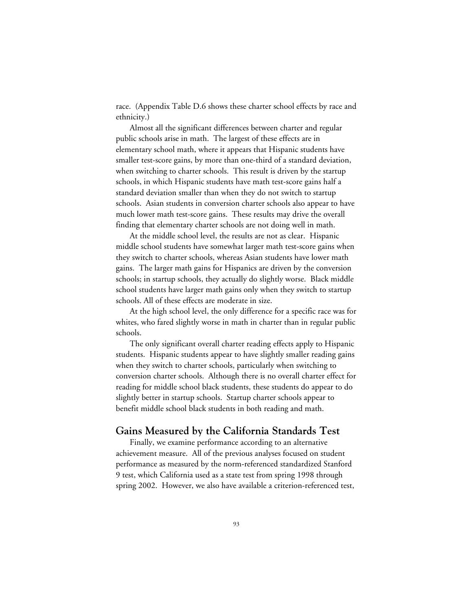race. (Appendix Table D.6 shows these charter school effects by race and ethnicity.)

Almost all the significant differences between charter and regular public schools arise in math. The largest of these effects are in elementary school math, where it appears that Hispanic students have smaller test-score gains, by more than one-third of a standard deviation, when switching to charter schools. This result is driven by the startup schools, in which Hispanic students have math test-score gains half a standard deviation smaller than when they do not switch to startup schools. Asian students in conversion charter schools also appear to have much lower math test-score gains. These results may drive the overall finding that elementary charter schools are not doing well in math.

At the middle school level, the results are not as clear. Hispanic middle school students have somewhat larger math test-score gains when they switch to charter schools, whereas Asian students have lower math gains. The larger math gains for Hispanics are driven by the conversion schools; in startup schools, they actually do slightly worse. Black middle school students have larger math gains only when they switch to startup schools. All of these effects are moderate in size.

At the high school level, the only difference for a specific race was for whites, who fared slightly worse in math in charter than in regular public schools.

The only significant overall charter reading effects apply to Hispanic students. Hispanic students appear to have slightly smaller reading gains when they switch to charter schools, particularly when switching to conversion charter schools. Although there is no overall charter effect for reading for middle school black students, these students do appear to do slightly better in startup schools. Startup charter schools appear to benefit middle school black students in both reading and math.

#### **Gains Measured by the California Standards Test**

Finally, we examine performance according to an alternative achievement measure. All of the previous analyses focused on student performance as measured by the norm-referenced standardized Stanford 9 test, which California used as a state test from spring 1998 through spring 2002. However, we also have available a criterion-referenced test,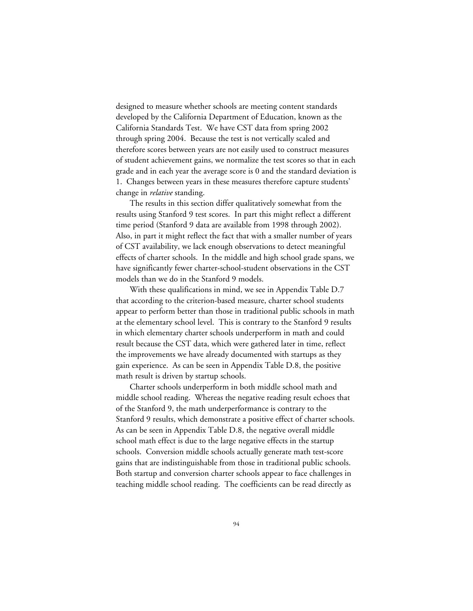designed to measure whether schools are meeting content standards developed by the California Department of Education, known as the California Standards Test. We have CST data from spring 2002 through spring 2004. Because the test is not vertically scaled and therefore scores between years are not easily used to construct measures of student achievement gains, we normalize the test scores so that in each grade and in each year the average score is 0 and the standard deviation is 1. Changes between years in these measures therefore capture students' change in *relative* standing.

The results in this section differ qualitatively somewhat from the results using Stanford 9 test scores. In part this might reflect a different time period (Stanford 9 data are available from 1998 through 2002). Also, in part it might reflect the fact that with a smaller number of years of CST availability, we lack enough observations to detect meaningful effects of charter schools. In the middle and high school grade spans, we have significantly fewer charter-school-student observations in the CST models than we do in the Stanford 9 models.

With these qualifications in mind, we see in Appendix Table D.7 that according to the criterion-based measure, charter school students appear to perform better than those in traditional public schools in math at the elementary school level. This is contrary to the Stanford 9 results in which elementary charter schools underperform in math and could result because the CST data, which were gathered later in time, reflect the improvements we have already documented with startups as they gain experience. As can be seen in Appendix Table D.8, the positive math result is driven by startup schools.

Charter schools underperform in both middle school math and middle school reading. Whereas the negative reading result echoes that of the Stanford 9, the math underperformance is contrary to the Stanford 9 results, which demonstrate a positive effect of charter schools. As can be seen in Appendix Table D.8, the negative overall middle school math effect is due to the large negative effects in the startup schools. Conversion middle schools actually generate math test-score gains that are indistinguishable from those in traditional public schools. Both startup and conversion charter schools appear to face challenges in teaching middle school reading. The coefficients can be read directly as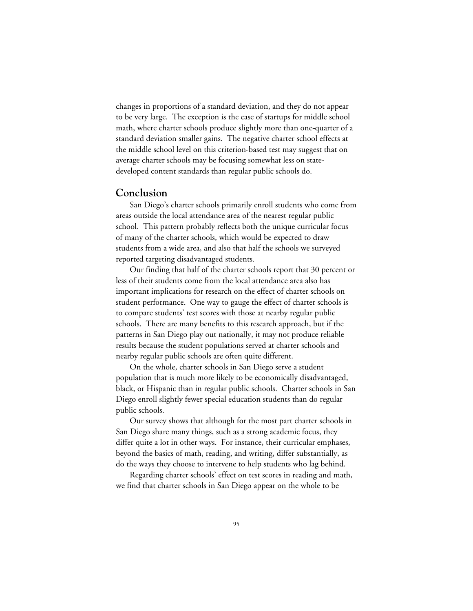changes in proportions of a standard deviation, and they do not appear to be very large. The exception is the case of startups for middle school math, where charter schools produce slightly more than one-quarter of a standard deviation smaller gains. The negative charter school effects at the middle school level on this criterion-based test may suggest that on average charter schools may be focusing somewhat less on statedeveloped content standards than regular public schools do.

#### **Conclusion**

San Diego's charter schools primarily enroll students who come from areas outside the local attendance area of the nearest regular public school. This pattern probably reflects both the unique curricular focus of many of the charter schools, which would be expected to draw students from a wide area, and also that half the schools we surveyed reported targeting disadvantaged students.

Our finding that half of the charter schools report that 30 percent or less of their students come from the local attendance area also has important implications for research on the effect of charter schools on student performance. One way to gauge the effect of charter schools is to compare students' test scores with those at nearby regular public schools. There are many benefits to this research approach, but if the patterns in San Diego play out nationally, it may not produce reliable results because the student populations served at charter schools and nearby regular public schools are often quite different.

On the whole, charter schools in San Diego serve a student population that is much more likely to be economically disadvantaged, black, or Hispanic than in regular public schools. Charter schools in San Diego enroll slightly fewer special education students than do regular public schools.

Our survey shows that although for the most part charter schools in San Diego share many things, such as a strong academic focus, they differ quite a lot in other ways. For instance, their curricular emphases, beyond the basics of math, reading, and writing, differ substantially, as do the ways they choose to intervene to help students who lag behind.

Regarding charter schools' effect on test scores in reading and math, we find that charter schools in San Diego appear on the whole to be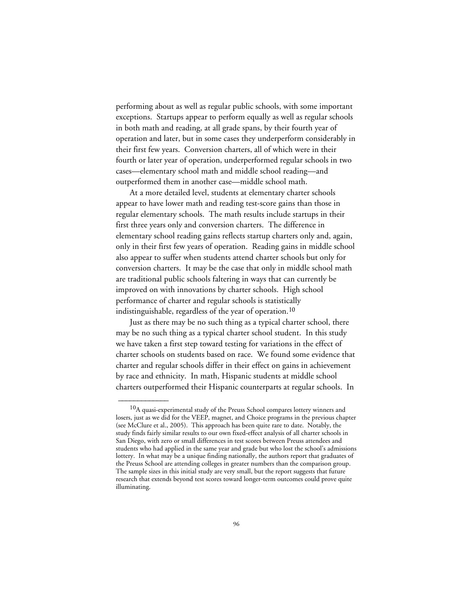performing about as well as regular public schools, with some important exceptions. Startups appear to perform equally as well as regular schools in both math and reading, at all grade spans, by their fourth year of operation and later, but in some cases they underperform considerably in their first few years. Conversion charters, all of which were in their fourth or later year of operation, underperformed regular schools in two cases—elementary school math and middle school reading—and outperformed them in another case—middle school math.

At a more detailed level, students at elementary charter schools appear to have lower math and reading test-score gains than those in regular elementary schools. The math results include startups in their first three years only and conversion charters. The difference in elementary school reading gains reflects startup charters only and, again, only in their first few years of operation. Reading gains in middle school also appear to suffer when students attend charter schools but only for conversion charters. It may be the case that only in middle school math are traditional public schools faltering in ways that can currently be improved on with innovations by charter schools. High school performance of charter and regular schools is statistically indistinguishable, regardless of the year of operation.<sup>10</sup>

Just as there may be no such thing as a typical charter school, there may be no such thing as a typical charter school student. In this study we have taken a first step toward testing for variations in the effect of charter schools on students based on race. We found some evidence that charter and regular schools differ in their effect on gains in achievement by race and ethnicity. In math, Hispanic students at middle school charters outperformed their Hispanic counterparts at regular schools. In

<sup>&</sup>lt;sup>10</sup>A quasi-experimental study of the Preuss School compares lottery winners and losers, just as we did for the VEEP, magnet, and Choice programs in the previous chapter (see McClure et al., 2005). This approach has been quite rare to date. Notably, the study finds fairly similar results to our own fixed-effect analysis of all charter schools in San Diego, with zero or small differences in test scores between Preuss attendees and students who had applied in the same year and grade but who lost the school's admissions lottery. In what may be a unique finding nationally, the authors report that graduates of the Preuss School are attending colleges in greater numbers than the comparison group. The sample sizes in this initial study are very small, but the report suggests that future research that extends beyond test scores toward longer-term outcomes could prove quite illuminating.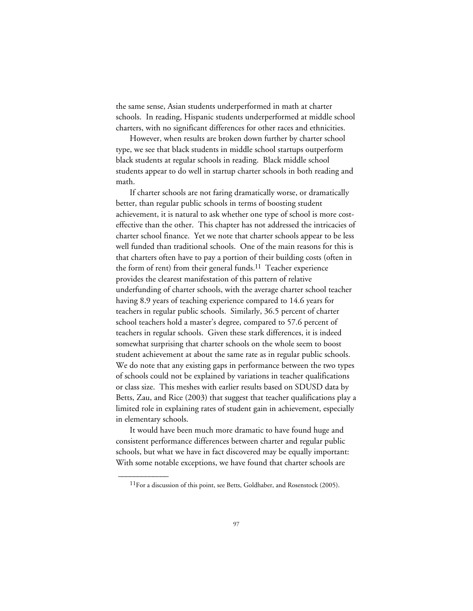the same sense, Asian students underperformed in math at charter schools. In reading, Hispanic students underperformed at middle school charters, with no significant differences for other races and ethnicities.

However, when results are broken down further by charter school type, we see that black students in middle school startups outperform black students at regular schools in reading. Black middle school students appear to do well in startup charter schools in both reading and math.

If charter schools are not faring dramatically worse, or dramatically better, than regular public schools in terms of boosting student achievement, it is natural to ask whether one type of school is more costeffective than the other. This chapter has not addressed the intricacies of charter school finance. Yet we note that charter schools appear to be less well funded than traditional schools. One of the main reasons for this is that charters often have to pay a portion of their building costs (often in the form of rent) from their general funds.<sup>11</sup> Teacher experience provides the clearest manifestation of this pattern of relative underfunding of charter schools, with the average charter school teacher having 8.9 years of teaching experience compared to 14.6 years for teachers in regular public schools. Similarly, 36.5 percent of charter school teachers hold a master's degree, compared to 57.6 percent of teachers in regular schools. Given these stark differences, it is indeed somewhat surprising that charter schools on the whole seem to boost student achievement at about the same rate as in regular public schools. We do note that any existing gaps in performance between the two types of schools could not be explained by variations in teacher qualifications or class size. This meshes with earlier results based on SDUSD data by Betts, Zau, and Rice (2003) that suggest that teacher qualifications play a limited role in explaining rates of student gain in achievement, especially in elementary schools.

It would have been much more dramatic to have found huge and consistent performance differences between charter and regular public schools, but what we have in fact discovered may be equally important: With some notable exceptions, we have found that charter schools are

<sup>&</sup>lt;sup>11</sup>For a discussion of this point, see Betts, Goldhaber, and Rosenstock (2005).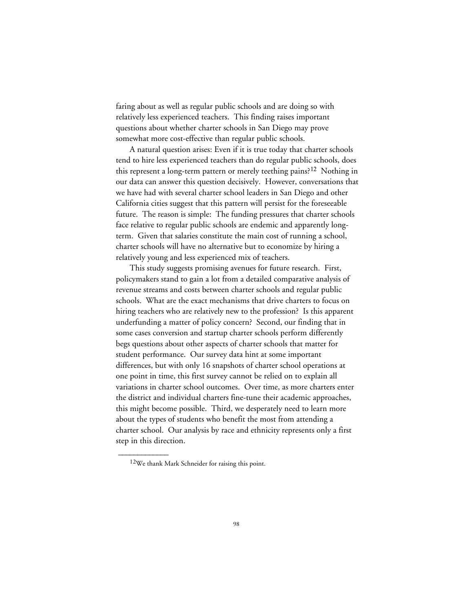faring about as well as regular public schools and are doing so with relatively less experienced teachers. This finding raises important questions about whether charter schools in San Diego may prove somewhat more cost-effective than regular public schools.

A natural question arises: Even if it is true today that charter schools tend to hire less experienced teachers than do regular public schools, does this represent a long-term pattern or merely teething pains?12 Nothing in our data can answer this question decisively. However, conversations that we have had with several charter school leaders in San Diego and other California cities suggest that this pattern will persist for the foreseeable future. The reason is simple: The funding pressures that charter schools face relative to regular public schools are endemic and apparently longterm. Given that salaries constitute the main cost of running a school, charter schools will have no alternative but to economize by hiring a relatively young and less experienced mix of teachers.

This study suggests promising avenues for future research. First, policymakers stand to gain a lot from a detailed comparative analysis of revenue streams and costs between charter schools and regular public schools. What are the exact mechanisms that drive charters to focus on hiring teachers who are relatively new to the profession? Is this apparent underfunding a matter of policy concern? Second, our finding that in some cases conversion and startup charter schools perform differently begs questions about other aspects of charter schools that matter for student performance. Our survey data hint at some important differences, but with only 16 snapshots of charter school operations at one point in time, this first survey cannot be relied on to explain all variations in charter school outcomes. Over time, as more charters enter the district and individual charters fine-tune their academic approaches, this might become possible. Third, we desperately need to learn more about the types of students who benefit the most from attending a charter school. Our analysis by race and ethnicity represents only a first step in this direction.

<sup>12</sup>We thank Mark Schneider for raising this point.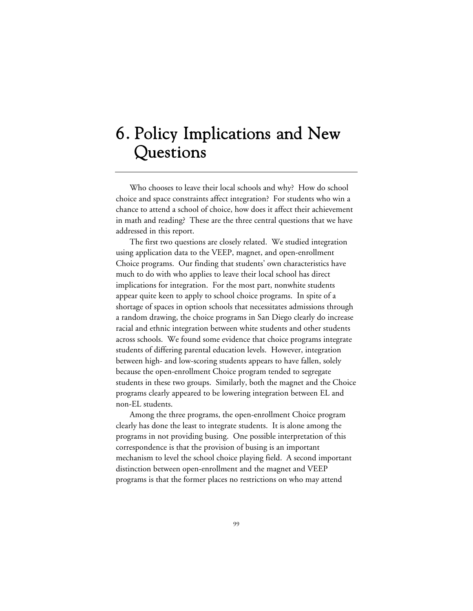# 6. Policy Implications and New Questions

Who chooses to leave their local schools and why? How do school choice and space constraints affect integration? For students who win a chance to attend a school of choice, how does it affect their achievement in math and reading? These are the three central questions that we have addressed in this report.

The first two questions are closely related. We studied integration using application data to the VEEP, magnet, and open-enrollment Choice programs. Our finding that students' own characteristics have much to do with who applies to leave their local school has direct implications for integration. For the most part, nonwhite students appear quite keen to apply to school choice programs. In spite of a shortage of spaces in option schools that necessitates admissions through a random drawing, the choice programs in San Diego clearly do increase racial and ethnic integration between white students and other students across schools. We found some evidence that choice programs integrate students of differing parental education levels. However, integration between high- and low-scoring students appears to have fallen, solely because the open-enrollment Choice program tended to segregate students in these two groups. Similarly, both the magnet and the Choice programs clearly appeared to be lowering integration between EL and non-EL students.

Among the three programs, the open-enrollment Choice program clearly has done the least to integrate students. It is alone among the programs in not providing busing. One possible interpretation of this correspondence is that the provision of busing is an important mechanism to level the school choice playing field. A second important distinction between open-enrollment and the magnet and VEEP programs is that the former places no restrictions on who may attend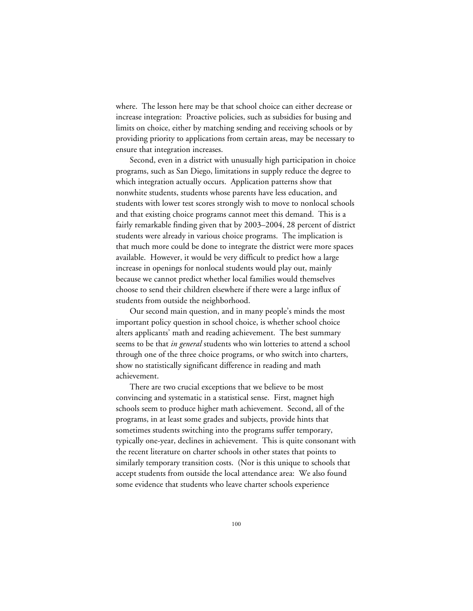where. The lesson here may be that school choice can either decrease or increase integration: Proactive policies, such as subsidies for busing and limits on choice, either by matching sending and receiving schools or by providing priority to applications from certain areas, may be necessary to ensure that integration increases.

Second, even in a district with unusually high participation in choice programs, such as San Diego, limitations in supply reduce the degree to which integration actually occurs. Application patterns show that nonwhite students, students whose parents have less education, and students with lower test scores strongly wish to move to nonlocal schools and that existing choice programs cannot meet this demand. This is a fairly remarkable finding given that by 2003–2004, 28 percent of district students were already in various choice programs. The implication is that much more could be done to integrate the district were more spaces available. However, it would be very difficult to predict how a large increase in openings for nonlocal students would play out, mainly because we cannot predict whether local families would themselves choose to send their children elsewhere if there were a large influx of students from outside the neighborhood.

Our second main question, and in many people's minds the most important policy question in school choice, is whether school choice alters applicants' math and reading achievement. The best summary seems to be that *in general* students who win lotteries to attend a school through one of the three choice programs, or who switch into charters, show no statistically significant difference in reading and math achievement.

There are two crucial exceptions that we believe to be most convincing and systematic in a statistical sense. First, magnet high schools seem to produce higher math achievement. Second, all of the programs, in at least some grades and subjects, provide hints that sometimes students switching into the programs suffer temporary, typically one-year, declines in achievement. This is quite consonant with the recent literature on charter schools in other states that points to similarly temporary transition costs. (Nor is this unique to schools that accept students from outside the local attendance area: We also found some evidence that students who leave charter schools experience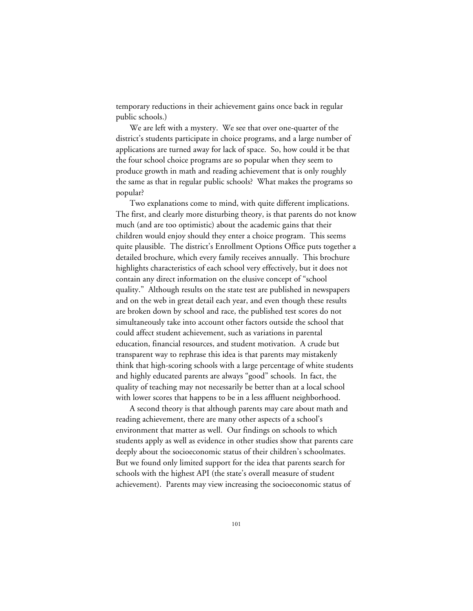temporary reductions in their achievement gains once back in regular public schools.)

We are left with a mystery. We see that over one-quarter of the district's students participate in choice programs, and a large number of applications are turned away for lack of space. So, how could it be that the four school choice programs are so popular when they seem to produce growth in math and reading achievement that is only roughly the same as that in regular public schools? What makes the programs so popular?

Two explanations come to mind, with quite different implications. The first, and clearly more disturbing theory, is that parents do not know much (and are too optimistic) about the academic gains that their children would enjoy should they enter a choice program. This seems quite plausible. The district's Enrollment Options Office puts together a detailed brochure, which every family receives annually. This brochure highlights characteristics of each school very effectively, but it does not contain any direct information on the elusive concept of "school quality." Although results on the state test are published in newspapers and on the web in great detail each year, and even though these results are broken down by school and race, the published test scores do not simultaneously take into account other factors outside the school that could affect student achievement, such as variations in parental education, financial resources, and student motivation. A crude but transparent way to rephrase this idea is that parents may mistakenly think that high-scoring schools with a large percentage of white students and highly educated parents are always "good" schools. In fact, the quality of teaching may not necessarily be better than at a local school with lower scores that happens to be in a less affluent neighborhood.

A second theory is that although parents may care about math and reading achievement, there are many other aspects of a school's environment that matter as well. Our findings on schools to which students apply as well as evidence in other studies show that parents care deeply about the socioeconomic status of their children's schoolmates. But we found only limited support for the idea that parents search for schools with the highest API (the state's overall measure of student achievement). Parents may view increasing the socioeconomic status of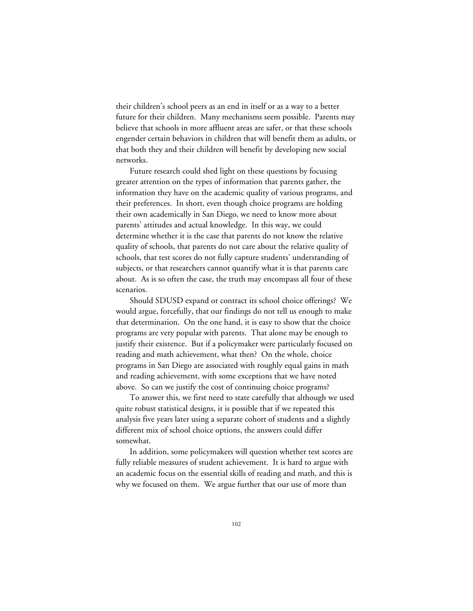their children's school peers as an end in itself or as a way to a better future for their children. Many mechanisms seem possible. Parents may believe that schools in more affluent areas are safer, or that these schools engender certain behaviors in children that will benefit them as adults, or that both they and their children will benefit by developing new social networks.

Future research could shed light on these questions by focusing greater attention on the types of information that parents gather, the information they have on the academic quality of various programs, and their preferences. In short, even though choice programs are holding their own academically in San Diego, we need to know more about parents' attitudes and actual knowledge. In this way, we could determine whether it is the case that parents do not know the relative quality of schools, that parents do not care about the relative quality of schools, that test scores do not fully capture students' understanding of subjects, or that researchers cannot quantify what it is that parents care about. As is so often the case, the truth may encompass all four of these scenarios.

Should SDUSD expand or contract its school choice offerings? We would argue, forcefully, that our findings do not tell us enough to make that determination. On the one hand, it is easy to show that the choice programs are very popular with parents. That alone may be enough to justify their existence. But if a policymaker were particularly focused on reading and math achievement, what then? On the whole, choice programs in San Diego are associated with roughly equal gains in math and reading achievement, with some exceptions that we have noted above. So can we justify the cost of continuing choice programs?

To answer this, we first need to state carefully that although we used quite robust statistical designs, it is possible that if we repeated this analysis five years later using a separate cohort of students and a slightly different mix of school choice options, the answers could differ somewhat.

In addition, some policymakers will question whether test scores are fully reliable measures of student achievement. It is hard to argue with an academic focus on the essential skills of reading and math, and this is why we focused on them. We argue further that our use of more than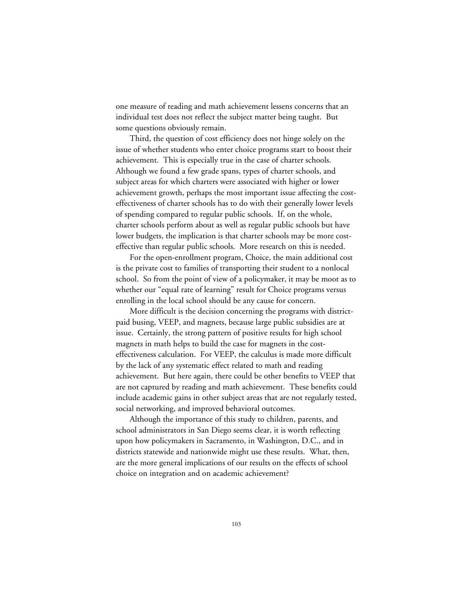one measure of reading and math achievement lessens concerns that an individual test does not reflect the subject matter being taught. But some questions obviously remain.

Third, the question of cost efficiency does not hinge solely on the issue of whether students who enter choice programs start to boost their achievement. This is especially true in the case of charter schools. Although we found a few grade spans, types of charter schools, and subject areas for which charters were associated with higher or lower achievement growth, perhaps the most important issue affecting the costeffectiveness of charter schools has to do with their generally lower levels of spending compared to regular public schools. If, on the whole, charter schools perform about as well as regular public schools but have lower budgets, the implication is that charter schools may be more costeffective than regular public schools. More research on this is needed.

For the open-enrollment program, Choice, the main additional cost is the private cost to families of transporting their student to a nonlocal school. So from the point of view of a policymaker, it may be moot as to whether our "equal rate of learning" result for Choice programs versus enrolling in the local school should be any cause for concern.

More difficult is the decision concerning the programs with districtpaid busing, VEEP, and magnets, because large public subsidies are at issue. Certainly, the strong pattern of positive results for high school magnets in math helps to build the case for magnets in the costeffectiveness calculation. For VEEP, the calculus is made more difficult by the lack of any systematic effect related to math and reading achievement. But here again, there could be other benefits to VEEP that are not captured by reading and math achievement. These benefits could include academic gains in other subject areas that are not regularly tested, social networking, and improved behavioral outcomes.

Although the importance of this study to children, parents, and school administrators in San Diego seems clear, it is worth reflecting upon how policymakers in Sacramento, in Washington, D.C., and in districts statewide and nationwide might use these results. What, then, are the more general implications of our results on the effects of school choice on integration and on academic achievement?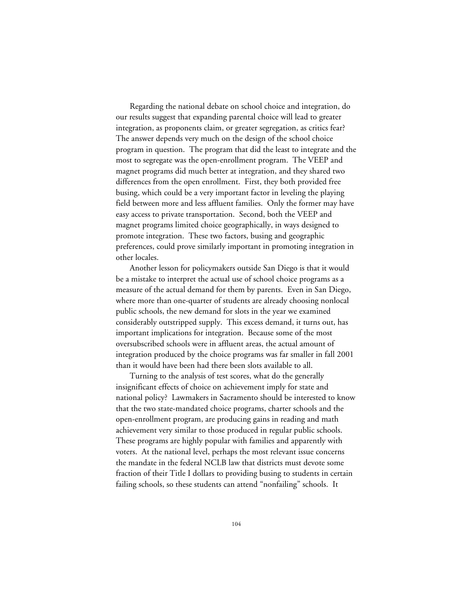Regarding the national debate on school choice and integration, do our results suggest that expanding parental choice will lead to greater integration, as proponents claim, or greater segregation, as critics fear? The answer depends very much on the design of the school choice program in question. The program that did the least to integrate and the most to segregate was the open-enrollment program. The VEEP and magnet programs did much better at integration, and they shared two differences from the open enrollment. First, they both provided free busing, which could be a very important factor in leveling the playing field between more and less affluent families. Only the former may have easy access to private transportation. Second, both the VEEP and magnet programs limited choice geographically, in ways designed to promote integration. These two factors, busing and geographic preferences, could prove similarly important in promoting integration in other locales.

Another lesson for policymakers outside San Diego is that it would be a mistake to interpret the actual use of school choice programs as a measure of the actual demand for them by parents. Even in San Diego, where more than one-quarter of students are already choosing nonlocal public schools, the new demand for slots in the year we examined considerably outstripped supply. This excess demand, it turns out, has important implications for integration. Because some of the most oversubscribed schools were in affluent areas, the actual amount of integration produced by the choice programs was far smaller in fall 2001 than it would have been had there been slots available to all.

Turning to the analysis of test scores, what do the generally insignificant effects of choice on achievement imply for state and national policy? Lawmakers in Sacramento should be interested to know that the two state-mandated choice programs, charter schools and the open-enrollment program, are producing gains in reading and math achievement very similar to those produced in regular public schools. These programs are highly popular with families and apparently with voters. At the national level, perhaps the most relevant issue concerns the mandate in the federal NCLB law that districts must devote some fraction of their Title I dollars to providing busing to students in certain failing schools, so these students can attend "nonfailing" schools. It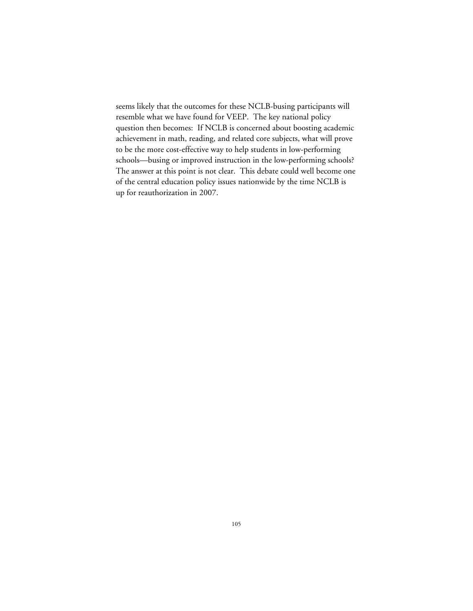seems likely that the outcomes for these NCLB-busing participants will resemble what we have found for VEEP. The key national policy question then becomes: If NCLB is concerned about boosting academic achievement in math, reading, and related core subjects, what will prove to be the more cost-effective way to help students in low-performing schools—busing or improved instruction in the low-performing schools? The answer at this point is not clear. This debate could well become one of the central education policy issues nationwide by the time NCLB is up for reauthorization in 2007.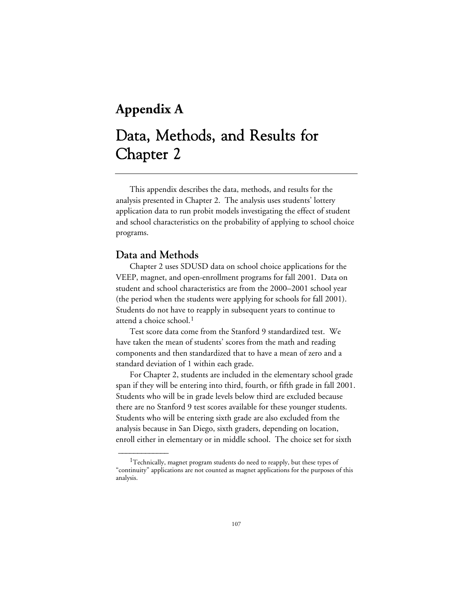## **Appendix A**

## Data, Methods, and Results for Chapter 2

This appendix describes the data, methods, and results for the analysis presented in Chapter 2. The analysis uses students' lottery application data to run probit models investigating the effect of student and school characteristics on the probability of applying to school choice programs.

#### **Data and Methods**

 $\overline{\phantom{a}}$ 

Chapter 2 uses SDUSD data on school choice applications for the VEEP, magnet, and open-enrollment programs for fall 2001. Data on student and school characteristics are from the 2000–2001 school year (the period when the students were applying for schools for fall 2001). Students do not have to reapply in subsequent years to continue to attend a choice school.<sup>1</sup>

Test score data come from the Stanford 9 standardized test. We have taken the mean of students' scores from the math and reading components and then standardized that to have a mean of zero and a standard deviation of 1 within each grade.

For Chapter 2, students are included in the elementary school grade span if they will be entering into third, fourth, or fifth grade in fall 2001. Students who will be in grade levels below third are excluded because there are no Stanford 9 test scores available for these younger students. Students who will be entering sixth grade are also excluded from the analysis because in San Diego, sixth graders, depending on location, enroll either in elementary or in middle school. The choice set for sixth

<sup>&</sup>lt;sup>1</sup>Technically, magnet program students do need to reapply, but these types of "continuity" applications are not counted as magnet applications for the purposes of this analysis.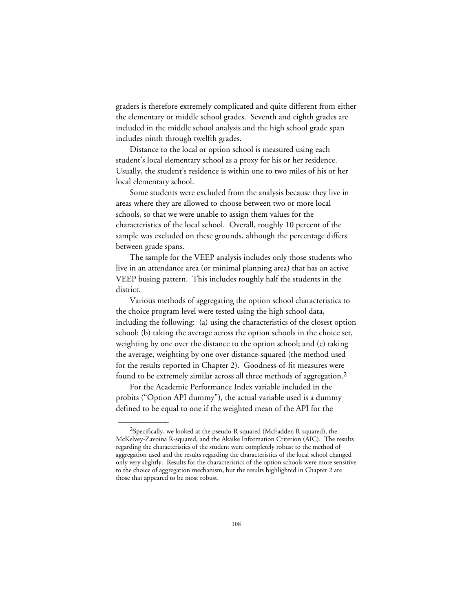graders is therefore extremely complicated and quite different from either the elementary or middle school grades. Seventh and eighth grades are included in the middle school analysis and the high school grade span includes ninth through twelfth grades.

Distance to the local or option school is measured using each student's local elementary school as a proxy for his or her residence. Usually, the student's residence is within one to two miles of his or her local elementary school.

Some students were excluded from the analysis because they live in areas where they are allowed to choose between two or more local schools, so that we were unable to assign them values for the characteristics of the local school. Overall, roughly 10 percent of the sample was excluded on these grounds, although the percentage differs between grade spans.

The sample for the VEEP analysis includes only those students who live in an attendance area (or minimal planning area) that has an active VEEP busing pattern. This includes roughly half the students in the district.

Various methods of aggregating the option school characteristics to the choice program level were tested using the high school data, including the following: (a) using the characteristics of the closest option school; (b) taking the average across the option schools in the choice set, weighting by one over the distance to the option school; and (c) taking the average, weighting by one over distance-squared (the method used for the results reported in Chapter 2). Goodness-of-fit measures were found to be extremely similar across all three methods of aggregation.<sup>2</sup>

For the Academic Performance Index variable included in the probits ("Option API dummy"), the actual variable used is a dummy defined to be equal to one if the weighted mean of the API for the

<sup>&</sup>lt;sup>2</sup>Specifically, we looked at the pseudo-R-squared (McFadden R-squared), the McKelvey-Zavoina R-squared, and the Akaike Information Criterion (AIC). The results regarding the characteristics of the student were completely robust to the method of aggregation used and the results regarding the characteristics of the local school changed only very slightly. Results for the characteristics of the option schools were more sensitive to the choice of aggregation mechanism, but the results highlighted in Chapter 2 are those that appeared to be most robust.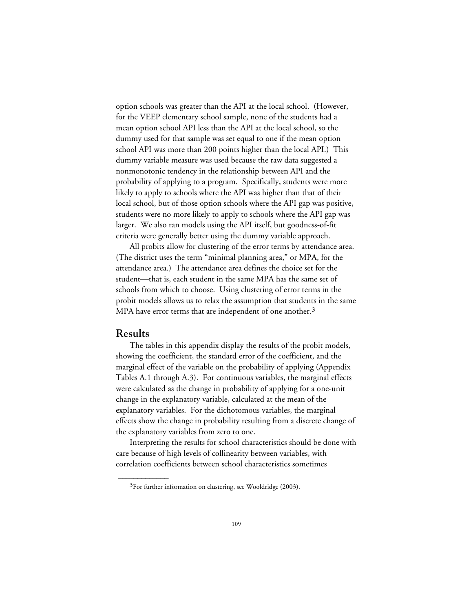option schools was greater than the API at the local school. (However, for the VEEP elementary school sample, none of the students had a mean option school API less than the API at the local school, so the dummy used for that sample was set equal to one if the mean option school API was more than 200 points higher than the local API.) This dummy variable measure was used because the raw data suggested a nonmonotonic tendency in the relationship between API and the probability of applying to a program. Specifically, students were more likely to apply to schools where the API was higher than that of their local school, but of those option schools where the API gap was positive, students were no more likely to apply to schools where the API gap was larger. We also ran models using the API itself, but goodness-of-fit criteria were generally better using the dummy variable approach.

All probits allow for clustering of the error terms by attendance area. (The district uses the term "minimal planning area," or MPA, for the attendance area.) The attendance area defines the choice set for the student—that is, each student in the same MPA has the same set of schools from which to choose. Using clustering of error terms in the probit models allows us to relax the assumption that students in the same MPA have error terms that are independent of one another.<sup>3</sup>

#### **Results**

 $\overline{\phantom{a}}$ 

The tables in this appendix display the results of the probit models, showing the coefficient, the standard error of the coefficient, and the marginal effect of the variable on the probability of applying (Appendix Tables A.1 through A.3). For continuous variables, the marginal effects were calculated as the change in probability of applying for a one-unit change in the explanatory variable, calculated at the mean of the explanatory variables. For the dichotomous variables, the marginal effects show the change in probability resulting from a discrete change of the explanatory variables from zero to one.

Interpreting the results for school characteristics should be done with care because of high levels of collinearity between variables, with correlation coefficients between school characteristics sometimes

 $3$ For further information on clustering, see Wooldridge (2003).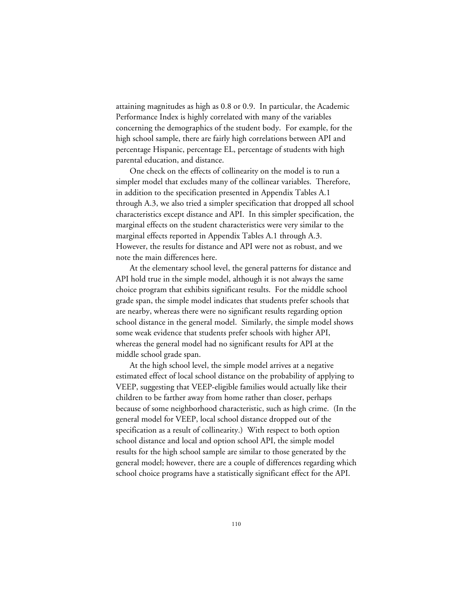attaining magnitudes as high as 0.8 or 0.9. In particular, the Academic Performance Index is highly correlated with many of the variables concerning the demographics of the student body. For example, for the high school sample, there are fairly high correlations between API and percentage Hispanic, percentage EL, percentage of students with high parental education, and distance.

One check on the effects of collinearity on the model is to run a simpler model that excludes many of the collinear variables. Therefore, in addition to the specification presented in Appendix Tables A.1 through A.3, we also tried a simpler specification that dropped all school characteristics except distance and API. In this simpler specification, the marginal effects on the student characteristics were very similar to the marginal effects reported in Appendix Tables A.1 through A.3. However, the results for distance and API were not as robust, and we note the main differences here.

At the elementary school level, the general patterns for distance and API hold true in the simple model, although it is not always the same choice program that exhibits significant results. For the middle school grade span, the simple model indicates that students prefer schools that are nearby, whereas there were no significant results regarding option school distance in the general model. Similarly, the simple model shows some weak evidence that students prefer schools with higher API, whereas the general model had no significant results for API at the middle school grade span.

At the high school level, the simple model arrives at a negative estimated effect of local school distance on the probability of applying to VEEP, suggesting that VEEP-eligible families would actually like their children to be farther away from home rather than closer, perhaps because of some neighborhood characteristic, such as high crime. (In the general model for VEEP, local school distance dropped out of the specification as a result of collinearity.) With respect to both option school distance and local and option school API, the simple model results for the high school sample are similar to those generated by the general model; however, there are a couple of differences regarding which school choice programs have a statistically significant effect for the API.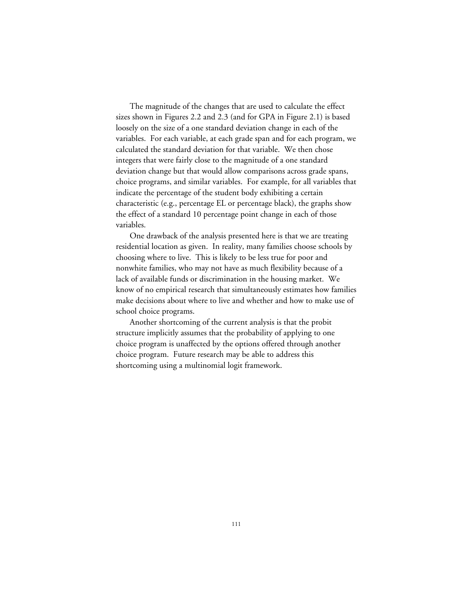The magnitude of the changes that are used to calculate the effect sizes shown in Figures 2.2 and 2.3 (and for GPA in Figure 2.1) is based loosely on the size of a one standard deviation change in each of the variables. For each variable, at each grade span and for each program, we calculated the standard deviation for that variable. We then chose integers that were fairly close to the magnitude of a one standard deviation change but that would allow comparisons across grade spans, choice programs, and similar variables. For example, for all variables that indicate the percentage of the student body exhibiting a certain characteristic (e.g., percentage EL or percentage black), the graphs show the effect of a standard 10 percentage point change in each of those variables.

One drawback of the analysis presented here is that we are treating residential location as given. In reality, many families choose schools by choosing where to live. This is likely to be less true for poor and nonwhite families, who may not have as much flexibility because of a lack of available funds or discrimination in the housing market. We know of no empirical research that simultaneously estimates how families make decisions about where to live and whether and how to make use of school choice programs.

Another shortcoming of the current analysis is that the probit structure implicitly assumes that the probability of applying to one choice program is unaffected by the options offered through another choice program. Future research may be able to address this shortcoming using a multinomial logit framework.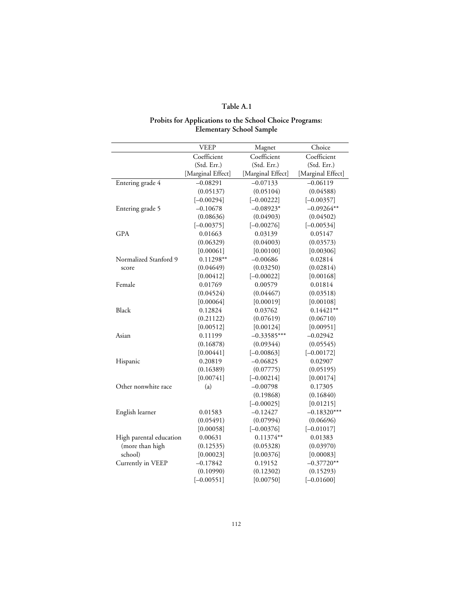## **Table A.1**

#### **Probits for Applications to the School Choice Programs: Elementary School Sample**

|                         | <b>VEEP</b>       | Magnet            | Choice            |
|-------------------------|-------------------|-------------------|-------------------|
|                         | Coefficient       | Coefficient       | Coefficient       |
|                         | (Std. Err.)       | (Std. Err.)       | (Std. Err.)       |
|                         | [Marginal Effect] | [Marginal Effect] | [Marginal Effect] |
| Entering grade 4        | $-0.08291$        | $-0.07133$        | $-0.06119$        |
|                         | (0.05137)         | (0.05104)         | (0.04588)         |
|                         | $[-0.00294]$      | $[-0.00222]$      | $[-0.00357]$      |
| Entering grade 5        | $-0.10678$        | $-0.08923*$       | $-0.09264**$      |
|                         | (0.08636)         | (0.04903)         | (0.04502)         |
|                         | $[-0.00375]$      | $[-0.00276]$      | $[-0.00534]$      |
| <b>GPA</b>              | 0.01663           | 0.03139           | 0.05147           |
|                         | (0.06329)         | (0.04003)         | (0.03573)         |
|                         | [0.00061]         | [0.00100]         | [0.00306]         |
| Normalized Stanford 9   | $0.11298**$       | $-0.00686$        | 0.02814           |
| score                   | (0.04649)         | (0.03250)         | (0.02814)         |
|                         | [0.00412]         | $[-0.00022]$      | [0.00168]         |
| Female                  | 0.01769           | 0.00579           | 0.01814           |
|                         | (0.04524)         | (0.04467)         | (0.03518)         |
|                         | [0.00064]         | [0.00019]         | [0.00108]         |
| Black                   | 0.12824           | 0.03762           | $0.14421**$       |
|                         | (0.21122)         | (0.07619)         | (0.06710)         |
|                         | [0.00512]         | [0.00124]         | [0.00951]         |
| Asian                   | 0.11199           | $-0.33585***$     | $-0.02942$        |
|                         | (0.16878)         | (0.09344)         | (0.05545)         |
|                         | [0.00441]         | $[-0.00863]$      | $[-0.00172]$      |
| Hispanic                | 0.20819           | $-0.06825$        | 0.02907           |
|                         | (0.16389)         | (0.07775)         | (0.05195)         |
|                         | [0.00741]         | $[-0.00214]$      | [0.00174]         |
| Other nonwhite race     | (a)               | $-0.00798$        | 0.17305           |
|                         |                   | (0.19868)         | (0.16840)         |
|                         |                   | $[-0.00025]$      | [0.01215]         |
| English learner         | 0.01583           | $-0.12427$        | $-0.18320***$     |
|                         | (0.05491)         | (0.07994)         | (0.06696)         |
|                         | [0.00058]         | $[-0.00376]$      | $[-0.01017]$      |
| High parental education | 0.00631           | $0.11374**$       | 0.01383           |
| (more than high         | (0.12535)         | (0.05328)         | (0.03970)         |
| school)                 | [0.00023]         | [0.00376]         | [0.00083]         |
| Currently in VEEP       | $-0.17842$        | 0.19152           | $-0.37720**$      |
|                         | (0.10990)         | (0.12302)         | (0.15293)         |
|                         | $[-0.00551]$      | [0.00750]         | $[-0.01600]$      |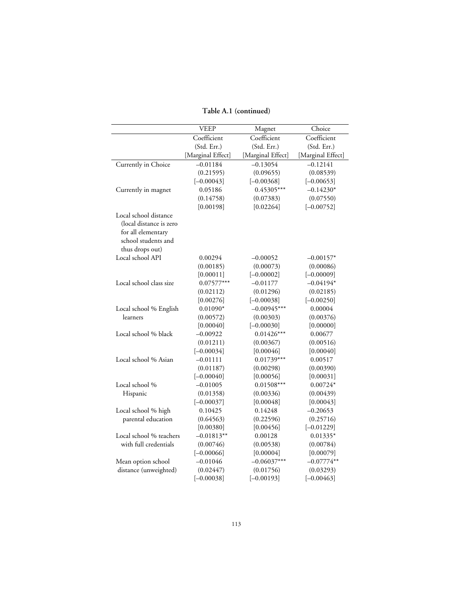|  |  | Table A.1 (continued) |
|--|--|-----------------------|
|--|--|-----------------------|

|                                                                                               | <b>VEEP</b>       | Magnet            | Choice            |
|-----------------------------------------------------------------------------------------------|-------------------|-------------------|-------------------|
|                                                                                               | Coefficient       | Coefficient       | Coefficient       |
|                                                                                               | (Std. Err.)       | (Std. Err.)       | (Std. Err.)       |
|                                                                                               | [Marginal Effect] | [Marginal Effect] | [Marginal Effect] |
| Currently in Choice                                                                           | $-0.01184$        | $-0.13054$        | $-0.12141$        |
|                                                                                               | (0.21595)         | (0.09655)         | (0.08539)         |
|                                                                                               | $[-0.00043]$      | $[-0.00368]$      | $[-0.00653]$      |
| Currently in magnet                                                                           | 0.05186           | $0.45305***$      | $-0.14230*$       |
|                                                                                               | (0.14758)         | (0.07383)         | (0.07550)         |
|                                                                                               | [0.00198]         | [0.02264]         | $[-0.00752]$      |
| Local school distance<br>(local distance is zero<br>for all elementary<br>school students and |                   |                   |                   |
| thus drops out)                                                                               |                   |                   |                   |
| Local school API                                                                              | 0.00294           | $-0.00052$        | $-0.00157*$       |
|                                                                                               | (0.00185)         | (0.00073)         | (0.00086)         |
|                                                                                               | [0.00011]         | $[-0.00002]$      | $[-0.00009]$      |
| Local school class size                                                                       | $0.07577***$      | $-0.01177$        | $-0.04194*$       |
|                                                                                               | (0.02112)         | (0.01296)         | (0.02185)         |
|                                                                                               | [0.00276]         | $[-0.00038]$      | $[-0.00250]$      |
| Local school % English                                                                        | $0.01090*$        | $-0.00945***$     | 0.00004           |
| learners                                                                                      | (0.00572)         | (0.00303)         | (0.00376)         |
|                                                                                               | [0.00040]         | $[-0.00030]$      | [0.00000]         |
| Local school % black                                                                          | $-0.00922$        | $0.01426***$      | 0.00677           |
|                                                                                               | (0.01211)         | (0.00367)         | (0.00516)         |
|                                                                                               | $[-0.00034]$      | [0.00046]         | [0.00040]         |
| Local school % Asian                                                                          | $-0.01111$        | $0.01739***$      | 0.00517           |
|                                                                                               | (0.01187)         | (0.00298)         | (0.00390)         |
|                                                                                               | $[-0.00040]$      | [0.00056]         | [0.00031]         |
| Local school %                                                                                | $-0.01005$        | $0.01508***$      | $0.00724*$        |
| Hispanic                                                                                      | (0.01358)         | (0.00336)         | (0.00439)         |
|                                                                                               | $[-0.00037]$      | [0.00048]         | [0.00043]         |
| Local school % high                                                                           | 0.10425           | 0.14248           | $-0.20653$        |
| parental education                                                                            | (0.64563)         | (0.22596)         | (0.25716)         |
|                                                                                               | [0.00380]         | [0.00456]         | $[-0.01229]$      |
| Local school % teachers                                                                       | $-0.01813**$      | 0.00128           | $0.01335*$        |
| with full credentials                                                                         | (0.00746)         | (0.00538)         | (0.00784)         |
|                                                                                               | $[-0.00066]$      | [0.00004]         | [0.00079]         |
| Mean option school                                                                            | $-0.01046$        | $-0.06037***$     | $-0.07774**$      |
| distance (unweighted)                                                                         | (0.02447)         | (0.01756)         | (0.03293)         |
|                                                                                               | $[-0.00038]$      | $[-0.00193]$      | $[-0.00463]$      |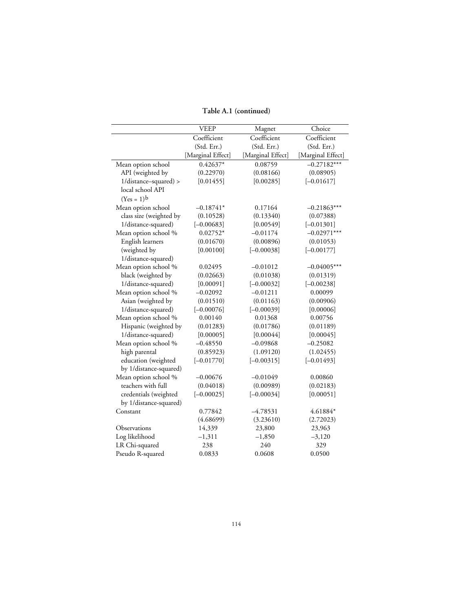**Table A.1 (continued)**

| Choice<br><b>VEEP</b><br>Magnet<br>Coefficient<br>Coefficient<br>Coefficient<br>(Std. Err.)<br>(Std. Err.)<br>(Std. Err.)<br>[Marginal Effect]<br>[Marginal Effect]<br>[Marginal Effect]<br>$-0.27182***$<br>Mean option school<br>$0.42637*$<br>0.08759<br>API (weighted by<br>(0.22970)<br>(0.08166)<br>(0.08905)<br>1/distance-squared) ><br>[0.01455]<br>[0.00285]<br>$[-0.01617]$<br>local school API<br>$(Yes = 1)^b$<br>Mean option school<br>$-0.18741*$<br>0.17164<br>$-0.21863***$<br>class size (weighted by<br>(0.13340)<br>(0.10528)<br>(0.07388)<br>$[-0.00683]$<br>[0.00549]<br>$[-0.01301]$<br>1/distance-squared)<br>$-0.02971***$<br>Mean option school %<br>$0.02752*$<br>$-0.01174$<br>(0.01670)<br>English learners<br>(0.00896)<br>(0.01053)<br>(weighted by<br>[0.00100]<br>$[-0.00038]$<br>$[-0.00177]$<br>1/distance-squared)<br>Mean option school %<br>$-0.04005***$<br>0.02495<br>$-0.01012$<br>black (weighted by<br>(0.02663)<br>(0.01038)<br>(0.01319)<br>1/distance-squared)<br>[0.00091]<br>$[-0.00032]$<br>$[-0.00238]$<br>Mean option school %<br>$-0.01211$<br>0.00099<br>$-0.02092$<br>Asian (weighted by<br>(0.01510)<br>(0.01163)<br>(0.00906)<br>$[-0.00076]$<br>$[-0.00039]$<br>[0.00006]<br>1/distance-squared)<br>Mean option school %<br>0.00140<br>0.01368<br>0.00756<br>Hispanic (weighted by<br>(0.01283)<br>(0.01786)<br>(0.01189)<br>[0.00005]<br>[0.00044]<br>[0.00045]<br>1/distance-squared)<br>$-0.48550$<br>Mean option school %<br>$-0.09868$<br>$-0.25082$ |  |
|--------------------------------------------------------------------------------------------------------------------------------------------------------------------------------------------------------------------------------------------------------------------------------------------------------------------------------------------------------------------------------------------------------------------------------------------------------------------------------------------------------------------------------------------------------------------------------------------------------------------------------------------------------------------------------------------------------------------------------------------------------------------------------------------------------------------------------------------------------------------------------------------------------------------------------------------------------------------------------------------------------------------------------------------------------------------------------------------------------------------------------------------------------------------------------------------------------------------------------------------------------------------------------------------------------------------------------------------------------------------------------------------------------------------------------------------------------------------------------------------------------------------|--|
|                                                                                                                                                                                                                                                                                                                                                                                                                                                                                                                                                                                                                                                                                                                                                                                                                                                                                                                                                                                                                                                                                                                                                                                                                                                                                                                                                                                                                                                                                                                    |  |
|                                                                                                                                                                                                                                                                                                                                                                                                                                                                                                                                                                                                                                                                                                                                                                                                                                                                                                                                                                                                                                                                                                                                                                                                                                                                                                                                                                                                                                                                                                                    |  |
|                                                                                                                                                                                                                                                                                                                                                                                                                                                                                                                                                                                                                                                                                                                                                                                                                                                                                                                                                                                                                                                                                                                                                                                                                                                                                                                                                                                                                                                                                                                    |  |
|                                                                                                                                                                                                                                                                                                                                                                                                                                                                                                                                                                                                                                                                                                                                                                                                                                                                                                                                                                                                                                                                                                                                                                                                                                                                                                                                                                                                                                                                                                                    |  |
|                                                                                                                                                                                                                                                                                                                                                                                                                                                                                                                                                                                                                                                                                                                                                                                                                                                                                                                                                                                                                                                                                                                                                                                                                                                                                                                                                                                                                                                                                                                    |  |
|                                                                                                                                                                                                                                                                                                                                                                                                                                                                                                                                                                                                                                                                                                                                                                                                                                                                                                                                                                                                                                                                                                                                                                                                                                                                                                                                                                                                                                                                                                                    |  |
|                                                                                                                                                                                                                                                                                                                                                                                                                                                                                                                                                                                                                                                                                                                                                                                                                                                                                                                                                                                                                                                                                                                                                                                                                                                                                                                                                                                                                                                                                                                    |  |
|                                                                                                                                                                                                                                                                                                                                                                                                                                                                                                                                                                                                                                                                                                                                                                                                                                                                                                                                                                                                                                                                                                                                                                                                                                                                                                                                                                                                                                                                                                                    |  |
|                                                                                                                                                                                                                                                                                                                                                                                                                                                                                                                                                                                                                                                                                                                                                                                                                                                                                                                                                                                                                                                                                                                                                                                                                                                                                                                                                                                                                                                                                                                    |  |
|                                                                                                                                                                                                                                                                                                                                                                                                                                                                                                                                                                                                                                                                                                                                                                                                                                                                                                                                                                                                                                                                                                                                                                                                                                                                                                                                                                                                                                                                                                                    |  |
|                                                                                                                                                                                                                                                                                                                                                                                                                                                                                                                                                                                                                                                                                                                                                                                                                                                                                                                                                                                                                                                                                                                                                                                                                                                                                                                                                                                                                                                                                                                    |  |
|                                                                                                                                                                                                                                                                                                                                                                                                                                                                                                                                                                                                                                                                                                                                                                                                                                                                                                                                                                                                                                                                                                                                                                                                                                                                                                                                                                                                                                                                                                                    |  |
|                                                                                                                                                                                                                                                                                                                                                                                                                                                                                                                                                                                                                                                                                                                                                                                                                                                                                                                                                                                                                                                                                                                                                                                                                                                                                                                                                                                                                                                                                                                    |  |
|                                                                                                                                                                                                                                                                                                                                                                                                                                                                                                                                                                                                                                                                                                                                                                                                                                                                                                                                                                                                                                                                                                                                                                                                                                                                                                                                                                                                                                                                                                                    |  |
|                                                                                                                                                                                                                                                                                                                                                                                                                                                                                                                                                                                                                                                                                                                                                                                                                                                                                                                                                                                                                                                                                                                                                                                                                                                                                                                                                                                                                                                                                                                    |  |
|                                                                                                                                                                                                                                                                                                                                                                                                                                                                                                                                                                                                                                                                                                                                                                                                                                                                                                                                                                                                                                                                                                                                                                                                                                                                                                                                                                                                                                                                                                                    |  |
|                                                                                                                                                                                                                                                                                                                                                                                                                                                                                                                                                                                                                                                                                                                                                                                                                                                                                                                                                                                                                                                                                                                                                                                                                                                                                                                                                                                                                                                                                                                    |  |
|                                                                                                                                                                                                                                                                                                                                                                                                                                                                                                                                                                                                                                                                                                                                                                                                                                                                                                                                                                                                                                                                                                                                                                                                                                                                                                                                                                                                                                                                                                                    |  |
|                                                                                                                                                                                                                                                                                                                                                                                                                                                                                                                                                                                                                                                                                                                                                                                                                                                                                                                                                                                                                                                                                                                                                                                                                                                                                                                                                                                                                                                                                                                    |  |
|                                                                                                                                                                                                                                                                                                                                                                                                                                                                                                                                                                                                                                                                                                                                                                                                                                                                                                                                                                                                                                                                                                                                                                                                                                                                                                                                                                                                                                                                                                                    |  |
|                                                                                                                                                                                                                                                                                                                                                                                                                                                                                                                                                                                                                                                                                                                                                                                                                                                                                                                                                                                                                                                                                                                                                                                                                                                                                                                                                                                                                                                                                                                    |  |
|                                                                                                                                                                                                                                                                                                                                                                                                                                                                                                                                                                                                                                                                                                                                                                                                                                                                                                                                                                                                                                                                                                                                                                                                                                                                                                                                                                                                                                                                                                                    |  |
|                                                                                                                                                                                                                                                                                                                                                                                                                                                                                                                                                                                                                                                                                                                                                                                                                                                                                                                                                                                                                                                                                                                                                                                                                                                                                                                                                                                                                                                                                                                    |  |
| (0.85923)<br>(1.09120)<br>high parental<br>(1.02455)                                                                                                                                                                                                                                                                                                                                                                                                                                                                                                                                                                                                                                                                                                                                                                                                                                                                                                                                                                                                                                                                                                                                                                                                                                                                                                                                                                                                                                                               |  |
| education (weighted<br>$[-0.01770]$<br>$[-0.00315]$<br>$[-0.01493]$<br>by 1/distance-squared)                                                                                                                                                                                                                                                                                                                                                                                                                                                                                                                                                                                                                                                                                                                                                                                                                                                                                                                                                                                                                                                                                                                                                                                                                                                                                                                                                                                                                      |  |
| Mean option school %<br>$-0.00676$<br>$-0.01049$<br>0.00860                                                                                                                                                                                                                                                                                                                                                                                                                                                                                                                                                                                                                                                                                                                                                                                                                                                                                                                                                                                                                                                                                                                                                                                                                                                                                                                                                                                                                                                        |  |
| teachers with full<br>(0.04018)<br>(0.00989)<br>(0.02183)                                                                                                                                                                                                                                                                                                                                                                                                                                                                                                                                                                                                                                                                                                                                                                                                                                                                                                                                                                                                                                                                                                                                                                                                                                                                                                                                                                                                                                                          |  |
| $[-0.00025]$<br>$[-0.00034]$<br>[0.00051]<br>credentials (weighted<br>by 1/distance-squared)                                                                                                                                                                                                                                                                                                                                                                                                                                                                                                                                                                                                                                                                                                                                                                                                                                                                                                                                                                                                                                                                                                                                                                                                                                                                                                                                                                                                                       |  |
| 0.77842<br>4.61884*<br>Constant<br>$-4.78531$                                                                                                                                                                                                                                                                                                                                                                                                                                                                                                                                                                                                                                                                                                                                                                                                                                                                                                                                                                                                                                                                                                                                                                                                                                                                                                                                                                                                                                                                      |  |
| (4.68699)<br>(3.23610)<br>(2.72023)                                                                                                                                                                                                                                                                                                                                                                                                                                                                                                                                                                                                                                                                                                                                                                                                                                                                                                                                                                                                                                                                                                                                                                                                                                                                                                                                                                                                                                                                                |  |
| Observations<br>14,339<br>23,800<br>23,963                                                                                                                                                                                                                                                                                                                                                                                                                                                                                                                                                                                                                                                                                                                                                                                                                                                                                                                                                                                                                                                                                                                                                                                                                                                                                                                                                                                                                                                                         |  |
| Log likelihood<br>$-1,311$<br>$-1,850$<br>$-3,120$                                                                                                                                                                                                                                                                                                                                                                                                                                                                                                                                                                                                                                                                                                                                                                                                                                                                                                                                                                                                                                                                                                                                                                                                                                                                                                                                                                                                                                                                 |  |
| LR Chi-squared<br>238<br>240<br>329                                                                                                                                                                                                                                                                                                                                                                                                                                                                                                                                                                                                                                                                                                                                                                                                                                                                                                                                                                                                                                                                                                                                                                                                                                                                                                                                                                                                                                                                                |  |
| Pseudo R-squared<br>0.0608<br>0.0500<br>0.0833                                                                                                                                                                                                                                                                                                                                                                                                                                                                                                                                                                                                                                                                                                                                                                                                                                                                                                                                                                                                                                                                                                                                                                                                                                                                                                                                                                                                                                                                     |  |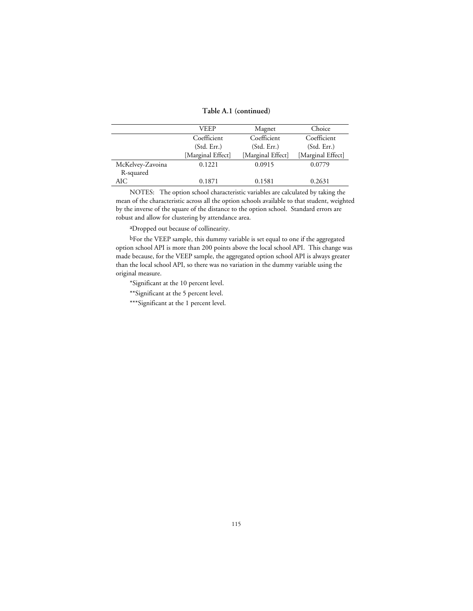#### **Table A.1 (continued)**

|                  | VEEP              | Magnet            | Choice            |
|------------------|-------------------|-------------------|-------------------|
|                  | Coefficient       | Coefficient       | Coefficient       |
|                  | (Std. Err.)       | (Std. Err.)       | (Std. Err.)       |
|                  | [Marginal Effect] | [Marginal Effect] | [Marginal Effect] |
| McKelvey-Zavoina | 0.1221            | 0.0915            | 0.0779            |
| R-squared        |                   |                   |                   |
| AIC              | 0.1871            | 0.1581            | 0.2631            |

NOTES: The option school characteristic variables are calculated by taking the mean of the characteristic across all the option schools available to that student, weighted by the inverse of the square of the distance to the option school. Standard errors are robust and allow for clustering by attendance area.

aDropped out because of collinearity.

bFor the VEEP sample, this dummy variable is set equal to one if the aggregated option school API is more than 200 points above the local school API. This change was made because, for the VEEP sample, the aggregated option school API is always greater than the local school API, so there was no variation in the dummy variable using the original measure.

\*Significant at the 10 percent level.

\*\*Significant at the 5 percent level.

\*\*\*Significant at the 1 percent level.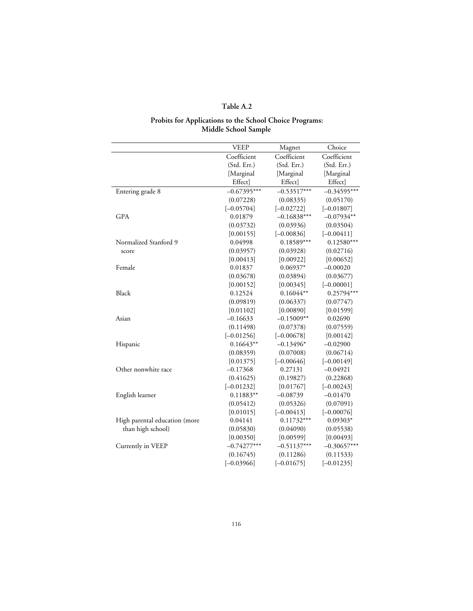### **Table A.2**

#### **Probits for Applications to the School Choice Programs: Middle School Sample**

|                               | <b>VEEP</b>   | Magnet        | Choice        |
|-------------------------------|---------------|---------------|---------------|
|                               | Coefficient   | Coefficient   | Coefficient   |
|                               | (Std. Err.)   | (Std. Err.)   | (Std. Err.)   |
|                               | [Marginal     | [Marginal     | [Marginal     |
|                               | Effect]       | Effect]       | Effect]       |
| Entering grade 8              | $-0.67395***$ | $-0.53517***$ | $-0.34595***$ |
|                               | (0.07228)     | (0.08335)     | (0.05170)     |
|                               | $[-0.05704]$  | $[-0.02722]$  | $[-0.01807]$  |
| <b>GPA</b>                    | 0.01879       | $-0.16838***$ | $-0.07934**$  |
|                               | (0.03732)     | (0.03936)     | (0.03504)     |
|                               | [0.00155]     | $[-0.00836]$  | $[-0.00411]$  |
| Normalized Stanford 9         | 0.04998       | $0.18589***$  | $0.12580***$  |
| score                         | (0.03957)     | (0.03928)     | (0.02716)     |
|                               | [0.00413]     | [0.00922]     | [0.00652]     |
| Female                        | 0.01837       | 0.06937*      | $-0.00020$    |
|                               | (0.03678)     | (0.03894)     | (0.03677)     |
|                               | [0.00152]     | [0.00345]     | $[-0.00001]$  |
| Black                         | 0.12524       | $0.16044**$   | 0.25794***    |
|                               | (0.09819)     | (0.06337)     | (0.07747)     |
|                               | [0.01102]     | [0.00890]     | [0.01599]     |
| Asian                         | $-0.16633$    | $-0.15009**$  | 0.02690       |
|                               | (0.11498)     | (0.07378)     | (0.07559)     |
|                               | $[-0.01256]$  | $[-0.00678]$  | [0.00142]     |
| Hispanic                      | $0.16643**$   | $-0.13496*$   | $-0.02900$    |
|                               | (0.08359)     | (0.07008)     | (0.06714)     |
|                               | [0.01375]     | $[-0.00646]$  | $[-0.00149]$  |
| Other nonwhite race           | $-0.17368$    | 0.27131       | $-0.04921$    |
|                               | (0.41625)     | (0.19827)     | (0.22868)     |
|                               | $[-0.01232]$  | [0.01767]     | $[-0.00243]$  |
| English learner               | $0.11883**$   | $-0.08739$    | $-0.01470$    |
|                               | (0.05412)     | (0.05326)     | (0.07091)     |
|                               | [0.01015]     | $[-0.00413]$  | $[-0.00076]$  |
| High parental education (more | 0.04141       | $0.11732***$  | $0.09303*$    |
| than high school)             | (0.05830)     | (0.04090)     | (0.05538)     |
|                               | [0.00350]     | [0.00599]     | [0.00493]     |
| Currently in VEEP             | $-0.74277***$ | $-0.51137***$ | $-0.30657***$ |
|                               | (0.16745)     | (0.11286)     | (0.11533)     |
|                               | $[-0.03966]$  | $[-0.01675]$  | $[-0.01235]$  |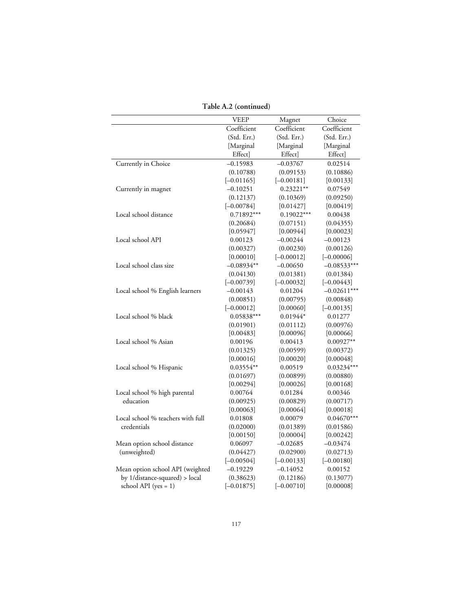|                                                                    | <b>VEEP</b>  | Magnet       | Choice        |
|--------------------------------------------------------------------|--------------|--------------|---------------|
|                                                                    | Coefficient  | Coefficient  | Coefficient   |
|                                                                    |              |              |               |
|                                                                    | (Std. Err.)  | (Std. Err.)  | (Std. Err.)   |
|                                                                    | [Marginal    | [Marginal    | [Marginal     |
|                                                                    | Effect]      | Effect]      | Effect]       |
| Currently in Choice                                                | $-0.15983$   | $-0.03767$   | 0.02514       |
|                                                                    | (0.10788)    | (0.09153)    | (0.10886)     |
|                                                                    | $[-0.01165]$ | $[-0.00181]$ | [0.00133]     |
| Currently in magnet                                                | $-0.10251$   | $0.23221**$  | 0.07549       |
|                                                                    | (0.12137)    | (0.10369)    | (0.09250)     |
|                                                                    | $[-0.00784]$ | [0.01427]    | [0.00419]     |
| Local school distance                                              | 0.71892***   | $0.19022***$ | 0.00438       |
|                                                                    | (0.20684)    | (0.07151)    | (0.04355)     |
|                                                                    | [0.05947]    | [0.00944]    | [0.00023]     |
| Local school API                                                   | 0.00123      | $-0.00244$   | $-0.00123$    |
|                                                                    | (0.00327)    | (0.00230)    | (0.00126)     |
|                                                                    | [0.00010]    | $[-0.00012]$ | $[-0.00006]$  |
| Local school class size                                            | $-0.08934**$ | $-0.00650$   | $-0.08533***$ |
|                                                                    | (0.04130)    | (0.01381)    | (0.01384)     |
|                                                                    | $[-0.00739]$ | $[-0.00032]$ | $[-0.00443]$  |
| Local school % English learners                                    | $-0.00143$   | 0.01204      | $-0.02611***$ |
|                                                                    | (0.00851)    | (0.00795)    | (0.00848)     |
|                                                                    | $[-0.00012]$ | [0.00060]    | $[-0.00135]$  |
| Local school % black                                               | 0.05838***   | $0.01944*$   | 0.01277       |
|                                                                    | (0.01901)    | (0.01112)    | (0.00976)     |
|                                                                    | [0.00483]    | [0.00096]    | [0.00066]     |
| Local school % Asian                                               | 0.00196      | 0.00413      | $0.00927**$   |
|                                                                    | (0.01325)    | (0.00599)    | (0.00372)     |
|                                                                    | [0.00016]    | [0.00020]    | [0.00048]     |
| Local school % Hispanic                                            | $0.03554**$  | 0.00519      | $0.03234***$  |
|                                                                    | (0.01697)    | (0.00899)    | (0.00880)     |
|                                                                    | [0.00294]    | [0.00026]    | [0.00168]     |
| Local school % high parental                                       | 0.00764      | 0.01284      | 0.00346       |
| education                                                          | (0.00925)    | (0.00829)    | (0.00717)     |
|                                                                    | [0.00063]    | [0.00064]    | [0.00018]     |
| Local school % teachers with full                                  | 0.01808      | 0.00079      | $0.04670***$  |
| credentials                                                        | (0.02000)    | (0.01389)    | (0.01586)     |
|                                                                    | [0.00150]    | [0.00004]    | [0.00242]     |
| Mean option school distance                                        | 0.06097      | $-0.02685$   | $-0.03474$    |
| (unweighted)                                                       | (0.04427)    | (0.02900)    | (0.02713)     |
|                                                                    | $[-0.00504]$ | $[-0.00133]$ | $[-0.00180]$  |
|                                                                    | $-0.19229$   | $-0.14052$   | 0.00152       |
| Mean option school API (weighted<br>by 1/distance-squared) > local | (0.38623)    | (0.12186)    | (0.13077)     |
|                                                                    |              |              |               |
| school API ( $yes = 1$ )                                           | $[-0.01875]$ | $[-0.00710]$ | [0.00008]     |

**Table A.2 (continued)**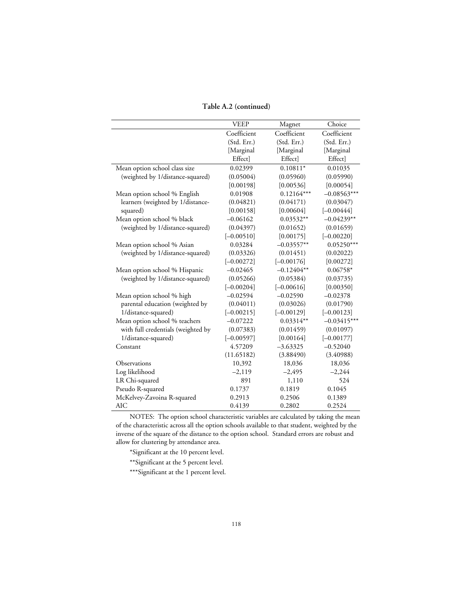**Table A.2 (continued)**

|                                    | <b>VEEP</b>  | Magnet       | Choice        |
|------------------------------------|--------------|--------------|---------------|
|                                    | Coefficient  | Coefficient  | Coefficient   |
|                                    | (Std. Err.)  | (Std. Err.)  | (Std. Err.)   |
|                                    | [Marginal    | [Marginal    | [Marginal     |
|                                    | Effect]      | Effect]      | Effect]       |
| Mean option school class size      | 0.02399      | $0.10811*$   | 0.01035       |
| (weighted by 1/distance-squared)   | (0.05004)    | (0.05960)    | (0.05990)     |
|                                    | [0.00198]    | [0.00536]    | [0.00054]     |
| Mean option school % English       | 0.01908      | $0.12164***$ | $-0.08563***$ |
| learners (weighted by 1/distance-  | (0.04821)    | (0.04171)    | (0.03047)     |
| squared)                           | [0.00158]    | [0.00604]    | $[-0.00444]$  |
| Mean option school % black         | $-0.06162$   | $0.03532**$  | $-0.04239**$  |
| (weighted by 1/distance-squared)   | (0.04397)    | (0.01652)    | (0.01659)     |
|                                    | $[-0.00510]$ | [0.00175]    | $[-0.00220]$  |
| Mean option school % Asian         | 0.03284      | $-0.03557**$ | $0.05250***$  |
| (weighted by 1/distance-squared)   | (0.03326)    | (0.01451)    | (0.02022)     |
|                                    | $[-0.00272]$ | $[-0.00176]$ | [0.00272]     |
| Mean option school % Hispanic      | $-0.02465$   | $-0.12404**$ | 0.06758*      |
| (weighted by 1/distance-squared)   | (0.05266)    | (0.05384)    | (0.03735)     |
|                                    | $[-0.00204]$ | $[-0.00616]$ | [0.00350]     |
| Mean option school % high          | $-0.02594$   | $-0.02590$   | $-0.02378$    |
| parental education (weighted by    | (0.04011)    | (0.03026)    | (0.01790)     |
| 1/distance-squared)                | $[-0.00215]$ | $[-0.00129]$ | $[-0.00123]$  |
| Mean option school % teachers      | $-0.07222$   | $0.03314**$  | $-0.03415***$ |
| with full credentials (weighted by | (0.07383)    | (0.01459)    | (0.01097)     |
| 1/distance-squared)                | $[-0.00597]$ | [0.00164]    | $[-0.00177]$  |
| Constant                           | 4.57209      | $-3.63325$   | $-0.52040$    |
|                                    | (11.65182)   | (3.88490)    | (3.40988)     |
| Observations                       | 10,392       | 18,036       | 18,036        |
| Log likelihood                     | $-2,119$     | $-2,495$     | $-2,244$      |
| LR Chi-squared                     | 891          | 1,110        | 524           |
| Pseudo R-squared                   | 0.1737       | 0.1819       | 0.1045        |
| McKelvey-Zavoina R-squared         | 0.2913       | 0.2506       | 0.1389        |
| <b>AIC</b>                         | 0.4139       | 0.2802       | 0.2524        |

NOTES: The option school characteristic variables are calculated by taking the mean of the characteristic across all the option schools available to that student, weighted by the inverse of the square of the distance to the option school. Standard errors are robust and allow for clustering by attendance area.

\*Significant at the 10 percent level.

\*\*Significant at the 5 percent level.

\*\*\*Significant at the 1 percent level.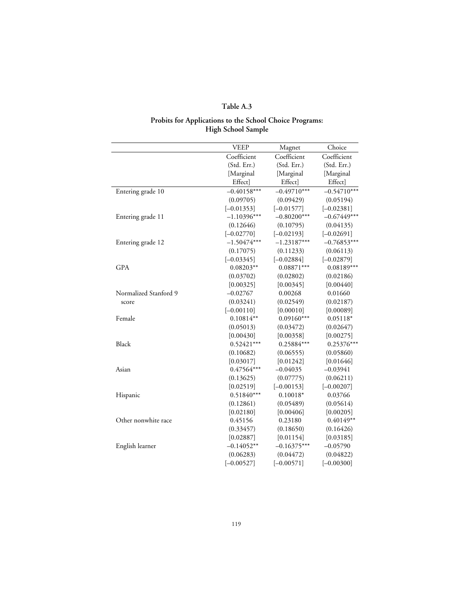## **Table A.3**

## **Probits for Applications to the School Choice Programs: High School Sample**

|                       | <b>VEEP</b>   | Magnet        | Choice        |
|-----------------------|---------------|---------------|---------------|
|                       | Coefficient   | Coefficient   | Coefficient   |
|                       | (Std. Err.)   | (Std. Err.)   | (Std. Err.)   |
|                       | [Marginal     | [Marginal     | [Marginal     |
|                       | Effect]       | Effect]       | Effect]       |
| Entering grade 10     | $-0.40158***$ | $-0.49710***$ | $-0.54710***$ |
|                       | (0.09705)     | (0.09429)     | (0.05194)     |
|                       | $[-0.01353]$  | $[-0.01577]$  | $[-0.02381]$  |
| Entering grade 11     | $-1.10396***$ | $-0.80200***$ | $-0.67449***$ |
|                       | (0.12646)     | (0.10795)     | (0.04135)     |
|                       | $[-0.02770]$  | $[-0.02193]$  | $[-0.02691]$  |
| Entering grade 12     | $-1.50474***$ | $-1.23187***$ | $-0.76853***$ |
|                       | (0.17075)     | (0.11233)     | (0.06113)     |
|                       | $[-0.03345]$  | $[-0.02884]$  | $[-0.02879]$  |
| <b>GPA</b>            | $0.08203**$   | $0.08871***$  | $0.08189***$  |
|                       | (0.03702)     | (0.02802)     | (0.02186)     |
|                       | [0.00325]     | [0.00345]     | [0.00440]     |
| Normalized Stanford 9 | $-0.02767$    | 0.00268       | 0.01660       |
| score                 | (0.03241)     | (0.02549)     | (0.02187)     |
|                       | $[-0.00110]$  | [0.00010]     | [0.00089]     |
| Female                | $0.10814**$   | $0.09160***$  | $0.05118*$    |
|                       | (0.05013)     | (0.03472)     | (0.02647)     |
|                       | [0.00430]     | [0.00358]     | [0.00275]     |
| Black                 | $0.52421***$  | 0.25884***    | $0.25376***$  |
|                       | (0.10682)     | (0.06555)     | (0.05860)     |
|                       | [0.03017]     | [0.01242]     | [0.01646]     |
| Asian                 | 0.47564***    | $-0.04035$    | $-0.03941$    |
|                       | (0.13625)     | (0.07775)     | (0.06211)     |
|                       | [0.02519]     | $[-0.00153]$  | $[-0.00207]$  |
| Hispanic              | $0.51840***$  | $0.10018*$    | 0.03766       |
|                       | (0.12861)     | (0.05489)     | (0.05614)     |
|                       | [0.02180]     | [0.00406]     | [0.00205]     |
| Other nonwhite race   | 0.45156       | 0.23180       | $0.40149**$   |
|                       | (0.33457)     | (0.18650)     | (0.16426)     |
|                       | [0.02887]     | [0.01154]     | [0.03185]     |
| English learner       | $-0.14052**$  | $-0.16375***$ | $-0.05790$    |
|                       | (0.06283)     | (0.04472)     | (0.04822)     |
|                       | $[-0.00527]$  | $[-0.00571]$  | $[-0.00300]$  |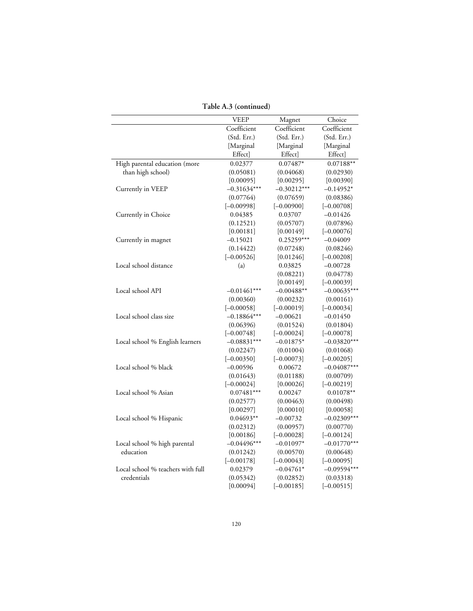|                                   | <b>VEEP</b>   | Magnet        | Choice        |
|-----------------------------------|---------------|---------------|---------------|
|                                   | Coefficient   | Coefficient   | Coefficient   |
|                                   | (Std. Err.)   | (Std. Err.)   | (Std. Err.)   |
|                                   | [Marginal     | [Marginal     | [Marginal     |
|                                   | Effect]       | Effect]       | Effect]       |
| High parental education (more     | 0.02377       | $0.07487*$    | $0.07188**$   |
| than high school)                 | (0.05081)     | (0.04068)     | (0.02930)     |
|                                   | [0.00095]     | [0.00295]     | [0.00390]     |
| Currently in VEEP                 | $-0.31634***$ | $-0.30212***$ | $-0.14952*$   |
|                                   | (0.07764)     | (0.07659)     | (0.08386)     |
|                                   | $[-0.00998]$  | $[-0.00900]$  | $[-0.00708]$  |
| Currently in Choice               | 0.04385       | 0.03707       | $-0.01426$    |
|                                   | (0.12521)     | (0.05707)     | (0.07896)     |
|                                   | [0.00181]     | [0.00149]     | $[-0.00076]$  |
| Currently in magnet               | $-0.15021$    | $0.25259***$  | $-0.04009$    |
|                                   | (0.14422)     | (0.07248)     | (0.08246)     |
|                                   | $[-0.00526]$  | [0.01246]     | $[-0.00208]$  |
| Local school distance             | (a)           | 0.03825       | $-0.00728$    |
|                                   |               | (0.08221)     | (0.04778)     |
|                                   |               | [0.00149]     | $[-0.00039]$  |
| Local school API                  | $-0.01461***$ | $-0.00488**$  | $-0.00635***$ |
|                                   | (0.00360)     | (0.00232)     | (0.00161)     |
|                                   | $[-0.00058]$  | $[-0.00019]$  | $[-0.00034]$  |
| Local school class size           | $-0.18864***$ | $-0.00621$    | $-0.01450$    |
|                                   | (0.06396)     | (0.01524)     | (0.01804)     |
|                                   | $[-0.00748]$  | $[-0.00024]$  | $[-0.00078]$  |
| Local school % English learners   | $-0.08831***$ | $-0.01875*$   | $-0.03820***$ |
|                                   | (0.02247)     | (0.01004)     | (0.01068)     |
|                                   | $[-0.00350]$  | $[-0.00073]$  | $[-0.00205]$  |
| Local school % black              | $-0.00596$    | 0.00672       | $-0.04087***$ |
|                                   | (0.01643)     | (0.01188)     | (0.00709)     |
|                                   | $[-0.00024]$  | [0.00026]     | $[-0.00219]$  |
| Local school % Asian              | $0.07481***$  | 0.00247       | $0.01078**$   |
|                                   | (0.02577)     | (0.00463)     | (0.00498)     |
|                                   | [0.00297]     | [0.00010]     | [0.00058]     |
| Local school % Hispanic           | $0.04693**$   | $-0.00732$    | $-0.02309***$ |
|                                   | (0.02312)     | (0.00957)     | (0.00770)     |
|                                   | [0.00186]     | $[-0.00028]$  | $[-0.00124]$  |
| Local school % high parental      | $-0.04496***$ | $-0.01097*$   | $-0.01770***$ |
| education                         | (0.01242)     | (0.00570)     | (0.00648)     |
|                                   | $[-0.00178]$  | $[-0.00043]$  | $[-0.00095]$  |
| Local school % teachers with full | 0.02379       | $-0.04761*$   | $-0.09594***$ |
| credentials                       | (0.05342)     | (0.02852)     | (0.03318)     |
|                                   | [0.00094]     | $[-0.00185]$  | $[-0.00515]$  |

**Table A.3 (continued)**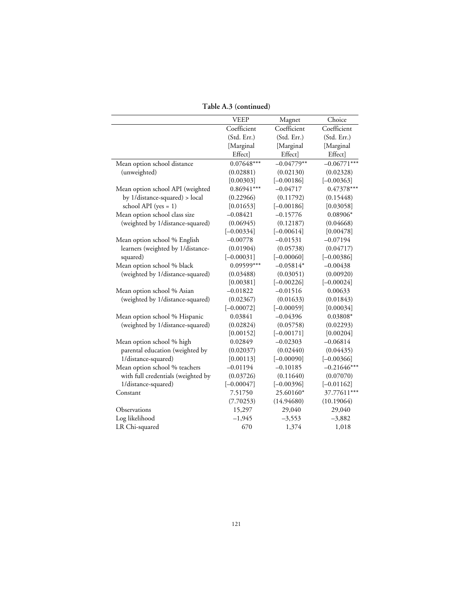**Table A.3 (continued)**

|                                    | <b>VEEP</b>  | Magnet       | Choice        |
|------------------------------------|--------------|--------------|---------------|
|                                    | Coefficient  | Coefficient  | Coefficient   |
|                                    | (Std. Err.)  | (Std. Err.)  | (Std. Err.)   |
|                                    | [Marginal    | [Marginal    | [Marginal     |
|                                    | Effect]      | Effect]      | Effect]       |
| Mean option school distance        | $0.07648***$ | $-0.04779**$ | $-0.06771***$ |
| (unweighted)                       | (0.02881)    | (0.02130)    | (0.02328)     |
|                                    | [0.00303]    | $[-0.00186]$ | $[-0.00363]$  |
| Mean option school API (weighted   | $0.86941***$ | $-0.04717$   | $0.47378***$  |
| by 1/distance-squared) > local     | (0.22966)    | (0.11792)    | (0.15448)     |
| school API (yes = 1)               | [0.01653]    | $[-0.00186]$ | [0.03058]     |
| Mean option school class size      | $-0.08421$   | $-0.15776$   | 0.08906*      |
| (weighted by 1/distance-squared)   | (0.06945)    | (0.12187)    | (0.04668)     |
|                                    | $[-0.00334]$ | $[-0.00614]$ | [0.00478]     |
| Mean option school % English       | $-0.00778$   | $-0.01531$   | $-0.07194$    |
| learners (weighted by 1/distance-  | (0.01904)    | (0.05738)    | (0.04717)     |
| squared)                           | $[-0.00031]$ | $[-0.00060]$ | $[-0.00386]$  |
| Mean option school % black         | $0.09599***$ | $-0.05814*$  | $-0.00438$    |
| (weighted by 1/distance-squared)   | (0.03488)    | (0.03051)    | (0.00920)     |
|                                    | [0.00381]    | $[-0.00226]$ | $[-0.00024]$  |
| Mean option school % Asian         | $-0.01822$   | $-0.01516$   | 0.00633       |
| (weighted by 1/distance-squared)   | (0.02367)    | (0.01633)    | (0.01843)     |
|                                    | $[-0.00072]$ | $[-0.00059]$ | [0.00034]     |
| Mean option school % Hispanic      | 0.03841      | $-0.04396$   | $0.03808*$    |
| (weighted by 1/distance-squared)   | (0.02824)    | (0.05758)    | (0.02293)     |
|                                    | [0.00152]    | $[-0.00171]$ | [0.00204]     |
| Mean option school % high          | 0.02849      | $-0.02303$   | $-0.06814$    |
| parental education (weighted by    | (0.02037)    | (0.02440)    | (0.04435)     |
| 1/distance-squared)                | [0.00113]    | $[-0.00090]$ | $[-0.00366]$  |
| Mean option school % teachers      | $-0.01194$   | $-0.10185$   | $-0.21646***$ |
| with full credentials (weighted by | (0.03726)    | (0.11640)    | (0.07070)     |
| 1/distance-squared)                | $[-0.00047]$ | $[-0.00396]$ | $[-0.01162]$  |
| Constant                           | 7.51750      | 25.60160*    | 37.77611***   |
|                                    | (7.70253)    | (14.94680)   | (10.19064)    |
| Observations                       | 15,297       | 29,040       | 29,040        |
| Log likelihood                     | $-1,945$     | $-3,553$     | $-3,882$      |
| LR Chi-squared                     | 670          | 1,374        | 1,018         |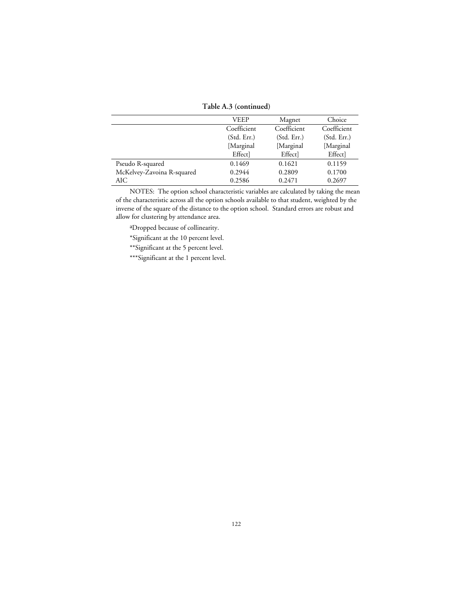**Table A.3 (continued)**

|                            | <b>VEEP</b> | Magnet      | Choice      |
|----------------------------|-------------|-------------|-------------|
|                            | Coefficient | Coefficient | Coefficient |
|                            | (Std. Err.) | (Std. Err.) | (Std. Err.) |
|                            | [Marginal   | [Marginal   | [Marginal   |
|                            | Effect]     | Effect]     | Effect]     |
| Pseudo R-squared           | 0.1469      | 0.1621      | 0.1159      |
| McKelvey-Zavoina R-squared | 0.2944      | 0.2809      | 0.1700      |
| AIC                        | 0.2586      | 0.2471      | 0.2697      |

NOTES: The option school characteristic variables are calculated by taking the mean of the characteristic across all the option schools available to that student, weighted by the inverse of the square of the distance to the option school. Standard errors are robust and allow for clustering by attendance area.

aDropped because of collinearity.

\*Significant at the 10 percent level.

\*\*Significant at the 5 percent level.

\*\*\*Significant at the 1 percent level.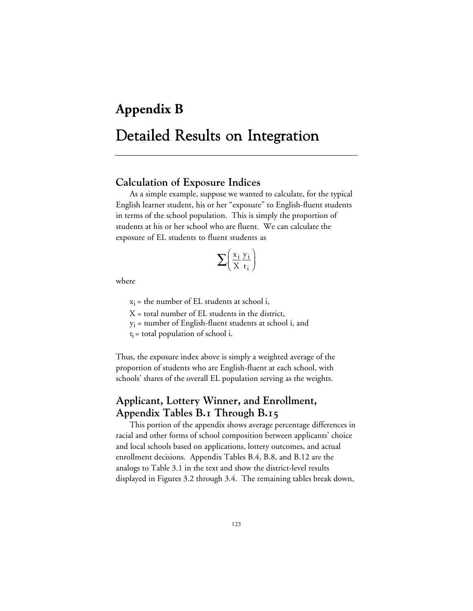# **Appendix B** Detailed Results on Integration

## **Calculation of Exposure Indices**

As a simple example, suppose we wanted to calculate, for the typical English learner student, his or her "exposure" to English-fluent students in terms of the school population. This is simply the proportion of students at his or her school who are fluent. We can calculate the exposure of EL students to fluent students as

$$
\sum \left( \frac{x_i}{X} \frac{y_i}{t_i} \right)
$$

where

 $x_i$  = the number of EL students at school i,

 $X =$  total number of EL students in the district,

 $y_i$  = number of English-fluent students at school i, and

 $t_i$  = total population of school i.

Thus, the exposure index above is simply a weighted average of the proportion of students who are English-fluent at each school, with schools' shares of the overall EL population serving as the weights.

## **Applicant, Lottery Winner, and Enrollment, Appendix Tables B.1 Through B.15**

This portion of the appendix shows average percentage differences in racial and other forms of school composition between applicants' choice and local schools based on applications, lottery outcomes, and actual enrollment decisions. Appendix Tables B.4, B.8, and B.12 are the analogs to Table 3.1 in the text and show the district-level results displayed in Figures 3.2 through 3.4. The remaining tables break down,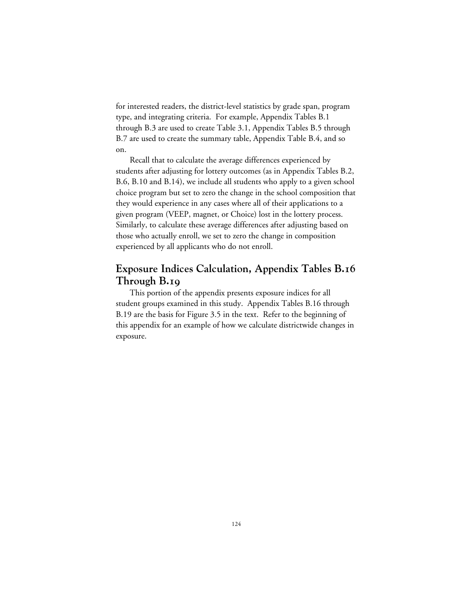for interested readers, the district-level statistics by grade span, program type, and integrating criteria. For example, Appendix Tables B.1 through B.3 are used to create Table 3.1, Appendix Tables B.5 through B.7 are used to create the summary table, Appendix Table B.4, and so on.

Recall that to calculate the average differences experienced by students after adjusting for lottery outcomes (as in Appendix Tables B.2, B.6, B.10 and B.14), we include all students who apply to a given school choice program but set to zero the change in the school composition that they would experience in any cases where all of their applications to a given program (VEEP, magnet, or Choice) lost in the lottery process. Similarly, to calculate these average differences after adjusting based on those who actually enroll, we set to zero the change in composition experienced by all applicants who do not enroll.

## **Exposure Indices Calculation, Appendix Tables B.16 Through B.19**

This portion of the appendix presents exposure indices for all student groups examined in this study. Appendix Tables B.16 through B.19 are the basis for Figure 3.5 in the text. Refer to the beginning of this appendix for an example of how we calculate districtwide changes in exposure.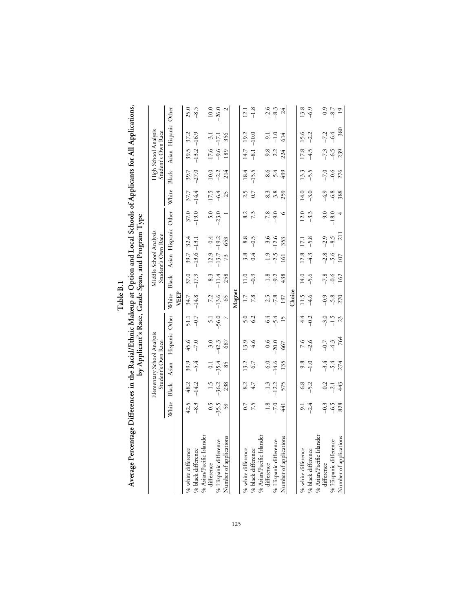Average Percentage Differences in the Racial/Ethnic Makeup at Option and Local Schools of Applicants for All Applications,<br>by Applicant's Race, Grade Span, and Program Type **Average Percentage Differences in the Racial/Ethnic Makeup at Option and Local Schools of Applicants for All Applications, by Applicant's Race, Grade Span, and Program Type**

|                          |                |                 |                    |                            |         |         | i<br>H         |                                              | b                    | $\frac{1}{2}$    |               |                  |                                            |                      |                 |
|--------------------------|----------------|-----------------|--------------------|----------------------------|---------|---------|----------------|----------------------------------------------|----------------------|------------------|---------------|------------------|--------------------------------------------|----------------------|-----------------|
|                          |                |                 | Student's Own Race | Elementary School Analysis |         |         |                | Middle School Analysis<br>Student's Own Race |                      |                  |               |                  | High School Analysis<br>Student's Own Race |                      |                 |
|                          | White          |                 | Black Asian        | Hispanic Other             |         | White   | Black          |                                              | Asian Hispanic Other |                  | White         | Black            |                                            | Asian Hispanic Other |                 |
|                          |                |                 |                    |                            |         | VEEP    |                |                                              |                      |                  |               |                  |                                            |                      |                 |
| % white difference       | 42.5           | 48.2            | 39.9               | 45.6                       |         | 34.7    | 37.0           | 39.7                                         | 32.4                 | 37.0             | 37.7          | 39.7             | 39.5                                       | 37.2                 | 25.0            |
| % black difference       | $-8.3$         | $-14.2$         | $-5.4$             | $-7.0$                     | $-0.7$  | $-14.8$ | $-17.9$        | $-13.6 - 13.1$                               |                      | $-19.0$          | $-14.4$       | $-27.0$          | $-13.2 - 16.9$                             |                      | $-8.5$          |
| % Asian/Pacific Islander |                |                 |                    |                            |         |         |                |                                              |                      |                  |               |                  |                                            |                      |                 |
| difference               | 0.5            | 1.5             | $\overline{0}$ .   | 3.0                        |         | $-7.2$  | $-8.3$         | $-12.9$                                      | $-0.4$               | 5.0              | $-17.5$       | $-10.0$          | $-17.6$                                    | $-3.1$               | 10.0            |
| % Hispanic difference    | $-35.5$        | $-36.2$         | $-35.4$            | $-42.3$                    | $-56.0$ | $-13.6$ | $-11.4$        | $-13.7 -19.2$                                |                      | $-23.0$          | $-6.4$        | $-2.2$           | $-9.6 - 17.1$                              |                      | $-26.0$         |
| Number of applications   | 59             | 238             | 85                 | 687                        | L       | 65      | 258            | 73                                           | 653                  |                  | 25            | 214              | 189                                        | 356                  |                 |
|                          |                |                 |                    |                            |         | Magnet  |                |                                              |                      |                  |               |                  |                                            |                      |                 |
| % white difference       | $\zeta$        | 8.2             | 13.2               | 13.9                       |         | 1.7     | 11.0           | 3.8                                          | 8.8                  | ∞                | 2.5           | 18.4             | 14.7                                       | 19.2                 | 12.1            |
| % black difference       | 7.5            |                 | $6.7\,$            | 4.6                        | 6.2     | 7.8     | $-0.9$         | 0.4                                          | $-9.5$               |                  | 0.7           | $-15.5$          | $-8.1$                                     | $-10.0$              | $-1.8$          |
| % Asian/Pacific Islander |                |                 |                    |                            |         |         |                |                                              |                      |                  |               |                  |                                            |                      |                 |
| difference               | $-1.8$         | $-1.3$          | $-6.0$             | 0.6                        | $-6.4$  | $-2.5$  | $-1.8$         | $-1.9$                                       | 3.6                  |                  |               |                  | $-9.8$                                     | $-9.1$               | $-2.6$          |
| % Hispanic difference    | $-7.0$         | $-12.2$         | $-14.6$            | $-20.0$                    | $-5.4$  | $-7.8$  | $-9.2$         | $-2.5 -12.6$                                 |                      | $-7.8$<br>$-9.0$ | $-8.3$<br>3.8 | $-8.6$<br>5.4    | 2.2                                        | $-1.0$               | $-8.3$          |
| Number of applications   | 441            | 575             | 135                | 667                        | 15      | 197     | 438            | 161                                          | 353                  | $\circ$          | 259           | 499              | 224                                        | 614                  | 24              |
|                          |                |                 |                    |                            |         | Choice  |                |                                              |                      |                  |               |                  |                                            |                      |                 |
| % white difference       | $\overline{5}$ | 6.8             | 9.8                |                            | 4.4     | 11.5    | 14.0           | 12.8                                         | 17.1                 | 12.0             | 14.0          | 13.3             | 17.8                                       | 15.6                 | 13.8            |
| % black difference       | $-2.4$         | $-5.2$          | $-1.0$             | $-2.6$                     | $-0.2$  | $-4.6$  | $-5.6$         | $-4.3$                                       | $-5.8$               | $-3.3$           | $-3.0$        | $-5.5$           | $-4.5$                                     | $-2.2$               | $-6.9$          |
| % Asian/Pacific Islander |                |                 |                    |                            |         |         |                |                                              |                      |                  |               |                  |                                            |                      |                 |
| difference               |                | $0.2$<br>$-2.1$ |                    |                            | $-3.0$  | $-0.9$  | $-7.8$<br>-0.6 |                                              | $-2.9$               | 9.0              | $-4.9$        | $-7.0$<br>$-0.6$ |                                            | $-7.3$<br>-6.4       | 0.9             |
| % Hispanic difference    | 9.5<br>9.9     |                 | $-3.4$             | $-9.7$                     | $-1.5$  | $-5.8$  |                | $-2.8$<br>$-5.6$                             | $-8.5$               | $-18.0$          | $-6.8$        |                  | $-7.3$<br>-6.5                             |                      | $-8.7$          |
| Number of applications   | 828            | 443             | 274                | 764                        | 23      | 270     | 162            | 107                                          | $\overline{211}$     |                  | 388           | 276              | 239                                        | 380                  | $\overline{19}$ |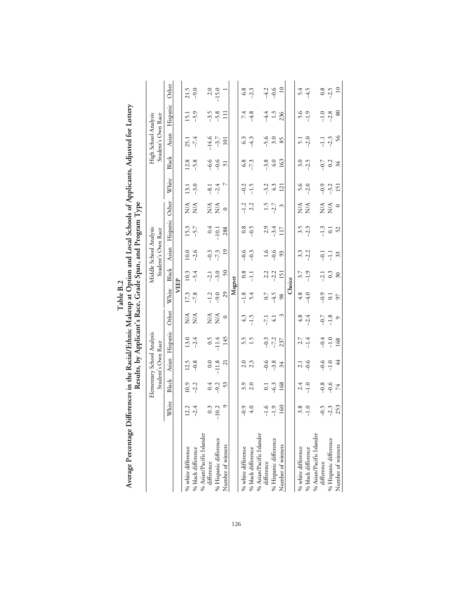| Average Percentage                                           |         |                  |                    | Differences in the Racial/Ethnic Makeup at Option and Local Schools of Applicants, Adjusted for Lottery<br>Results, by Applicant's Race, Grade Span, and Program Type |                  | Lable b.2        |                    |                                              |                  |                  |        |                 |                                            |                  |               |
|--------------------------------------------------------------|---------|------------------|--------------------|-----------------------------------------------------------------------------------------------------------------------------------------------------------------------|------------------|------------------|--------------------|----------------------------------------------|------------------|------------------|--------|-----------------|--------------------------------------------|------------------|---------------|
|                                                              |         |                  | Student's Own Race | Elementary School Analysis                                                                                                                                            |                  |                  |                    | Middle School Analysis<br>Student's Own Race |                  |                  |        |                 | High School Analysis<br>Student's Own Race |                  |               |
|                                                              | White   | Black            | Asian              | Hispanic                                                                                                                                                              | Other            | White            | <b>Black</b>       | Asian                                        | Hispanic         | Other            | White  | Black           | Asian                                      | Hispanic         | Other         |
|                                                              |         |                  |                    |                                                                                                                                                                       |                  |                  | VEEP               |                                              |                  |                  |        |                 |                                            |                  |               |
| % white difference                                           | 12.2    | 10.9             | 12.5               | 13.0                                                                                                                                                                  | $\frac{1}{2}$    | 17.3             | 10.3               | 10.0                                         | 15.3             | $\frac{1}{2}$    | 13.1   | 12.8            | 25.1                                       | 15.1             | 21.5          |
| % black difference                                           | $-2.4$  | $-2.2$           | $-0.8$             | $-2.4$                                                                                                                                                                | $\frac{1}{2}$    | $-7.8$           | $-5.4$             | $-2.6$                                       | $-5.7$           | $\sum_{i=1}^{n}$ | $-3.0$ | $-5.8$          | $-7.4$                                     | $-5.9$           | $-9.0$        |
| % Asian/Pacific Islander<br>difference                       |         |                  |                    |                                                                                                                                                                       |                  |                  |                    |                                              |                  |                  |        |                 |                                            |                  |               |
|                                                              | 0.3     | 0.4              | 0.0                | 6.5                                                                                                                                                                   | XX<br>XX         | $-1.2$           | $-2.1$             | $-9.3$                                       | 0.4              | $\sum_{i=1}^{n}$ | $-8.1$ | 9.9             | $-14.6$                                    | $-3.5$<br>$-5.8$ | 2.0           |
| % Hispanic difference                                        | $-10.2$ | $-9.2$           | $-11.8$            | $-11.4$                                                                                                                                                               |                  | $-9.0$           | $-3.0$             | $-7.3$                                       | $-10.1$          | $\sum_{i=1}^{n}$ | $-2.4$ | $-9.6$          | $-3.7$                                     |                  | $-15.0$       |
| Number of winners                                            | $\circ$ | 53               | $\overline{c}$     | 145                                                                                                                                                                   | $\circ$          | 29               | 50                 | $^{19}$                                      | 288              | $\circ$          |        | $\overline{51}$ | 101                                        | Ξ                |               |
|                                                              |         |                  |                    |                                                                                                                                                                       |                  | Magnet           |                    |                                              |                  |                  |        |                 |                                            |                  |               |
| % white difference                                           | $-0.9$  | 3.9              | 2.0                | 5.5                                                                                                                                                                   | 4.3              | $-1.8$           | 0.8                | $-9.6$                                       | 0.8              |                  | $-0.2$ | 6.8             | 6.3                                        | 7.4              | 6.8           |
| % black difference<br>% Asian/Pacific Islander<br>difference | 4.0     | 2.0              | 2.3                | 1.5                                                                                                                                                                   | $-1.5$           | 5.4              | $\overline{11}$    | $-0.3$                                       | $-0.5$           | 2.2              | $-1.5$ | $-7.3$          | $-4.3$                                     | 4.8              | $-2.3$        |
|                                                              |         |                  |                    |                                                                                                                                                                       |                  |                  |                    |                                              |                  |                  |        |                 |                                            |                  |               |
|                                                              | $-1.6$  | $\overline{0}$ . | $-3.8$             | $-9.3$<br>$-7.2$                                                                                                                                                      | $-7.1$           | C.0              | 2.2                | ی و.<br>م                                    | $2.9$<br>$-3.4$  | $1.5 - 2.7$      | $-3.2$ | $-3.8$          | $-5.0$                                     | 4.4              | 4.2           |
| % Hispanic difference                                        | $-1.9$  | $-6.3$           |                    |                                                                                                                                                                       | $\overline{4.1}$ | $-4.5$           | $-2.2$             |                                              |                  |                  | 4.3    | 4.0             |                                            | 1.3              |               |
| Number of winners                                            | 160     | 168              | 34                 | 237                                                                                                                                                                   | ç                | 98               | 15 <sub>1</sub>    | 93                                           | 117              | E                | 121    | 163             | 85                                         | 236              | 10            |
|                                                              |         |                  |                    |                                                                                                                                                                       |                  | Choice           |                    |                                              |                  |                  |        |                 |                                            |                  |               |
| % white difference                                           | 3.8     | 2.4              |                    |                                                                                                                                                                       | 4.8              | 4.8              | $\ddot{\delta}$    |                                              |                  | $\lesssim$       | 5.6    | 3.0             | $\overline{51}$                            | 5.6              | 5.4           |
| % black difference                                           | $-1.0$  | $-1.0$           | $\frac{21}{9}$     | $2.7$<br>-1.4                                                                                                                                                         | $-2.4$           | $-4.0$           | $-1.9$             | 3.2<br>-2.3                                  | 3.5<br>-2.3      | $\sum_{i=1}^{n}$ | $-2.0$ | $-2.5$          | $-2.0$                                     | $-1.9$           | $-4.5$        |
| % Asian/Pacific Islander                                     |         |                  |                    |                                                                                                                                                                       |                  |                  |                    |                                              |                  |                  |        |                 |                                            |                  |               |
| difference                                                   | $-0.5$  | $-0.8$           | $-0.6$<br>$-1.0$   | $-0.4$<br>$-1.0$                                                                                                                                                      | $-1.8$           | $-0.9$           | $\frac{-2.1}{0.3}$ | $\overline{P}$                               | $-1.3$           | $\frac{1}{2}$    | $-0.9$ | $-9.7$          | $-1.1$<br>$-2.3$                           | $\frac{0}{1}$    | $0.8$<br>-2.5 |
| % Hispanic difference                                        | $-2.3$  | $-0.6$           |                    |                                                                                                                                                                       |                  | $\overline{0}$ . |                    | $\frac{1}{1}$                                | $\overline{0}$ . | $\sum_{i=1}^{n}$ | $-3.2$ | 0.2             |                                            | $-2.8$           |               |
| Number of winners                                            | 253     | 74               | $\overline{44}$    | 168                                                                                                                                                                   | $\circ$          | 57               | $\delta$           | 33                                           | 52               | $\circ$          | 151    | 34              | 56                                         | 80               | 10            |
|                                                              |         |                  |                    |                                                                                                                                                                       |                  |                  |                    |                                              |                  |                  |        |                 |                                            |                  |               |

| Table B.2 | s. Adiusted for Lottery<br>ze Differences in the Racial/Ethnic Makeup at Option and Local Schools of Applicants<br>Results by Applicant's Race Crade Span, and Drocram Type<br>verage l'ercenta |  |
|-----------|-------------------------------------------------------------------------------------------------------------------------------------------------------------------------------------------------|--|
|           |                                                                                                                                                                                                 |  |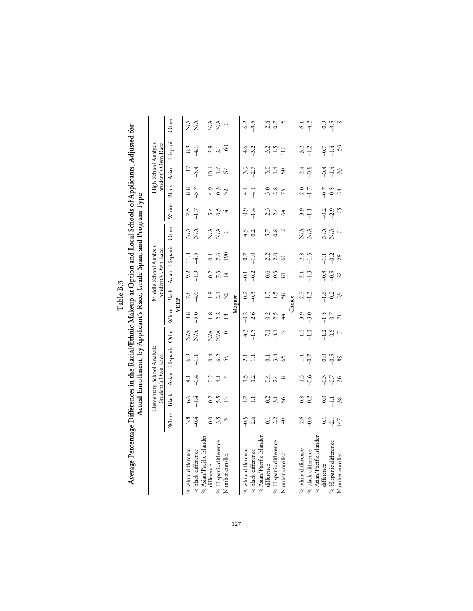| ۴ |  |
|---|--|
| ≃ |  |
| Φ |  |
| a |  |
| ۴ |  |
|   |  |

Average Percentage Differences in the Racial/Ethnic Makeup at Option and Local Schools of Applicants, Adjusted for<br>Actual Enrollment, by Applicant's Race, Grade Span, and Program Type **Average Percentage Differences in the Racial/Ethnic Makeup at Option and Local Schools of Applicants, Adjusted for Actual Enrollment, by Applicant's Race, Grade Span, and Program Type**

|                          |                  |                 | Student's Own Race | Elementary School Analysis |                  |                 |        | Student's Own Race | Middle School Analysis |                  |               |                            | High School Analysis<br>Student's Own Race |               |                           |
|--------------------------|------------------|-----------------|--------------------|----------------------------|------------------|-----------------|--------|--------------------|------------------------|------------------|---------------|----------------------------|--------------------------------------------|---------------|---------------------------|
|                          | White            | Black           |                    | Asian Hispanic Other       |                  | White           |        |                    | Black Asian Hispanic   | Other            | White         |                            | Black Asian                                | Hispanic      | Other                     |
|                          |                  |                 |                    |                            |                  |                 | VEEP   |                    |                        |                  |               |                            |                                            |               |                           |
| % white difference       | 3.8              | 9.9             |                    | 6.9                        | $\frac{1}{2}$    | 8.8             | 7.8    | 9.2                | 11.8                   | $\frac{1}{2}$    | 7.5           | 8.8                        |                                            | 8.9           | NA                        |
| % black difference       | $-0.4$           | $-1.4$          | $-9.4$             |                            | N/A              | $-5.0$          |        |                    | $-4.5$                 | $\sum_{i=1}^{n}$ |               |                            | $-5.4$                                     | ミヤ            | NA                        |
| % Asian/Pacific Islander |                  |                 |                    |                            |                  |                 |        |                    |                        |                  |               |                            |                                            |               |                           |
| difference               | 0.0              | 0.2             | 0.2                | 0.4                        | $\sum_{i=1}^{n}$ | $-1.8$          | $-1.8$ |                    | $\overline{0}$         | $\sum_{i=1}^{n}$ | $-5.4$        | $\hat{\ddot{\mathcal{F}}}$ | $-10.4$                                    | $-2.8$        | $\sum_{i=1}^{n}$          |
| % Hispanic difference    | $-3.5$           | $-5.5$          | $-1$               | $-6.2$                     | $\frac{1}{2}$    | $-2.2$          | $-2.1$ | $-7.\overline{3}$  | $-7.6$                 | N/A              | $-0.5$        | $-9.3$                     | $-1.6$                                     | $-2.1$        | $\stackrel{\Delta}{\geq}$ |
| Number enrolled          | $\mathfrak{g}$   | 15              | $\overline{C}$     | 59                         | $\circ$          | 13              | 32     | 14                 | 190                    | $\circ$          |               | 32                         | $\sqrt{6}$                                 | $\mathcal{S}$ | $\circ$                   |
|                          |                  |                 |                    |                            |                  |                 | Magnet |                    |                        |                  |               |                            |                                            |               |                           |
| % white difference       | $-9.5$           |                 | 1.5                | 2.1                        | 4.3              | $-0.2$          | 0.2    | ٦,                 | 0.7                    | 4.5              | 0.9           | A.                         | 3.9                                        | 4.6           | 6.2                       |
| % black difference       | 2.6              |                 | 1.2                | Ξ                          | $-1.5$           | 2.6             | ခို    | $-0.2$             | $-1.0$                 | 0.2              |               |                            | $-2.7$                                     | $-3.2$        | $-3.5$                    |
| % Asian/Pacific Islander |                  |                 |                    |                            |                  |                 |        |                    |                        |                  |               |                            |                                            |               |                           |
| difference               | $\overline{0}$ . | 0.2             | $-0.4$             | 0.1                        | $-7.1$           | $-9.2$          | 1.5    | 0.6                |                        | $-5.7$           |               | $-3.0$                     | $-3.0$                                     |               |                           |
| % Hispanic difference    | $-2.2$           | $-3.1$          | $-2.4$             | $-3.4$                     | 4.1              | $-2.5$          | $-1.5$ | $-0.3$             | $-2.0$                 | 0.8              | $-2.3$<br>2.4 | 2.8                        | 1.4                                        | $-3.2$<br>1.5 | $-2.4$<br>$-0.7$          |
| Number enrolled          | 40               | 56              | $^{\circ}$         | 65                         | 3                | $\overline{44}$ | 58     | $\overline{8}$     | $\odot$                |                  | 64            | 75                         | 50                                         | 117           |                           |
|                          |                  |                 |                    |                            |                  |                 | Choice |                    |                        |                  |               |                            |                                            |               |                           |
| % white difference       | 2.6              | 0.8             | 1.5                | $\Box$                     | 1.5              | 3.9             | 2.7    | $\overline{c}$     | 2.8                    | $\frac{1}{2}$    | 3.9           | 2.0                        | 2.4                                        | 3.2           | $\overline{61}$           |
| % black difference       | $-0.6$           | 0.2             | $-9.6$             | $-0.7$                     |                  | $-3.0$          |        |                    | $-1.5$                 | $\sum_{i=1}^{n}$ |               |                            |                                            |               | $-4.2$                    |
| % Asian/Pacific Islander |                  |                 |                    |                            |                  |                 |        |                    |                        |                  |               |                            |                                            |               |                           |
| difference               | $\overline{0}$ : | 0.0             | $-6.3$             | 0.0                        |                  | $-1.5$          | $-1.6$ | $-9.3$             | $-1.1$                 | $\sum_{i=1}^{n}$ | $-0.2$        | 7.<br>م                    |                                            |               | $\ddot{0}$ .              |
| % Hispanic difference    | $-2.1$           | $\overline{11}$ | $-9.7$             | $-9.5$                     | 0.6              | 0.7             | 0.2    | $-9.5$             | $-0.2$                 | $\sum_{i=1}^{n}$ | $-2.9$        | 0.5                        | $-1.4$                                     | $-1.4$        | $-3.5$                    |
| Number enrolled          | 147              | 38              | 36                 | 89                         |                  |                 | 23     | 22                 | 28                     | $\circ$          | 105           | 24                         | 33                                         | 50            |                           |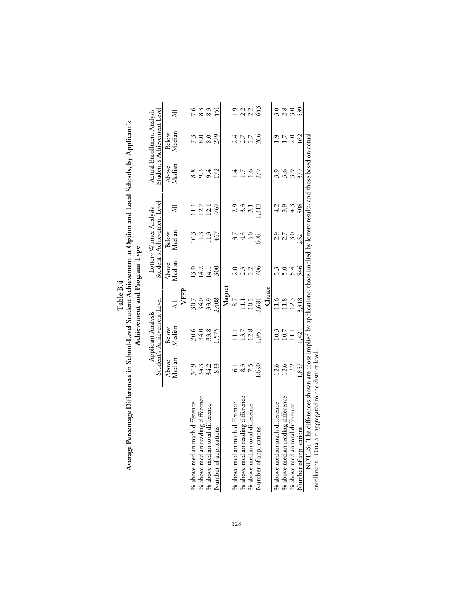| י<br>יורדי<br>evre<br>-hool- |
|------------------------------|
|------------------------------|

|                                   |                                    | Student's Achievement Level<br>Applicant Analysis            |                                       |                          | Lottery Winner Analysis<br>Student's Achievement Level |                      |                    | Student's Achievement Level<br>Actual Enrollment Analysis |                   |
|-----------------------------------|------------------------------------|--------------------------------------------------------------|---------------------------------------|--------------------------|--------------------------------------------------------|----------------------|--------------------|-----------------------------------------------------------|-------------------|
|                                   |                                    |                                                              |                                       | Above                    |                                                        |                      |                    |                                                           |                   |
|                                   | Above<br>Median                    | Below<br>Median                                              | $\overline{AB}$                       | Median                   | Below<br>Median                                        | ㅋ                    | Above<br>Median    | Below<br>Median                                           | $\overline{A}$    |
|                                   |                                    |                                                              | VEEP                                  |                          |                                                        |                      |                    |                                                           |                   |
| % above median math difference    |                                    |                                                              |                                       |                          |                                                        | $\Xi$                |                    |                                                           |                   |
| % above median reading difference | 30.3<br>34.3<br>33.3               | 30.0<br>34.33.75<br>25.75                                    | $30.7$<br>$34.0$<br>$33.9$<br>$2.408$ | $3.311$<br>$3.413$       | $10.3$<br>$11.3$<br>$467$                              | 12.1<br>12.1         | 833472<br>859572   | 7.3<br>0.0<br>279                                         | 7.3<br>8.3<br>451 |
| % above median total difference   |                                    |                                                              |                                       |                          |                                                        |                      |                    |                                                           |                   |
| Number of applications            |                                    |                                                              |                                       |                          |                                                        |                      |                    |                                                           |                   |
|                                   |                                    |                                                              | Magnet                                |                          |                                                        |                      |                    |                                                           |                   |
| % above median math difference    |                                    | Ξ                                                            |                                       |                          |                                                        |                      | 1.4                |                                                           |                   |
| % above median reading difference | $\frac{1}{6}$ 3.5<br>$\frac{5}{6}$ | $\frac{13.7}{12.8}$<br>1,951                                 | $\frac{8.7}{11.1}$<br>10.2<br>3,681   | 0<br>0.01<br>0.01<br>706 | 21446<br>2446                                          | $23.312$<br>$-3.312$ | $\frac{75}{21}$    | 4 7 7 8<br>2 2 2 2 2                                      | 0<br>2223<br>243  |
| % above median total difference   |                                    |                                                              |                                       |                          |                                                        |                      |                    |                                                           |                   |
| Number of applications            |                                    |                                                              |                                       |                          |                                                        |                      |                    |                                                           |                   |
|                                   |                                    |                                                              | $_{\rm choice}$                       |                          |                                                        |                      |                    |                                                           |                   |
| % above median math difference    |                                    |                                                              | 11.6                                  |                          |                                                        |                      |                    |                                                           |                   |
| % above median reading difference | 12.9<br>12.957<br>13.957           | $\begin{array}{c} 10.3 \\ 10.7 \\ 1.11 \\ 1.421 \end{array}$ | $\frac{11.8}{12.3}$<br>3,318          | s<br>2014<br>2015        | 2.7<br>2.9<br>2.8                                      | 4 2 4 8<br>4 2 4 8   | 3.9<br>3.9<br>3.77 | $2.500$<br>$1.500$                                        | 3.0<br>3.0<br>539 |
| % above median total difference   |                                    |                                                              |                                       |                          |                                                        |                      |                    |                                                           |                   |
| Number of applications            |                                    |                                                              |                                       |                          |                                                        |                      |                    |                                                           |                   |
|                                   |                                    |                                                              |                                       |                          |                                                        |                      |                    |                                                           |                   |

| TARTING OF approaching |                                                                   | $\sim$                | ں ⊥ردر در سند∎د 1 | $\frac{1}{2}$ | $\frac{7}{4}$ | 3 | 21/2                                                                         | בע<br>ב |
|------------------------|-------------------------------------------------------------------|-----------------------|-------------------|---------------|---------------|---|------------------------------------------------------------------------------|---------|
|                        | $\sim$<br>. The different $\Gamma$ of $\Gamma$<br>$-10.1$ $-10.1$ | The case is a control |                   |               | $\frac{1}{2}$ |   | white fire have need to the section<br>id traced access to the contract into |         |
| I<br>enro men          | ֖֧֖֧֖֧֢֝֟֝֝׆֧֛֧ <sup>֓</sup> ׇ֧֧֧֧֦֧֧֧֓֓֜<br>֧֪֛֩֩                |                       |                   |               |               |   |                                                                              |         |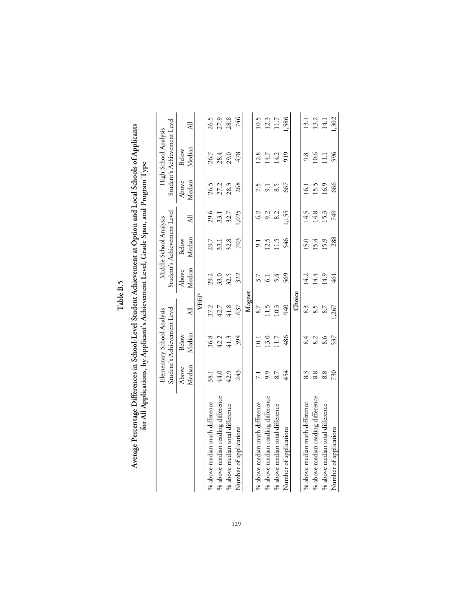**Table B.5**

Average Percentage Differences in School-Level Student Achievement at Option and Local Schools of Applicants<br>for All Applications, by Applicant's Achievement Level, Grade Span, and Program Type **Average Percentage Differences in School-Level Student Achievement at Option and Local Schools of Applicants for All Applications, by Applicant's Achievement Level, Grade Span, and Program Type**

|                                   |         | Elementary School Analysis  |                  |                  | Middle School Analysis      |              |              | High School Analysis        |              |
|-----------------------------------|---------|-----------------------------|------------------|------------------|-----------------------------|--------------|--------------|-----------------------------|--------------|
|                                   |         | Student's Achievement Level |                  |                  | Student's Achievement Level |              |              | Student's Achievement Level |              |
|                                   | Above   | Below                       |                  | Above            | <b>Below</b>                |              | Above        | Below                       |              |
|                                   | Median  | Median                      | 티                | Median           | Median                      | ₹            | Median       | Median                      | ₹            |
|                                   |         |                             | VEEP             |                  |                             |              |              |                             |              |
| % above median math difference    | 38.1    | 36.8                        | 37.2             | 29.2             | 29.7                        | 29.6         | 26.5         | 26.7                        | 26.5         |
| % above median reading difference | 44.0    | 42.2                        | 42.7             | 33.0             | 33.1                        | 33.1         | 27.2         | 28.4                        | 27.9<br>28.8 |
| % above median total difference   | 42.9    | 41.3                        | 41.8             | 32.5             | 32.8                        | 32.7         | 28.3         | 29.0                        |              |
| Number of applications            | 243     | 394                         | 637              | 322              | 703                         | 1,025        | 268          | 478                         | 746          |
|                                   |         |                             | Magnet           |                  |                             |              |              |                             |              |
| % above median math difference    |         | 10.1                        | 8.7              | 3.7              | 5                           | 6.2          | 7.5          | 12.8                        | 10.5         |
| % above median reading difference | 9.9     | 13.0                        | 11.5             | $\overline{6.1}$ | 12.5                        | $9.2$<br>8.2 | $9.1$<br>8.5 | 14.7                        | 12.3         |
| % above median total difference   | $8.7\,$ | 11.7                        | 10.3             | 5.4              | 11.5                        |              |              | 14.2                        | $11.7\,$     |
| Number of applications            | 454     | 486                         | 940              | 569              | 546                         | 1,155        | 667          | 919                         | 1,586        |
|                                   |         |                             | $_{\rm{choice}}$ |                  |                             |              |              |                             |              |
| % above median math difference    | 8.3     | 8.4                         | 8.3              | 14.2             | 15.0                        | 14.5         | 16.1         | 9.8                         | 13.1         |
| % above median reading difference | 8.8     | 8.2                         | 8.5              | 14.4             | 15.4                        | 14.8         | 15.5         | 10.6                        | 13.2         |
| % above median total difference   | 8.8     | 8.6                         | 8.7              | 14.9             | 15.9                        | 15.3         | 16.9         | $\Xi$                       | 14.1         |
| Number of applications            | 730     | 537                         | 1,267            | 461              | 288                         | 749          | 666          | 596                         | 1,302        |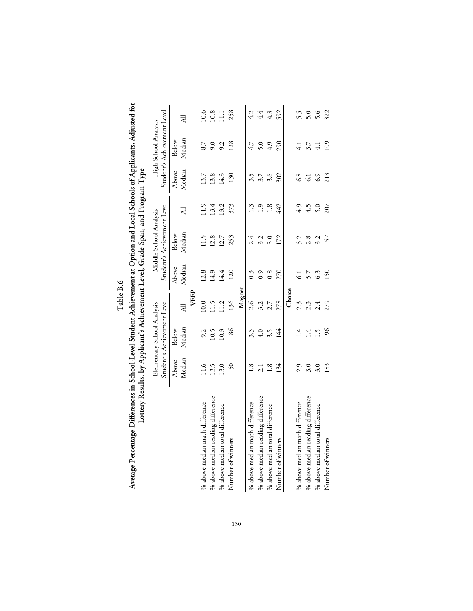Table B.6 **Table B.6**

Average Percentage Differences in School-Level Student Achievement at Option and Local Schools of Applicants, Adjusted for<br>Lottery Results, by Applicant's Achievement Level, Grade Span, and Program Type **Average Percentage Differences in School-Level Student Achievement at Option and Local Schools of Applicants, Adjusted for Lottery Results, by Applicant's Achievement Level, Grade Span, and Program Type**

|                                   | The contract of the property of the property of the contract of the contract of the contract of the contract of the contract of the contract of the contract of the contract of the contract of the contract of the contract o |                             |        |                  |                             |      |                 |                             |          |
|-----------------------------------|--------------------------------------------------------------------------------------------------------------------------------------------------------------------------------------------------------------------------------|-----------------------------|--------|------------------|-----------------------------|------|-----------------|-----------------------------|----------|
|                                   |                                                                                                                                                                                                                                | Elementary School Analysis  |        |                  | Middle School Analysis      |      |                 | High School Analysis        |          |
|                                   |                                                                                                                                                                                                                                | Student's Achievement Level |        |                  | Student's Achievement Level |      |                 | Student's Achievement Level |          |
|                                   | Above                                                                                                                                                                                                                          | Below                       |        | Above            | <b>Below</b>                |      | Above           | Below                       |          |
|                                   | Median                                                                                                                                                                                                                         | Median                      | ₹      | Median           | Median                      | ₹    | Median          | Median                      | ₹        |
|                                   |                                                                                                                                                                                                                                |                             | VEEP   |                  |                             |      |                 |                             |          |
| % above median math difference    | $\frac{5}{110}$                                                                                                                                                                                                                | 9.2                         | 10.0   | 12.8             | 1.5                         | 1.9  | 13.7            | 8.7                         | 10.6     |
| % above median reading difference | 13.5                                                                                                                                                                                                                           | 10.5                        | 11.5   | 14.9             | 12.8                        | 13.4 | 13.8            | 9.0                         | $10.8\,$ |
| % above median total difference   | 13.0                                                                                                                                                                                                                           | 10.3                        | 11.2   | 14.4             | 12.7                        | 13.2 | 14.3            | 9.2                         | 11.1     |
| Number of winners                 | $50\,$                                                                                                                                                                                                                         | 86                          | 136    | 120              | 253                         | 373  | 130             | 128                         | 258      |
|                                   |                                                                                                                                                                                                                                |                             | Magnet |                  |                             |      |                 |                             |          |
| % above median math difference    | $\frac{8}{1}$                                                                                                                                                                                                                  | 3.3                         | 2.6    | $0.\overline{3}$ | 2.4                         | l.3  | 3.5             | 4.7                         | 4.2      |
| % above median reading difference | 2.1                                                                                                                                                                                                                            | 4.0                         | 3.2    | 0.9              | 3.2                         | 1.9  | 3.7             | 5.0                         | 4.4      |
| % above median total difference   | 1.8                                                                                                                                                                                                                            | 3.5                         | 2.7    | 0.8              | 3.0                         | 1.8  | 3.6             | 4.9                         | 4.3      |
| Number of winners                 | 134                                                                                                                                                                                                                            | 144                         | 278    | 270              | 172                         | 442  | 302             | 290                         | 592      |
|                                   |                                                                                                                                                                                                                                |                             | Choice |                  |                             |      |                 |                             |          |
| % above median math difference    | 2.9                                                                                                                                                                                                                            | $\overline{1}$              | 2.3    |                  | 3.2                         | 4.9  | 6.8             | $\frac{1}{4}$               | 5.5      |
| % above median reading difference | 3.0                                                                                                                                                                                                                            | 1.4                         | 2.3    | 5.7              | 2.8                         | 4.5  | $\overline{61}$ | 3.7                         | 5.0      |
| % above median total difference   | 3.0                                                                                                                                                                                                                            | 1.5                         | 2.4    | 6.3              | 3.2                         | 5.0  | 6.9             | 4.1                         | 5.6      |
| Number of winners                 | 183                                                                                                                                                                                                                            | 96                          | 279    | 150              | 57                          | 207  | 213             | 109                         | 322      |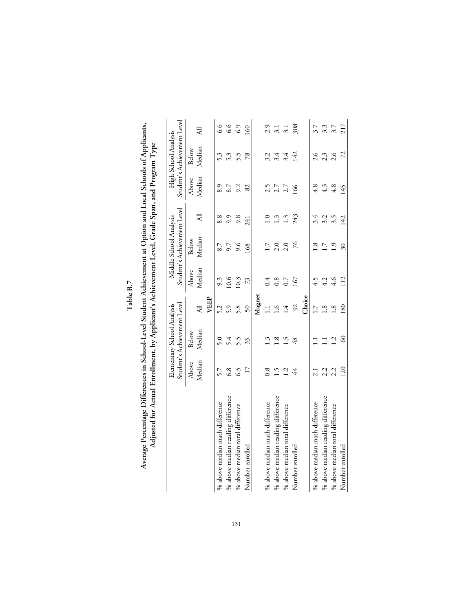| с<br>г.<br>1. |
|---------------|
| ٦             |
|               |

|                                   |                  | יים די יידי<br>יי           |                  |        |                             | $\frac{1}{2}$    |                | $\mathbf{1}$                |                   |
|-----------------------------------|------------------|-----------------------------|------------------|--------|-----------------------------|------------------|----------------|-----------------------------|-------------------|
|                                   |                  | Elementary School Analysis  |                  |        | Middle School Analysis      |                  |                | High School Analysis        |                   |
|                                   |                  | Student's Achievement Level |                  |        | Student's Achievement Level |                  |                | Student's Achievement Level |                   |
|                                   | Above            | <b>Below</b>                |                  | Above  | <b>Below</b>                |                  | Above          | <b>Below</b>                |                   |
|                                   | Median           | Median                      | 티                | Median | Median                      | E                | Median         | Median                      | ₹                 |
|                                   |                  |                             | VEEP             |        |                             |                  |                |                             |                   |
| % above median math difference    |                  | 5.0                         | 5.2              | 9.3    | 8.7                         | 8.8              | 8.9            |                             |                   |
| % above median reading difference | 6.8              | 5.5                         | 5.9              | 10.6   | 9.7                         | 9.9              | $8.7\,$        | 5.3                         | 6<br>6 6 9<br>6 9 |
| % above median total difference   | 6.5              |                             | 5.8              | 10.3   | 9.6                         | 9.8              | 9.2            | 5.5                         |                   |
| Number enrolled                   | $\overline{17}$  | 33                          | 50               | 73     | 168                         | 241              | 82             | 78                          | 160               |
|                                   |                  |                             | Magnet           |        |                             |                  |                |                             |                   |
| % above median math difference    | $0.\overline{8}$ | 1.3                         | $\Xi$            | 0.4    |                             | $\bar{0}$        | 2.5            | 3.2                         | 2.9               |
| % above median reading difference | 1.5              | $\frac{8}{1}$               | $\frac{6}{1}$    | 0.8    | 2.0                         | 1.3              |                | 3.4                         | $3.1$ $\,$        |
| % above median total difference   | 1.2              | $\ddot{.}$                  | $\overline{14}$  | 0.7    | 2.0                         | $1.\overline{3}$ | $2.7$<br>$2.7$ | 3.4                         |                   |
| Number enrolled                   | 44               | 48                          | 92               | 167    | 76                          | 243              | 166            | 142                         | 308               |
|                                   |                  |                             | Choice           |        |                             |                  |                |                             |                   |
| % above median math difference    | 2.1              | Ξ                           | $\overline{1}$ . | 4.5    | 1.8                         | 3.4              | 4.8            | 2.6                         | 3.7               |
| % above median reading difference | 2.2              | $\Xi$                       | 1.8              | 4.2    | 1.7                         | 3.2              | 4.3            | 2.3                         | 3.3               |
| % above median total difference   | 2.2              | 1.2                         | 1.8              | 4.6    | 1.9                         | 3.5              | 4.8            | 2.6                         | 3.7               |
| Number enrolled                   | 120              | $\mathcal{S}$               | 180              | 112    | $\delta$ 0                  | 142              | 145            | 72                          | 217               |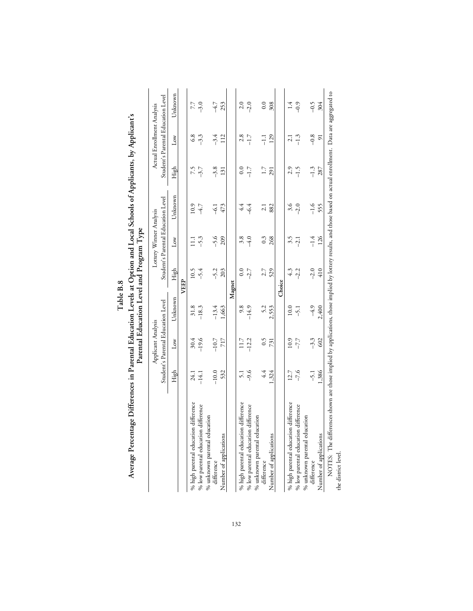|                                                                                                                                                                |         |                                    | Parental Education Level and Program Type |        |                                    |         |              |                                    |         |
|----------------------------------------------------------------------------------------------------------------------------------------------------------------|---------|------------------------------------|-------------------------------------------|--------|------------------------------------|---------|--------------|------------------------------------|---------|
|                                                                                                                                                                |         | Applicant Analysis                 |                                           |        | Lottery Winner Analysis            |         |              | Actual Enrollment Analysis         |         |
|                                                                                                                                                                |         | Student's Parental Education Level |                                           |        | Student's Parental Education Level |         |              | Student's Parental Education Level |         |
|                                                                                                                                                                | High    | Low                                | Unknown                                   | High   | Low                                | Unknown | High         | Low                                | Unknown |
|                                                                                                                                                                |         |                                    |                                           | VEEP   |                                    |         |              |                                    |         |
| % high parental education difference                                                                                                                           | 24.1    | 30.4                               | 31.8                                      | 10.5   |                                    | 10.9    | 7.5          | 6.8                                | 7.7     |
| % low parental education difference                                                                                                                            | $-14.1$ | $-19.6$                            | $-18.3$                                   | $-5.4$ | $-5.3$                             | -47     | $-3.7$       | $-3.3$                             | $-3.0$  |
| % unknown parental education                                                                                                                                   |         |                                    |                                           |        |                                    |         |              |                                    |         |
| difference                                                                                                                                                     | $-10.0$ | $-10.7$                            | $-13.4$                                   | $-5.2$ | $-5.6$                             | $-6.1$  | $-3.8$       | $-3.4$                             | $-4.7$  |
| Number of applications                                                                                                                                         | 532     | 717                                | 1,663                                     | 203    | 209                                | 473     | 131          | 112                                | 253     |
|                                                                                                                                                                |         |                                    |                                           | Magnet |                                    |         |              |                                    |         |
| % high parental education difference                                                                                                                           |         | 11.7                               | 9.8                                       | 0.0    | 3.8                                | 4.4     | $\rm ^{0.0}$ | 2.8                                | 2.0     |
| % low parental education difference                                                                                                                            | $-9.6$  | $-12.2$                            | $-14.9$                                   | $-2.7$ | $\ddot{ }$                         | $-6.4$  | $-1.7$       | $-1.7$                             | $-2.0$  |
| % unknown parental education                                                                                                                                   |         |                                    |                                           |        |                                    |         |              |                                    |         |
| difference                                                                                                                                                     | 4.4     | $\zeta$ :0                         | 5.2                                       | 2.7    | 0.3                                | 2.1     | 1.7          | $\Xi$                              | 0.0     |
| Number of applications                                                                                                                                         | 324     | 731                                | 2,553                                     | 529    | 268                                | 882     | 291          | 129                                | 308     |
|                                                                                                                                                                |         |                                    |                                           | Choice |                                    |         |              |                                    |         |
| % high parental education difference                                                                                                                           | 12.7    | 10.9                               | 10.0                                      | 4.3    | 3.5                                | 3.6     | 2.9          | 21                                 | 1.4     |
| % low parental education difference                                                                                                                            | $-7.6$  | $-7.7$                             | $-5.1$                                    | $-2.2$ | $-2.1$                             | $-2.0$  | $-1.5$       | $-1.3$                             | $-0.9$  |
| % unknown parental education                                                                                                                                   |         |                                    |                                           |        |                                    |         |              |                                    |         |
| difference                                                                                                                                                     | $-5.1$  | $-3.3$                             | $-4.9$                                    | $-2.0$ | $-1.4$                             | $-1.6$  | $-1.3$       | $-0.8$                             | $-9.5$  |
| Number of applications                                                                                                                                         | 1,386   | 602                                | 2,400                                     | 410    | 126                                | 555     | 287          | 51                                 | 304     |
| NOTES: The differences shown are those implied by applications, those implied by lottery results, and those based on actual enrollment. Data are aggregated to |         |                                    |                                           |        |                                    |         |              |                                    |         |

Average Percentage Differences in Parental Education Levels at Option and Local Schools of Applicants, by Applicant's **Average Percentage Differences in Parental Education Levels at Option and Local Schools of Applicants, by Applicant's**  ${\rm Table\ 8.8}$ **Table B.8**

the district level. the district level. -1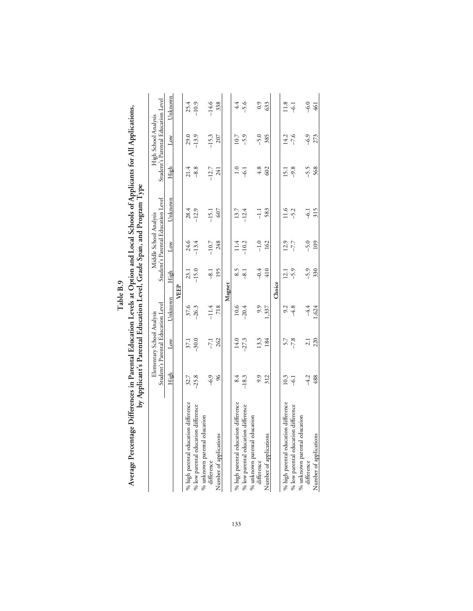|                                      |         |                                                                  |         |         |                        | by Applicant's Parental Education Level, Grade Span, and Program Type |                  |                                                            |         |
|--------------------------------------|---------|------------------------------------------------------------------|---------|---------|------------------------|-----------------------------------------------------------------------|------------------|------------------------------------------------------------|---------|
|                                      |         | Student's Parental Education Level<br>Elementary School Analysis |         |         | Middle School Analysis | Student's Parental Education Level                                    |                  | Student's Parental Education Level<br>High School Analysis |         |
|                                      | High    | Low                                                              | Unknown | High    | Low                    | Unknown                                                               | High             | Low                                                        | Unknown |
|                                      |         |                                                                  |         | VEEP    |                        |                                                                       |                  |                                                            |         |
| % high parental education difference | 32.7    | 37.1                                                             | 37.6    | 23.1    | 24.6                   | 28.4                                                                  | 21.4             | 29.0                                                       | 25.4    |
| % low parental education difference  | $-25.8$ | $-30.0$                                                          | $-26.3$ | $-15.0$ | $-13.4$                | $-12.9$                                                               | $-8.8$           | $-13.9$                                                    | $-10.9$ |
| % unknown parental education         |         |                                                                  |         |         |                        |                                                                       |                  |                                                            |         |
| difference                           | $-6.9$  | $-7.1$                                                           | $-11.4$ | အု      | $-10.7$                | $-15.1$                                                               | $-12.7$          | $-15.3$                                                    | $-14.6$ |
| Number of applications               | $\%$    | 262                                                              | 718     | 195     | 248                    | 607                                                                   | 241              | 207                                                        | 338     |
|                                      |         |                                                                  | Magnet  |         |                        |                                                                       |                  |                                                            |         |
| % high parental education difference | 8.4     | 14.0                                                             | 10.6    | 8.5     | 11.4                   | 13.7                                                                  | $\overline{1.0}$ | 10.7                                                       | 4.4     |
| % low parental education difference  | $-18.3$ | $-27.3$                                                          | $-20.4$ | .<br>P  | $-10.2$                | $-12.4$                                                               | Ģ                | $-5.9$                                                     | $-5.6$  |
| % unknown parental education         |         |                                                                  |         |         |                        |                                                                       |                  |                                                            |         |
| difference                           | 9.9     | 13.3                                                             | 9.9     | $-0.4$  | $-1.0$                 | $\overline{11}$                                                       | 4.8              | $-5.0$                                                     | 0.9     |
| Number of applications               | 312     | 184                                                              | 1,337   | 410     | 162                    | 583                                                                   | 602              | 385                                                        | 633     |
|                                      |         |                                                                  |         | Choice  |                        |                                                                       |                  |                                                            |         |
| % high parental education difference | 10.3    | 5.7                                                              | 9.2     | 12.1    | 12.9                   | 11.6                                                                  | 15.1             | 14.2                                                       | 11.8    |
| % low parental education difference  | $-61$   | $-7.8$                                                           | $-4.8$  | $-5.9$  | $-7.7$                 | $-5.2$                                                                | $-9.8$           | $-7.6$                                                     | $-61$   |
| % unknown parental education         |         |                                                                  |         |         |                        |                                                                       |                  |                                                            |         |
| difference                           | $-4.2$  | 2.1                                                              | $\div$  | $-5.9$  | $-5.0$                 | Ş                                                                     | $-5.5$           | $-6.9$                                                     | $-6.0$  |
| Number of applications               | 488     | 220                                                              | 1,624   | 330     | 109                    | 315                                                                   | 568              | 273                                                        | 461     |
|                                      |         |                                                                  |         |         |                        |                                                                       |                  |                                                            |         |

Average Percentage Differences in Parental Education Levels at Option and Local Schools of Applicants for All Applications, **Average Percentage Differences in Parental Education Levels at Option and Local Schools of Applicants for All Applications,**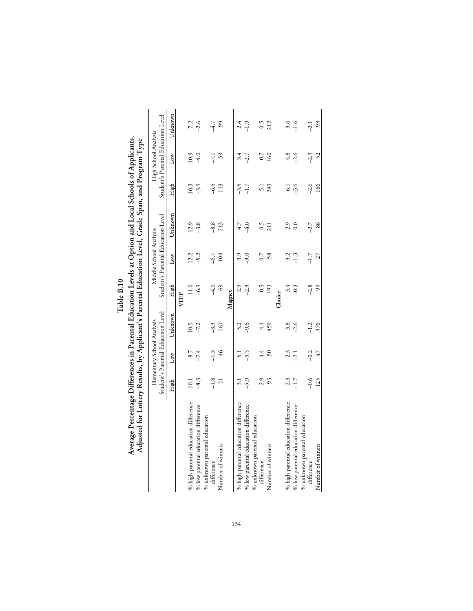| 0 |   |
|---|---|
| ≏ | Ï |
| Φ |   |
| 日 |   |
| 户 |   |

Average Percentage Differences in Parental Education Levels at Option and Local Schools of Applicants,<br>Adiusted for Lottery Results, by Applicant's Parental Education Level, Grade Span, and Program Type **Average Percentage Differences in Parental Education Levels at Option and Local Schools of Applicants, Adjusted for Lottery Results, by Applicant's Parental Education Level, Grade Span, and Program Type**

| which is the property presence of the product of the property of the property of the property of the property of $\mathbf{r}$ |                       |                            |                                    |               |                        |                                    |        |                      |                                    |
|-------------------------------------------------------------------------------------------------------------------------------|-----------------------|----------------------------|------------------------------------|---------------|------------------------|------------------------------------|--------|----------------------|------------------------------------|
|                                                                                                                               |                       | Elementary School Analysis |                                    |               | Middle School Analysis |                                    |        | High School Analysis |                                    |
|                                                                                                                               |                       |                            | Student's Parental Education Level |               |                        | Student's Parental Education Level |        |                      | Student's Parental Education Level |
|                                                                                                                               | High                  | Low                        | Unknown                            | High          | Low                    | Unknown                            | High   | Low                  | Unknown                            |
|                                                                                                                               |                       |                            |                                    | VEEP          |                        |                                    |        |                      |                                    |
| % high parental education difference                                                                                          | $\overline{\text{S}}$ | ∞                          | 10.5                               | 11.0          | 12.2                   | 12.9                               | 10.3   | 10.9                 | 7.2                                |
| % low parental education difference                                                                                           | $-8.3$                | $-7.4$                     | $-7.2$                             | $-6.9$        | $-5.2$                 | $-3.8$                             | $-3.9$ | $-4.0$               | $-2.6$                             |
| % unknown parental education                                                                                                  |                       |                            |                                    |               |                        |                                    |        |                      |                                    |
| difference                                                                                                                    | $-1.8$                | $-1.3$                     | $-3.3$                             | $-4.0$        | $-6.7$                 | $-8.8$                             | $-6.5$ | $-7.1$               | $-4.7$                             |
| Number of winners                                                                                                             | $\overline{21}$       | 46                         | 161                                | $\mathcal{S}$ | 104                    | 213                                | 113    | 59                   | 99                                 |
|                                                                                                                               |                       |                            |                                    | Magnet        |                        |                                    |        |                      |                                    |
| % high parental education difference                                                                                          |                       |                            |                                    | 2.9           | 3.9                    | 4.7                                | $-3.5$ | 3.4                  | 2.4                                |
| % low parental education difference                                                                                           | $-5.9$                | $-9.5$                     | $-9.6$                             | $-2.3$        | $-3.0$                 | $\ddot{ }$                         | $-1.7$ | $-2.7$               | $-1.9$                             |
| % unknown parental education                                                                                                  |                       |                            |                                    |               |                        |                                    |        |                      |                                    |
| difference                                                                                                                    | 2.9                   | 4.4                        | 4.4                                | $-0.5$        | $-0.7$                 | $-9.5$                             | 5.1    | $-0.7$               | $-0.5$                             |
| Number of winners                                                                                                             | 93                    | 50                         | 459                                | 193           | 58                     | 211                                | 243    | 160                  | 212                                |
|                                                                                                                               |                       |                            |                                    | Choice        |                        |                                    |        |                      |                                    |
| % high parental education difference                                                                                          | 2.3                   | 2.3                        | 3.8                                | 3.4           | 3.2                    | 2.9                                | 5      | 4.8                  | 3.6                                |
| % low parental education difference                                                                                           | $-1.7$                | $-2.1$                     | $-2.6$                             | $-0.3$        | $-1.3$                 | 0.0                                | $-3.6$ | $-2.6$               | $-1.6$                             |
| % unknown parental education                                                                                                  |                       |                            |                                    |               |                        |                                    |        |                      |                                    |
| difference                                                                                                                    | $-0.6$                | $-0.2$                     | $-1.2$                             | $-2.8$        | $-1.7$                 | $-2.7$                             | $-2.6$ | $-2.3$               | $-2.1$                             |
| Number of winners                                                                                                             | 125                   | 47                         | 376                                | 99            | 27                     | 86                                 | 186    | 52                   | 93                                 |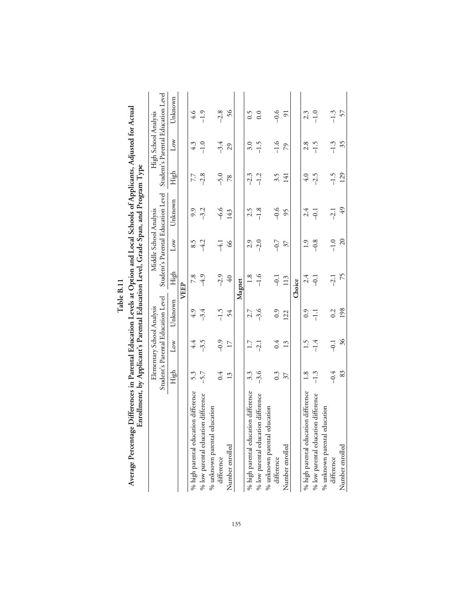| Average Percentage Differences in Parental Education Levels at Option and Local Schools of Applicants, Adjusted for Actual |                          |                            |                                    |        |                        | Enrollment, by Applicant's Parental Education Level, Grade Span, and Program Type |          |                      |                                    |
|----------------------------------------------------------------------------------------------------------------------------|--------------------------|----------------------------|------------------------------------|--------|------------------------|-----------------------------------------------------------------------------------|----------|----------------------|------------------------------------|
|                                                                                                                            |                          | Elementary School Analysis | Student's Parental Education Level |        | Middle School Analysis | Student's Parental Education Level                                                |          | High School Analysis | Student's Parental Education Level |
|                                                                                                                            | High                     | Low                        | Unknown                            | High   | Low                    | Unknown                                                                           | High     | $_{\text{Low}}$      | Unknown                            |
|                                                                                                                            |                          |                            |                                    | VEEP   |                        |                                                                                   |          |                      |                                    |
| % high parental education difference                                                                                       | 5.3                      | 4.4                        | 4.9                                | 7.8    | 8.5                    | 9.9                                                                               |          | 4.3                  | 4.6                                |
| % low parental education difference                                                                                        | $-5.7$                   | $-3.5$                     | $-3.4$                             | $-4.9$ | $-4.2$                 | $-3.2$                                                                            | $-2.8$   | $-1.0$               | $-1.9$                             |
| % unknown parental education                                                                                               |                          |                            |                                    |        |                        |                                                                                   |          |                      |                                    |
| difference                                                                                                                 | 0.4                      | $-0.9$                     | $-1.5$                             | $-2.9$ | $-4.1$                 | $-6.6$                                                                            | $-5.0$   | $-3.4$               | $-2.8$                             |
| Number enrolled                                                                                                            | 13                       | $\overline{17}$            | 54                                 | 40     | $\delta$               | 143                                                                               | 78       | 29                   | 56                                 |
|                                                                                                                            |                          |                            |                                    | Magnet |                        |                                                                                   |          |                      |                                    |
| % high parental education difference                                                                                       | 3.3                      | 1.7                        | 2.7                                | 1.8    | 2.9                    | 2.5                                                                               | $-2.3$   | 3.0                  | $\zeta$ :0                         |
| % low parental education difference                                                                                        | $-3.6$                   | $-2.1$                     | $-3.6$                             | $-1.6$ | $-2.0$                 | $-1.8$                                                                            | $-1.2$   | $-1.5$               | 0.0                                |
| % unknown parental education                                                                                               |                          |                            |                                    |        |                        |                                                                                   |          |                      |                                    |
| difference                                                                                                                 | $0.\overline{3}$         | 0.4                        | 0.9                                | $-0.1$ | $-0.7$                 | $-0.6$                                                                            | 3.5      | $-1.6$               | $-0.6$                             |
| Number enrolled                                                                                                            | $\overline{\mathcal{E}}$ | 13                         | 122                                | 113    | $\mathfrak{Z}$         | 95                                                                                | 141      | 79                   | $\overline{5}$                     |
|                                                                                                                            |                          |                            |                                    | Choice |                        |                                                                                   |          |                      |                                    |
| % high parental education difference                                                                                       | $\frac{8}{1}$            | $\frac{5}{1}$              | $\ddot{0}$ .                       | 2.4    | $\frac{1}{2}$          | 2.4                                                                               | $^{4.0}$ | 2.8                  | 2.3                                |
| % low parental education difference                                                                                        | $-1.3$                   | $-1.4$                     |                                    | $-0.1$ | $-0.8$                 | $-1$                                                                              | $-2.5$   | $-1.5$               | $-1.0$                             |
| % unknown parental education                                                                                               |                          |                            |                                    |        |                        |                                                                                   |          |                      |                                    |
| difference                                                                                                                 | $-0.4$                   | $-0.1$                     | 0.2                                | $-2.1$ | $-1.0$                 | $-2.1$                                                                            | $-1.5$   | $-1.3$               | $-1.3$                             |
| Number enrolled                                                                                                            | 83                       | 36                         | 198                                | 75     | 20                     | 49                                                                                | 129      | 35                   | 57                                 |

Table B.11 **Table B.11**

135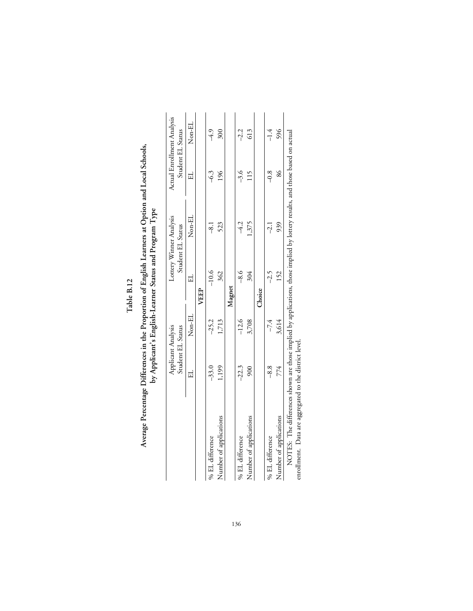|   | J      |
|---|--------|
|   |        |
| ٥ | с      |
|   | ¢<br>J |
|   | Ē      |
|   |        |
|   |        |

|                                                                                                                             | $\overline{\phantom{0}}$ | D                                       |         | $\ddot{\phantom{0}}$<br>J                    |        |                                                 |
|-----------------------------------------------------------------------------------------------------------------------------|--------------------------|-----------------------------------------|---------|----------------------------------------------|--------|-------------------------------------------------|
|                                                                                                                             |                          | Applicant Analysis<br>Student EL Status |         | Lottery Winner Analysis<br>Student EL Status |        | Actual Enrollment Analysis<br>Student EL Status |
|                                                                                                                             | 님                        | Non-EL                                  | $\Xi$   | Non-EL                                       | 님      | Non-EL                                          |
|                                                                                                                             |                          |                                         | VEEP    |                                              |        |                                                 |
| % EL difference                                                                                                             | $-33.0$                  | $-25.2$                                 | $-10.6$ | $-8.1$                                       | $-6.3$ | $-4.9$                                          |
| Number of applications                                                                                                      | 1,199                    | 1,713                                   | 362     | 523                                          | 196    | 300                                             |
|                                                                                                                             |                          |                                         | Magnet  |                                              |        |                                                 |
| % EL difference                                                                                                             | $-22.3$                  | $-12.6$                                 | $-8.6$  | $-4.2$                                       | $-3.6$ | $-2.2$                                          |
| Number of applications                                                                                                      | 900                      | 3,708                                   | 304     | 1,375                                        | 115    | 613                                             |
|                                                                                                                             |                          |                                         | Choice  |                                              |        |                                                 |
| % EL difference                                                                                                             | $-8.8$                   | $-7.4$                                  | $-2.5$  | $-2.1$                                       | $-0.8$ | $-1.4$                                          |
| Number of applications                                                                                                      | 774                      | 3,614                                   | 152     | 939                                          | 86     | 596                                             |
| NOTES: The differences shown are those implied by applications, those implied by lottery results, and those based on actual |                          |                                         |         |                                              |        |                                                 |

NOTES: The differences shown are those implied by applications, those implied by lottery results, and those based on actual  $\cdot$ ÷. nd<br>tr AND IN THE MANUS SHOW AT A LOOK MILL AND THE ANGLE OF A LOOKING THE SEPARATE OF THE ALL AND THE ALL AND THE ALL AND THE ALL AND THE ALL AND THE ALL AND THE ALL AND THE ALL AND THE ALL AND THE ALL AND THE ALL AND THE ALL AN enrollment. Data are aggregated to the district level.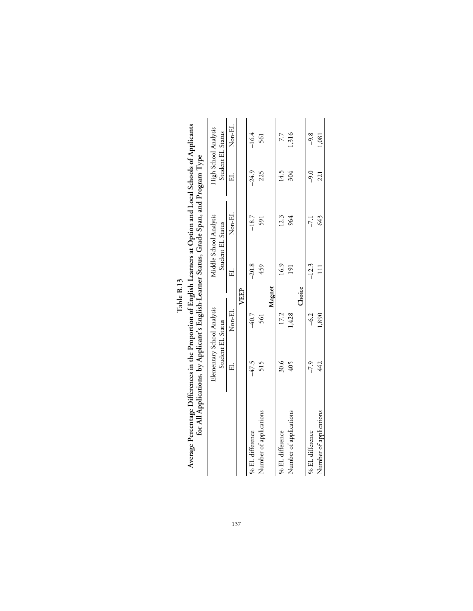| Average Percentage Differences in the Proportion of English Learners at Option and Local Schools of Applicants |                   | for All Applications, by Applicant's English-Learner Status, Grade Span, and Program Type |         |                                             |         |                                           |
|----------------------------------------------------------------------------------------------------------------|-------------------|-------------------------------------------------------------------------------------------|---------|---------------------------------------------|---------|-------------------------------------------|
|                                                                                                                | Student EL Status | Elementary School Analysis                                                                |         | Middle School Analysis<br>Student EL Status |         | High School Analysis<br>Student EL Status |
|                                                                                                                | 니                 | $Non-EL$                                                                                  | $\Xi$   | Non-EL                                      | 님       | Non-EL                                    |
|                                                                                                                |                   | VEEP                                                                                      |         |                                             |         |                                           |
| % EL difference                                                                                                | $-47.5$           | $-40.7$                                                                                   | $-20.8$ | $-18.7$                                     | $-24.9$ | $-16.4$                                   |
| Number of applications                                                                                         | 515               | 561                                                                                       | 459     | 591                                         | 225     | 561                                       |
|                                                                                                                |                   | Magnet                                                                                    |         |                                             |         |                                           |
| % EL difference                                                                                                | $-30.6$           | $-17.2$                                                                                   | $-16.9$ | $-12.3$                                     | $-14.5$ | $-7.7$                                    |
| Number of applications                                                                                         | 405               | 1,428                                                                                     | 191     | 964                                         | 304     | 1,316                                     |
|                                                                                                                |                   | Choice                                                                                    |         |                                             |         |                                           |
| % EL difference                                                                                                | $-7.9$            | $-6.2$                                                                                    | $-12.3$ | $-7.1$                                      | $-9.0$  | $-9.8$                                    |
| Number of applications                                                                                         | 442               | 1,890                                                                                     |         | 643                                         | 221     | 1,081                                     |

Table B.13<br>ortion of English I  $\epsilon$ **Table B.13**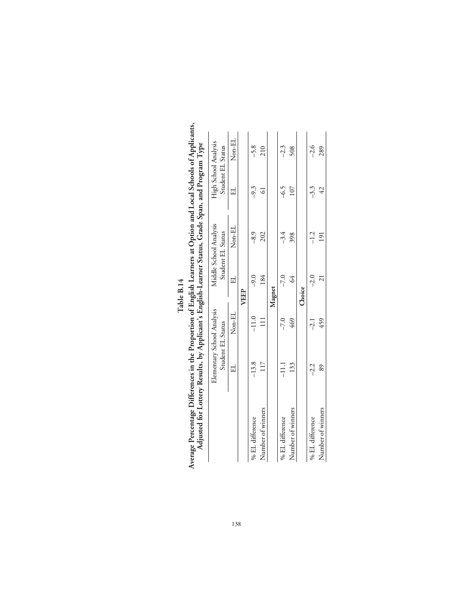| . The commutation is a commutation of the commutation of the commutation of the commutation of $\sim$<br>Adjusted for Lottery Results, by Applicant's English-Learner Status, Grade Span, and Program Type |         |                            |        |                        |                |                      |
|------------------------------------------------------------------------------------------------------------------------------------------------------------------------------------------------------------|---------|----------------------------|--------|------------------------|----------------|----------------------|
|                                                                                                                                                                                                            |         | Elementary School Analysis |        | Middle School Analysis |                | High School Analysis |
|                                                                                                                                                                                                            |         | Student EL Status          |        | Student EL Status      |                | Student EL Status    |
|                                                                                                                                                                                                            | $\Xi$   | Non-EL                     | 보      | Non-EL                 | $\Xi$          | Non-EL               |
|                                                                                                                                                                                                            |         |                            | VEEP   |                        |                |                      |
| % EL difference                                                                                                                                                                                            | $-13.8$ | $-11.0$                    | $-9.0$ | $-8.9$                 | $-9.3$         | $-5.8$               |
| Number of winners                                                                                                                                                                                          | 117     | $\Xi$                      | 184    | 202                    | 5              | 210                  |
|                                                                                                                                                                                                            |         |                            | Magnet |                        |                |                      |
| % EL difference                                                                                                                                                                                            | ミニ      | $-7.0$                     | $-7.0$ | $-3.4$                 | -6.5           | $-2.3$               |
| Number of winners                                                                                                                                                                                          | 133     | 469                        | $\Im$  | 398                    | 107            | 508                  |
|                                                                                                                                                                                                            |         |                            | Choice |                        |                |                      |
| % EL difference                                                                                                                                                                                            | $-2.2$  | $-2.1$                     | $-2.0$ | $-1.2$                 | $-3.3$         | $-2.6$               |
| Number of winners                                                                                                                                                                                          | 89      | 459                        | ಸ      | $\overline{191}$       | $\overline{c}$ | 289                  |
|                                                                                                                                                                                                            |         |                            |        |                        |                |                      |

Table B.14<br>Average Percentage Differences in the Proportion of English Learners at Option and Local Schools of Applicants, **Average Percentage Differences in the Proportion of English Learners at Option and Local Schools of Applicants,**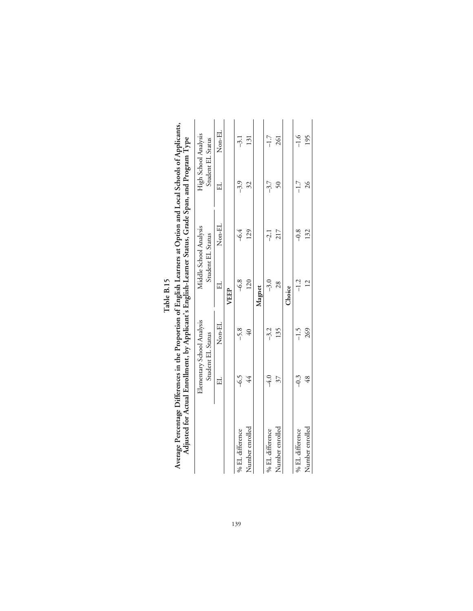| Table B.15 | Average Percentage Differences in the Proportion of English Learners at Option and Local Schools of Applicants,<br>Adjusted for Actual Enrollment, by Applicant's English-Learner Status, Grade Span, and Program Type | High School Analysis<br>Student EL Status<br>Middle School Analysis<br>Student EL Status<br>Elementary School Analysis<br>Student EL Status | Non-EL<br>님<br>$\rm N$ on-EI<br>닌<br>$\text{Non-EL}$<br>모 | VEEP | $-3.1$<br>$-3.9$<br>$-6.4$<br>$-6.8$<br>$-5.8$<br>$-6.5$ | 131<br>32<br>129<br>120<br>$\overline{6}$<br>44 | Magnet | $-1.7$<br>$-3.7$<br>$-2.1$<br>$-3.0$<br>$-3.2$<br>$-4.0$ | 261<br>$\delta$<br>217<br>28<br>135<br>37 | Choice | $-1.6$<br>$-1.7$<br>$-0.8$<br>$-1.2$<br>$-1.5$<br>$-0.3$ | 195<br>26<br>132<br>$\overline{2}$<br>269<br>48 |
|------------|------------------------------------------------------------------------------------------------------------------------------------------------------------------------------------------------------------------------|---------------------------------------------------------------------------------------------------------------------------------------------|-----------------------------------------------------------|------|----------------------------------------------------------|-------------------------------------------------|--------|----------------------------------------------------------|-------------------------------------------|--------|----------------------------------------------------------|-------------------------------------------------|
|            |                                                                                                                                                                                                                        |                                                                                                                                             |                                                           |      |                                                          |                                                 |        |                                                          |                                           |        |                                                          |                                                 |
|            |                                                                                                                                                                                                                        |                                                                                                                                             |                                                           |      | % EL difference                                          | Number enrolled                                 |        | % EL difference                                          | Number enrolled                           |        | % EL difference                                          | Number enrolled                                 |

**Table B.15**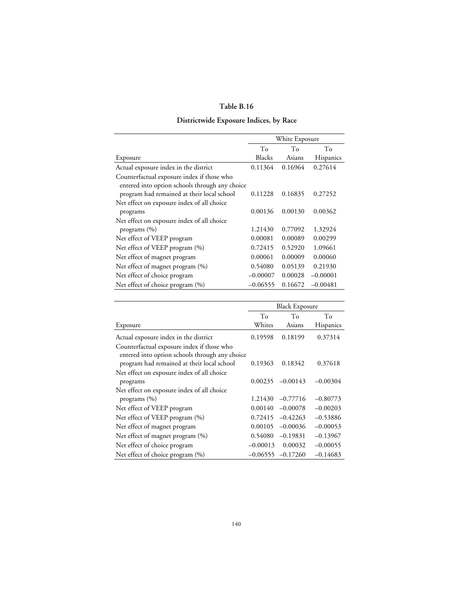|  | Table B.16 |  |  |
|--|------------|--|--|
|--|------------|--|--|

## **Districtwide Exposure Indices, by Race**

|                                                |               | White Exposure |                  |
|------------------------------------------------|---------------|----------------|------------------|
|                                                | To            | Tο             | To               |
| Exposure                                       | <b>Blacks</b> | Asians         | <b>Hispanics</b> |
| Actual exposure index in the district          | 0.11364       | 0.16964        | 0.27614          |
| Counterfactual exposure index if those who     |               |                |                  |
| entered into option schools through any choice |               |                |                  |
| program had remained at their local school     | 0.11228       | 0.16835        | 0.27252          |
| Net effect on exposure index of all choice     |               |                |                  |
| programs                                       | 0.00136       | 0.00130        | 0.00362          |
| Net effect on exposure index of all choice     |               |                |                  |
| programs $(\% )$                               | 1.21430       | 0.77092        | 1.32924          |
| Net effect of VEEP program                     | 0.00081       | 0.00089        | 0.00299          |
| Net effect of VEEP program (%)                 | 0.72415       | 0.52920        | 1.09661          |
| Net effect of magnet program                   | 0.00061       | 0.00009        | 0.00060          |
| Net effect of magnet program (%)               | 0.54080       | 0.05139        | 0.21930          |
| Net effect of choice program                   | $-0.00007$    | 0.00028        | $-0.00001$       |
| Net effect of choice program (%)               | $-0.06555$    | 0.16672        | $-0.00481$       |

|                                                |            | <b>Black Exposure</b> |                  |
|------------------------------------------------|------------|-----------------------|------------------|
|                                                | To         | To                    | To               |
| Exposure                                       | Whites     | Asians                | <b>Hispanics</b> |
| Actual exposure index in the district          | 0.19598    | 0.18199               | 0.37314          |
| Counterfactual exposure index if those who     |            |                       |                  |
| entered into option schools through any choice |            |                       |                  |
| program had remained at their local school     | 0.19363    | 0.18342               | 0.37618          |
| Net effect on exposure index of all choice     |            |                       |                  |
| programs                                       | 0.00235    | $-0.00143$            | $-0.00304$       |
| Net effect on exposure index of all choice     |            |                       |                  |
| programs $(\% )$                               | 1.21430    | $-0.77716$            | $-0.80773$       |
| Net effect of VEEP program                     | 0.00140    | $-0.00078$            | $-0.00203$       |
| Net effect of VEEP program (%)                 | 0.72415    | $-0.42263$            | $-0.53886$       |
| Net effect of magnet program                   | 0.00105    | $-0.00036$            | $-0.00053$       |
| Net effect of magnet program (%)               | 0.54080    | $-0.19831$            | $-0.13967$       |
| Net effect of choice program                   | $-0.00013$ | 0.00032               | $-0.00055$       |
| Net effect of choice program (%)               | $-0.06555$ | $-0.17260$            | $-0.14683$       |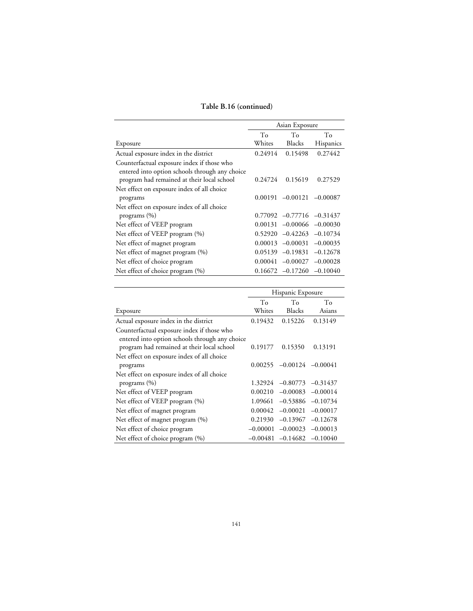|  | Table B.16 (continued) |
|--|------------------------|
|--|------------------------|

|                                                |         | Asian Exposure              |                       |
|------------------------------------------------|---------|-----------------------------|-----------------------|
|                                                | To      | To                          | To                    |
| Exposure                                       | Whites  | <b>Blacks</b>               | <b>Hispanics</b>      |
| Actual exposure index in the district          | 0.24914 | 0.15498                     | 0.27442               |
| Counterfactual exposure index if those who     |         |                             |                       |
| entered into option schools through any choice |         |                             |                       |
| program had remained at their local school     | 0.24724 | 0.15619                     | 0.27529               |
| Net effect on exposure index of all choice     |         |                             |                       |
| programs                                       | 0.00191 | $-0.00121$                  | $-0.00087$            |
| Net effect on exposure index of all choice     |         |                             |                       |
| programs $(\% )$                               |         | $0.77092 -0.77716 -0.31437$ |                       |
| Net effect of VEEP program                     | 0.00131 |                             | $-0.00066$ $-0.00030$ |
| Net effect of VEEP program (%)                 | 0.52920 | $-0.42263$                  | $-0.10734$            |
| Net effect of magnet program                   |         | $0.00013 - 0.00031$         | $-0.00035$            |
| Net effect of magnet program (%)               |         | $0.05139 -0.19831$          | $-0.12678$            |
| Net effect of choice program                   | 0.00041 | $-0.00027$ $-0.00028$       |                       |
| Net effect of choice program (%)               |         | $0.16672 -0.17260$          | $-0.10040$            |

|                                                |            | Hispanic Exposure           |                       |
|------------------------------------------------|------------|-----------------------------|-----------------------|
|                                                | To         | To                          | To                    |
| Exposure                                       | Whites     | <b>Blacks</b>               | Asians                |
| Actual exposure index in the district          | 0.19432    | 0.15226                     | 0.13149               |
| Counterfactual exposure index if those who     |            |                             |                       |
| entered into option schools through any choice |            |                             |                       |
| program had remained at their local school     | 0.19177    | 0.15350                     | 0.13191               |
| Net effect on exposure index of all choice     |            |                             |                       |
| programs                                       |            | $0.00255 -0.00124 -0.00041$ |                       |
| Net effect on exposure index of all choice     |            |                             |                       |
| programs $(\% )$                               |            | $1.32924 -0.80773 -0.31437$ |                       |
| Net effect of VEEP program                     | 0.00210    | $-0.00083$                  | $-0.00014$            |
| Net effect of VEEP program (%)                 | 1.09661    |                             | $-0.53886$ $-0.10734$ |
| Net effect of magnet program                   | 0.00042    | $-0.00021$                  | $-0.00017$            |
| Net effect of magnet program (%)               | 0.21930    | $-0.13967$                  | $-0.12678$            |
| Net effect of choice program                   | $-0.00001$ | $-0.00023$                  | $-0.00013$            |
| Net effect of choice program (%)               | $-0.00481$ |                             | $-0.14682$ $-0.10040$ |
|                                                |            |                             |                       |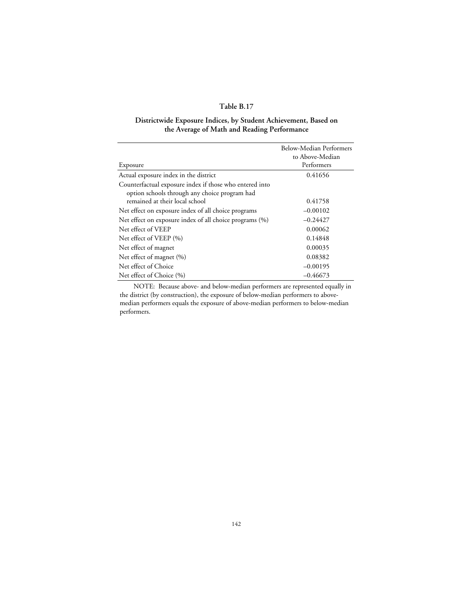#### **Districtwide Exposure Indices, by Student Achievement, Based on the Average of Math and Reading Performance**

|                                                                                                          | <b>Below-Median Performers</b><br>to Above-Median |
|----------------------------------------------------------------------------------------------------------|---------------------------------------------------|
| Exposure                                                                                                 | Performers                                        |
| Actual exposure index in the district                                                                    | 0.41656                                           |
| Counterfactual exposure index if those who entered into<br>option schools through any choice program had |                                                   |
| remained at their local school                                                                           | 0.41758                                           |
| Net effect on exposure index of all choice programs                                                      | $-0.00102$                                        |
| Net effect on exposure index of all choice programs (%)                                                  | $-0.24427$                                        |
| Net effect of VEEP                                                                                       | 0.00062                                           |
| Net effect of VEEP $(\% )$                                                                               | 0.14848                                           |
| Net effect of magnet                                                                                     | 0.00035                                           |
| Net effect of magnet (%)                                                                                 | 0.08382                                           |
| Net effect of Choice                                                                                     | $-0.00195$                                        |
| Net effect of Choice (%)                                                                                 | $-0.46673$                                        |

NOTE: Because above- and below-median performers are represented equally in the district (by construction), the exposure of below-median performers to abovemedian performers equals the exposure of above-median performers to below-median performers.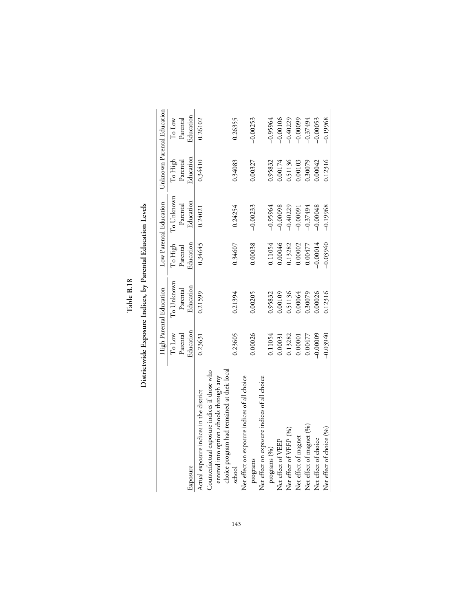| ∞ |
|---|
|   |
| α |
| J |
| ۹ |
|   |
|   |

| I                         |
|---------------------------|
| ;<br>;<br><b>--------</b> |
| ;                         |
|                           |
|                           |
| <b>SPJ1</b>               |
| į                         |
|                           |
|                           |

|                                              |            | High Parental Education |            | Low Parental Education |           | Unknown Parental Education |
|----------------------------------------------|------------|-------------------------|------------|------------------------|-----------|----------------------------|
|                                              | To Low     | To Unknown              | To High    | To Unknown             | To High   | To Low                     |
|                                              | Parental   | Parental                | Parental   | Parental               | Parental  | Parental                   |
| Exposure                                     | Education  | Education               | Education  | Education              | Education | Education                  |
| Actual exposure indices in the district      | 0.23631    | 0.21599                 | 0.34645    | 0.24021                | 0.34410   | 0.26102                    |
| Counterfactual exposure indices if those who |            |                         |            |                        |           |                            |
| entered into option schools through any      |            |                         |            |                        |           |                            |
| choice program had remained at their local   |            |                         |            |                        |           |                            |
| school                                       | 0.23605    | 0.21394                 | 0.34607    | 0.24254                | 0.34083   | 0.26355                    |
| Net effect on exposure indices of all choice |            |                         |            |                        |           |                            |
| programs                                     | 0.00026    | 0.00205                 | 0.00038    | $-0.00233$             | 0.00327   | $-0.00253$                 |
| Net effect on exposure indices of all choice |            |                         |            |                        |           |                            |
| programs (%)                                 | 0.11054    | 0.95832                 | 11054      | $-0.95964$             | 1.95832   | $-0.95964$                 |
| Net effect of VEEP                           | 0.00031    | 0.00109                 | 0.00046    | $-0.00098$             | 1.00174   | $-0.00106$                 |
| Net effect of VEEP (%)                       | 1.13282    | 0.51136                 | 0.13282    | $-0.40229$             | 0.51136   | $-0.40229$                 |
| Net effect of magnet                         | 0.00001    | 0.00064                 | 0.00002    | $-0.00091$             | 0.00103   | $-0.00099$                 |
| Net effect of magnet (%)                     | 0.00477    | 0.30079                 | 0.00477    | $-0.37494$             | 0.30079   | $-0.37494$                 |
| Net effect of choice                         | $-0.00009$ | 0.00026                 | $-0.00014$ | $-0.00048$             | 1.00042   | $-0.00053$                 |
| Net effect of choice (%)                     | $-0.03940$ | 0.12316                 | $-0.03940$ | $-0.19968$             | 1.12316   | $-0.19968$                 |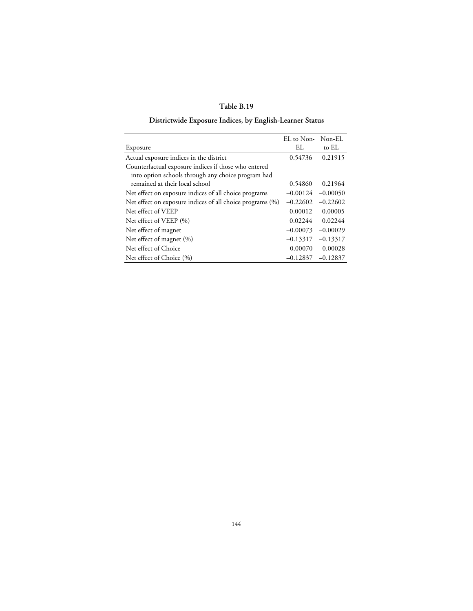## **Districtwide Exposure Indices, by English-Learner Status**

| Exposure                                                  | EL to Non- Non-EL<br>EL. | to EL      |
|-----------------------------------------------------------|--------------------------|------------|
| Actual exposure indices in the district                   | 0.54736                  | 0.21915    |
| Counterfactual exposure indices if those who entered      |                          |            |
| into option schools through any choice program had        |                          |            |
| remained at their local school                            | 0.54860                  | 0.21964    |
| Net effect on exposure indices of all choice programs     | $-0.00124$               | $-0.00050$ |
| Net effect on exposure indices of all choice programs (%) | $-0.22602$               | $-0.22602$ |
| Net effect of VEEP                                        | 0.00012                  | 0.00005    |
| Net effect of VEEP (%)                                    | 0.02244                  | 0.02244    |
| Net effect of magnet                                      | $-0.00073$               | $-0.00029$ |
| Net effect of magnet (%)                                  | $-0.13317$               | $-0.13317$ |
| Net effect of Choice                                      | $-0.00070$               | $-0.00028$ |
| Net effect of Choice (%)                                  | $-0.12837 -0.12837$      |            |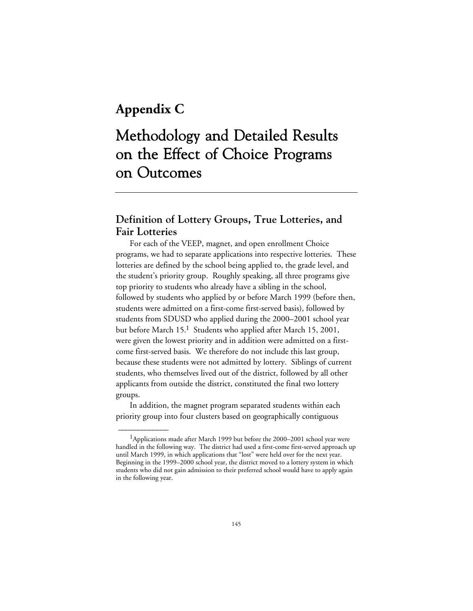## **Appendix C**

 $\overline{\phantom{a}}$ 

## Methodology and Detailed Results on the Effect of Choice Programs on Outcomes

## **Definition of Lottery Groups, True Lotteries, and Fair Lotteries**

For each of the VEEP, magnet, and open enrollment Choice programs, we had to separate applications into respective lotteries. These lotteries are defined by the school being applied to, the grade level, and the student's priority group. Roughly speaking, all three programs give top priority to students who already have a sibling in the school, followed by students who applied by or before March 1999 (before then, students were admitted on a first-come first-served basis), followed by students from SDUSD who applied during the 2000–2001 school year but before March 15.<sup>1</sup> Students who applied after March 15, 2001, were given the lowest priority and in addition were admitted on a firstcome first-served basis. We therefore do not include this last group, because these students were not admitted by lottery. Siblings of current students, who themselves lived out of the district, followed by all other applicants from outside the district, constituted the final two lottery groups.

In addition, the magnet program separated students within each priority group into four clusters based on geographically contiguous

<sup>&</sup>lt;sup>1</sup>Applications made after March 1999 but before the 2000–2001 school year were handled in the following way. The district had used a first-come first-served approach up until March 1999, in which applications that "lost" were held over for the next year. Beginning in the 1999–2000 school year, the district moved to a lottery system in which students who did not gain admission to their preferred school would have to apply again in the following year.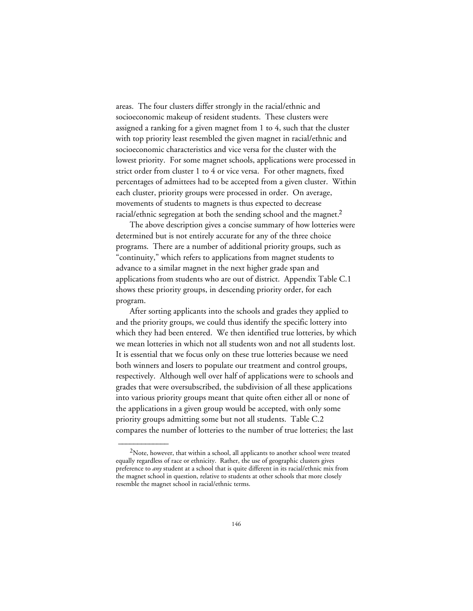areas. The four clusters differ strongly in the racial/ethnic and socioeconomic makeup of resident students. These clusters were assigned a ranking for a given magnet from 1 to 4, such that the cluster with top priority least resembled the given magnet in racial/ethnic and socioeconomic characteristics and vice versa for the cluster with the lowest priority. For some magnet schools, applications were processed in strict order from cluster 1 to 4 or vice versa. For other magnets, fixed percentages of admittees had to be accepted from a given cluster. Within each cluster, priority groups were processed in order. On average, movements of students to magnets is thus expected to decrease racial/ethnic segregation at both the sending school and the magnet.<sup>2</sup>

The above description gives a concise summary of how lotteries were determined but is not entirely accurate for any of the three choice programs. There are a number of additional priority groups, such as "continuity," which refers to applications from magnet students to advance to a similar magnet in the next higher grade span and applications from students who are out of district. Appendix Table C.1 shows these priority groups, in descending priority order, for each program.

After sorting applicants into the schools and grades they applied to and the priority groups, we could thus identify the specific lottery into which they had been entered. We then identified true lotteries, by which we mean lotteries in which not all students won and not all students lost. It is essential that we focus only on these true lotteries because we need both winners and losers to populate our treatment and control groups, respectively. Although well over half of applications were to schools and grades that were oversubscribed, the subdivision of all these applications into various priority groups meant that quite often either all or none of the applications in a given group would be accepted, with only some priority groups admitting some but not all students. Table C.2 compares the number of lotteries to the number of true lotteries; the last

 $\overline{\phantom{a}}$ 

<sup>&</sup>lt;sup>2</sup>Note, however, that within a school, all applicants to another school were treated equally regardless of race or ethnicity. Rather, the use of geographic clusters gives preference to *any* student at a school that is quite different in its racial/ethnic mix from the magnet school in question, relative to students at other schools that more closely resemble the magnet school in racial/ethnic terms.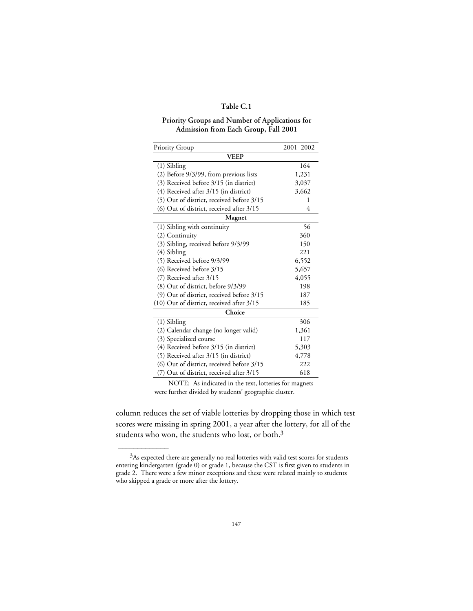#### **Priority Groups and Number of Applications for Admission from Each Group, Fall 2001**

| Priority Group                             | 2001-2002 |  |  |  |  |  |
|--------------------------------------------|-----------|--|--|--|--|--|
| <b>VEEP</b>                                |           |  |  |  |  |  |
| $(1)$ Sibling                              | 164       |  |  |  |  |  |
| (2) Before 9/3/99, from previous lists     | 1,231     |  |  |  |  |  |
| (3) Received before 3/15 (in district)     | 3,037     |  |  |  |  |  |
| $(4)$ Received after $3/15$ (in district)  | 3,662     |  |  |  |  |  |
| (5) Out of district, received before 3/15  | 1         |  |  |  |  |  |
| (6) Out of district, received after 3/15   | 4         |  |  |  |  |  |
| Magnet                                     |           |  |  |  |  |  |
| (1) Sibling with continuity                | 56        |  |  |  |  |  |
| (2) Continuity                             | 360       |  |  |  |  |  |
| (3) Sibling, received before 9/3/99        | 150       |  |  |  |  |  |
| (4) Sibling                                | 221       |  |  |  |  |  |
| $(5)$ Received before $9/3/99$             | 6,552     |  |  |  |  |  |
| $(6)$ Received before $3/15$               | 5,657     |  |  |  |  |  |
| (7) Received after 3/15                    | 4,055     |  |  |  |  |  |
| (8) Out of district, before 9/3/99         | 198       |  |  |  |  |  |
| (9) Out of district, received before 3/15  | 187       |  |  |  |  |  |
| (10) Out of district, received after 3/15  | 185       |  |  |  |  |  |
| Choice                                     |           |  |  |  |  |  |
| $(1)$ Sibling                              | 306       |  |  |  |  |  |
| (2) Calendar change (no longer valid)      | 1,361     |  |  |  |  |  |
| (3) Specialized course                     | 117       |  |  |  |  |  |
| $(4)$ Received before $3/15$ (in district) | 5,303     |  |  |  |  |  |
| $(5)$ Received after $3/15$ (in district)  | 4,778     |  |  |  |  |  |
| (6) Out of district, received before 3/15  | 222       |  |  |  |  |  |
| (7) Out of district, received after 3/15   | 618       |  |  |  |  |  |

NOTE: As indicated in the text, lotteries for magnets were further divided by students' geographic cluster.

column reduces the set of viable lotteries by dropping those in which test scores were missing in spring 2001, a year after the lottery, for all of the students who won, the students who lost, or both.<sup>3</sup>

 $\overline{\phantom{a}}$ 

<sup>3</sup>As expected there are generally no real lotteries with valid test scores for students entering kindergarten (grade 0) or grade 1, because the CST is first given to students in grade 2. There were a few minor exceptions and these were related mainly to students who skipped a grade or more after the lottery.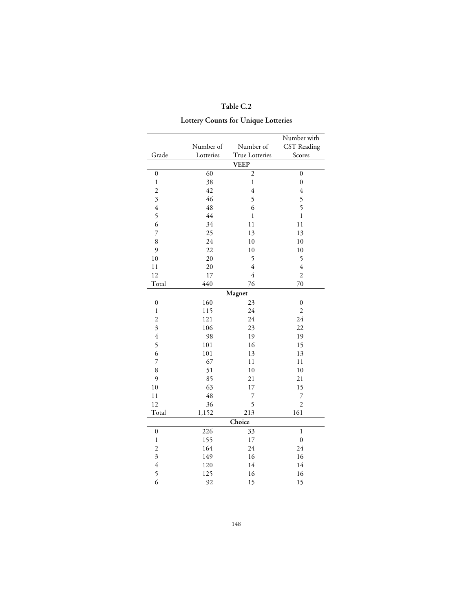|                         |           |                | Number with        |  |  |  |  |
|-------------------------|-----------|----------------|--------------------|--|--|--|--|
|                         | Number of | Number of      | <b>CST</b> Reading |  |  |  |  |
| Grade                   | Lotteries | True Lotteries | Scores             |  |  |  |  |
|                         |           | <b>VEEP</b>    |                    |  |  |  |  |
| $\boldsymbol{0}$        | 60        | $\mathfrak{2}$ | $\overline{0}$     |  |  |  |  |
| $\,1\,$                 | 38        | $\mathbf 1$    | $\boldsymbol{0}$   |  |  |  |  |
| $\overline{c}$          | 42        | $\overline{4}$ | $\overline{4}$     |  |  |  |  |
| $\overline{\mathbf{3}}$ | 46        | 5              | 5                  |  |  |  |  |
| $\overline{4}$          | 48        | 6              | 5                  |  |  |  |  |
| 5                       | 44        | $\mathbf{1}$   | $\,1$              |  |  |  |  |
| 6                       | 34        | 11             | 11                 |  |  |  |  |
| 7                       | 25        | 13             | 13                 |  |  |  |  |
| 8                       | 24        | 10             | 10                 |  |  |  |  |
| 9                       | 22        | 10             | 10                 |  |  |  |  |
| 10                      | 20        | 5              | 5                  |  |  |  |  |
| 11                      | 20        | $\overline{4}$ | $\overline{4}$     |  |  |  |  |
| 12                      | 17        | $\overline{4}$ | $\overline{c}$     |  |  |  |  |
| Total                   | 440       | 76             | 70                 |  |  |  |  |
| Magnet                  |           |                |                    |  |  |  |  |
| $\boldsymbol{0}$        | 160       | 23             | $\boldsymbol{0}$   |  |  |  |  |
| $\,1$                   | 115       | 24             | $\sqrt{2}$         |  |  |  |  |
| $\overline{c}$          | 121       | 24             | 24                 |  |  |  |  |
| $\overline{\mathbf{3}}$ | 106       | 23             | 22                 |  |  |  |  |
| $\overline{4}$          | 98        | 19             | 19                 |  |  |  |  |
| 5                       | 101       | 16             | 15                 |  |  |  |  |
| 6                       | 101       | 13             | 13                 |  |  |  |  |
| 7                       | 67        | 11             | 11                 |  |  |  |  |
| 8                       | 51        | 10             | 10                 |  |  |  |  |
| 9                       | 85        | 21             | 21                 |  |  |  |  |
| $10\,$                  | 63        | 17             | 15                 |  |  |  |  |
| 11                      | 48        | 7              | 7                  |  |  |  |  |
| 12                      | 36        | 5              | $\overline{c}$     |  |  |  |  |
| Total                   | 1,152     | 213            | 161                |  |  |  |  |
|                         |           | Choice         |                    |  |  |  |  |
| $\boldsymbol{0}$        | 226       | 33             | $\mathbf{1}$       |  |  |  |  |
| $\,1\,$                 | 155       | 17             | $\boldsymbol{0}$   |  |  |  |  |
| $\overline{c}$          | 164       | 24             | 24                 |  |  |  |  |
| $\overline{\mathbf{3}}$ | 149       | 16             | 16                 |  |  |  |  |
| $\overline{4}$          | 120       | 14             | 14                 |  |  |  |  |
| 5                       | 125       | 16             | 16                 |  |  |  |  |
| $\overline{6}$          | 92        | 15             | 15                 |  |  |  |  |
|                         |           |                |                    |  |  |  |  |

| <b>Table C</b> |  |
|----------------|--|
|----------------|--|

# **Lottery Counts for Unique Lotteries**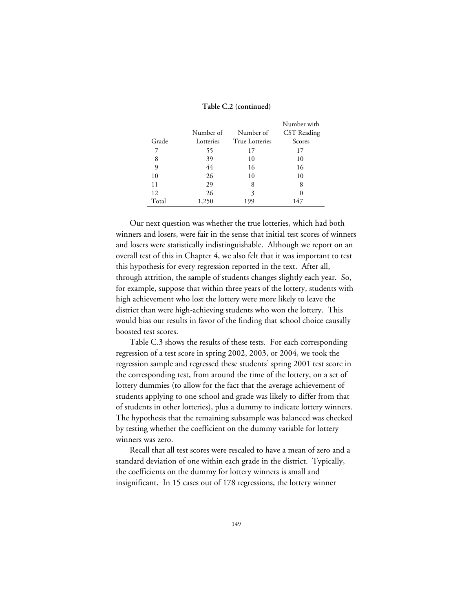|       |           |                       | Number with |
|-------|-----------|-----------------------|-------------|
|       | Number of | Number of             | CST Reading |
| Grade | Lotteries | <b>True Lotteries</b> | Scores      |
|       | 55        | 17                    | 17          |
| 8     | 39        | 10                    | 10          |
| 9     | 44        | 16                    | 16          |
| 10    | 26        | 10                    | 10          |
| 11    | 29        | 8                     | 8           |
| 12    | 26        | 3                     |             |
| Total | 1,250     | 199                   | 147         |

**Table C.2 (continued)**

Our next question was whether the true lotteries, which had both winners and losers, were fair in the sense that initial test scores of winners and losers were statistically indistinguishable. Although we report on an overall test of this in Chapter 4, we also felt that it was important to test this hypothesis for every regression reported in the text. After all, through attrition, the sample of students changes slightly each year. So, for example, suppose that within three years of the lottery, students with high achievement who lost the lottery were more likely to leave the district than were high-achieving students who won the lottery. This would bias our results in favor of the finding that school choice causally boosted test scores.

Table C.3 shows the results of these tests. For each corresponding regression of a test score in spring 2002, 2003, or 2004, we took the regression sample and regressed these students' spring 2001 test score in the corresponding test, from around the time of the lottery, on a set of lottery dummies (to allow for the fact that the average achievement of students applying to one school and grade was likely to differ from that of students in other lotteries), plus a dummy to indicate lottery winners. The hypothesis that the remaining subsample was balanced was checked by testing whether the coefficient on the dummy variable for lottery winners was zero.

Recall that all test scores were rescaled to have a mean of zero and a standard deviation of one within each grade in the district. Typically, the coefficients on the dummy for lottery winners is small and insignificant. In 15 cases out of 178 regressions, the lottery winner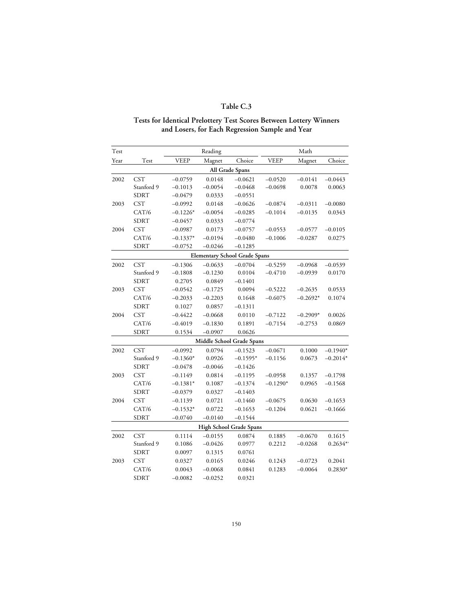# **Tests for Identical Prelottery Test Scores Between Lottery Winners and Losers, for Each Regression Sample and Year**

| Test |             |             | Reading   |                                      |             | Math       |            |
|------|-------------|-------------|-----------|--------------------------------------|-------------|------------|------------|
| Year | Test        | <b>VEEP</b> | Magnet    | Choice                               | <b>VEEP</b> | Magnet     | Choice     |
|      |             |             |           | All Grade Spans                      |             |            |            |
| 2002 | <b>CST</b>  | $-0.0759$   | 0.0148    | $-0.0621$                            | $-0.0520$   | $-0.0141$  | $-0.0443$  |
|      | Stanford 9  | $-0.1013$   | $-0.0054$ | $-0.0468$                            | $-0.0698$   | 0.0078     | 0.0063     |
|      | <b>SDRT</b> | $-0.0479$   | 0.0333    | $-0.0551$                            |             |            |            |
| 2003 | <b>CST</b>  | $-0.0992$   | 0.0148    | $-0.0626$                            | $-0.0874$   | $-0.0311$  | $-0.0080$  |
|      | CAT/6       | $-0.1226*$  | $-0.0054$ | $-0.0285$                            | $-0.1014$   | $-0.0135$  | 0.0343     |
|      | <b>SDRT</b> | $-0.0457$   | 0.0333    | $-0.0774$                            |             |            |            |
| 2004 | <b>CST</b>  | $-0.0987$   | 0.0173    | $-0.0757$                            | $-0.0553$   | $-0.0577$  | $-0.0105$  |
|      | CAT/6       | $-0.1337*$  | $-0.0194$ | $-0.0480$                            | $-0.1006$   | $-0.0287$  | 0.0275     |
|      | <b>SDRT</b> | $-0.0752$   | $-0.0246$ | $-0.1285$                            |             |            |            |
|      |             |             |           | <b>Elementary School Grade Spans</b> |             |            |            |
| 2002 | <b>CST</b>  | $-0.1306$   | $-0.0633$ | $-0.0704$                            | $-0.5259$   | $-0.0968$  | $-0.0539$  |
|      | Stanford 9  | $-0.1808$   | $-0.1230$ | 0.0104                               | $-0.4710$   | $-0.0939$  | 0.0170     |
|      | <b>SDRT</b> | 0.2705      | 0.0849    | $-0.1401$                            |             |            |            |
| 2003 | <b>CST</b>  | $-0.0542$   | $-0.1725$ | 0.0094                               | $-0.5222$   | $-0.2635$  | 0.0533     |
|      | CAT/6       | $-0.2033$   | $-0.2203$ | 0.1648                               | $-0.6075$   | $-0.2692*$ | 0.1074     |
|      | <b>SDRT</b> | 0.1027      | 0.0857    | $-0.1311$                            |             |            |            |
| 2004 | <b>CST</b>  | $-0.4422$   | $-0.0668$ | 0.0110                               | $-0.7122$   | $-0.2909*$ | 0.0026     |
|      | CAT/6       | $-0.4019$   | $-0.1830$ | 0.1891                               | $-0.7154$   | $-0.2753$  | 0.0869     |
|      | <b>SDRT</b> | 0.1534      | $-0.0907$ | 0.0626                               |             |            |            |
|      |             |             |           | Middle School Grade Spans            |             |            |            |
| 2002 | <b>CST</b>  | $-0.0992$   | 0.0794    | $-0.1523$                            | $-0.0671$   | 0.1000     | $-0.1940*$ |
|      | Stanford 9  | $-0.1360*$  | 0.0926    | $-0.1595*$                           | $-0.1156$   | 0.0673     | $-0.2014*$ |
|      | <b>SDRT</b> | $-0.0478$   | $-0.0046$ | $-0.1426$                            |             |            |            |
| 2003 | <b>CST</b>  | $-0.1149$   | 0.0814    | $-0.1195$                            | $-0.0958$   | 0.1357     | $-0.1798$  |
|      | CAT/6       | $-0.1381*$  | 0.1087    | $-0.1374$                            | $-0.1290*$  | 0.0965     | $-0.1568$  |
|      | <b>SDRT</b> | $-0.0379$   | 0.0327    | $-0.1403$                            |             |            |            |
| 2004 | <b>CST</b>  | $-0.1139$   | 0.0721    | $-0.1460$                            | $-0.0675$   | 0.0630     | $-0.1653$  |
|      | CAT/6       | $-0.1532*$  | 0.0722    | $-0.1653$                            | $-0.1204$   | 0.0621     | $-0.1666$  |
|      | <b>SDRT</b> | $-0.0740$   | $-0.0140$ | $-0.1544$                            |             |            |            |
|      |             |             |           | High School Grade Spans              |             |            |            |
| 2002 | <b>CST</b>  | 0.1114      | $-0.0155$ | 0.0874                               | 0.1885      | $-0.0670$  | 0.1615     |
|      | Stanford 9  | 0.1086      | $-0.0426$ | 0.0977                               | 0.2212      | $-0.0268$  | $0.2634**$ |
|      | <b>SDRT</b> | 0.0097      | 0.1315    | 0.0761                               |             |            |            |
| 2003 | <b>CST</b>  | 0.0327      | 0.0165    | 0.0246                               | 0.1243      | $-0.0723$  | 0.2041     |
|      | CAT/6       | 0.0043      | $-0.0068$ | 0.0841                               | 0.1283      | $-0.0064$  | $0.2830*$  |
|      | <b>SDRT</b> | $-0.0082$   | $-0.0252$ | 0.0321                               |             |            |            |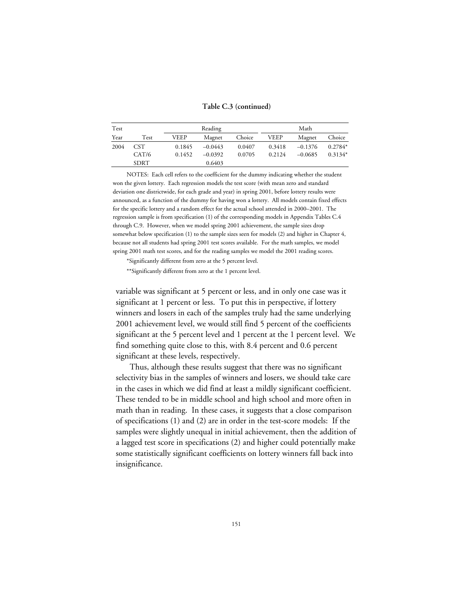#### **Table C.3 (continued)**

| Test |            |        | Reading   |        |        | Math      |           |
|------|------------|--------|-----------|--------|--------|-----------|-----------|
| Year | Test       | VEEP   | Magnet    | Choice | VEEP   | Magnet    | Choice    |
| 2004 | <b>CST</b> | 0.1845 | $-0.0443$ | 0.0407 | 0.3418 | $-0.1376$ | $0.2784*$ |
|      | CAT/6      | 0.1452 | $-0.0392$ | 0.0705 | 0.2124 | $-0.0685$ | $0.3134*$ |
|      | SDRT       |        | 0.6403    |        |        |           |           |

NOTES: Each cell refers to the coefficient for the dummy indicating whether the student won the given lottery. Each regression models the test score (with mean zero and standard deviation one districtwide, for each grade and year) in spring 2001, before lottery results were announced, as a function of the dummy for having won a lottery. All models contain fixed effects for the specific lottery and a random effect for the actual school attended in 2000–2001. The regression sample is from specification (1) of the corresponding models in Appendix Tables C.4 through C.9. However, when we model spring 2001 achievement, the sample sizes drop somewhat below specification (1) to the sample sizes seen for models (2) and higher in Chapter 4, because not all students had spring 2001 test scores available. For the math samples, we model spring 2001 math test scores, and for the reading samples we model the 2001 reading scores.

\*Significantly different from zero at the 5 percent level.

\*\*Significantly different from zero at the 1 percent level.

variable was significant at 5 percent or less, and in only one case was it significant at 1 percent or less. To put this in perspective, if lottery winners and losers in each of the samples truly had the same underlying 2001 achievement level, we would still find 5 percent of the coefficients significant at the 5 percent level and 1 percent at the 1 percent level. We find something quite close to this, with 8.4 percent and 0.6 percent significant at these levels, respectively.

Thus, although these results suggest that there was no significant selectivity bias in the samples of winners and losers, we should take care in the cases in which we did find at least a mildly significant coefficient. These tended to be in middle school and high school and more often in math than in reading. In these cases, it suggests that a close comparison of specifications (1) and (2) are in order in the test-score models: If the samples were slightly unequal in initial achievement, then the addition of a lagged test score in specifications (2) and higher could potentially make some statistically significant coefficients on lottery winners fall back into insignificance.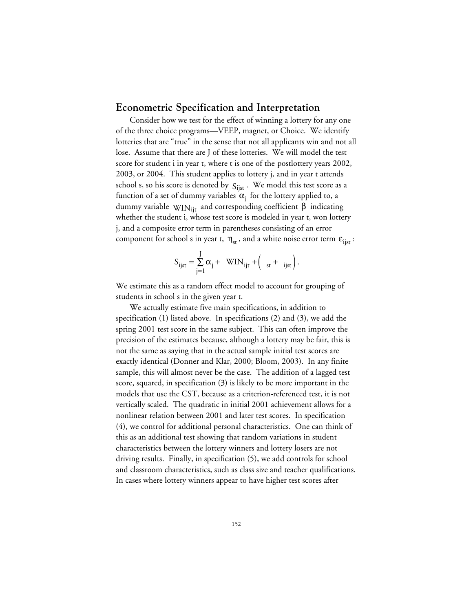# **Econometric Specification and Interpretation**

Consider how we test for the effect of winning a lottery for any one of the three choice programs—VEEP, magnet, or Choice. We identify lotteries that are "true" in the sense that not all applicants win and not all lose. Assume that there are J of these lotteries. We will model the test score for student i in year t, where t is one of the postlottery years 2002, 2003, or 2004. This student applies to lottery j, and in year t attends school s, so his score is denoted by  $S<sub>list</sub>$ . We model this test score as a function of a set of dummy variables  $\alpha_i$  for the lottery applied to, a dummy variable WIN<sub>iit</sub> and corresponding coefficient  $\beta$  indicating whether the student i, whose test score is modeled in year t, won lottery j, and a composite error term in parentheses consisting of an error component for school s in year t,  $\eta_{st}$ , and a white noise error term  $\varepsilon_{iist}$ :

$$
S_{ijst} = \sum_{j=1}^{J} \alpha_j + WIN_{ijt} + \left( \begin{array}{cc} 0 & \text{if } t & \text{if } t \\ 0 & \text{if } t \end{array} \right).
$$

We estimate this as a random effect model to account for grouping of students in school s in the given year t.

We actually estimate five main specifications, in addition to specification (1) listed above. In specifications (2) and (3), we add the spring 2001 test score in the same subject. This can often improve the precision of the estimates because, although a lottery may be fair, this is not the same as saying that in the actual sample initial test scores are exactly identical (Donner and Klar, 2000; Bloom, 2003). In any finite sample, this will almost never be the case. The addition of a lagged test score, squared, in specification (3) is likely to be more important in the models that use the CST, because as a criterion-referenced test, it is not vertically scaled. The quadratic in initial 2001 achievement allows for a nonlinear relation between 2001 and later test scores. In specification (4), we control for additional personal characteristics. One can think of this as an additional test showing that random variations in student characteristics between the lottery winners and lottery losers are not driving results. Finally, in specification (5), we add controls for school and classroom characteristics, such as class size and teacher qualifications. In cases where lottery winners appear to have higher test scores after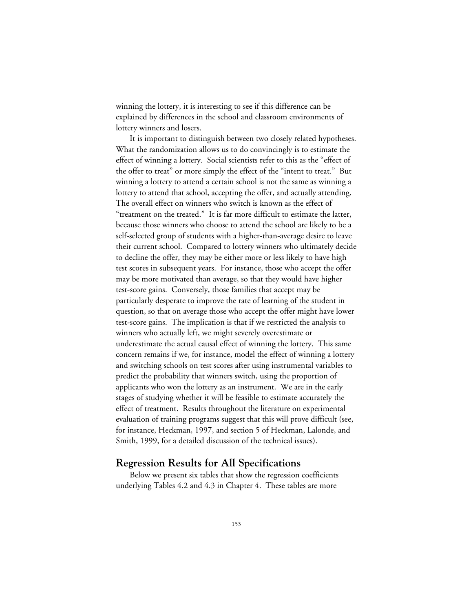winning the lottery, it is interesting to see if this difference can be explained by differences in the school and classroom environments of lottery winners and losers.

It is important to distinguish between two closely related hypotheses. What the randomization allows us to do convincingly is to estimate the effect of winning a lottery. Social scientists refer to this as the "effect of the offer to treat" or more simply the effect of the "intent to treat." But winning a lottery to attend a certain school is not the same as winning a lottery to attend that school, accepting the offer, and actually attending. The overall effect on winners who switch is known as the effect of "treatment on the treated." It is far more difficult to estimate the latter, because those winners who choose to attend the school are likely to be a self-selected group of students with a higher-than-average desire to leave their current school. Compared to lottery winners who ultimately decide to decline the offer, they may be either more or less likely to have high test scores in subsequent years. For instance, those who accept the offer may be more motivated than average, so that they would have higher test-score gains. Conversely, those families that accept may be particularly desperate to improve the rate of learning of the student in question, so that on average those who accept the offer might have lower test-score gains. The implication is that if we restricted the analysis to winners who actually left, we might severely overestimate or underestimate the actual causal effect of winning the lottery. This same concern remains if we, for instance, model the effect of winning a lottery and switching schools on test scores after using instrumental variables to predict the probability that winners switch, using the proportion of applicants who won the lottery as an instrument. We are in the early stages of studying whether it will be feasible to estimate accurately the effect of treatment. Results throughout the literature on experimental evaluation of training programs suggest that this will prove difficult (see, for instance, Heckman, 1997, and section 5 of Heckman, Lalonde, and Smith, 1999, for a detailed discussion of the technical issues).

# **Regression Results for All Specifications**

Below we present six tables that show the regression coefficients underlying Tables 4.2 and 4.3 in Chapter 4. These tables are more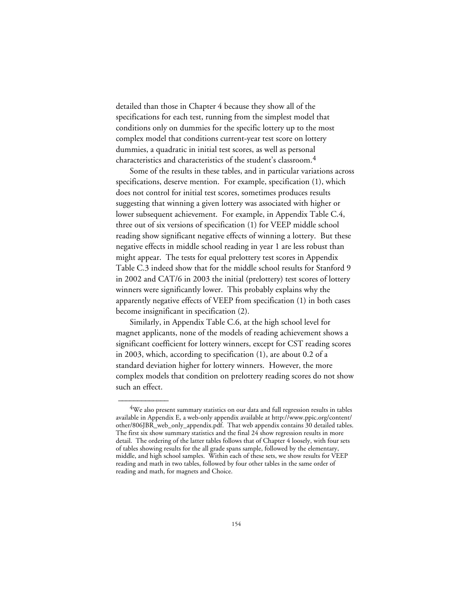detailed than those in Chapter 4 because they show all of the specifications for each test, running from the simplest model that conditions only on dummies for the specific lottery up to the most complex model that conditions current-year test score on lottery dummies, a quadratic in initial test scores, as well as personal characteristics and characteristics of the student's classroom.<sup>4</sup>

Some of the results in these tables, and in particular variations across specifications, deserve mention. For example, specification (1), which does not control for initial test scores, sometimes produces results suggesting that winning a given lottery was associated with higher or lower subsequent achievement. For example, in Appendix Table C.4, three out of six versions of specification (1) for VEEP middle school reading show significant negative effects of winning a lottery. But these negative effects in middle school reading in year 1 are less robust than might appear. The tests for equal prelottery test scores in Appendix Table C.3 indeed show that for the middle school results for Stanford 9 in 2002 and CAT/6 in 2003 the initial (prelottery) test scores of lottery winners were significantly lower. This probably explains why the apparently negative effects of VEEP from specification (1) in both cases become insignificant in specification (2).

Similarly, in Appendix Table C.6, at the high school level for magnet applicants, none of the models of reading achievement shows a significant coefficient for lottery winners, except for CST reading scores in 2003, which, according to specification (1), are about 0.2 of a standard deviation higher for lottery winners. However, the more complex models that condition on prelottery reading scores do not show such an effect.

 $\overline{\phantom{a}}$ 

<sup>&</sup>lt;sup>4</sup>We also present summary statistics on our data and full regression results in tables available in Appendix E, a web-only appendix available at http://www.ppic.org/content/ other/806JBR\_web\_only\_appendix.pdf. That web appendix contains 30 detailed tables. The first six show summary statistics and the final 24 show regression results in more detail. The ordering of the latter tables follows that of Chapter 4 loosely, with four sets of tables showing results for the all grade spans sample, followed by the elementary, middle, and high school samples. Within each of these sets, we show results for VEEP reading and math in two tables, followed by four other tables in the same order of reading and math, for magnets and Choice.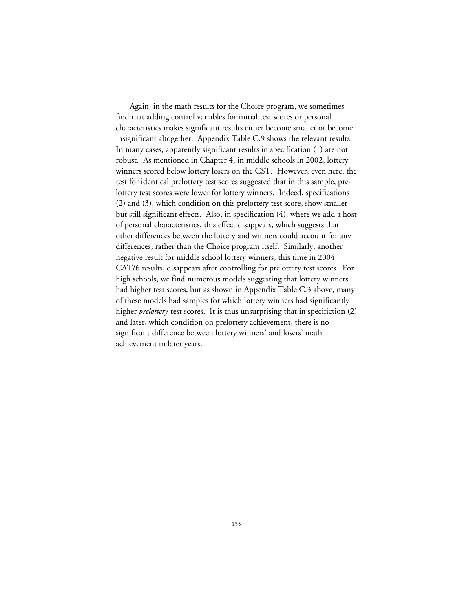Again, in the math results for the Choice program, we sometimes find that adding control variables for initial test scores or personal characteristics makes significant results either become smaller or become insignificant altogether. Appendix Table C.9 shows the relevant results. In many cases, apparently significant results in specification (1) are not robust. As mentioned in Chapter 4, in middle schools in 2002, lottery winners scored below lottery losers on the CST. However, even here, the test for identical prelottery test scores suggested that in this sample, prelottery test scores were lower for lottery winners. Indeed, specifications (2) and (3), which condition on this prelottery test score, show smaller but still significant effects. Also, in specification (4), where we add a host of personal characteristics, this effect disappears, which suggests that other differences between the lottery and winners could account for any differences, rather than the Choice program itself. Similarly, another negative result for middle school lottery winners, this time in 2004 CAT/6 results, disappears after controlling for prelottery test scores. For high schools, we find numerous models suggesting that lottery winners had higher test scores, but as shown in Appendix Table C.3 above, many of these models had samples for which lottery winners had significantly higher *prelottery* test scores. It is thus unsurprising that in specifiction (2) and later, which condition on prelottery achievement, there is no significant difference between lottery winners' and losers' math achievement in later years.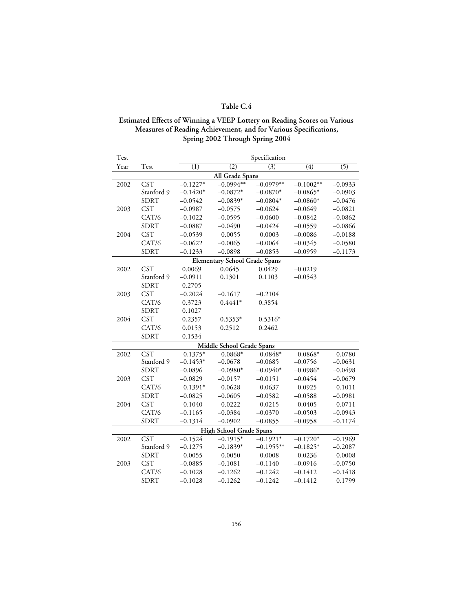**Estimated Effects of Winning a VEEP Lottery on Reading Scores on Various Measures of Reading Achievement, and for Various Specifications, Spring 2002 Through Spring 2004**

| Test |             | Specification    |                                      |                  |                  |           |
|------|-------------|------------------|--------------------------------------|------------------|------------------|-----------|
| Year | Test        | $\overline{(1)}$ | $\overline{(2)}$                     | $\overline{(3)}$ | $\overline{(4)}$ | (5)       |
|      |             |                  | All Grade Spans                      |                  |                  |           |
| 2002 | <b>CST</b>  | $-0.1227*$       | $-0.0994**$                          | $-0.0979**$      | $-0.1002**$      | $-0.0933$ |
|      | Stanford 9  | $-0.1420*$       | $-0.0872*$                           | $-0.0870*$       | $-0.0865*$       | $-0.0903$ |
|      | <b>SDRT</b> | $-0.0542$        | $-0.0839*$                           | $-0.0804*$       | $-0.0860*$       | $-0.0476$ |
| 2003 | <b>CST</b>  | $-0.0987$        | $-0.0575$                            | $-0.0624$        | $-0.0649$        | $-0.0821$ |
|      | CAT/6       | $-0.1022$        | $-0.0595$                            | $-0.0600$        | $-0.0842$        | $-0.0862$ |
|      | <b>SDRT</b> | $-0.0887$        | $-0.0490$                            | $-0.0424$        | $-0.0559$        | $-0.0866$ |
| 2004 | <b>CST</b>  | $-0.0539$        | 0.0055                               | 0.0003           | $-0.0086$        | $-0.0188$ |
|      | CAT/6       | $-0.0622$        | $-0.0065$                            | $-0.0064$        | $-0.0345$        | $-0.0580$ |
|      | <b>SDRT</b> | $-0.1233$        | $-0.0898$                            | $-0.0853$        | $-0.0959$        | $-0.1173$ |
|      |             |                  | <b>Elementary School Grade Spans</b> |                  |                  |           |
| 2002 | <b>CST</b>  | 0.0069           | 0.0645                               | 0.0429           | $-0.0219$        |           |
|      | Stanford 9  | $-0.0911$        | 0.1301                               | 0.1103           | $-0.0543$        |           |
|      | <b>SDRT</b> | 0.2705           |                                      |                  |                  |           |
| 2003 | <b>CST</b>  | $-0.2024$        | $-0.1617$                            | $-0.2104$        |                  |           |
|      | CAT/6       | 0.3723           | $0.4441*$                            | 0.3854           |                  |           |
|      | <b>SDRT</b> | 0.1027           |                                      |                  |                  |           |
| 2004 | <b>CST</b>  | 0.2357           | $0.5353*$                            | $0.5316*$        |                  |           |
|      | CAT/6       | 0.0153           | 0.2512                               | 0.2462           |                  |           |
|      | <b>SDRT</b> | 0.1534           |                                      |                  |                  |           |
|      |             |                  | Middle School Grade Spans            |                  |                  |           |
| 2002 | <b>CST</b>  | $-0.1375*$       | $-0.0868*$                           | $-0.0848*$       | $-0.0868*$       | $-0.0780$ |
|      | Stanford 9  | $-0.1453*$       | $-0.0678$                            | $-0.0685$        | $-0.0756$        | $-0.0631$ |
|      | <b>SDRT</b> | $-0.0896$        | $-0.0980*$                           | $-0.0940*$       | $-0.0986*$       | $-0.0498$ |
| 2003 | <b>CST</b>  | $-0.0829$        | $-0.0157$                            | $-0.0151$        | $-0.0454$        | $-0.0679$ |
|      | CAT/6       | $-0.1391*$       | $-0.0628$                            | $-0.0637$        | $-0.0925$        | $-0.1011$ |
|      | <b>SDRT</b> | $-0.0825$        | $-0.0605$                            | $-0.0582$        | $-0.0588$        | $-0.0981$ |
| 2004 | <b>CST</b>  | $-0.1040$        | $-0.0222$                            | $-0.0215$        | $-0.0405$        | $-0.0711$ |
|      | CAT/6       | $-0.1165$        | $-0.0384$                            | $-0.0370$        | $-0.0503$        | $-0.0943$ |
|      | <b>SDRT</b> | $-0.1314$        | $-0.0902$                            | $-0.0855$        | $-0.0958$        | $-0.1174$ |
|      |             |                  | High School Grade Spans              |                  |                  |           |
| 2002 | <b>CST</b>  | $-0.1524$        | $-0.1915*$                           | $-0.1921*$       | $-0.1720*$       | $-0.1969$ |
|      | Stanford 9  | $-0.1275$        | $-0.1839*$                           | $-0.1955**$      | $-0.1825*$       | $-0.2087$ |
|      | <b>SDRT</b> | 0.0055           | 0.0050                               | $-0.0008$        | 0.0236           | $-0.0008$ |
| 2003 | <b>CST</b>  | $-0.0885$        | $-0.1081$                            | $-0.1140$        | $-0.0916$        | $-0.0750$ |
|      | CAT/6       | $-0.1028$        | $-0.1262$                            | $-0.1242$        | $-0.1412$        | $-0.1418$ |
|      | <b>SDRT</b> | $-0.1028$        | $-0.1262$                            | $-0.1242$        | $-0.1412$        | 0.1799    |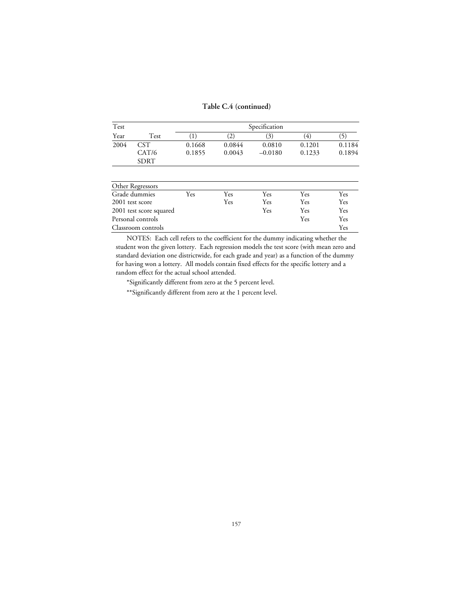| Test |                         | Specification |        |           |        |        |  |  |
|------|-------------------------|---------------|--------|-----------|--------|--------|--|--|
| Year | Test                    | (1)           | (2)    | (3)       | (4)    | (5)    |  |  |
| 2004 | <b>CST</b>              | 0.1668        | 0.0844 | 0.0810    | 0.1201 | 0.1184 |  |  |
|      | CAT/6                   | 0.1855        | 0.0043 | $-0.0180$ | 0.1233 | 0.1894 |  |  |
|      | <b>SDRT</b>             |               |        |           |        |        |  |  |
|      | Other Regressors        |               |        |           |        |        |  |  |
|      | Grade dummies           | Yes           | Yes    | Yes       | Yes    | Yes    |  |  |
|      | 2001 rest score         |               | Yes    | Yes       | Yes    | Yes    |  |  |
|      | 2001 test score squared |               |        | Yes       | Yes    | Yes    |  |  |
|      | Personal controls       |               |        |           | Yes    | Yes    |  |  |
|      | Classroom controls      |               |        |           |        | Yes    |  |  |

NOTES: Each cell refers to the coefficient for the dummy indicating whether the student won the given lottery. Each regression models the test score (with mean zero and standard deviation one districtwide, for each grade and year) as a function of the dummy for having won a lottery. All models contain fixed effects for the specific lottery and a random effect for the actual school attended.

\*Significantly different from zero at the 5 percent level.

\*\*Significantly different from zero at the 1 percent level.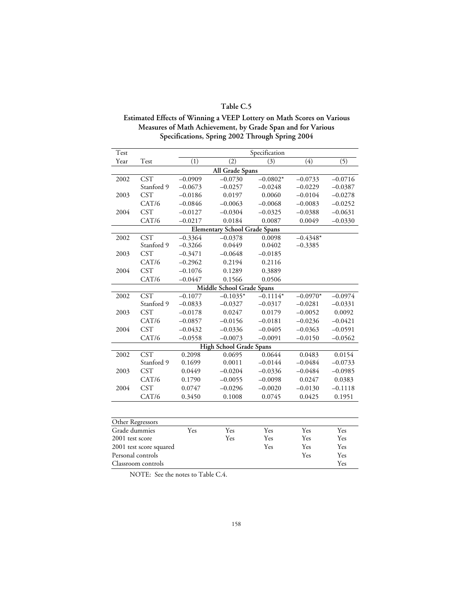**Estimated Effects of Winning a VEEP Lottery on Math Scores on Various Measures of Math Achievement, by Grade Span and for Various Specifications, Spring 2002 Through Spring 2004**

| Test              |                         | Specification |                                      |            |            |           |
|-------------------|-------------------------|---------------|--------------------------------------|------------|------------|-----------|
| Year              | Test                    | (1)           | (2)                                  | (3)        | (4)        | (5)       |
|                   |                         |               | All Grade Spans                      |            |            |           |
| 2002              | <b>CST</b>              | $-0.0909$     | $-0.0730$                            | $-0.0802*$ | $-0.0733$  | $-0.0716$ |
|                   | Stanford 9              | $-0.0673$     | $-0.0257$                            | $-0.0248$  | $-0.0229$  | $-0.0387$ |
| 2003              | <b>CST</b>              | $-0.0186$     | 0.0197                               | 0.0060     | $-0.0104$  | $-0.0278$ |
|                   | CAT/6                   | $-0.0846$     | $-0.0063$                            | $-0.0068$  | $-0.0083$  | $-0.0252$ |
| 2004              | <b>CST</b>              | $-0.0127$     | $-0.0304$                            | $-0.0325$  | $-0.0388$  | $-0.0631$ |
|                   | CAT/6                   | $-0.0217$     | 0.0184                               | 0.0087     | 0.0049     | $-0.0330$ |
|                   |                         |               | <b>Elementary School Grade Spans</b> |            |            |           |
| 2002              | <b>CST</b>              | $-0.3364$     | $-0.0378$                            | 0.0098     | $-0.4348*$ |           |
|                   | Stanford 9              | $-0.3266$     | 0.0449                               | 0.0402     | $-0.3385$  |           |
| 2003              | <b>CST</b>              | $-0.3471$     | $-0.0648$                            | $-0.0185$  |            |           |
|                   | CAT/6                   | $-0.2962$     | 0.2194                               | 0.2116     |            |           |
| 2004              | <b>CST</b>              | $-0.1076$     | 0.1289                               | 0.3889     |            |           |
|                   | CAT/6                   | $-0.0447$     | 0.1566                               | 0.0506     |            |           |
|                   |                         |               | Middle School Grade Spans            |            |            |           |
| 2002              | <b>CST</b>              | $-0.1077$     | $-0.1035*$                           | $-0.1114*$ | $-0.0970*$ | $-0.0974$ |
|                   | Stanford 9              | $-0.0833$     | $-0.0327$                            | $-0.0317$  | $-0.0281$  | $-0.0331$ |
| 2003              | <b>CST</b>              | $-0.0178$     | 0.0247                               | 0.0179     | $-0.0052$  | 0.0092    |
|                   | CAT/6                   | $-0.0857$     | $-0.0156$                            | $-0.0181$  | $-0.0236$  | $-0.0421$ |
| 2004              | <b>CST</b>              | $-0.0432$     | $-0.0336$                            | $-0.0405$  | $-0.0363$  | $-0.0591$ |
|                   | CAT/6                   | $-0.0558$     | $-0.0073$                            | $-0.0091$  | $-0.0150$  | $-0.0562$ |
|                   |                         |               | <b>High School Grade Spans</b>       |            |            |           |
| 2002              | <b>CST</b>              | 0.2098        | 0.0695                               | 0.0644     | 0.0483     | 0.0154    |
|                   | Stanford 9              | 0.1699        | 0.0011                               | $-0.0144$  | $-0.0484$  | $-0.0733$ |
| 2003              | <b>CST</b>              | 0.0449        | $-0.0204$                            | $-0.0336$  | $-0.0484$  | $-0.0985$ |
|                   | CAT/6                   | 0.1790        | $-0.0055$                            | $-0.0098$  | 0.0247     | 0.0383    |
| 2004              | <b>CST</b>              | 0.0747        | $-0.0296$                            | $-0.0020$  | $-0.0130$  | $-0.1118$ |
|                   | CAT/6                   | 0.3450        | 0.1008                               | 0.0745     | 0.0425     | 0.1951    |
|                   |                         |               |                                      |            |            |           |
|                   |                         |               |                                      |            |            |           |
| Other Regressors  |                         |               |                                      |            |            |           |
| Grade dummies     |                         | Yes           | Yes                                  | Yes        | Yes        | Yes       |
| 2001 test score   |                         |               | Yes                                  | Yes        | Yes        | Yes       |
|                   | 2001 test score squared |               |                                      | Yes        | Yes        | Yes       |
| Personal controls |                         |               |                                      |            | Yes        | Yes       |
|                   | Classroom controls      |               |                                      |            |            | Yes       |

NOTE: See the notes to Table C.4.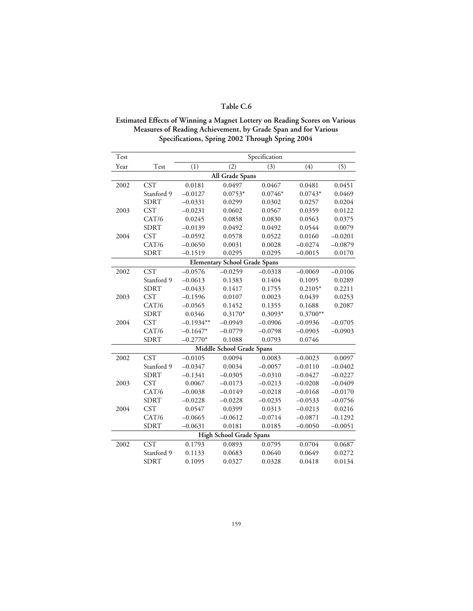**Estimated Effects of Winning a Magnet Lottery on Reading Scores on Various Measures of Reading Achievement, by Grade Span and for Various Specifications, Spring 2002 Through Spring 2004**

| Test |             | Specification |                                      |           |            |           |  |
|------|-------------|---------------|--------------------------------------|-----------|------------|-----------|--|
| Year | Test        | (1)           | (2)                                  | (3)       | (4)        | (5)       |  |
|      |             |               | All Grade Spans                      |           |            |           |  |
| 2002 | <b>CST</b>  | 0.0181        | 0.0497                               | 0.0467    | 0.0481     | 0.0451    |  |
|      | Stanford 9  | $-0.0127$     | $0.0753*$                            | $0.0746*$ | $0.0743*$  | 0.0469    |  |
|      | <b>SDRT</b> | $-0.0331$     | 0.0299                               | 0.0302    | 0.0257     | 0.0204    |  |
| 2003 | <b>CST</b>  | $-0.0231$     | 0.0602                               | 0.0567    | 0.0359     | 0.0122    |  |
|      | CAT/6       | 0.0245        | 0.0858                               | 0.0830    | 0.0563     | 0.0375    |  |
|      | <b>SDRT</b> | $-0.0139$     | 0.0492                               | 0.0492    | 0.0544     | 0.0079    |  |
| 2004 | <b>CST</b>  | $-0.0592$     | 0.0578                               | 0.0522    | 0.0160     | $-0.0201$ |  |
|      | CAT/6       | $-0.0650$     | 0.0031                               | 0.0028    | $-0.0274$  | $-0.0879$ |  |
|      | <b>SDRT</b> | $-0.1519$     | 0.0295                               | 0.0295    | $-0.0015$  | 0.0170    |  |
|      |             |               | <b>Elementary School Grade Spans</b> |           |            |           |  |
| 2002 | <b>CST</b>  | $-0.0576$     | $-0.0259$                            | $-0.0318$ | $-0.0069$  | $-0.0106$ |  |
|      | Stanford 9  | $-0.0613$     | 0.1383                               | 0.1404    | 0.1095     | 0.0289    |  |
|      | <b>SDRT</b> | $-0.0433$     | 0.1417                               | 0.1755    | $0.2105*$  | 0.2211    |  |
| 2003 | <b>CST</b>  | $-0.1596$     | 0.0107                               | 0.0023    | 0.0439     | 0.0253    |  |
|      | CAT/6       | $-0.0565$     | 0.1452                               | 0.1355    | 0.1688     | 0.2087    |  |
|      | <b>SDRT</b> | 0.0346        | $0.3170*$                            | $0.3093*$ | $0.3700**$ |           |  |
| 2004 | <b>CST</b>  | $-0.1934**$   | $-0.0949$                            | $-0.0906$ | $-0.0936$  | $-0.0705$ |  |
|      | CAT/6       | $-0.1647*$    | $-0.0779$                            | $-0.0798$ | $-0.0903$  | $-0.0903$ |  |
|      | <b>SDRT</b> | $-0.2770*$    | 0.1088                               | 0.0793    | 0.0746     |           |  |
|      |             |               | Middle School Grade Spans            |           |            |           |  |
| 2002 | <b>CST</b>  | $-0.0105$     | 0.0094                               | 0.0083    | $-0.0023$  | 0.0097    |  |
|      | Stanford 9  | $-0.0347$     | 0.0034                               | $-0.0057$ | $-0.0110$  | $-0.0402$ |  |
|      | <b>SDRT</b> | $-0.1341$     | $-0.0305$                            | $-0.0310$ | $-0.0427$  | $-0.0227$ |  |
| 2003 | <b>CST</b>  | 0.0067        | $-0.0173$                            | $-0.0213$ | $-0.0208$  | $-0.0409$ |  |
|      | CAT/6       | $-0.0038$     | $-0.0149$                            | $-0.0218$ | $-0.0168$  | $-0.0170$ |  |
|      | <b>SDRT</b> | $-0.0228$     | $-0.0228$                            | $-0.0235$ | $-0.0533$  | $-0.0756$ |  |
| 2004 | <b>CST</b>  | 0.0547        | 0.0399                               | 0.0313    | $-0.0213$  | 0.0216    |  |
|      | CAT/6       | $-0.0665$     | $-0.0612$                            | $-0.0714$ | $-0.0871$  | $-0.1292$ |  |
|      | <b>SDRT</b> | $-0.0631$     | 0.0181                               | 0.0185    | $-0.0050$  | $-0.0051$ |  |
|      |             |               | High School Grade Spans              |           |            |           |  |
| 2002 | <b>CST</b>  | 0.1793        | 0.0893                               | 0.0795    | 0.0704     | 0.0687    |  |
|      | Stanford 9  | 0.1133        | 0.0683                               | 0.0640    | 0.0649     | 0.0272    |  |
|      | <b>SDRT</b> | 0.1095        | 0.0327                               | 0.0328    | 0.0418     | 0.0134    |  |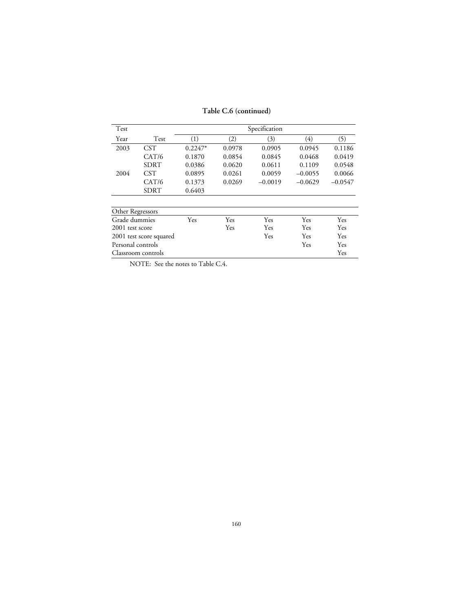|                         | Specification |            |            |           |           |  |  |
|-------------------------|---------------|------------|------------|-----------|-----------|--|--|
| Test                    | (1)           | (2)        | (3)        | (4)       | (5)       |  |  |
| <b>CST</b>              | $0.2247*$     | 0.0978     | 0.0905     | 0.0945    | 0.1186    |  |  |
| CAT/6                   | 0.1870        | 0.0854     | 0.0845     | 0.0468    | 0.0419    |  |  |
| <b>SDRT</b>             | 0.0386        | 0.0620     | 0.0611     | 0.1109    | 0.0548    |  |  |
| <b>CST</b>              | 0.0895        | 0.0261     | 0.0059     | $-0.0055$ | 0.0066    |  |  |
| CAT/6                   | 0.1373        | 0.0269     | $-0.0019$  | $-0.0629$ | $-0.0547$ |  |  |
| <b>SDRT</b>             | 0.6403        |            |            |           |           |  |  |
|                         |               |            |            |           |           |  |  |
| Other Regressors        |               |            |            |           |           |  |  |
| Grade dummies           | Yes           | <b>Yes</b> | <b>Yes</b> | Yes       | Yes       |  |  |
| 2001 test score         |               | Yes        | Yes        | Yes       | Yes       |  |  |
| 2001 test score squared |               |            | Yes        | Yes       | Yes       |  |  |
| Personal controls       |               |            |            | Yes       | Yes       |  |  |
| Classroom controls      |               |            |            |           | Yes       |  |  |
|                         |               |            |            |           |           |  |  |

# **Table C.6 (continued)**

NOTE: See the notes to Table C.4.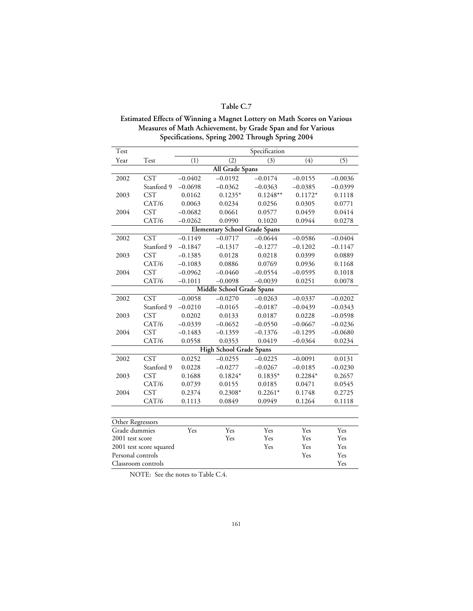**Estimated Effects of Winning a Magnet Lottery on Math Scores on Various Measures of Math Achievement, by Grade Span and for Various Specifications, Spring 2002 Through Spring 2004**

| Test               |                         |           |                                      | Specification |           |           |
|--------------------|-------------------------|-----------|--------------------------------------|---------------|-----------|-----------|
| Year               | Test                    | (1)       | (2)                                  | (3)           | (4)       | (5)       |
|                    |                         |           | All Grade Spans                      |               |           |           |
| 2002               | <b>CST</b>              | $-0.0402$ | $-0.0192$                            | $-0.0174$     | $-0.0155$ | $-0.0036$ |
|                    | Stanford 9              | $-0.0698$ | $-0.0362$                            | $-0.0363$     | $-0.0385$ | $-0.0399$ |
| 2003               | <b>CST</b>              | 0.0162    | $0.1235*$                            | $0.1248**$    | $0.1172*$ | 0.1118    |
|                    | CAT/6                   | 0.0063    | 0.0234                               | 0.0256        | 0.0305    | 0.0771    |
| 2004               | <b>CST</b>              | $-0.0682$ | 0.0661                               | 0.0577        | 0.0459    | 0.0414    |
|                    | CAT/6                   | $-0.0262$ | 0.0990                               | 0.1020        | 0.0944    | 0.0278    |
|                    |                         |           | <b>Elementary School Grade Spans</b> |               |           |           |
| 2002               | <b>CST</b>              | $-0.1149$ | $-0.0717$                            | $-0.0644$     | $-0.0586$ | $-0.0404$ |
|                    | Stanford 9              | $-0.1847$ | $-0.1317$                            | $-0.1277$     | $-0.1202$ | $-0.1147$ |
| 2003               | <b>CST</b>              | $-0.1385$ | 0.0128                               | 0.0218        | 0.0399    | 0.0889    |
|                    | CAT/6                   | $-0.1083$ | 0.0886                               | 0.0769        | 0.0936    | 0.1168    |
| 2004               | <b>CST</b>              | $-0.0962$ | $-0.0460$                            | $-0.0554$     | $-0.0595$ | 0.1018    |
|                    | CAT/6                   | $-0.1011$ | $-0.0098$                            | $-0.0039$     | 0.0251    | 0.0078    |
|                    |                         |           | Middle School Grade Spans            |               |           |           |
| 2002               | <b>CST</b>              | $-0.0058$ | $-0.0270$                            | $-0.0263$     | $-0.0337$ | $-0.0202$ |
|                    | Stanford 9              | $-0.0210$ | $-0.0165$                            | $-0.0187$     | $-0.0439$ | $-0.0343$ |
| 2003               | <b>CST</b>              | 0.0202    | 0.0133                               | 0.0187        | 0.0228    | $-0.0598$ |
|                    | CAT/6                   | $-0.0339$ | $-0.0652$                            | $-0.0550$     | $-0.0667$ | $-0.0236$ |
| 2004               | <b>CST</b>              | $-0.1483$ | $-0.1359$                            | $-0.1376$     | $-0.1295$ | $-0.0680$ |
|                    | CAT/6                   | 0.0558    | 0.0353                               | 0.0419        | $-0.0364$ | 0.0234    |
|                    |                         |           | High School Grade Spans              |               |           |           |
| 2002               | <b>CST</b>              | 0.0252    | $-0.0255$                            | $-0.0225$     | $-0.0091$ | 0.0131    |
|                    | Stanford 9              | 0.0228    | $-0.0277$                            | $-0.0267$     | $-0.0185$ | $-0.0230$ |
| 2003               | <b>CST</b>              | 0.1688    | $0.1824*$                            | $0.1835*$     | $0.2284*$ | 0.2657    |
|                    | CAT/6                   | 0.0739    | 0.0155                               | 0.0185        | 0.0471    | 0.0545    |
| 2004               | <b>CST</b>              | 0.2374    | 0.2308*                              | $0.2261*$     | 0.1748    | 0.2725    |
|                    | CAT/6                   | 0.1113    | 0.0849                               | 0.0949        | 0.1264    | 0.1118    |
|                    |                         |           |                                      |               |           |           |
| Other Regressors   |                         |           |                                      |               |           |           |
| Grade dummies      |                         | Yes       | Yes                                  | Yes           | Yes       | Yes       |
| 2001 test score    |                         |           | Yes                                  | Yes           | Yes       | Yes       |
|                    | 2001 test score squared |           |                                      | Yes           | Yes       | Yes       |
| Personal controls  |                         |           |                                      |               | Yes       | Yes       |
| Classroom controls |                         |           |                                      |               |           | Yes       |

NOTE: See the notes to Table C.4.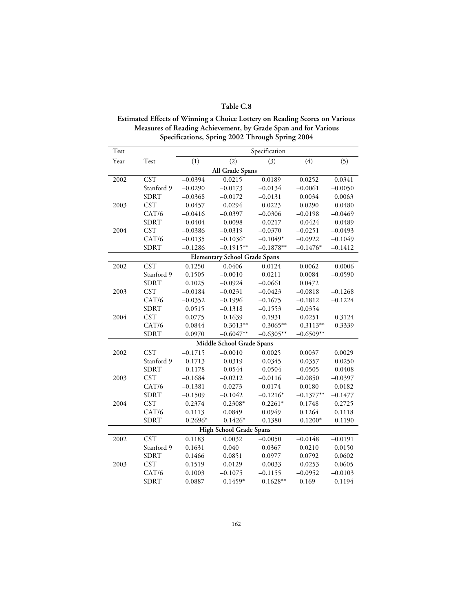**Estimated Effects of Winning a Choice Lottery on Reading Scores on Various Measures of Reading Achievement, by Grade Span and for Various Specifications, Spring 2002 Through Spring 2004**

| Test |             |            |                                      | Specification |             |           |
|------|-------------|------------|--------------------------------------|---------------|-------------|-----------|
| Year | Test        | (1)        | (2)                                  | (3)           | (4)         | (5)       |
|      |             |            | All Grade Spans                      |               |             |           |
| 2002 | <b>CST</b>  | $-0.0394$  | 0.0215                               | 0.0189        | 0.0252      | 0.0341    |
|      | Stanford 9  | $-0.0290$  | $-0.0173$                            | $-0.0134$     | $-0.0061$   | $-0.0050$ |
|      | <b>SDRT</b> | $-0.0368$  | $-0.0172$                            | $-0.0131$     | 0.0034      | 0.0063    |
| 2003 | <b>CST</b>  | $-0.0457$  | 0.0294                               | 0.0223        | 0.0290      | $-0.0480$ |
|      | CAT/6       | $-0.0416$  | $-0.0397$                            | $-0.0306$     | $-0.0198$   | $-0.0469$ |
|      | <b>SDRT</b> | $-0.0404$  | $-0.0098$                            | $-0.0217$     | $-0.0424$   | $-0.0489$ |
| 2004 | <b>CST</b>  | $-0.0386$  | $-0.0319$                            | $-0.0370$     | $-0.0251$   | $-0.0493$ |
|      | CAT/6       | $-0.0135$  | $-0.1036*$                           | $-0.1049*$    | $-0.0922$   | $-0.1049$ |
|      | <b>SDRT</b> | $-0.1286$  | $-0.1915**$                          | $-0.1878**$   | $-0.1476*$  | $-0.1412$ |
|      |             |            | <b>Elementary School Grade Spans</b> |               |             |           |
| 2002 | <b>CST</b>  | 0.1250     | 0.0406                               | 0.0124        | 0.0062      | $-0.0006$ |
|      | Stanford 9  | 0.1505     | $-0.0010$                            | 0.0211        | 0.0084      | $-0.0590$ |
|      | <b>SDRT</b> | 0.1025     | $-0.0924$                            | $-0.0661$     | 0.0472      |           |
| 2003 | <b>CST</b>  | $-0.0184$  | $-0.0231$                            | $-0.0423$     | $-0.0818$   | $-0.1268$ |
|      | CAT/6       | $-0.0352$  | $-0.1996$                            | $-0.1675$     | $-0.1812$   | $-0.1224$ |
|      | <b>SDRT</b> | 0.0515     | $-0.1318$                            | $-0.1553$     | $-0.0354$   |           |
| 2004 | <b>CST</b>  | 0.0775     | $-0.1639$                            | $-0.1931$     | $-0.0251$   | $-0.3124$ |
|      | CAT/6       | 0.0844     | $-0.3013**$                          | $-0.3065**$   | $-0.3113**$ | $-0.3339$ |
|      | <b>SDRT</b> | 0.0970     | $-0.6047**$                          | $-0.6305**$   | $-0.6509**$ |           |
|      |             |            | Middle School Grade Spans            |               |             |           |
| 2002 | <b>CST</b>  | $-0.1715$  | $-0.0010$                            | 0.0025        | 0.0037      | 0.0029    |
|      | Stanford 9  | $-0.1713$  | $-0.0319$                            | $-0.0345$     | $-0.0357$   | $-0.0250$ |
|      | <b>SDRT</b> | $-0.1178$  | $-0.0544$                            | $-0.0504$     | $-0.0505$   | $-0.0408$ |
| 2003 | <b>CST</b>  | $-0.1684$  | $-0.0212$                            | $-0.0116$     | $-0.0850$   | $-0.0397$ |
|      | CAT/6       | $-0.1381$  | 0.0273                               | 0.0174        | 0.0180      | 0.0182    |
|      | <b>SDRT</b> | $-0.1509$  | $-0.1042$                            | $-0.1216*$    | $-0.1377**$ | $-0.1477$ |
| 2004 | <b>CST</b>  | 0.2374     | $0.2308*$                            | $0.2261*$     | 0.1748      | 0.2725    |
|      | CAT/6       | 0.1113     | 0.0849                               | 0.0949        | 0.1264      | 0.1118    |
|      | <b>SDRT</b> | $-0.2696*$ | $-0.1426*$                           | $-0.1380$     | $-0.1200*$  | $-0.1190$ |
|      |             |            | High School Grade Spans              |               |             |           |
| 2002 | <b>CST</b>  | 0.1183     | 0.0032                               | $-0.0050$     | $-0.0148$   | $-0.0191$ |
|      | Stanford 9  | 0.1631     | 0.040                                | 0.0367        | 0.0210      | 0.0150    |
|      | <b>SDRT</b> | 0.1466     | 0.0851                               | 0.0977        | 0.0792      | 0.0602    |
| 2003 | <b>CST</b>  | 0.1519     | 0.0129                               | $-0.0033$     | $-0.0253$   | 0.0605    |
|      | CAT/6       | 0.1003     | $-0.1075$                            | $-0.1155$     | $-0.0952$   | $-0.0103$ |
|      | <b>SDRT</b> | 0.0887     | $0.1459*$                            | $0.1628**$    | 0.169       | 0.1194    |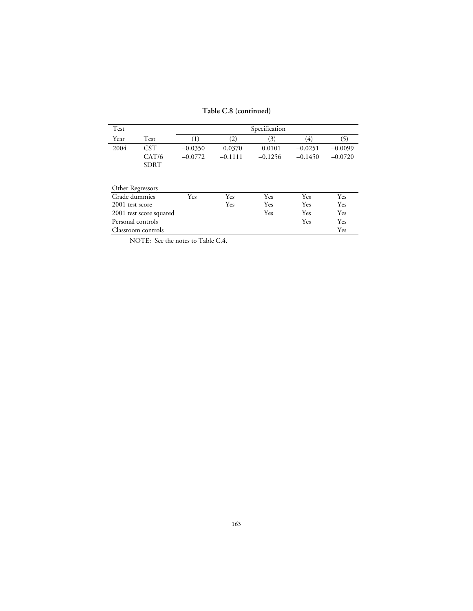# **Table C.8 (continued)**

| Test                              |                         |           |           | Specification |           |           |
|-----------------------------------|-------------------------|-----------|-----------|---------------|-----------|-----------|
| Year                              | <b>Test</b>             | (1)       | (2)       | (3)           | (4)       | (5)       |
| 2004                              | <b>CST</b>              | $-0.0350$ | 0.0370    | 0.0101        | $-0.0251$ | $-0.0099$ |
|                                   | CAT/6                   | $-0.0772$ | $-0.1111$ | $-0.1256$     | $-0.1450$ | $-0.0720$ |
|                                   | <b>SDRT</b>             |           |           |               |           |           |
| Other Regressors<br>Grade dummies |                         | Yes       | Yes       | Yes           | Yes       | Yes       |
|                                   |                         |           |           |               |           |           |
| 2001 rest score                   |                         |           | Yes       | Yes           | Yes       | Yes       |
|                                   | 2001 test score squared |           |           | Yes           | Yes       | Yes       |
| Personal controls                 |                         |           |           |               | Yes       | Yes       |

NOTE: See the notes to Table C.4.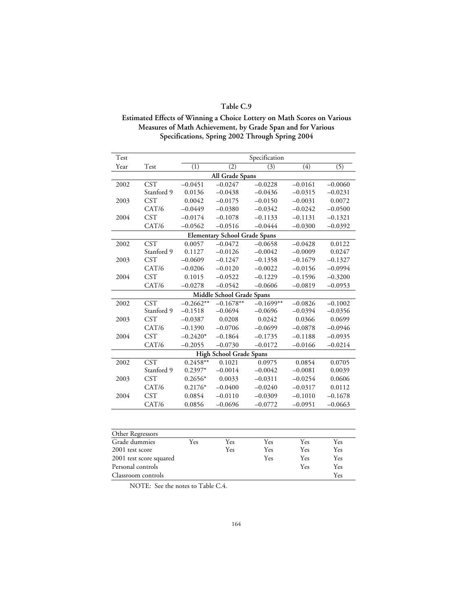**Estimated Effects of Winning a Choice Lottery on Math Scores on Various Measures of Math Achievement, by Grade Span and for Various Specifications, Spring 2002 Through Spring 2004**

| Test                    |                         |             |                                      | Specification    |           |           |
|-------------------------|-------------------------|-------------|--------------------------------------|------------------|-----------|-----------|
| Year                    | Test                    | (1)         | (2)                                  | $\overline{(3)}$ | (4)       | (5)       |
|                         |                         |             | All Grade Spans                      |                  |           |           |
| 2002                    | <b>CST</b>              | $-0.0451$   | $-0.0247$                            | $-0.0228$        | $-0.0161$ | $-0.0060$ |
|                         | Stanford 9              | 0.0136      | $-0.0438$                            | $-0.0436$        | $-0.0315$ | $-0.0231$ |
| 2003                    | <b>CST</b>              | 0.0042      | $-0.0175$                            | $-0.0150$        | $-0.0031$ | 0.0072    |
|                         | CAT/6                   | $-0.0449$   | $-0.0380$                            | $-0.0342$        | $-0.0242$ | $-0.0500$ |
| 2004                    | <b>CST</b>              | $-0.0174$   | $-0.1078$                            | $-0.1133$        | $-0.1131$ | $-0.1321$ |
|                         | CAT/6                   | $-0.0562$   | $-0.0516$                            | $-0.0444$        | $-0.0300$ | $-0.0392$ |
|                         |                         |             | <b>Elementary School Grade Spans</b> |                  |           |           |
| 2002                    | <b>CST</b>              | 0.0057      | $-0.0472$                            | $-0.0658$        | $-0.0428$ | 0.0122    |
|                         | Stanford 9              | 0.1127      | $-0.0126$                            | $-0.0042$        | $-0.0009$ | 0.0247    |
| 2003                    | <b>CST</b>              | $-0.0609$   | $-0.1247$                            | $-0.1358$        | $-0.1679$ | $-0.1327$ |
|                         | CAT/6                   | $-0.0206$   | $-0.0120$                            | $-0.0022$        | $-0.0156$ | $-0.0994$ |
| 2004                    | <b>CST</b>              | 0.1015      | $-0.0522$                            | $-0.1229$        | $-0.1596$ | $-0.3200$ |
|                         | CAT/6                   | $-0.0278$   | $-0.0542$                            | $-0.0606$        | $-0.0819$ | $-0.0953$ |
|                         |                         |             | Middle School Grade Spans            |                  |           |           |
| 2002                    | <b>CST</b>              | $-0.2662**$ | $-0.1678**$                          | $-0.1699**$      | $-0.0826$ | $-0.1002$ |
|                         | Stanford 9              | $-0.1518$   | $-0.0694$                            | $-0.0696$        | $-0.0394$ | $-0.0356$ |
| 2003                    | <b>CST</b>              | $-0.0387$   | 0.0208                               | 0.0242           | 0.0366    | 0.0699    |
|                         | CAT/6                   | $-0.1390$   | $-0.0706$                            | $-0.0699$        | $-0.0878$ | $-0.0946$ |
| 2004                    | <b>CST</b>              | $-0.2420*$  | $-0.1864$                            | $-0.1735$        | $-0.1188$ | $-0.0935$ |
|                         | CAT/6                   | $-0.2055$   | $-0.0730$                            | $-0.0172$        | $-0.0166$ | $-0.0214$ |
| High School Grade Spans |                         |             |                                      |                  |           |           |
| 2002                    | <b>CST</b>              | $0.2458**$  | 0.1021                               | 0.0975           | 0.0854    | 0.0705    |
|                         | Stanford 9              | $0.2397*$   | $-0.0014$                            | $-0.0042$        | $-0.0081$ | 0.0039    |
| 2003                    | <b>CST</b>              | $0.2656*$   | 0.0033                               | $-0.0311$        | $-0.0254$ | 0.0606    |
|                         | CAT/6                   | $0.2176*$   | $-0.0400$                            | $-0.0240$        | $-0.0317$ | 0.0112    |
| 2004                    | <b>CST</b>              | 0.0854      | $-0.0110$                            | $-0.0309$        | $-0.1010$ | $-0.1678$ |
|                         | CAT/6                   | 0.0856      | $-0.0696$                            | $-0.0772$        | $-0.0951$ | $-0.0663$ |
|                         |                         |             |                                      |                  |           |           |
|                         |                         |             |                                      |                  |           |           |
| Other Regressors        |                         |             |                                      |                  |           |           |
| Grade dummies           |                         | Yes         | Yes                                  | Yes              | Yes       | Yes       |
| 2001 test score         |                         |             | Yes                                  | Yes              | Yes       | Yes       |
|                         | 2001 test score squared |             |                                      | Yes              | Yes       | Yes       |
| Personal controls       |                         |             |                                      |                  | Yes       | Yes       |
| Classroom controls      |                         |             |                                      |                  |           | Yes       |

NOTE: See the notes to Table C.4.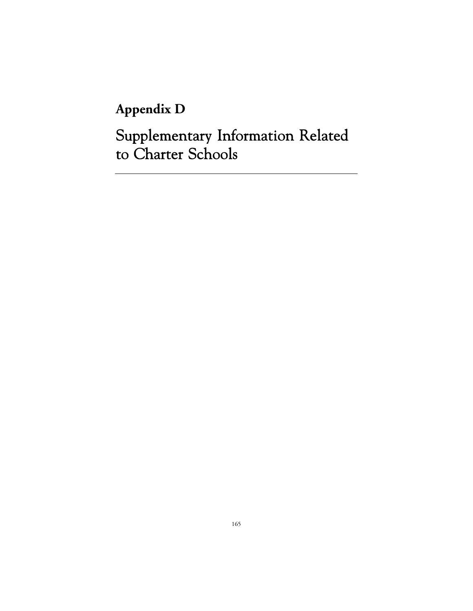**Appendix D**

Supplementary Information Related to Charter Schools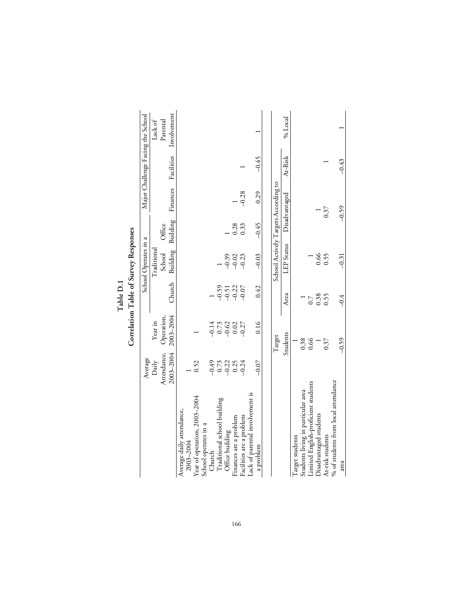|                                        |                              |                                       | Table D.1                     |                                      |                    |               |            |                                   |
|----------------------------------------|------------------------------|---------------------------------------|-------------------------------|--------------------------------------|--------------------|---------------|------------|-----------------------------------|
|                                        |                              | Correlation Table of Survey Responses |                               |                                      |                    |               |            |                                   |
|                                        | Average                      |                                       |                               | School Operates in a                 |                    |               |            | Major Challenge Facing the School |
|                                        | Daily                        | Year in                               |                               | Traditional                          |                    |               |            | Lack of                           |
|                                        | 2003-2004<br>Attendance,     | 2003-2004<br>Operation,               | Church                        | Building<br>School                   | Building<br>Office | Finances      | Facilities | Involvement<br>Parental           |
| Average daily attendance,<br>2003-2004 |                              |                                       |                               |                                      |                    |               |            |                                   |
| Year of operation, 2003-2004           | 0.52                         |                                       |                               |                                      |                    |               |            |                                   |
| School operates in a                   |                              |                                       |                               |                                      |                    |               |            |                                   |
| Church                                 | $-0.49$                      |                                       |                               |                                      |                    |               |            |                                   |
| Traditional school building            | $0.73$<br>$-0.23$<br>$-0.24$ | $-0.73$<br>$-0.62$<br>$-0.37$         | $-0.59$                       |                                      |                    |               |            |                                   |
| Office building                        |                              |                                       | $-0.51$<br>$-0.22$<br>$-0.07$ |                                      |                    |               |            |                                   |
| Finances are a problem                 |                              |                                       |                               | $-0.39$<br>$-0.02$                   | 0.28               |               |            |                                   |
| Facilities are a problem               |                              |                                       |                               | $-0.23$                              | 0.33               | $-0.28$       |            |                                   |
| Lack of parental involvement is        |                              |                                       |                               |                                      |                    |               |            |                                   |
| a problem                              | $-0.07$                      | 0.16                                  | 0.42                          | $-0.03$                              | $-0.45$            | 0.29          | $-0.45$    |                                   |
|                                        |                              |                                       |                               |                                      |                    |               |            |                                   |
|                                        |                              | Target                                |                               | School Actively Targets According to |                    |               |            |                                   |
|                                        |                              | Students                              | Area                          | <b>LEP Status</b>                    |                    | Disadvantaged | At-Risk    | % Local                           |
| Target students                        |                              |                                       |                               |                                      |                    |               |            |                                   |
| Students living in particular area     |                              |                                       |                               |                                      |                    |               |            |                                   |
| Limited English-proficient students    |                              | 0.38                                  |                               |                                      |                    |               |            |                                   |
| Disadvantaged students                 |                              |                                       |                               | 0.66                                 |                    |               |            |                                   |
| At-risk students                       |                              | 0.37                                  | $\frac{0.7}{0.38}$            | 0.55                                 |                    | 0.37          |            |                                   |
| % of students from local attendance    |                              |                                       |                               |                                      |                    |               |            |                                   |
| area                                   |                              | $-0.59$                               | $-0.4$                        | $-0.31$                              |                    | $-0.59$       | $-0.43$    |                                   |
|                                        |                              |                                       |                               |                                      |                    |               |            |                                   |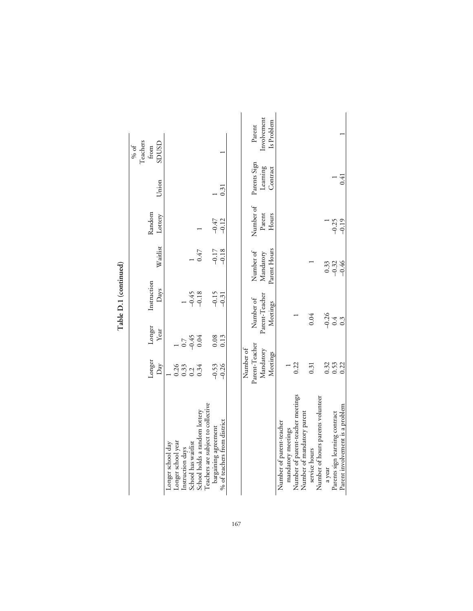|                                                                                                                                                                                                                  |                                         |                                 | Table D.1 (continued)                    |                                        |                              |                                      |                                     |
|------------------------------------------------------------------------------------------------------------------------------------------------------------------------------------------------------------------|-----------------------------------------|---------------------------------|------------------------------------------|----------------------------------------|------------------------------|--------------------------------------|-------------------------------------|
|                                                                                                                                                                                                                  | Longer<br>$\mathbf{Day}$                | Longer<br>Year                  | Instruction<br>Days                      | Waitlist                               | Random<br>Lottery            | Union                                | Teachers<br>CSUCE<br>% of<br>from   |
| Teachers are subject to collective<br>School holds a random lottery<br>% of teachers from district<br>bargaining agreement<br>Longer school year<br>School has waitlist<br>Longer school day<br>Instruction days | $-0.53$<br>$0.33$<br>$0.33$<br>$0.34$   | $-0.45$<br>0.04<br>0.13<br>0.08 | $-0.45$<br>$-0.18$<br>$-0.15$<br>$-0.31$ | $-0.17$<br>$-0.18$<br>0.47             | $-0.12$<br>$-0.47$           | 0.31                                 |                                     |
|                                                                                                                                                                                                                  | Number of                               |                                 |                                          |                                        |                              |                                      |                                     |
|                                                                                                                                                                                                                  | Parent-Teacher<br>Mandatory<br>Meetings |                                 | Parent-Teacher<br>Number of<br>Meetings  | Parent Hours<br>Number of<br>Mandatory | Number of<br>Parent<br>Hours | Parents Sign<br>Learning<br>Contract | Involvement<br>Is Problem<br>Parent |
| Number of parent-teacher meetings<br>Number of mandatory parent<br>Number of parent-teacher<br>mandatory meetings                                                                                                | 0.22                                    |                                 |                                          |                                        |                              |                                      |                                     |
| Number of hours parents volunteer<br>Parents sign learning contract<br>service hours<br>a year                                                                                                                   | $0.32$<br>$0.53$<br>0.31                |                                 | $-0.26$<br>0.4<br>0.04                   | $0.33$<br>$-0.32$                      | $-0.25$                      |                                      |                                     |
| Parent involvement is a problem                                                                                                                                                                                  | 0.22                                    |                                 | $0.\overline{3}$                         | $-0.46$                                | $-0.19$                      | 0.41                                 |                                     |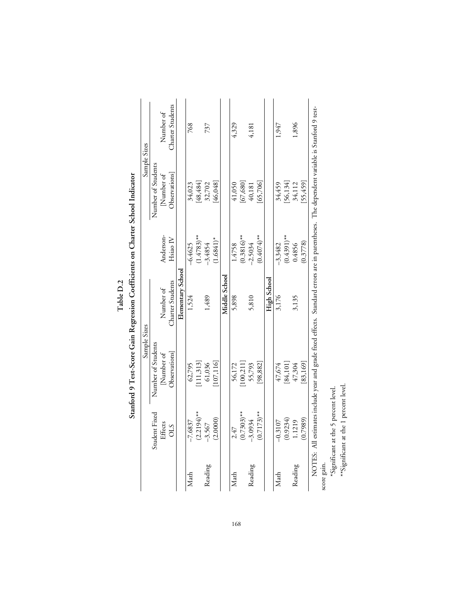| I            |  |
|--------------|--|
|              |  |
| ę<br>í<br>ì. |  |
|              |  |

| $\begin{array}{c} \text{C} \\ \text{C} \end{array}$ | Č<br>$\overline{\phantom{a}}$<br>í<br>.<br>ر<br>ì<br>֚֓<br>Ć<br>Į |
|-----------------------------------------------------|-------------------------------------------------------------------|
|-----------------------------------------------------|-------------------------------------------------------------------|

|         |                 | Sample Sizes                                                                                                                             |                  |               | Sample Sizes       |                  |
|---------|-----------------|------------------------------------------------------------------------------------------------------------------------------------------|------------------|---------------|--------------------|------------------|
|         | Student Fixed   | Number of Students                                                                                                                       |                  |               | Number of Students |                  |
|         | Effects         | Number of                                                                                                                                | Number of        | Anderson-     | Number of          | Number of        |
|         | STO             | Observations                                                                                                                             | Charter Students | $Hsiao$ IV    | Observations       | Charter Students |
|         |                 |                                                                                                                                          | Elementary Schoo |               |                    |                  |
| Math    | -7.6837         | 62,795                                                                                                                                   | 1,524            | $-6.4625$     | 34,023             | 768              |
|         | $(2.2194)$ **   | [11, 313]                                                                                                                                |                  | $(1.4783)$ ** | [48, 484]          |                  |
| Reading | $-3.567$        | 61,036                                                                                                                                   | 1,489            | $-3.4854$     | 32,702             | 737              |
|         | (2.0000)        | 107, 116                                                                                                                                 |                  | $(1.6841)^*$  | 46,048             |                  |
|         |                 |                                                                                                                                          | Middle School    |               |                    |                  |
| Math    | 2.47            | 56,172                                                                                                                                   | 5,898            | 1.4758        | 41,050             | 4,329            |
|         | $(0.7303)$ **   | [100, 211]                                                                                                                               |                  | $(0.3816)$ ** | [67, 680]          |                  |
| Reading | $-3.0934$       | 55,793                                                                                                                                   | 5,810            | $-2.5034$     | 40,181             | 4,181            |
|         | $(0.7173)^{**}$ | [98,882]                                                                                                                                 |                  | $(0.4074)$ ** | 65,706             |                  |
|         |                 |                                                                                                                                          | High Schoo       |               |                    |                  |
| Math    | $-0.3107$       | 47,674                                                                                                                                   | 3,176            | $-3.3482$     | 34,459             | 1,947            |
|         | (0.9234)        | [84, 101]                                                                                                                                |                  | $(0.4391)$ ** | [56, 134]          |                  |
| Reading | 1.1219          | 47,304                                                                                                                                   | 3,135            | 0.4856        | 34,112             | 1,896            |
|         | (0.7989)        | 83,169]                                                                                                                                  |                  | (0.3778)      | [55, 459]          |                  |
|         |                 | NOTES: All estimates include year and grade fixed effects. Standard errors are in parentheses. The dependent variable is Stanford 9 test |                  |               |                    |                  |

score gain.<br>\*Significant at the 5 percent level.<br>\*\*Significant at the 1 percent level. \*Significant at the 5 percent level.

\*\*Significant at the 1 percent level.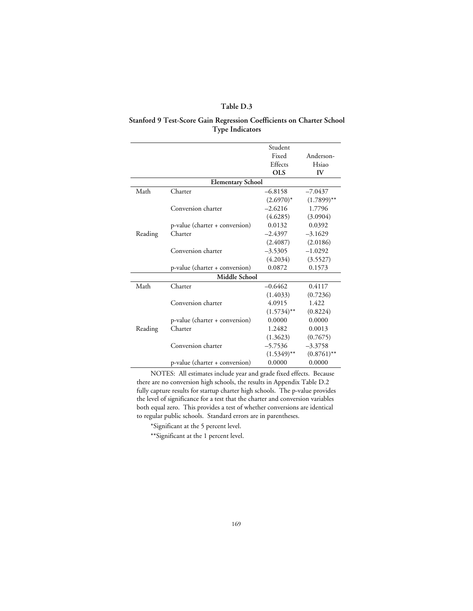#### **Table D.3**

#### **Stanford 9 Test-Score Gain Regression Coefficients on Charter School Type Indicators**

|         |                                | Student        |               |
|---------|--------------------------------|----------------|---------------|
|         |                                | Fixed          | Anderson-     |
|         |                                | Effects        | Hsiao         |
|         |                                | O <sub>L</sub> | IV            |
|         | <b>Elementary School</b>       |                |               |
| Math    | Charter                        | $-6.8158$      | $-7.0437$     |
|         |                                | $(2.6970)^*$   | $(1.7899)$ ** |
|         | Conversion charter             | $-2.6216$      | 1.7796        |
|         |                                | (4.6285)       | (3.0904)      |
|         | p-value (charter + conversion) | 0.0132         | 0.0392        |
| Reading | Charter                        | $-2.4397$      | $-3.1629$     |
|         |                                | (2.4087)       | (2.0186)      |
|         | Conversion charter             | $-3.5305$      | $-1.0292$     |
|         |                                | (4.2034)       | (3.5527)      |
|         | p-value (charter + conversion) | 0.0872         | 0.1573        |
|         | Middle School                  |                |               |
| Math    | Charter                        | $-0.6462$      | 0.4117        |
|         |                                | (1.4033)       | (0.7236)      |
|         | Conversion charter             | 4.0915         | 1.422         |
|         |                                | $(1.5734)$ **  | (0.8224)      |
|         | p-value (charter + conversion) | 0.0000         | 0.0000        |
| Reading | Charter                        | 1.2482         | 0.0013        |
|         |                                | (1.3623)       | (0.7675)      |
|         | Conversion charter             | $-5.7536$      | $-3.3758$     |
|         |                                | $(1.5349)$ **  | $(0.8761)$ ** |
|         | p-value (charter + conversion) | 0.0000         | 0.0000        |

NOTES: All estimates include year and grade fixed effects. Because there are no conversion high schools, the results in Appendix Table D.2 fully capture results for startup charter high schools. The p-value provides the level of significance for a test that the charter and conversion variables both equal zero. This provides a test of whether conversions are identical to regular public schools. Standard errors are in parentheses.

\*Significant at the 5 percent level.

\*\*Significant at the 1 percent level.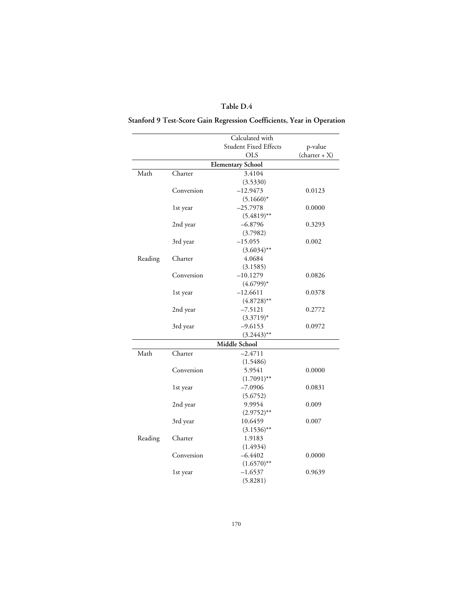# **Table D.4**

# **Stanford 9 Test-Score Gain Regression Coefficients, Year in Operation**

|         |            | Calculated with              |                 |
|---------|------------|------------------------------|-----------------|
|         |            | <b>Student Fixed Effects</b> | p-value         |
|         |            | <b>OLS</b>                   | $(charter + X)$ |
|         |            | <b>Elementary School</b>     |                 |
| Math    | Charter    | 3.4104                       |                 |
|         |            | (3.5330)                     |                 |
|         | Conversion | $-12.9473$                   | 0.0123          |
|         |            | $(5.1660)^*$                 |                 |
|         | 1st year   | $-25.7978$                   | 0.0000          |
|         |            | $(5.4819)$ **                |                 |
|         | 2nd year   | $-6.8796$                    | 0.3293          |
|         |            | (3.7982)                     |                 |
|         | 3rd year   | $-15.055$                    | 0.002           |
|         |            | $(3.6034)$ **                |                 |
| Reading | Charter    | 4.0684                       |                 |
|         |            | (3.1585)                     |                 |
|         | Conversion | $-10.1279$                   | 0.0826          |
|         |            | $(4.6799)^*$                 |                 |
|         | 1st year   | $-12.6611$                   | 0.0378          |
|         |            | $(4.8728)$ **                |                 |
|         | 2nd year   | $-7.5121$                    | 0.2772          |
|         |            | $(3.3719)^*$                 |                 |
|         | 3rd year   | $-9.6153$                    | 0.0972          |
|         |            | $(3.2443)$ **                |                 |
|         |            | Middle School                |                 |
| Math    | Charter    | $-2.4711$                    |                 |
|         |            | (1.5486)                     |                 |
|         | Conversion | 5.9541                       | 0.0000          |
|         |            | $(1.7091)$ **                |                 |
|         | 1st year   | $-7.0906$                    | 0.0831          |
|         |            | (5.6752)                     |                 |
|         | 2nd year   | 9.9954                       | 0.009           |
|         |            | $(2.9752)$ **                |                 |
|         | 3rd year   | 10.6459                      | 0.007           |
|         |            | $(3.1536)$ **                |                 |
| Reading | Charter    | 1.9183                       |                 |
|         |            | (1.4934)                     |                 |
|         | Conversion | $-6.4402$                    | 0.0000          |
|         |            | $(1.6570)$ **                |                 |
|         | 1st year   | $-1.6537$                    | 0.9639          |
|         |            | (5.8281)                     |                 |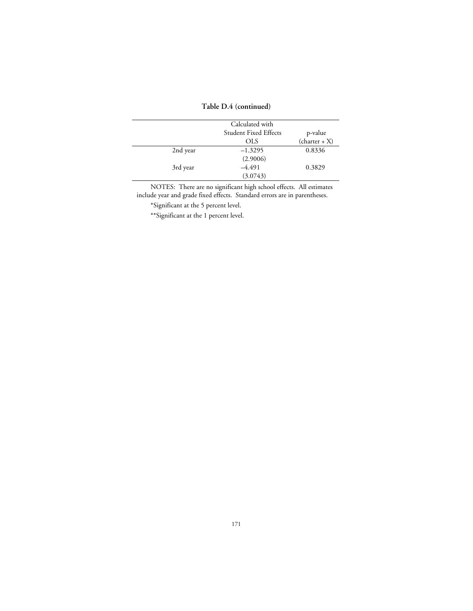|          | Calculated with              |                 |
|----------|------------------------------|-----------------|
|          | <b>Student Fixed Effects</b> | p-value         |
|          | OLS                          | $(charter + X)$ |
| 2nd year | $-1.3295$                    | 0.8336          |
|          | (2.9006)                     |                 |
| 3rd year | $-4.491$                     | 0.3829          |
|          | (3.0743)                     |                 |

NOTES: There are no significant high school effects. All estimates include year and grade fixed effects. Standard errors are in parentheses.

\*Significant at the 5 percent level.

\*\*Significant at the 1 percent level.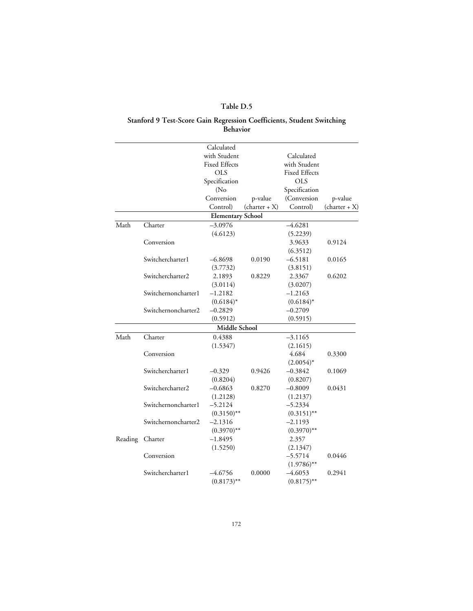# **Table D.5**

## **Stanford 9 Test-Score Gain Regression Coefficients, Student Switching Behavior**

|         |                     | Calculated               |                 |                      |                 |
|---------|---------------------|--------------------------|-----------------|----------------------|-----------------|
|         |                     | with Student             |                 | Calculated           |                 |
|         |                     | <b>Fixed Effects</b>     |                 | with Student         |                 |
|         |                     | OLS                      |                 | <b>Fixed Effects</b> |                 |
|         |                     | Specification            |                 | <b>OLS</b>           |                 |
|         |                     | (N <sub>0</sub> )        |                 | Specification        |                 |
|         |                     | Conversion               | p-value         | (Conversion          | p-value         |
|         |                     | Control)                 | $(charter + X)$ | Control)             | $(charter + X)$ |
|         |                     | <b>Elementary School</b> |                 |                      |                 |
| Math    | Charter             | $-3.0976$                |                 | $-4.6281$            |                 |
|         |                     | (4.6123)                 |                 | (5.2239)             |                 |
|         | Conversion          |                          |                 | 3.9633               | 0.9124          |
|         |                     |                          |                 | (6.3512)             |                 |
|         | Switchercharter1    | $-6.8698$                | 0.0190          | $-6.5181$            | 0.0165          |
|         |                     | (3.7732)                 |                 | (3.8151)             |                 |
|         | Switchercharter2    | 2.1893                   | 0.8229          | 2.3367               | 0.6202          |
|         |                     | (3.0114)                 |                 | (3.0207)             |                 |
|         | Switchernoncharter1 | $-1.2182$                |                 | $-1.2163$            |                 |
|         |                     | $(0.6184)^*$             |                 | $(0.6184)^*$         |                 |
|         | Switchernoncharter2 | $-0.2829$                |                 | $-0.2709$            |                 |
|         |                     | (0.5912)                 |                 | (0.5915)             |                 |
|         |                     | Middle School            |                 |                      |                 |
| Math    | Charter             | 0.4388                   |                 | $-3.1165$            |                 |
|         |                     | (1.5347)                 |                 | (2.1615)             |                 |
|         | Conversion          |                          |                 | 4.684                | 0.3300          |
|         |                     |                          |                 | $(2.0054)^*$         |                 |
|         | Switchercharter1    | $-0.329$                 | 0.9426          | $-0.3842$            | 0.1069          |
|         |                     | (0.8204)                 |                 | (0.8207)             |                 |
|         | Switchercharter2    | $-0.6863$                | 0.8270          | $-0.8009$            | 0.0431          |
|         |                     | (1.2128)                 |                 | (1.2137)             |                 |
|         | Switchernoncharter1 | $-5.2124$                |                 | $-5.2334$            |                 |
|         |                     | $(0.3150)$ **            |                 | $(0.3151)$ **        |                 |
|         | Switchernoncharter2 | $-2.1316$                |                 | $-2.1193$            |                 |
|         |                     | $(0.3970)$ **            |                 | $(0.3970)$ **        |                 |
| Reading | Charter             | $-1.8495$                |                 | 2.357                |                 |
|         |                     | (1.5250)                 |                 | (2.1347)             |                 |
|         | Conversion          |                          |                 | $-5.5714$            | 0.0446          |
|         |                     |                          |                 | $(1.9786)$ **        |                 |
|         | Switchercharter1    | $-4.6756$                | 0.0000          | $-4.6053$            | 0.2941          |
|         |                     | $(0.8173)$ **            |                 | $(0.8175)$ **        |                 |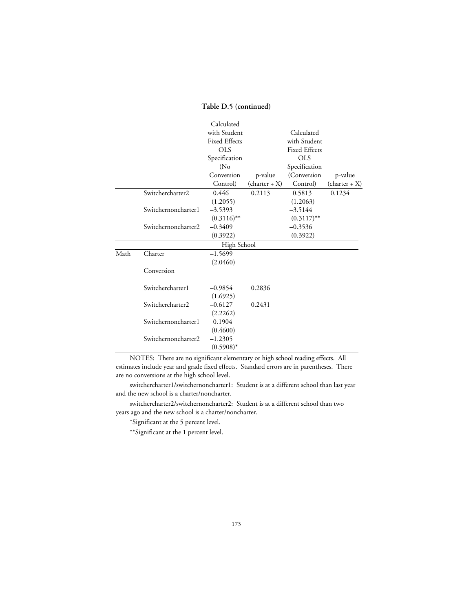|      |                     | Calculated           |               |                      |               |
|------|---------------------|----------------------|---------------|----------------------|---------------|
|      |                     | with Student         |               | Calculated           |               |
|      |                     | <b>Fixed Effects</b> |               | with Student         |               |
|      |                     | <b>OLS</b>           |               | <b>Fixed Effects</b> |               |
|      |                     | Specification        |               | <b>OLS</b>           |               |
|      |                     | (N <sub>0</sub> )    |               | Specification        |               |
|      |                     | Conversion           | p-value       | (Conversion          | p-value       |
|      |                     | Control)             | (charter + X) | Control)             | (charter + X) |
|      | Switchercharter2    | 0.446                | 0.2113        | 0.5813               | 0.1234        |
|      |                     | (1.2055)             |               | (1.2063)             |               |
|      | Switchernoncharter1 | $-3.5393$            |               | $-3.5144$            |               |
|      |                     | $(0.3116)$ **        |               | $(0.3117)$ **        |               |
|      | Switchernoncharter2 | $-0.3409$            |               | $-0.3536$            |               |
|      |                     | (0.3922)             |               | (0.3922)             |               |
|      |                     | High School          |               |                      |               |
| Math | Charter             | $-1.5699$            |               |                      |               |
|      |                     | (2.0460)             |               |                      |               |
|      | Conversion          |                      |               |                      |               |
|      | Switchercharter1    | $-0.9854$            | 0.2836        |                      |               |
|      |                     | (1.6925)             |               |                      |               |
|      | Switchercharter2    | $-0.6127$            | 0.2431        |                      |               |
|      |                     | (2.2262)             |               |                      |               |
|      | Switchernoncharter1 | 0.1904               |               |                      |               |
|      |                     | (0.4600)             |               |                      |               |
|      | Switchernoncharter2 | $-1.2305$            |               |                      |               |
|      |                     | $(0.5908)*$          |               |                      |               |

**Table D.5 (continued)**

NOTES: There are no significant elementary or high school reading effects. All estimates include year and grade fixed effects. Standard errors are in parentheses. There are no conversions at the high school level.

switchercharter1/switchernoncharter1: Student is at a different school than last year and the new school is a charter/noncharter.

switchercharter2/switchernoncharter2: Student is at a different school than two years ago and the new school is a charter/noncharter.

\*Significant at the 5 percent level.

\*\*Significant at the 1 percent level.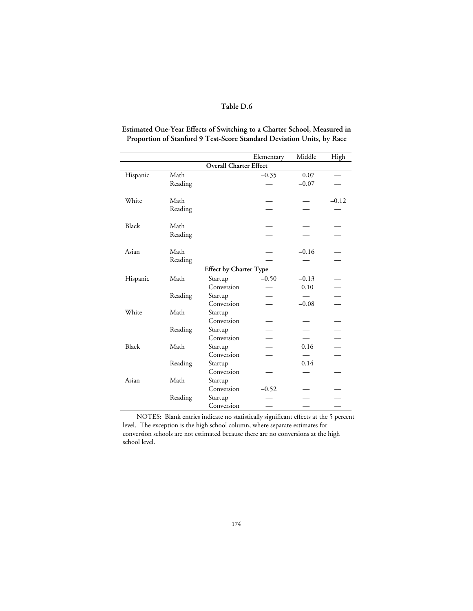#### **Table D.6**

|              |         |                               | Elementary | Middle  | High                     |
|--------------|---------|-------------------------------|------------|---------|--------------------------|
|              |         | <b>Overall Charter Effect</b> |            |         |                          |
| Hispanic     | Math    |                               | $-0.35$    | 0.07    |                          |
|              | Reading |                               |            | $-0.07$ |                          |
|              |         |                               |            |         |                          |
| White        | Math    |                               |            |         | $-0.12$                  |
|              | Reading |                               |            |         |                          |
|              |         |                               |            |         |                          |
| <b>Black</b> | Math    |                               |            |         |                          |
|              | Reading |                               |            |         |                          |
|              |         |                               |            |         |                          |
| Asian        | Math    |                               |            | $-0.16$ |                          |
|              | Reading |                               |            |         |                          |
|              |         | <b>Effect by Charter Type</b> |            |         |                          |
| Hispanic     | Math    | Startup                       | $-0.50$    | $-0.13$ |                          |
|              |         | Conversion                    |            | 0.10    |                          |
|              | Reading | Startup                       |            |         |                          |
|              |         | Conversion                    |            | $-0.08$ | ÷                        |
| White        | Math    | Startup                       |            |         |                          |
|              |         | Conversion                    |            |         |                          |
|              | Reading | Startup                       |            |         |                          |
|              |         | Conversion                    |            |         | $\overline{\phantom{a}}$ |
| <b>Black</b> | Math    | Startup                       |            | 0.16    |                          |
|              |         | Conversion                    |            |         |                          |
|              | Reading | Startup                       |            | 0.14    | $\overline{\phantom{a}}$ |
|              |         | Conversion                    |            |         |                          |
| Asian        | Math    | Startup                       |            |         |                          |
|              |         | Conversion                    | $-0.52$    |         |                          |
|              | Reading | Startup                       |            |         |                          |
|              |         | Conversion                    |            |         |                          |

**Estimated One-Year Effects of Switching to a Charter School, Measured in Proportion of Stanford 9 Test-Score Standard Deviation Units, by Race**

NOTES: Blank entries indicate no statistically significant effects at the 5 percent level. The exception is the high school column, where separate estimates for conversion schools are not estimated because there are no conversions at the high school level.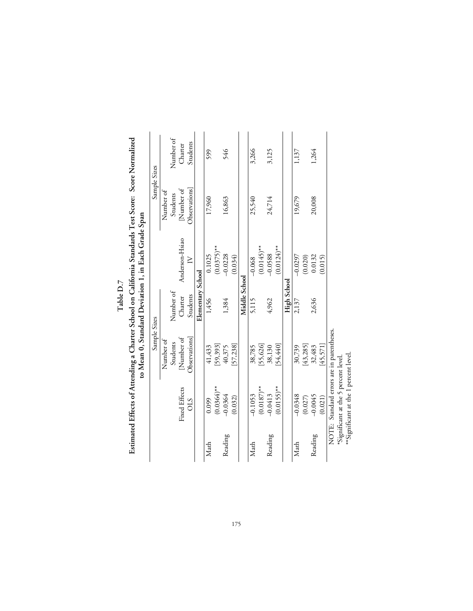| r. |
|----|
| ι  |
| ٩  |
| ý  |

Estimated Effects of Attending a Charter School on California Standards Test Score: Score Normalized **Estimated Effects of Attending a Charter School on California Standards Test Score: Score Normalized**

|         |                                      |                                           |                   | to Mean 0, Standard Deviation 1, in Each Grade Span |               |           |
|---------|--------------------------------------|-------------------------------------------|-------------------|-----------------------------------------------------|---------------|-----------|
|         |                                      | Sample Sizes                              |                   |                                                     | Sample Sizes  |           |
|         |                                      | Number of                                 |                   |                                                     | Number of     |           |
|         |                                      | Students                                  | Number of         |                                                     | Students      | Number of |
|         | Fixed Effects                        | Number of                                 | Charter           | Anderson-Hsiao                                      | Number of     | Charter   |
|         | CIS                                  | Observations                              | Students          | $\geq$                                              | Observations] | Students  |
|         |                                      |                                           | Elementary School |                                                     |               |           |
| Math    | 0.099                                | 41,433                                    | 1,456             | 0.1025                                              | 17,960        | 599       |
|         | $(0.0364)$ **                        | [59,393]                                  |                   | $(0.0375)$ **                                       |               |           |
| Reading | $-0.0364$                            | 40,375                                    | 1,384             | $-0.0228$                                           | 16,863        | 546       |
|         | (0.032)                              | 57,238]                                   |                   | (0.034)                                             |               |           |
|         |                                      |                                           | Middle School     |                                                     |               |           |
| Math    | $-0.1053$                            | 38,785                                    | 5,115             | $-0.068$                                            | 25,540        | 3,266     |
|         | $(0.0187)$ **                        | [55, 626]                                 |                   | $(0.0145)$ **                                       |               |           |
| Reading | $-0.0413$                            | 38,130                                    | 4,962             | $-0.0588$                                           | 24,714        | 3,125     |
|         | $(0.0155)$ **                        | 54,440]                                   |                   | $(0.0124)$ **                                       |               |           |
|         |                                      |                                           | High School       |                                                     |               |           |
| Math    | $-0.0348$                            | 30,739                                    | 2,137             | $-0.0297$                                           | 19,679        | 1,137     |
|         | (0.027)                              | [43, 285]                                 |                   | (0.020)                                             |               |           |
| Reading | $-0.0045$                            | 32,483                                    | 2,636             | 0.0132                                              | 20,008        | 1,264     |
|         | (0.021)                              | [45, 571]                                 |                   | (0.015)                                             |               |           |
|         |                                      | NOTE: Standard errors are in parentheses. |                   |                                                     |               |           |
|         | *Significant at the 5 percent level. |                                           |                   |                                                     |               |           |
|         | **Significant at the 1 percent level |                                           |                   |                                                     |               |           |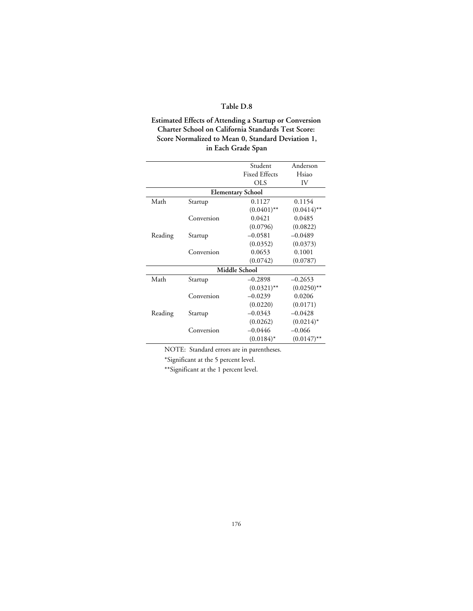#### **Table D.8**

# **Estimated Effects of Attending a Startup or Conversion Charter School on California Standards Test Score: Score Normalized to Mean 0, Standard Deviation 1, in Each Grade Span**

|         |            | Student                  | Anderson      |
|---------|------------|--------------------------|---------------|
|         |            | <b>Fixed Effects</b>     |               |
|         |            |                          | Hsiao         |
|         |            | <b>OLS</b>               | IV            |
|         |            | <b>Elementary School</b> |               |
| Math    | Startup    | 0.1127                   | 0.1154        |
|         |            | $(0.0401)$ **            | $(0.0414)$ ** |
|         | Conversion | 0.0421                   | 0.0485        |
|         |            | (0.0796)                 | (0.0822)      |
| Reading | Startup    | $-0.0581$                | $-0.0489$     |
|         |            | (0.0352)                 | (0.0373)      |
|         | Conversion | 0.0653                   | 0.1001        |
|         |            | (0.0742)                 | (0.0787)      |
|         |            | Middle School            |               |
| Math    | Startup    | $-0.2898$                | $-0.2653$     |
|         |            | $(0.0321)$ **            | $(0.0250)$ ** |
|         | Conversion | $-0.0239$                | 0.0206        |
|         |            | (0.0220)                 | (0.0171)      |
| Reading | Startup    | $-0.0343$                | $-0.0428$     |
|         |            | (0.0262)                 | $(0.0214)^*$  |
|         | Conversion | $-0.0446$                | $-0.066$      |
|         |            | $(0.0184)^*$             | $(0.0147)$ ** |

NOTE: Standard errors are in parentheses.

\*Significant at the 5 percent level.

\*\*Significant at the 1 percent level.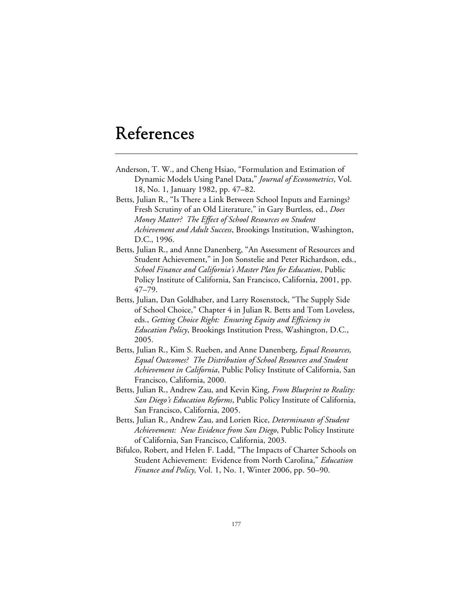# References

- Anderson, T. W., and Cheng Hsiao, "Formulation and Estimation of Dynamic Models Using Panel Data," *Journal of Econometrics*, Vol. 18, No. 1, January 1982, pp. 47–82.
- Betts, Julian R., "Is There a Link Between School Inputs and Earnings? Fresh Scrutiny of an Old Literature," in Gary Burtless, ed., *Does Money Matter? The Effect of School Resources on Student Achievement and Adult Success*, Brookings Institution, Washington, D.C., 1996.
- Betts, Julian R., and Anne Danenberg, "An Assessment of Resources and Student Achievement," in Jon Sonstelie and Peter Richardson, eds., *School Finance and California's Master Plan for Education*, Public Policy Institute of California, San Francisco, California, 2001, pp. 47–79.
- Betts, Julian, Dan Goldhaber, and Larry Rosenstock, "The Supply Side of School Choice," Chapter 4 in Julian R. Betts and Tom Loveless, eds., *Getting Choice Right: Ensuring Equity and Efficiency in Education Policy*, Brookings Institution Press, Washington, D.C., 2005.
- Betts, Julian R., Kim S. Rueben, and Anne Danenberg, *Equal Resources, Equal Outcomes? The Distribution of School Resources and Student Achievement in California*, Public Policy Institute of California, San Francisco, California, 2000.
- Betts, Julian R., Andrew Zau, and Kevin King, *From Blueprint to Reality: San Diego's Education Reforms*, Public Policy Institute of California, San Francisco, California, 2005.
- Betts, Julian R., Andrew Zau, and Lorien Rice, *Determinants of Student Achievement: New Evidence from San Diego*, Public Policy Institute of California, San Francisco, California, 2003.
- Bifulco, Robert, and Helen F. Ladd, "The Impacts of Charter Schools on Student Achievement: Evidence from North Carolina," *Education Finance and Policy,* Vol. 1, No. 1, Winter 2006, pp. 50–90.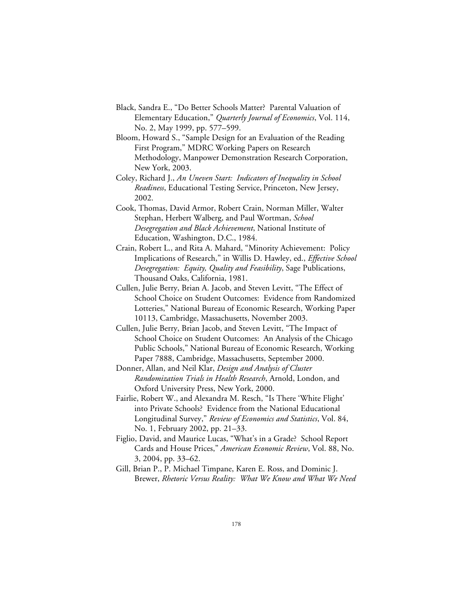- Black, Sandra E., "Do Better Schools Matter? Parental Valuation of Elementary Education," *Quarterly Journal of Economics*, Vol. 114, No. 2, May 1999, pp. 577–599.
- Bloom, Howard S., "Sample Design for an Evaluation of the Reading First Program," MDRC Working Papers on Research Methodology, Manpower Demonstration Research Corporation, New York, 2003.
- Coley, Richard J., *An Uneven Start: Indicators of Inequality in School Readiness*, Educational Testing Service, Princeton, New Jersey, 2002.
- Cook, Thomas, David Armor, Robert Crain, Norman Miller, Walter Stephan, Herbert Walberg, and Paul Wortman, *School Desegregation and Black Achievement*, National Institute of Education, Washington, D.C., 1984.
- Crain, Robert L., and Rita A. Mahard, "Minority Achievement: Policy Implications of Research," in Willis D. Hawley, ed., *Effective School Desegregation: Equity, Quality and Feasibility*, Sage Publications, Thousand Oaks, California, 1981.
- Cullen, Julie Berry, Brian A. Jacob, and Steven Levitt, "The Effect of School Choice on Student Outcomes: Evidence from Randomized Lotteries," National Bureau of Economic Research, Working Paper 10113, Cambridge, Massachusetts, November 2003.
- Cullen, Julie Berry, Brian Jacob, and Steven Levitt, "The Impact of School Choice on Student Outcomes: An Analysis of the Chicago Public Schools," National Bureau of Economic Research, Working Paper 7888, Cambridge, Massachusetts, September 2000.
- Donner, Allan, and Neil Klar, *Design and Analysis of Cluster Randomization Trials in Health Research*, Arnold, London, and Oxford University Press, New York, 2000.
- Fairlie, Robert W., and Alexandra M. Resch, "Is There 'White Flight' into Private Schools? Evidence from the National Educational Longitudinal Survey," *Review of Economics and Statistics*, Vol. 84, No. 1, February 2002, pp. 21–33.
- Figlio, David, and Maurice Lucas, "What's in a Grade? School Report Cards and House Prices," *American Economic Review*, Vol. 88, No. 3, 2004, pp. 33–62.
- Gill, Brian P., P. Michael Timpane, Karen E. Ross, and Dominic J. Brewer, *Rhetoric Versus Reality: What We Know and What We Need*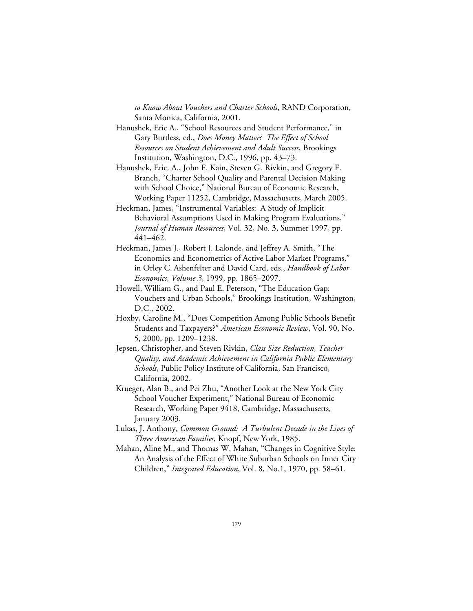*to Know About Vouchers and Charter Schools*, RAND Corporation, Santa Monica, California, 2001.

- Hanushek, Eric A., "School Resources and Student Performance," in Gary Burtless, ed., *Does Money Matter? The Effect of School Resources on Student Achievement and Adult Success*, Brookings Institution, Washington, D.C., 1996, pp. 43–73.
- Hanushek, Eric. A., John F. Kain, Steven G. Rivkin, and Gregory F. Branch, "Charter School Quality and Parental Decision Making with School Choice," National Bureau of Economic Research, Working Paper 11252, Cambridge, Massachusetts, March 2005.
- Heckman, James, "Instrumental Variables: A Study of Implicit Behavioral Assumptions Used in Making Program Evaluations," *Journal of Human Resources*, Vol. 32, No. 3, Summer 1997, pp. 441–462.
- Heckman, James J., Robert J. Lalonde, and Jeffrey A. Smith, "The Economics and Econometrics of Active Labor Market Programs," in Orley C. Ashenfelter and David Card, eds., *Handbook of Labor Economics, Volume 3*, 1999, pp. 1865–2097.
- Howell, William G., and Paul E. Peterson, "The Education Gap: Vouchers and Urban Schools," Brookings Institution, Washington, D.C., 2002.
- Hoxby, Caroline M., "Does Competition Among Public Schools Benefit Students and Taxpayers?" *American Economic Review*, Vol. 90, No. 5, 2000, pp. 1209–1238.
- Jepsen, Christopher, and Steven Rivkin, *Class Size Reduction, Teacher Quality, and Academic Achievement in California Public Elementary Schools*, Public Policy Institute of California, San Francisco, California, 2002.
- Krueger, Alan B., and Pei Zhu, "**A**nother Look at the New York City School Voucher Experiment," National Bureau of Economic Research, Working Paper 9418, Cambridge, Massachusetts, January 2003.
- Lukas, J. Anthony, *Common Ground: A Turbulent Decade in the Lives of Three American Families*, Knopf, New York, 1985.
- Mahan, Aline M., and Thomas W. Mahan, "Changes in Cognitive Style: An Analysis of the Effect of White Suburban Schools on Inner City Children," *Integrated Education*, Vol. 8, No.1, 1970, pp. 58–61.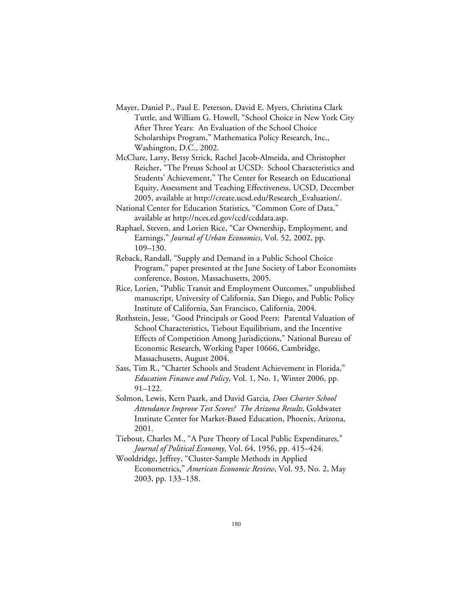- Mayer, Daniel P., Paul E. Peterson, David E. Myers, Christina Clark Tuttle, and William G. Howell, "School Choice in New York City After Three Years: An Evaluation of the School Choice Scholarships Program," Mathematica Policy Research, Inc., Washington, D.C., 2002.
- McClure, Larry, Betsy Strick, Rachel Jacob-Almeida, and Christopher Reicher, "The Preuss School at UCSD: School Characteristics and Students' Achievement," The Center for Research on Educational Equity, Assessment and Teaching Effectiveness, UCSD, December 2005, available at http://create.ucsd.edu/Research\_Evaluation/.
- National Center for Education Statistics, "Common Core of Data," available at http://nces.ed.gov/ccd/ccddata.asp.
- Raphael, Steven, and Lorien Rice, "Car Ownership, Employment, and Earnings," *Journal of Urban Economics*, Vol. 52, 2002, pp. 109–130.
- Reback, Randall, "Supply and Demand in a Public School Choice Program," paper presented at the June Society of Labor Economists conference, Boston, Massachusetts, 2005.
- Rice, Lorien, "Public Transit and Employment Outcomes," unpublished manuscript, University of California, San Diego, and Public Policy Institute of California, San Francisco, California, 2004.
- Rothstein, Jesse, "Good Principals or Good Peers: Parental Valuation of School Characteristics, Tiebout Equilibrium, and the Incentive Effects of Competition Among Jurisdictions," National Bureau of Economic Research, Working Paper 10666, Cambridge, Massachusetts, August 2004.
- Sass, Tim R., "Charter Schools and Student Achievement in Florida," *Education Finance and Policy*, Vol. 1, No. 1, Winter 2006, pp. 91–122.
- Solmon, Lewis, Kern Paark, and David Garcia*, Does Charter School Attendance Improve Test Scores? The Arizona Results,* Goldwater Institute Center for Market-Based Education, Phoenix, Arizona, 2001.
- Tiebout, Charles M., "A Pure Theory of Local Public Expenditures," *Journal of Political Economy*, Vol. 64, 1956, pp. 415–424.
- Wooldridge, Jeffrey, "Cluster-Sample Methods in Applied Econometrics," *American Economic Review*, Vol. 93, No. 2, May 2003, pp. 133–138.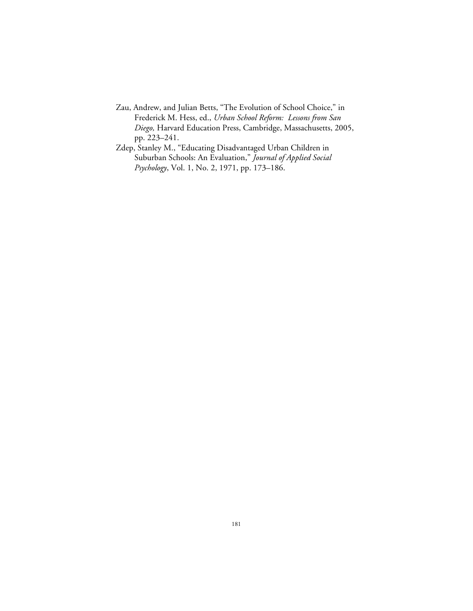- Zau, Andrew, and Julian Betts, "The Evolution of School Choice," in Frederick M. Hess, ed., *Urban School Reform: Lessons from San Diego,* Harvard Education Press, Cambridge, Massachusetts, 2005, pp. 223–241.
- Zdep, Stanley M., "Educating Disadvantaged Urban Children in Suburban Schools: An Evaluation," *Journal of Applied Social Psychology*, Vol. 1, No. 2, 1971, pp. 173–186.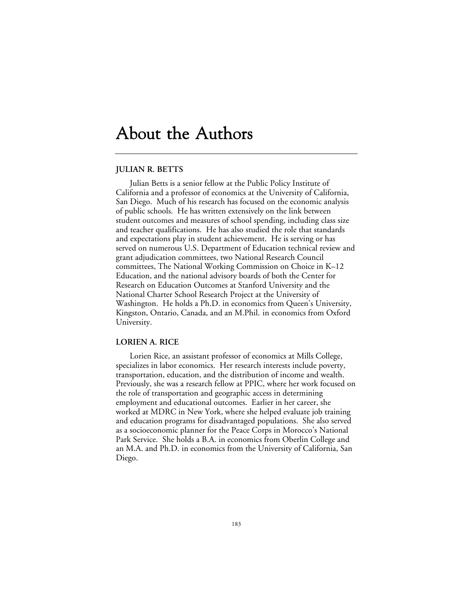## About the Authors

### **JULIAN R. BETTS**

Julian Betts is a senior fellow at the Public Policy Institute of California and a professor of economics at the University of California, San Diego. Much of his research has focused on the economic analysis of public schools. He has written extensively on the link between student outcomes and measures of school spending, including class size and teacher qualifications. He has also studied the role that standards and expectations play in student achievement. He is serving or has served on numerous U.S. Department of Education technical review and grant adjudication committees, two National Research Council committees, The National Working Commission on Choice in K–12 Education, and the national advisory boards of both the Center for Research on Education Outcomes at Stanford University and the National Charter School Research Project at the University of Washington. He holds a Ph.D. in economics from Queen's University, Kingston, Ontario, Canada, and an M.Phil. in economics from Oxford University.

#### **LORIEN A. RICE**

Lorien Rice, an assistant professor of economics at Mills College, specializes in labor economics. Her research interests include poverty, transportation, education, and the distribution of income and wealth. Previously, she was a research fellow at PPIC, where her work focused on the role of transportation and geographic access in determining employment and educational outcomes. Earlier in her career, she worked at MDRC in New York, where she helped evaluate job training and education programs for disadvantaged populations. She also served as a socioeconomic planner for the Peace Corps in Morocco's National Park Service. She holds a B.A. in economics from Oberlin College and an M.A. and Ph.D. in economics from the University of California, San Diego.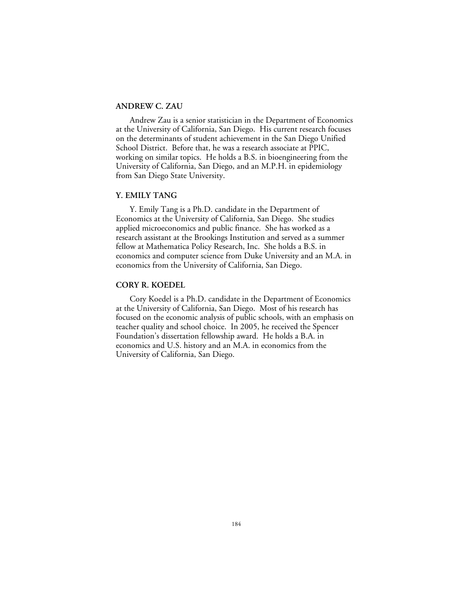#### **ANDREW C. ZAU**

Andrew Zau is a senior statistician in the Department of Economics at the University of California, San Diego. His current research focuses on the determinants of student achievement in the San Diego Unified School District. Before that, he was a research associate at PPIC, working on similar topics. He holds a B.S. in bioengineering from the University of California, San Diego, and an M.P.H. in epidemiology from San Diego State University.

### **Y. EMILY TANG**

Y. Emily Tang is a Ph.D. candidate in the Department of Economics at the University of California, San Diego. She studies applied microeconomics and public finance. She has worked as a research assistant at the Brookings Institution and served as a summer fellow at Mathematica Policy Research, Inc. She holds a B.S. in economics and computer science from Duke University and an M.A. in economics from the University of California, San Diego.

#### **CORY R. KOEDEL**

Cory Koedel is a Ph.D. candidate in the Department of Economics at the University of California, San Diego. Most of his research has focused on the economic analysis of public schools, with an emphasis on teacher quality and school choice. In 2005, he received the Spencer Foundation's dissertation fellowship award. He holds a B.A. in economics and U.S. history and an M.A. in economics from the University of California, San Diego.